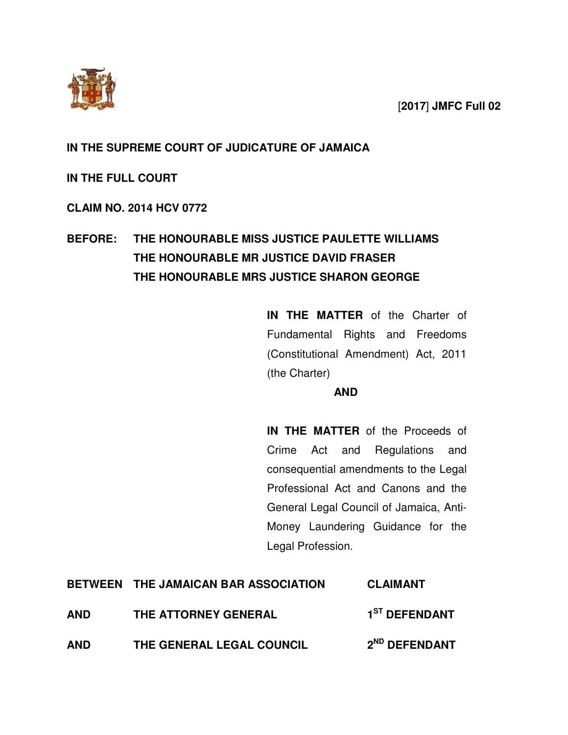



# **IN THE SUPREME COURT OF JUDICATURE OF JAMAICA**

**IN THE FULL COURT** 

# **CLAIM NO. 2014 HCV 0772**

# **BEFORE: THE HONOURABLE MISS JUSTICE PAULETTE WILLIAMS THE HONOURABLE MR JUSTICE DAVID FRASER THE HONOURABLE MRS JUSTICE SHARON GEORGE**

**IN THE MATTER** of the Charter of Fundamental Rights and Freedoms (Constitutional Amendment) Act, 2011 (the Charter)

#### **AND**

**IN THE MATTER** of the Proceeds of Crime Act and Regulations and consequential amendments to the Legal Professional Act and Canons and the General Legal Council of Jamaica, Anti-Money Laundering Guidance for the Legal Profession.

|            | BETWEEN THE JAMAICAN BAR ASSOCIATION | <b>CLAIMANT</b>           |
|------------|--------------------------------------|---------------------------|
| <b>AND</b> | THE ATTORNEY GENERAL                 | 1 <sup>ST</sup> DEFENDANT |
| <b>AND</b> | THE GENERAL LEGAL COUNCIL            | $2^{ND}$ DEFENDANT        |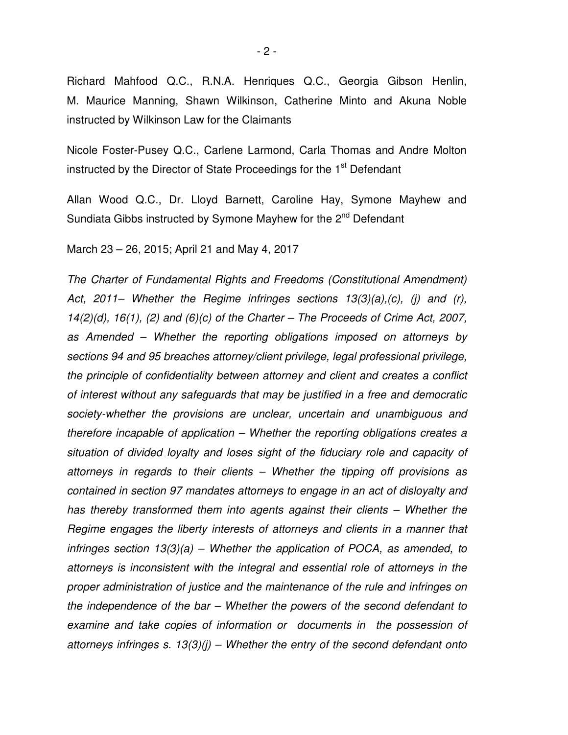Richard Mahfood Q.C., R.N.A. Henriques Q.C., Georgia Gibson Henlin, M. Maurice Manning, Shawn Wilkinson, Catherine Minto and Akuna Noble instructed by Wilkinson Law for the Claimants

Nicole Foster-Pusey Q.C., Carlene Larmond, Carla Thomas and Andre Molton instructed by the Director of State Proceedings for the 1<sup>st</sup> Defendant

Allan Wood Q.C., Dr. Lloyd Barnett, Caroline Hay, Symone Mayhew and Sundiata Gibbs instructed by Symone Mayhew for the 2<sup>nd</sup> Defendant

March 23 – 26, 2015; April 21 and May 4, 2017

The Charter of Fundamental Rights and Freedoms (Constitutional Amendment) Act, 2011– Whether the Regime infringes sections  $13(3)(a)$ , (c), (i) and (r),  $14(2)(d)$ ,  $16(1)$ ,  $(2)$  and  $(6)(c)$  of the Charter – The Proceeds of Crime Act, 2007, as Amended – Whether the reporting obligations imposed on attorneys by sections 94 and 95 breaches attorney/client privilege, legal professional privilege, the principle of confidentiality between attorney and client and creates a conflict of interest without any safeguards that may be justified in a free and democratic society-whether the provisions are unclear, uncertain and unambiguous and therefore incapable of application – Whether the reporting obligations creates a situation of divided loyalty and loses sight of the fiduciary role and capacity of attorneys in regards to their clients – Whether the tipping off provisions as contained in section 97 mandates attorneys to engage in an act of disloyalty and has thereby transformed them into agents against their clients – Whether the Regime engages the liberty interests of attorneys and clients in a manner that infringes section  $13(3)(a)$  – Whether the application of POCA, as amended, to attorneys is inconsistent with the integral and essential role of attorneys in the proper administration of justice and the maintenance of the rule and infringes on the independence of the bar – Whether the powers of the second defendant to examine and take copies of information or documents in the possession of attorneys infringes s.  $13(3)(j)$  – Whether the entry of the second defendant onto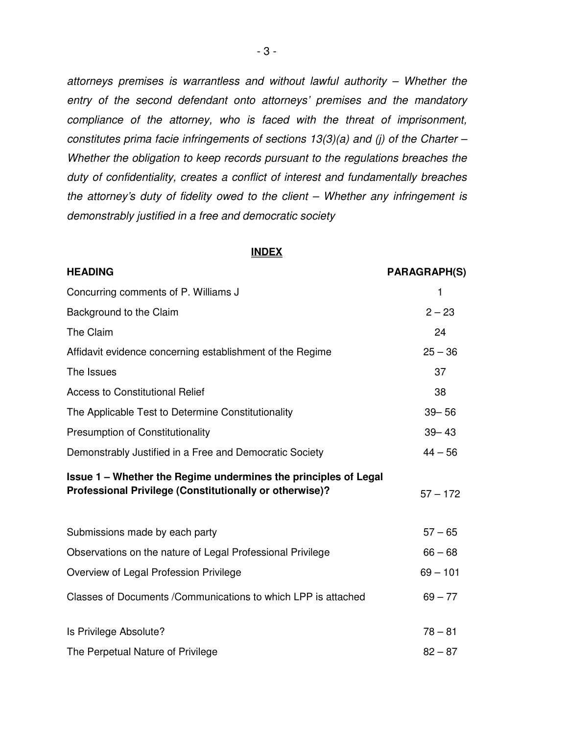attorneys premises is warrantless and without lawful authority – Whether the entry of the second defendant onto attorneys' premises and the mandatory compliance of the attorney, who is faced with the threat of imprisonment, constitutes prima facie infringements of sections  $13(3)(a)$  and (j) of the Charter – Whether the obligation to keep records pursuant to the regulations breaches the duty of confidentiality, creates a conflict of interest and fundamentally breaches the attorney's duty of fidelity owed to the client – Whether any infringement is demonstrably justified in a free and democratic society

#### **INDEX**

| <b>HEADING</b>                                                                                                             | PARAGRAPH(S) |
|----------------------------------------------------------------------------------------------------------------------------|--------------|
| Concurring comments of P. Williams J                                                                                       | 1            |
| Background to the Claim                                                                                                    | $2 - 23$     |
| The Claim                                                                                                                  | 24           |
| Affidavit evidence concerning establishment of the Regime                                                                  | $25 - 36$    |
| The Issues                                                                                                                 | 37           |
| <b>Access to Constitutional Relief</b>                                                                                     | 38           |
| The Applicable Test to Determine Constitutionality                                                                         | $39 - 56$    |
| <b>Presumption of Constitutionality</b>                                                                                    | $39 - 43$    |
| Demonstrably Justified in a Free and Democratic Society                                                                    | $44 - 56$    |
| Issue 1 – Whether the Regime undermines the principles of Legal<br>Professional Privilege (Constitutionally or otherwise)? | $57 - 172$   |
| Submissions made by each party                                                                                             | $57 - 65$    |
| Observations on the nature of Legal Professional Privilege                                                                 | $66 - 68$    |
| Overview of Legal Profession Privilege                                                                                     | $69 - 101$   |
| Classes of Documents / Communications to which LPP is attached                                                             | $69 - 77$    |
| Is Privilege Absolute?                                                                                                     | $78 - 81$    |
| The Perpetual Nature of Privilege                                                                                          | $82 - 87$    |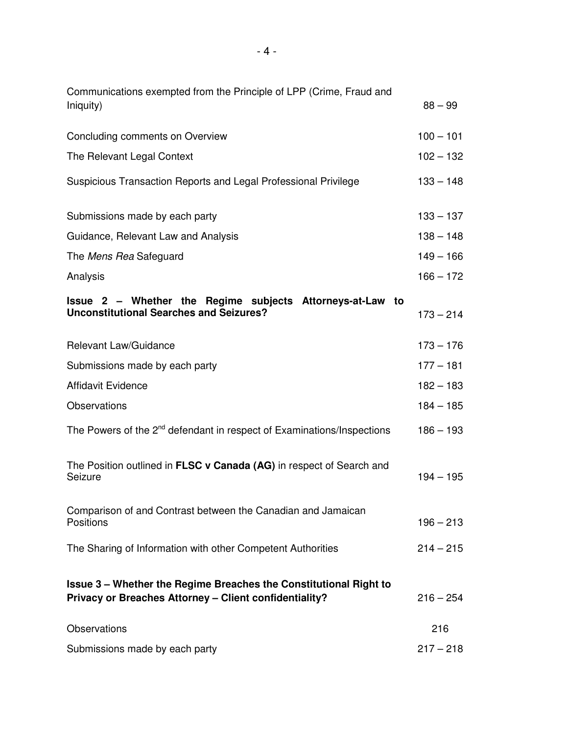| Communications exempted from the Principle of LPP (Crime, Fraud and<br>Iniquity)                                            | $88 - 99$   |
|-----------------------------------------------------------------------------------------------------------------------------|-------------|
| Concluding comments on Overview                                                                                             | $100 - 101$ |
| The Relevant Legal Context                                                                                                  | $102 - 132$ |
| Suspicious Transaction Reports and Legal Professional Privilege                                                             | $133 - 148$ |
| Submissions made by each party                                                                                              | $133 - 137$ |
| Guidance, Relevant Law and Analysis                                                                                         | $138 - 148$ |
| The Mens Rea Safeguard                                                                                                      | $149 - 166$ |
| Analysis                                                                                                                    | $166 - 172$ |
| Issue 2 - Whether the Regime subjects Attorneys-at-Law to<br><b>Unconstitutional Searches and Seizures?</b>                 | $173 - 214$ |
| <b>Relevant Law/Guidance</b>                                                                                                | $173 - 176$ |
| Submissions made by each party                                                                                              | $177 - 181$ |
| <b>Affidavit Evidence</b>                                                                                                   | $182 - 183$ |
| Observations                                                                                                                | $184 - 185$ |
| The Powers of the 2 <sup>nd</sup> defendant in respect of Examinations/Inspections                                          | $186 - 193$ |
| The Position outlined in FLSC v Canada (AG) in respect of Search and<br>Seizure                                             | $194 - 195$ |
| Comparison of and Contrast between the Canadian and Jamaican<br>Positions                                                   | $196 - 213$ |
| The Sharing of Information with other Competent Authorities                                                                 | $214 - 215$ |
| Issue 3 - Whether the Regime Breaches the Constitutional Right to<br>Privacy or Breaches Attorney - Client confidentiality? | $216 - 254$ |
| Observations                                                                                                                | 216         |
| Submissions made by each party                                                                                              | $217 - 218$ |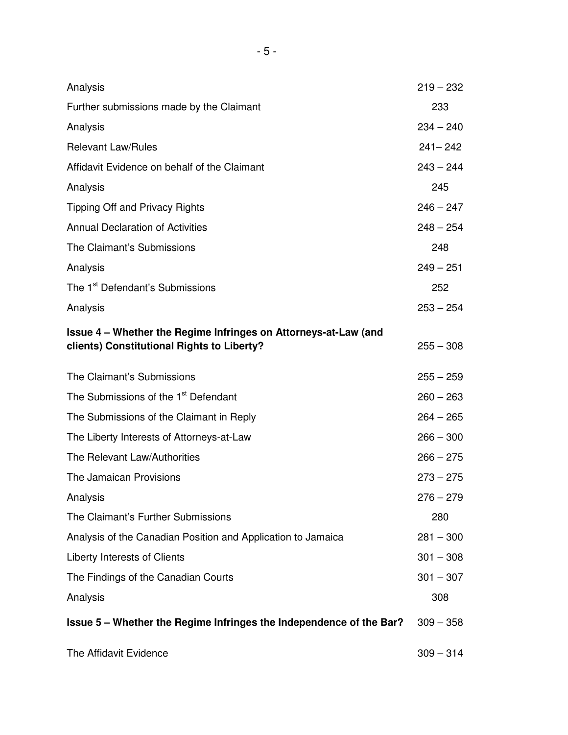| Analysis                                                                                                      | $219 - 232$ |
|---------------------------------------------------------------------------------------------------------------|-------------|
| Further submissions made by the Claimant                                                                      | 233         |
| Analysis                                                                                                      | $234 - 240$ |
| <b>Relevant Law/Rules</b>                                                                                     | $241 - 242$ |
| Affidavit Evidence on behalf of the Claimant                                                                  | $243 - 244$ |
| Analysis                                                                                                      | 245         |
| <b>Tipping Off and Privacy Rights</b>                                                                         | $246 - 247$ |
| <b>Annual Declaration of Activities</b>                                                                       | $248 - 254$ |
| The Claimant's Submissions                                                                                    | 248         |
| Analysis                                                                                                      | $249 - 251$ |
| The 1 <sup>st</sup> Defendant's Submissions                                                                   | 252         |
| Analysis                                                                                                      | $253 - 254$ |
| Issue 4 - Whether the Regime Infringes on Attorneys-at-Law (and<br>clients) Constitutional Rights to Liberty? | $255 - 308$ |
| The Claimant's Submissions                                                                                    | $255 - 259$ |
| The Submissions of the 1 <sup>st</sup> Defendant                                                              | $260 - 263$ |
| The Submissions of the Claimant in Reply                                                                      | $264 - 265$ |
| The Liberty Interests of Attorneys-at-Law                                                                     | $266 - 300$ |
| The Relevant Law/Authorities                                                                                  | $266 - 275$ |
| The Jamaican Provisions                                                                                       | $273 - 275$ |
| Analysis                                                                                                      | $276 - 279$ |
| The Claimant's Further Submissions                                                                            | 280         |
| Analysis of the Canadian Position and Application to Jamaica                                                  | $281 - 300$ |
| Liberty Interests of Clients                                                                                  | $301 - 308$ |
| The Findings of the Canadian Courts                                                                           | $301 - 307$ |
| Analysis                                                                                                      | 308         |
| Issue 5 – Whether the Regime Infringes the Independence of the Bar?                                           | $309 - 358$ |
| The Affidavit Evidence                                                                                        | $309 - 314$ |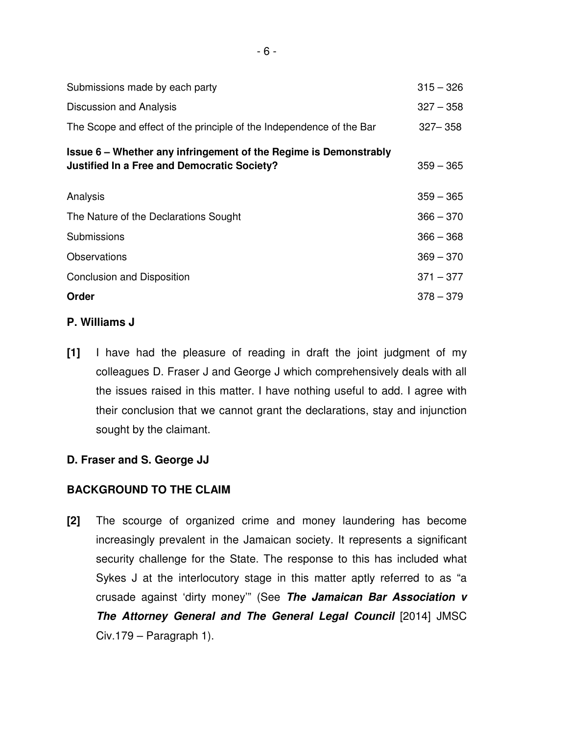| Submissions made by each party                                                                                  | $315 - 326$ |
|-----------------------------------------------------------------------------------------------------------------|-------------|
| <b>Discussion and Analysis</b>                                                                                  | $327 - 358$ |
| The Scope and effect of the principle of the Independence of the Bar                                            | $327 - 358$ |
| Issue 6 - Whether any infringement of the Regime is Demonstrably<br>Justified In a Free and Democratic Society? | $359 - 365$ |
| Analysis                                                                                                        | $359 - 365$ |
| The Nature of the Declarations Sought                                                                           | $366 - 370$ |
| Submissions                                                                                                     | $366 - 368$ |
| Observations                                                                                                    | $369 - 370$ |
| Conclusion and Disposition                                                                                      | $371 - 377$ |
| Order                                                                                                           | $378 - 379$ |

# **P. Williams J**

**[1]** I have had the pleasure of reading in draft the joint judgment of my colleagues D. Fraser J and George J which comprehensively deals with all the issues raised in this matter. I have nothing useful to add. I agree with their conclusion that we cannot grant the declarations, stay and injunction sought by the claimant.

# **D. Fraser and S. George JJ**

# **BACKGROUND TO THE CLAIM**

**[2]** The scourge of organized crime and money laundering has become increasingly prevalent in the Jamaican society. It represents a significant security challenge for the State. The response to this has included what Sykes J at the interlocutory stage in this matter aptly referred to as "a crusade against 'dirty money'" (See **The Jamaican Bar Association v The Attorney General and The General Legal Council** [2014] JMSC Civ.179 – Paragraph 1).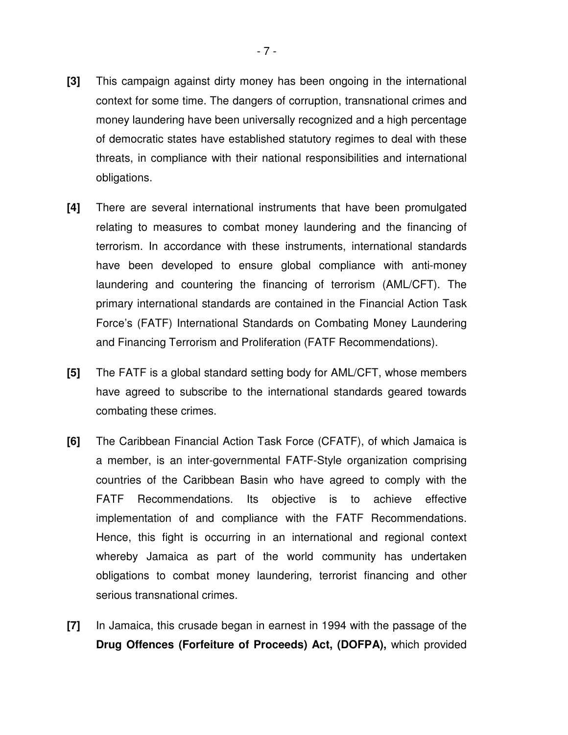- **[3]** This campaign against dirty money has been ongoing in the international context for some time. The dangers of corruption, transnational crimes and money laundering have been universally recognized and a high percentage of democratic states have established statutory regimes to deal with these threats, in compliance with their national responsibilities and international obligations.
- **[4]** There are several international instruments that have been promulgated relating to measures to combat money laundering and the financing of terrorism. In accordance with these instruments, international standards have been developed to ensure global compliance with anti-money laundering and countering the financing of terrorism (AML/CFT). The primary international standards are contained in the Financial Action Task Force's (FATF) International Standards on Combating Money Laundering and Financing Terrorism and Proliferation (FATF Recommendations).
- **[5]** The FATF is a global standard setting body for AML/CFT, whose members have agreed to subscribe to the international standards geared towards combating these crimes.
- **[6]** The Caribbean Financial Action Task Force (CFATF), of which Jamaica is a member, is an inter-governmental FATF-Style organization comprising countries of the Caribbean Basin who have agreed to comply with the FATF Recommendations. Its objective is to achieve effective implementation of and compliance with the FATF Recommendations. Hence, this fight is occurring in an international and regional context whereby Jamaica as part of the world community has undertaken obligations to combat money laundering, terrorist financing and other serious transnational crimes.
- **[7]** In Jamaica, this crusade began in earnest in 1994 with the passage of the **Drug Offences (Forfeiture of Proceeds) Act, (DOFPA),** which provided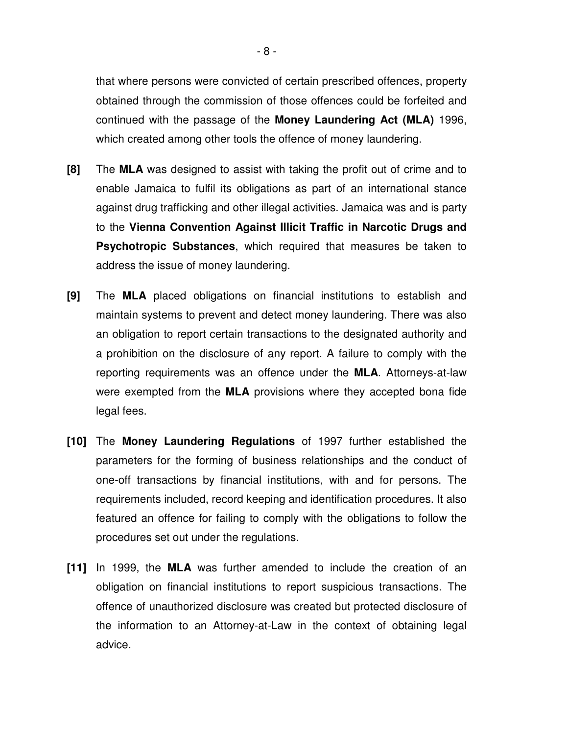that where persons were convicted of certain prescribed offences, property obtained through the commission of those offences could be forfeited and continued with the passage of the **Money Laundering Act (MLA)** 1996, which created among other tools the offence of money laundering.

- **[8]** The **MLA** was designed to assist with taking the profit out of crime and to enable Jamaica to fulfil its obligations as part of an international stance against drug trafficking and other illegal activities. Jamaica was and is party to the **Vienna Convention Against Illicit Traffic in Narcotic Drugs and Psychotropic Substances**, which required that measures be taken to address the issue of money laundering.
- **[9]** The **MLA** placed obligations on financial institutions to establish and maintain systems to prevent and detect money laundering. There was also an obligation to report certain transactions to the designated authority and a prohibition on the disclosure of any report. A failure to comply with the reporting requirements was an offence under the **MLA**. Attorneys-at-law were exempted from the **MLA** provisions where they accepted bona fide legal fees.
- **[10]** The **Money Laundering Regulations** of 1997 further established the parameters for the forming of business relationships and the conduct of one-off transactions by financial institutions, with and for persons. The requirements included, record keeping and identification procedures. It also featured an offence for failing to comply with the obligations to follow the procedures set out under the regulations.
- **[11]** In 1999, the **MLA** was further amended to include the creation of an obligation on financial institutions to report suspicious transactions. The offence of unauthorized disclosure was created but protected disclosure of the information to an Attorney-at-Law in the context of obtaining legal advice.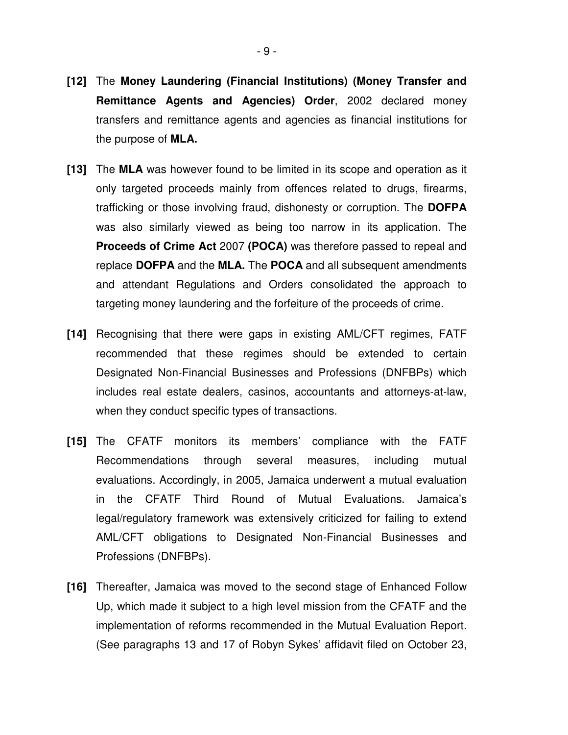- **[12]** The **Money Laundering (Financial Institutions) (Money Transfer and Remittance Agents and Agencies) Order**, 2002 declared money transfers and remittance agents and agencies as financial institutions for the purpose of **MLA.**
- **[13]** The **MLA** was however found to be limited in its scope and operation as it only targeted proceeds mainly from offences related to drugs, firearms, trafficking or those involving fraud, dishonesty or corruption. The **DOFPA** was also similarly viewed as being too narrow in its application. The **Proceeds of Crime Act** 2007 **(POCA)** was therefore passed to repeal and replace **DOFPA** and the **MLA.** The **POCA** and all subsequent amendments and attendant Regulations and Orders consolidated the approach to targeting money laundering and the forfeiture of the proceeds of crime.
- **[14]** Recognising that there were gaps in existing AML/CFT regimes, FATF recommended that these regimes should be extended to certain Designated Non-Financial Businesses and Professions (DNFBPs) which includes real estate dealers, casinos, accountants and attorneys-at-law, when they conduct specific types of transactions.
- **[15]** The CFATF monitors its members' compliance with the FATF Recommendations through several measures, including mutual evaluations. Accordingly, in 2005, Jamaica underwent a mutual evaluation in the CFATF Third Round of Mutual Evaluations. Jamaica's legal/regulatory framework was extensively criticized for failing to extend AML/CFT obligations to Designated Non-Financial Businesses and Professions (DNFBPs).
- **[16]** Thereafter, Jamaica was moved to the second stage of Enhanced Follow Up, which made it subject to a high level mission from the CFATF and the implementation of reforms recommended in the Mutual Evaluation Report. (See paragraphs 13 and 17 of Robyn Sykes' affidavit filed on October 23,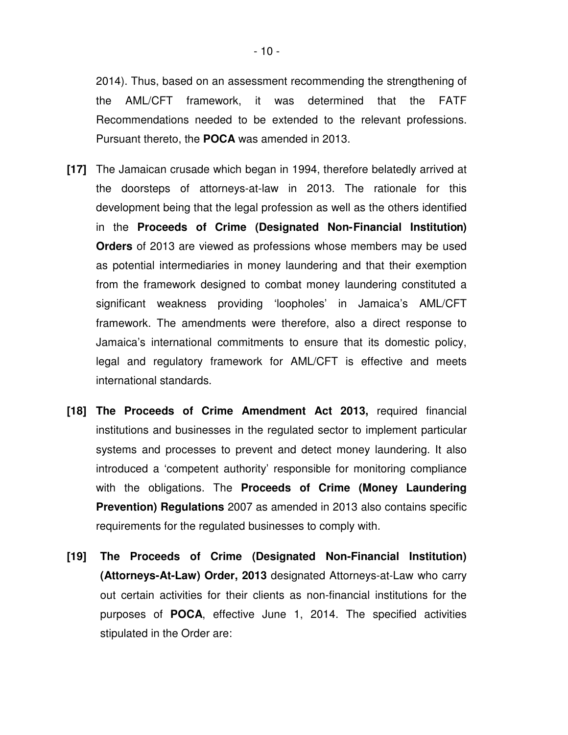2014). Thus, based on an assessment recommending the strengthening of the AML/CFT framework, it was determined that the FATF Recommendations needed to be extended to the relevant professions. Pursuant thereto, the **POCA** was amended in 2013.

- **[17]** The Jamaican crusade which began in 1994, therefore belatedly arrived at the doorsteps of attorneys-at-law in 2013. The rationale for this development being that the legal profession as well as the others identified in the **Proceeds of Crime (Designated Non-Financial Institution) Orders** of 2013 are viewed as professions whose members may be used as potential intermediaries in money laundering and that their exemption from the framework designed to combat money laundering constituted a significant weakness providing 'loopholes' in Jamaica's AML/CFT framework. The amendments were therefore, also a direct response to Jamaica's international commitments to ensure that its domestic policy, legal and regulatory framework for AML/CFT is effective and meets international standards.
- **[18] The Proceeds of Crime Amendment Act 2013,** required financial institutions and businesses in the regulated sector to implement particular systems and processes to prevent and detect money laundering. It also introduced a 'competent authority' responsible for monitoring compliance with the obligations. The **Proceeds of Crime (Money Laundering Prevention) Regulations** 2007 as amended in 2013 also contains specific requirements for the regulated businesses to comply with.
- **[19] The Proceeds of Crime (Designated Non-Financial Institution) (Attorneys-At-Law) Order, 2013** designated Attorneys-at-Law who carry out certain activities for their clients as non-financial institutions for the purposes of **POCA**, effective June 1, 2014. The specified activities stipulated in the Order are: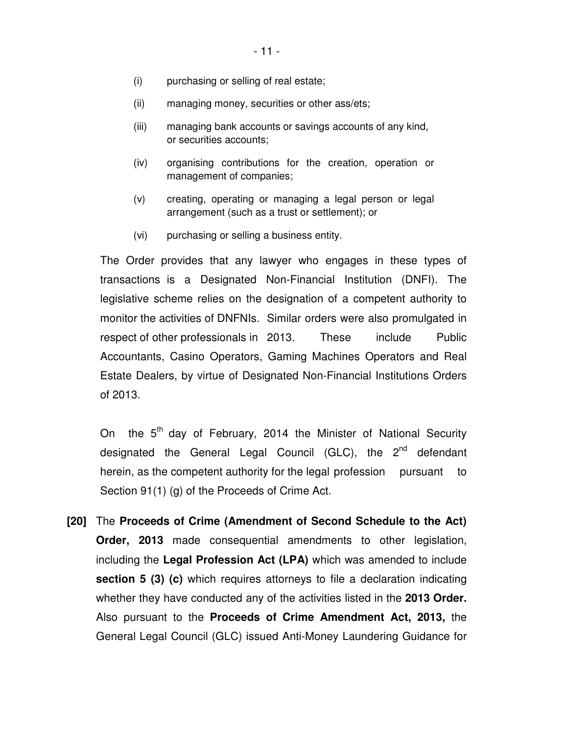- (i) purchasing or selling of real estate;
- (ii) managing money, securities or other ass/ets;
- (iii) managing bank accounts or savings accounts of any kind, or securities accounts;
- (iv) organising contributions for the creation, operation or management of companies;
- (v) creating, operating or managing a legal person or legal arrangement (such as a trust or settlement); or
- (vi) purchasing or selling a business entity.

 The Order provides that any lawyer who engages in these types of transactions is a Designated Non-Financial Institution (DNFI). The legislative scheme relies on the designation of a competent authority to monitor the activities of DNFNIs. Similar orders were also promulgated in respect of other professionals in 2013. These include Public Accountants, Casino Operators, Gaming Machines Operators and Real Estate Dealers, by virtue of Designated Non-Financial Institutions Orders of 2013.

On the  $5<sup>th</sup>$  day of February, 2014 the Minister of National Security designated the General Legal Council (GLC), the 2<sup>nd</sup> defendant herein, as the competent authority for the legal profession pursuant to Section 91(1) (g) of the Proceeds of Crime Act.

**[20]** The **Proceeds of Crime (Amendment of Second Schedule to the Act) Order, 2013** made consequential amendments to other legislation, including the **Legal Profession Act (LPA)** which was amended to include **section 5 (3) (c)** which requires attorneys to file a declaration indicating whether they have conducted any of the activities listed in the **2013 Order.**  Also pursuant to the **Proceeds of Crime Amendment Act, 2013,** the General Legal Council (GLC) issued Anti-Money Laundering Guidance for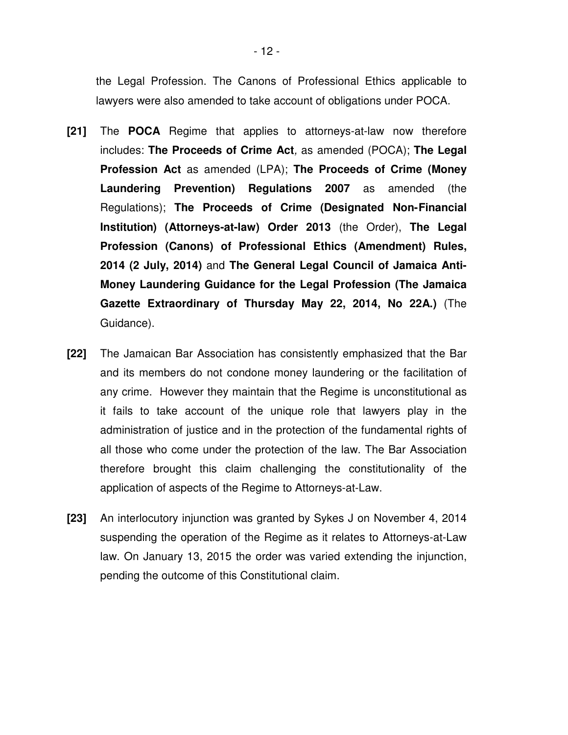the Legal Profession. The Canons of Professional Ethics applicable to lawyers were also amended to take account of obligations under POCA.

- **[21]** The **POCA** Regime that applies to attorneys-at-law now therefore includes: **The Proceeds of Crime Act**, as amended (POCA); **The Legal Profession Act** as amended (LPA); **The Proceeds of Crime (Money Laundering Prevention) Regulations 2007** as amended (the Regulations); **The Proceeds of Crime (Designated Non-Financial Institution) (Attorneys-at-law) Order 2013** (the Order), **The Legal Profession (Canons) of Professional Ethics (Amendment) Rules, 2014 (2 July, 2014)** and **The General Legal Council of Jamaica Anti-Money Laundering Guidance for the Legal Profession (The Jamaica Gazette Extraordinary of Thursday May 22, 2014, No 22A.)** (The Guidance).
- **[22]** The Jamaican Bar Association has consistently emphasized that the Bar and its members do not condone money laundering or the facilitation of any crime. However they maintain that the Regime is unconstitutional as it fails to take account of the unique role that lawyers play in the administration of justice and in the protection of the fundamental rights of all those who come under the protection of the law. The Bar Association therefore brought this claim challenging the constitutionality of the application of aspects of the Regime to Attorneys-at-Law.
- **[23]** An interlocutory injunction was granted by Sykes J on November 4, 2014 suspending the operation of the Regime as it relates to Attorneys-at-Law law. On January 13, 2015 the order was varied extending the injunction, pending the outcome of this Constitutional claim.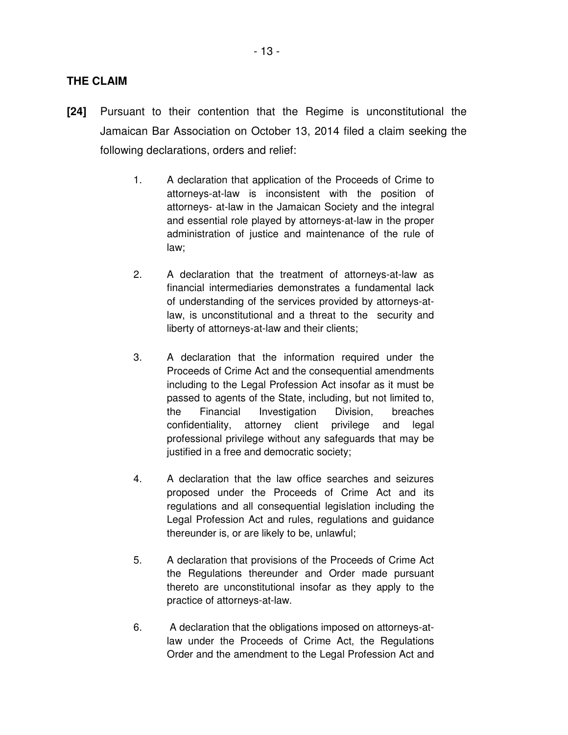## **THE CLAIM**

- **[24]** Pursuant to their contention that the Regime is unconstitutional the Jamaican Bar Association on October 13, 2014 filed a claim seeking the following declarations, orders and relief:
	- 1. A declaration that application of the Proceeds of Crime to attorneys-at-law is inconsistent with the position of attorneys- at-law in the Jamaican Society and the integral and essential role played by attorneys-at-law in the proper administration of justice and maintenance of the rule of law;
	- 2. A declaration that the treatment of attorneys-at-law as financial intermediaries demonstrates a fundamental lack of understanding of the services provided by attorneys-atlaw, is unconstitutional and a threat to the security and liberty of attorneys-at-law and their clients;
	- 3. A declaration that the information required under the Proceeds of Crime Act and the consequential amendments including to the Legal Profession Act insofar as it must be passed to agents of the State, including, but not limited to, the Financial Investigation Division, breaches confidentiality, attorney client privilege and legal professional privilege without any safeguards that may be justified in a free and democratic society;
	- 4. A declaration that the law office searches and seizures proposed under the Proceeds of Crime Act and its regulations and all consequential legislation including the Legal Profession Act and rules, regulations and guidance thereunder is, or are likely to be, unlawful;
	- 5. A declaration that provisions of the Proceeds of Crime Act the Regulations thereunder and Order made pursuant thereto are unconstitutional insofar as they apply to the practice of attorneys-at-law.
	- 6. A declaration that the obligations imposed on attorneys-atlaw under the Proceeds of Crime Act, the Regulations Order and the amendment to the Legal Profession Act and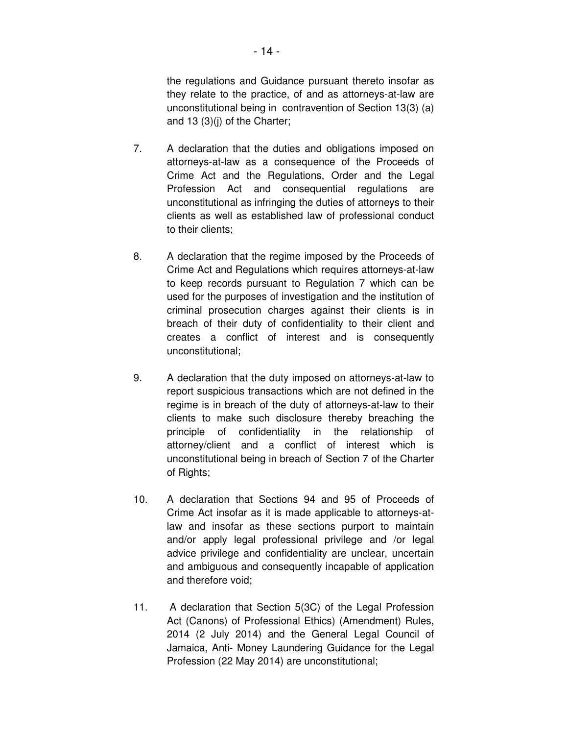the regulations and Guidance pursuant thereto insofar as they relate to the practice, of and as attorneys-at-law are unconstitutional being in contravention of Section 13(3) (a) and 13 (3)(j) of the Charter;

- 7. A declaration that the duties and obligations imposed on attorneys-at-law as a consequence of the Proceeds of Crime Act and the Regulations, Order and the Legal Profession Act and consequential regulations are unconstitutional as infringing the duties of attorneys to their clients as well as established law of professional conduct to their clients;
- 8. A declaration that the regime imposed by the Proceeds of Crime Act and Regulations which requires attorneys-at-law to keep records pursuant to Regulation 7 which can be used for the purposes of investigation and the institution of criminal prosecution charges against their clients is in breach of their duty of confidentiality to their client and creates a conflict of interest and is consequently unconstitutional;
- 9. A declaration that the duty imposed on attorneys-at-law to report suspicious transactions which are not defined in the regime is in breach of the duty of attorneys-at-law to their clients to make such disclosure thereby breaching the principle of confidentiality in the relationship of attorney/client and a conflict of interest which is unconstitutional being in breach of Section 7 of the Charter of Rights;
- 10. A declaration that Sections 94 and 95 of Proceeds of Crime Act insofar as it is made applicable to attorneys-atlaw and insofar as these sections purport to maintain and/or apply legal professional privilege and /or legal advice privilege and confidentiality are unclear, uncertain and ambiguous and consequently incapable of application and therefore void;
- 11. A declaration that Section 5(3C) of the Legal Profession Act (Canons) of Professional Ethics) (Amendment) Rules, 2014 (2 July 2014) and the General Legal Council of Jamaica, Anti- Money Laundering Guidance for the Legal Profession (22 May 2014) are unconstitutional;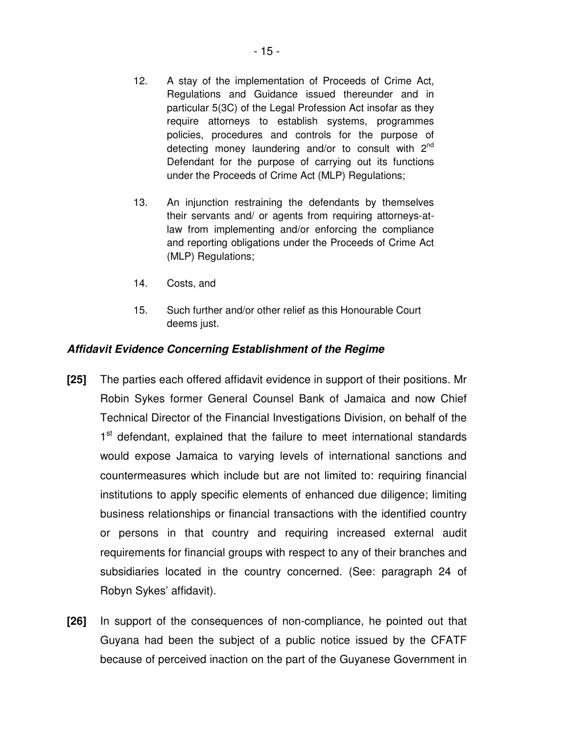- 12. A stay of the implementation of Proceeds of Crime Act, Regulations and Guidance issued thereunder and in particular 5(3C) of the Legal Profession Act insofar as they require attorneys to establish systems, programmes policies, procedures and controls for the purpose of detecting money laundering and/or to consult with 2<sup>nd</sup> Defendant for the purpose of carrying out its functions under the Proceeds of Crime Act (MLP) Regulations;
- 13. An injunction restraining the defendants by themselves their servants and/ or agents from requiring attorneys-atlaw from implementing and/or enforcing the compliance and reporting obligations under the Proceeds of Crime Act (MLP) Regulations;
- 14. Costs, and
- 15. Such further and/or other relief as this Honourable Court deems just.

# **Affidavit Evidence Concerning Establishment of the Regime**

- **[25]** The parties each offered affidavit evidence in support of their positions. Mr Robin Sykes former General Counsel Bank of Jamaica and now Chief Technical Director of the Financial Investigations Division, on behalf of the 1<sup>st</sup> defendant, explained that the failure to meet international standards would expose Jamaica to varying levels of international sanctions and countermeasures which include but are not limited to: requiring financial institutions to apply specific elements of enhanced due diligence; limiting business relationships or financial transactions with the identified country or persons in that country and requiring increased external audit requirements for financial groups with respect to any of their branches and subsidiaries located in the country concerned. (See: paragraph 24 of Robyn Sykes' affidavit).
- **[26]** In support of the consequences of non-compliance, he pointed out that Guyana had been the subject of a public notice issued by the CFATF because of perceived inaction on the part of the Guyanese Government in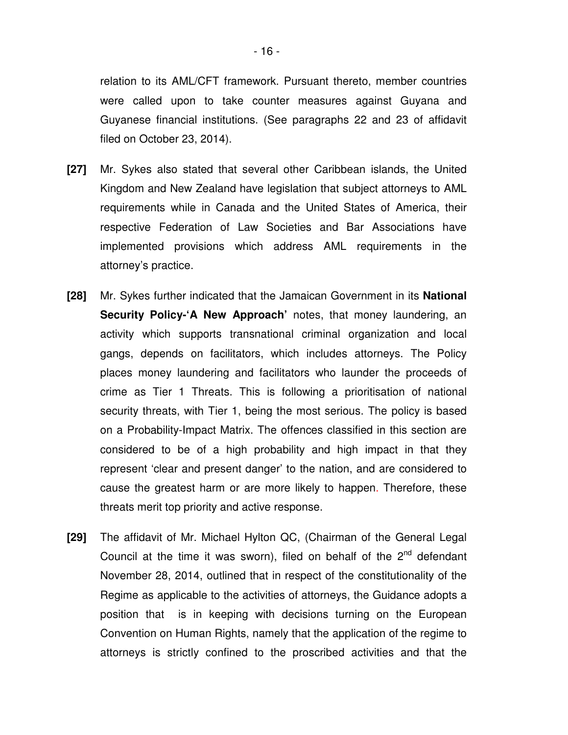relation to its AML/CFT framework. Pursuant thereto, member countries were called upon to take counter measures against Guyana and Guyanese financial institutions. (See paragraphs 22 and 23 of affidavit filed on October 23, 2014).

- **[27]** Mr. Sykes also stated that several other Caribbean islands, the United Kingdom and New Zealand have legislation that subject attorneys to AML requirements while in Canada and the United States of America, their respective Federation of Law Societies and Bar Associations have implemented provisions which address AML requirements in the attorney's practice.
- **[28]** Mr. Sykes further indicated that the Jamaican Government in its **National Security Policy-'A New Approach'** notes, that money laundering, an activity which supports transnational criminal organization and local gangs, depends on facilitators, which includes attorneys. The Policy places money laundering and facilitators who launder the proceeds of crime as Tier 1 Threats. This is following a prioritisation of national security threats, with Tier 1, being the most serious. The policy is based on a Probability-Impact Matrix. The offences classified in this section are considered to be of a high probability and high impact in that they represent 'clear and present danger' to the nation, and are considered to cause the greatest harm or are more likely to happen. Therefore, these threats merit top priority and active response.
- **[29]** The affidavit of Mr. Michael Hylton QC, (Chairman of the General Legal Council at the time it was sworn), filed on behalf of the  $2<sup>nd</sup>$  defendant November 28, 2014, outlined that in respect of the constitutionality of the Regime as applicable to the activities of attorneys, the Guidance adopts a position that is in keeping with decisions turning on the European Convention on Human Rights, namely that the application of the regime to attorneys is strictly confined to the proscribed activities and that the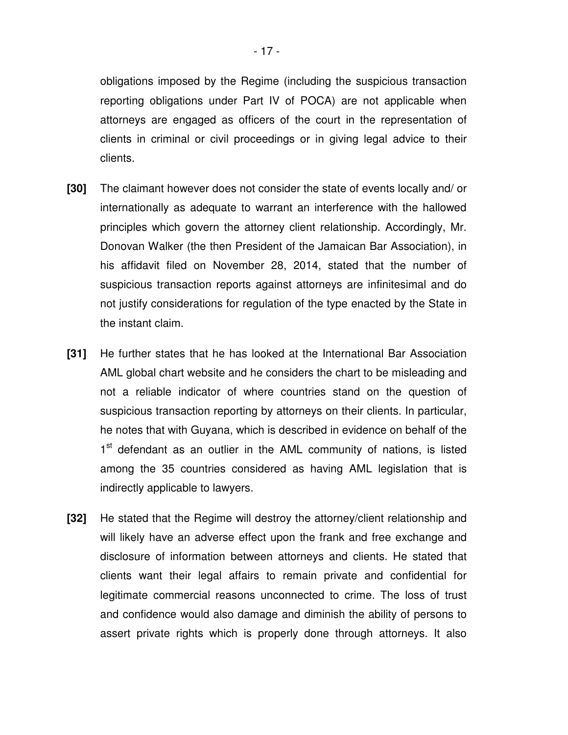obligations imposed by the Regime (including the suspicious transaction reporting obligations under Part IV of POCA) are not applicable when attorneys are engaged as officers of the court in the representation of clients in criminal or civil proceedings or in giving legal advice to their clients.

- **[30]** The claimant however does not consider the state of events locally and/ or internationally as adequate to warrant an interference with the hallowed principles which govern the attorney client relationship. Accordingly, Mr. Donovan Walker (the then President of the Jamaican Bar Association), in his affidavit filed on November 28, 2014, stated that the number of suspicious transaction reports against attorneys are infinitesimal and do not justify considerations for regulation of the type enacted by the State in the instant claim.
- **[31]** He further states that he has looked at the International Bar Association AML global chart website and he considers the chart to be misleading and not a reliable indicator of where countries stand on the question of suspicious transaction reporting by attorneys on their clients. In particular, he notes that with Guyana, which is described in evidence on behalf of the 1<sup>st</sup> defendant as an outlier in the AML community of nations, is listed among the 35 countries considered as having AML legislation that is indirectly applicable to lawyers.
- **[32]** He stated that the Regime will destroy the attorney/client relationship and will likely have an adverse effect upon the frank and free exchange and disclosure of information between attorneys and clients. He stated that clients want their legal affairs to remain private and confidential for legitimate commercial reasons unconnected to crime. The loss of trust and confidence would also damage and diminish the ability of persons to assert private rights which is properly done through attorneys. It also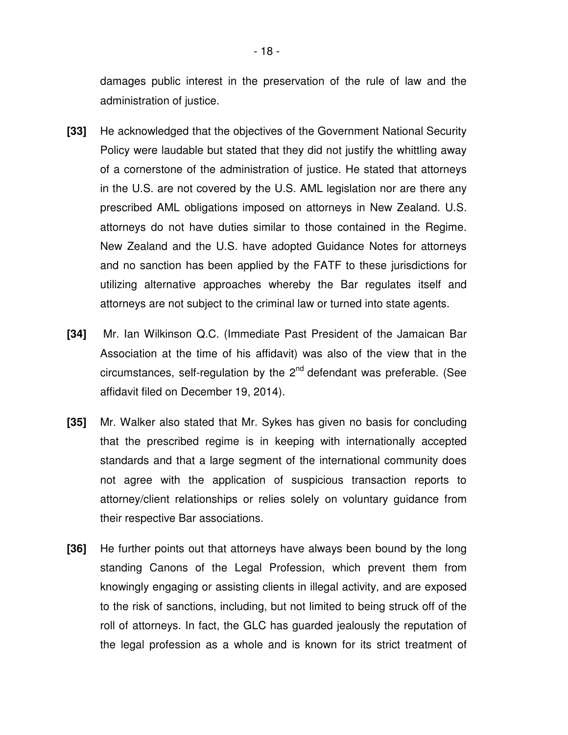damages public interest in the preservation of the rule of law and the administration of justice.

- **[33]** He acknowledged that the objectives of the Government National Security Policy were laudable but stated that they did not justify the whittling away of a cornerstone of the administration of justice. He stated that attorneys in the U.S. are not covered by the U.S. AML legislation nor are there any prescribed AML obligations imposed on attorneys in New Zealand. U.S. attorneys do not have duties similar to those contained in the Regime. New Zealand and the U.S. have adopted Guidance Notes for attorneys and no sanction has been applied by the FATF to these jurisdictions for utilizing alternative approaches whereby the Bar regulates itself and attorneys are not subject to the criminal law or turned into state agents.
- **[34]** Mr. Ian Wilkinson Q.C. (Immediate Past President of the Jamaican Bar Association at the time of his affidavit) was also of the view that in the circumstances, self-regulation by the  $2<sup>nd</sup>$  defendant was preferable. (See affidavit filed on December 19, 2014).
- **[35]** Mr. Walker also stated that Mr. Sykes has given no basis for concluding that the prescribed regime is in keeping with internationally accepted standards and that a large segment of the international community does not agree with the application of suspicious transaction reports to attorney/client relationships or relies solely on voluntary guidance from their respective Bar associations.
- **[36]** He further points out that attorneys have always been bound by the long standing Canons of the Legal Profession, which prevent them from knowingly engaging or assisting clients in illegal activity, and are exposed to the risk of sanctions, including, but not limited to being struck off of the roll of attorneys. In fact, the GLC has guarded jealously the reputation of the legal profession as a whole and is known for its strict treatment of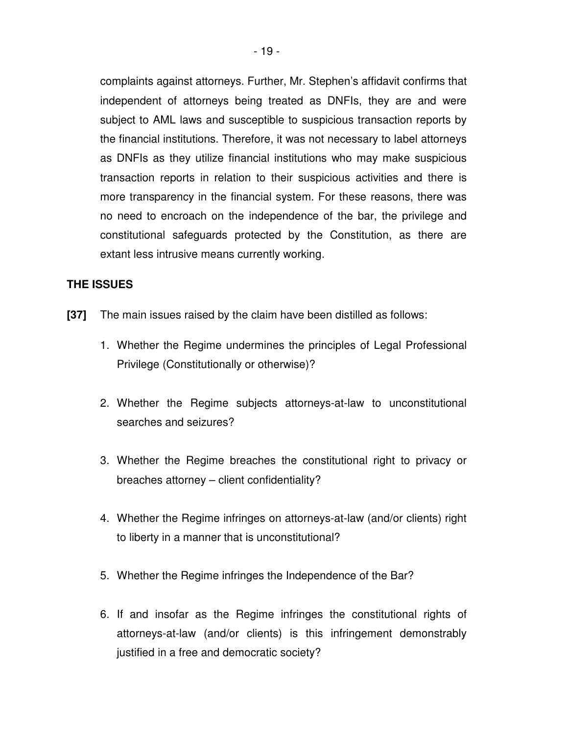complaints against attorneys. Further, Mr. Stephen's affidavit confirms that independent of attorneys being treated as DNFIs, they are and were subject to AML laws and susceptible to suspicious transaction reports by the financial institutions. Therefore, it was not necessary to label attorneys as DNFIs as they utilize financial institutions who may make suspicious transaction reports in relation to their suspicious activities and there is more transparency in the financial system. For these reasons, there was no need to encroach on the independence of the bar, the privilege and constitutional safeguards protected by the Constitution, as there are extant less intrusive means currently working.

#### **THE ISSUES**

- **[37]** The main issues raised by the claim have been distilled as follows:
	- 1. Whether the Regime undermines the principles of Legal Professional Privilege (Constitutionally or otherwise)?
	- 2. Whether the Regime subjects attorneys-at-law to unconstitutional searches and seizures?
	- 3. Whether the Regime breaches the constitutional right to privacy or breaches attorney – client confidentiality?
	- 4. Whether the Regime infringes on attorneys-at-law (and/or clients) right to liberty in a manner that is unconstitutional?
	- 5. Whether the Regime infringes the Independence of the Bar?
	- 6. If and insofar as the Regime infringes the constitutional rights of attorneys-at-law (and/or clients) is this infringement demonstrably justified in a free and democratic society?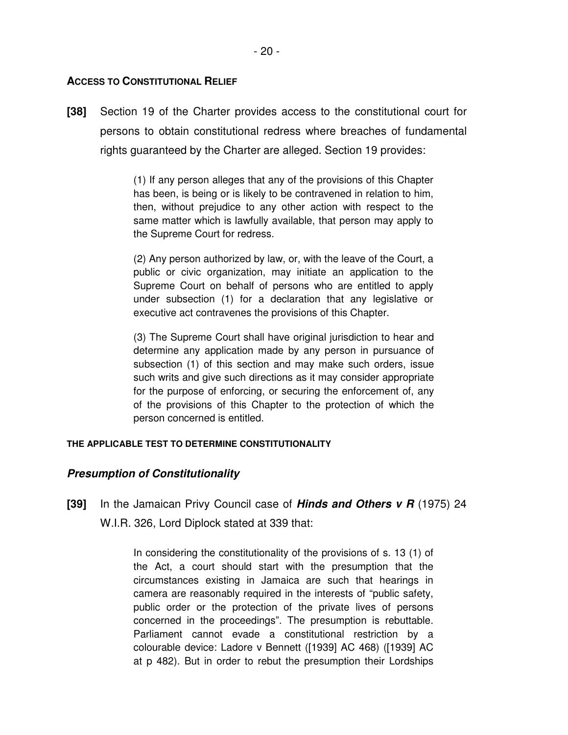### **ACCESS TO CONSTITUTIONAL RELIEF**

**[38]** Section 19 of the Charter provides access to the constitutional court for persons to obtain constitutional redress where breaches of fundamental rights guaranteed by the Charter are alleged. Section 19 provides:

> (1) If any person alleges that any of the provisions of this Chapter has been, is being or is likely to be contravened in relation to him, then, without prejudice to any other action with respect to the same matter which is lawfully available, that person may apply to the Supreme Court for redress.

> (2) Any person authorized by law, or, with the leave of the Court, a public or civic organization, may initiate an application to the Supreme Court on behalf of persons who are entitled to apply under subsection (1) for a declaration that any legislative or executive act contravenes the provisions of this Chapter.

> (3) The Supreme Court shall have original jurisdiction to hear and determine any application made by any person in pursuance of subsection (1) of this section and may make such orders, issue such writs and give such directions as it may consider appropriate for the purpose of enforcing, or securing the enforcement of, any of the provisions of this Chapter to the protection of which the person concerned is entitled.

#### **THE APPLICABLE TEST TO DETERMINE CONSTITUTIONALITY**

## **Presumption of Constitutionality**

**[39]** In the Jamaican Privy Council case of **Hinds and Others v R** (1975) 24 W.I.R. 326, Lord Diplock stated at 339 that:

> In considering the constitutionality of the provisions of s. 13 (1) of the Act, a court should start with the presumption that the circumstances existing in Jamaica are such that hearings in camera are reasonably required in the interests of "public safety, public order or the protection of the private lives of persons concerned in the proceedings". The presumption is rebuttable. Parliament cannot evade a constitutional restriction by a colourable device: Ladore v Bennett ([1939] AC 468) ([1939] AC at p 482). But in order to rebut the presumption their Lordships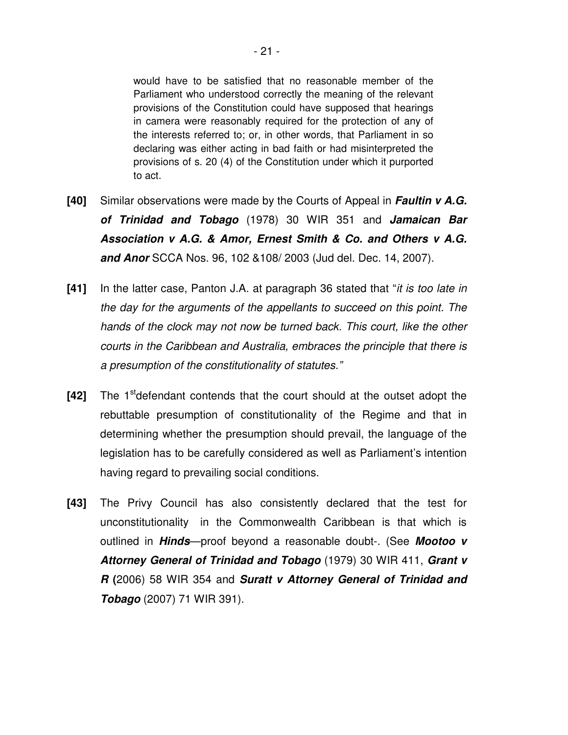would have to be satisfied that no reasonable member of the Parliament who understood correctly the meaning of the relevant provisions of the Constitution could have supposed that hearings in camera were reasonably required for the protection of any of the interests referred to; or, in other words, that Parliament in so declaring was either acting in bad faith or had misinterpreted the provisions of s. 20 (4) of the Constitution under which it purported to act.

- **[40]** Similar observations were made by the Courts of Appeal in **Faultin v A.G. of Trinidad and Tobago** (1978) 30 WIR 351 and **Jamaican Bar Association v A.G. & Amor, Ernest Smith & Co. and Others v A.G. and Anor** SCCA Nos. 96, 102 &108/ 2003 (Jud del. Dec. 14, 2007).
- **[41]** In the latter case, Panton J.A. at paragraph 36 stated that "it is too late in the day for the arguments of the appellants to succeed on this point. The hands of the clock may not now be turned back. This court, like the other courts in the Caribbean and Australia, embraces the principle that there is a presumption of the constitutionality of statutes."
- **[42]** The 1<sup>st</sup>defendant contends that the court should at the outset adopt the rebuttable presumption of constitutionality of the Regime and that in determining whether the presumption should prevail, the language of the legislation has to be carefully considered as well as Parliament's intention having regard to prevailing social conditions.
- **[43]** The Privy Council has also consistently declared that the test for unconstitutionality in the Commonwealth Caribbean is that which is outlined in **Hinds**—proof beyond a reasonable doubt-. (See **Mootoo v Attorney General of Trinidad and Tobago** (1979) 30 WIR 411, **Grant v R (**2006) 58 WIR 354 and **Suratt v Attorney General of Trinidad and Tobago** (2007) 71 WIR 391).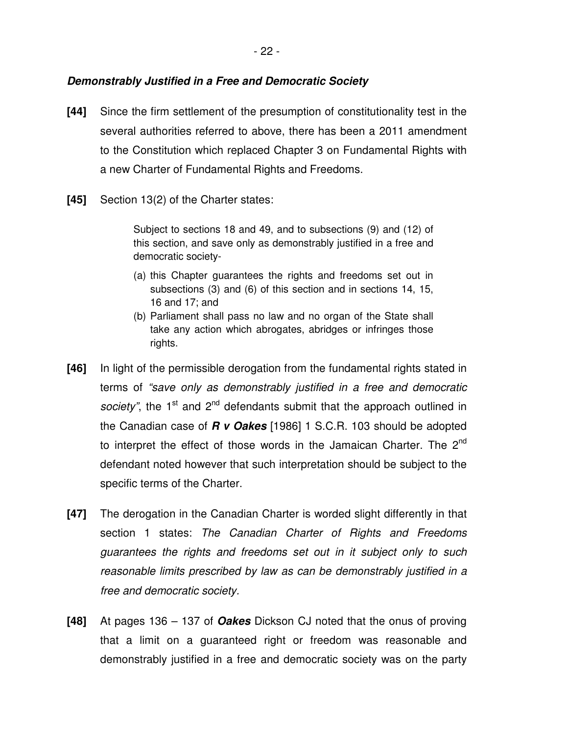# **Demonstrably Justified in a Free and Democratic Society**

- **[44]** Since the firm settlement of the presumption of constitutionality test in the several authorities referred to above, there has been a 2011 amendment to the Constitution which replaced Chapter 3 on Fundamental Rights with a new Charter of Fundamental Rights and Freedoms.
- **[45]** Section 13(2) of the Charter states:

Subject to sections 18 and 49, and to subsections (9) and (12) of this section, and save only as demonstrably justified in a free and democratic society-

- (a) this Chapter guarantees the rights and freedoms set out in subsections (3) and (6) of this section and in sections 14, 15, 16 and 17; and
- (b) Parliament shall pass no law and no organ of the State shall take any action which abrogates, abridges or infringes those rights.
- **[46]** In light of the permissible derogation from the fundamental rights stated in terms of "save only as demonstrably justified in a free and democratic society", the  $1<sup>st</sup>$  and  $2<sup>nd</sup>$  defendants submit that the approach outlined in the Canadian case of **R v Oakes** [1986] 1 S.C.R. 103 should be adopted to interpret the effect of those words in the Jamaican Charter. The  $2^{nd}$ defendant noted however that such interpretation should be subject to the specific terms of the Charter.
- **[47]** The derogation in the Canadian Charter is worded slight differently in that section 1 states: The Canadian Charter of Rights and Freedoms guarantees the rights and freedoms set out in it subject only to such reasonable limits prescribed by law as can be demonstrably justified in a free and democratic society.
- **[48]** At pages 136 137 of **Oakes** Dickson CJ noted that the onus of proving that a limit on a guaranteed right or freedom was reasonable and demonstrably justified in a free and democratic society was on the party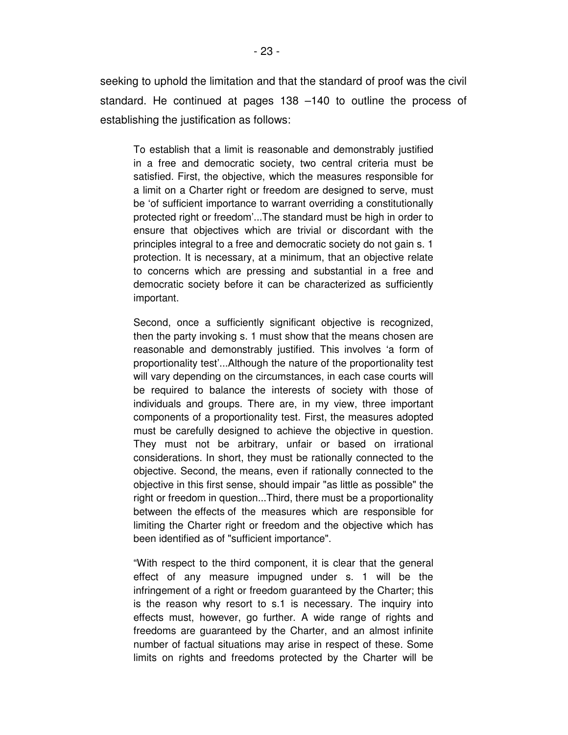seeking to uphold the limitation and that the standard of proof was the civil standard. He continued at pages 138 –140 to outline the process of establishing the justification as follows:

To establish that a limit is reasonable and demonstrably justified in a free and democratic society, two central criteria must be satisfied. First, the objective, which the measures responsible for a limit on a Charter right or freedom are designed to serve, must be 'of sufficient importance to warrant overriding a constitutionally protected right or freedom'...The standard must be high in order to ensure that objectives which are trivial or discordant with the principles integral to a free and democratic society do not gain s. 1 protection. It is necessary, at a minimum, that an objective relate to concerns which are pressing and substantial in a free and democratic society before it can be characterized as sufficiently important.

Second, once a sufficiently significant objective is recognized, then the party invoking s. 1 must show that the means chosen are reasonable and demonstrably justified. This involves 'a form of proportionality test'...Although the nature of the proportionality test will vary depending on the circumstances, in each case courts will be required to balance the interests of society with those of individuals and groups. There are, in my view, three important components of a proportionality test. First, the measures adopted must be carefully designed to achieve the objective in question. They must not be arbitrary, unfair or based on irrational considerations. In short, they must be rationally connected to the objective. Second, the means, even if rationally connected to the objective in this first sense, should impair "as little as possible" the right or freedom in question...Third, there must be a proportionality between the effects of the measures which are responsible for limiting the Charter right or freedom and the objective which has been identified as of "sufficient importance".

"With respect to the third component, it is clear that the general effect of any measure impugned under s. 1 will be the infringement of a right or freedom guaranteed by the Charter; this is the reason why resort to s.1 is necessary. The inquiry into effects must, however, go further. A wide range of rights and freedoms are guaranteed by the Charter, and an almost infinite number of factual situations may arise in respect of these. Some limits on rights and freedoms protected by the Charter will be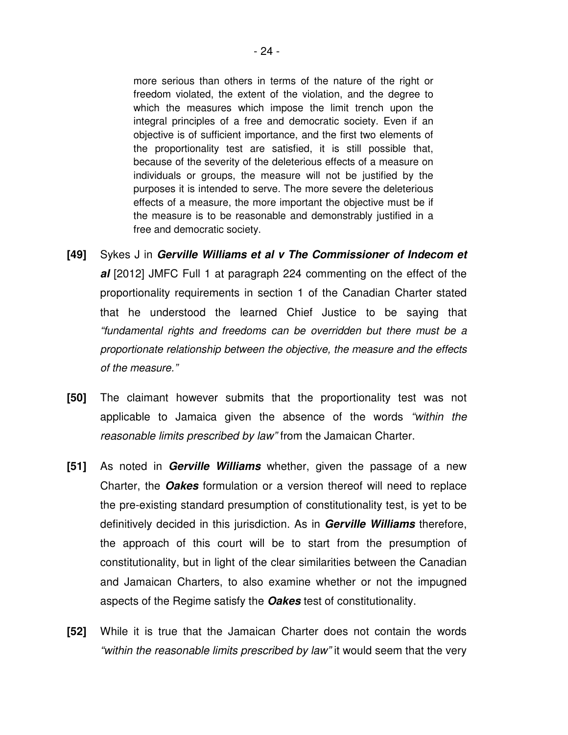more serious than others in terms of the nature of the right or freedom violated, the extent of the violation, and the degree to which the measures which impose the limit trench upon the integral principles of a free and democratic society. Even if an objective is of sufficient importance, and the first two elements of the proportionality test are satisfied, it is still possible that, because of the severity of the deleterious effects of a measure on individuals or groups, the measure will not be justified by the purposes it is intended to serve. The more severe the deleterious effects of a measure, the more important the objective must be if the measure is to be reasonable and demonstrably justified in a free and democratic society.

- **[49]** Sykes J in **Gerville Williams et al v The Commissioner of Indecom et al** [2012] JMFC Full 1 at paragraph 224 commenting on the effect of the proportionality requirements in section 1 of the Canadian Charter stated that he understood the learned Chief Justice to be saying that "fundamental rights and freedoms can be overridden but there must be a proportionate relationship between the objective, the measure and the effects of the measure."
- **[50]** The claimant however submits that the proportionality test was not applicable to Jamaica given the absence of the words "within the reasonable limits prescribed by law" from the Jamaican Charter.
- **[51]** As noted in **Gerville Williams** whether, given the passage of a new Charter, the **Oakes** formulation or a version thereof will need to replace the pre-existing standard presumption of constitutionality test, is yet to be definitively decided in this jurisdiction. As in **Gerville Williams** therefore, the approach of this court will be to start from the presumption of constitutionality, but in light of the clear similarities between the Canadian and Jamaican Charters, to also examine whether or not the impugned aspects of the Regime satisfy the **Oakes** test of constitutionality.
- **[52]** While it is true that the Jamaican Charter does not contain the words "within the reasonable limits prescribed by law" it would seem that the very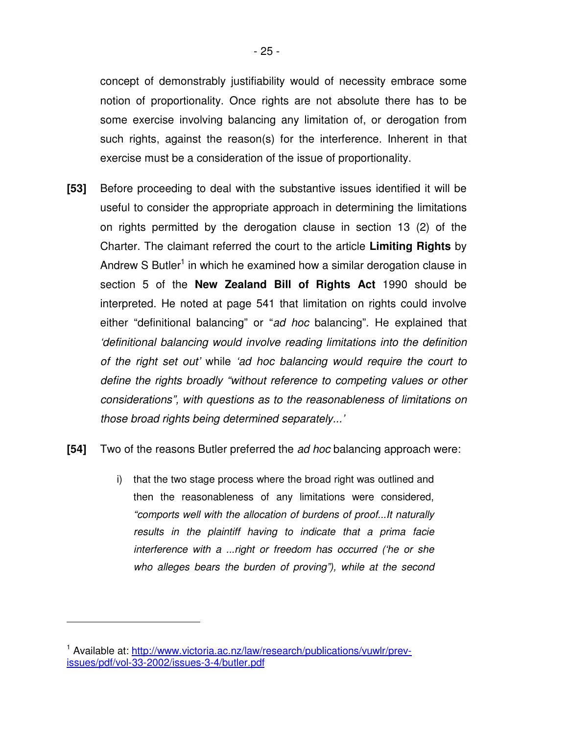concept of demonstrably justifiability would of necessity embrace some notion of proportionality. Once rights are not absolute there has to be some exercise involving balancing any limitation of, or derogation from such rights, against the reason(s) for the interference. Inherent in that exercise must be a consideration of the issue of proportionality.

- **[53]** Before proceeding to deal with the substantive issues identified it will be useful to consider the appropriate approach in determining the limitations on rights permitted by the derogation clause in section 13 (2) of the Charter. The claimant referred the court to the article **Limiting Rights** by Andrew S Butler<sup>1</sup> in which he examined how a similar derogation clause in section 5 of the **New Zealand Bill of Rights Act** 1990 should be interpreted. He noted at page 541 that limitation on rights could involve either "definitional balancing" or "ad hoc balancing". He explained that 'definitional balancing would involve reading limitations into the definition of the right set out' while 'ad hoc balancing would require the court to define the rights broadly "without reference to competing values or other considerations", with questions as to the reasonableness of limitations on those broad rights being determined separately...'
- **[54]** Two of the reasons Butler preferred the ad hoc balancing approach were:
	- i) that the two stage process where the broad right was outlined and then the reasonableness of any limitations were considered, "comports well with the allocation of burdens of proof...It naturally results in the plaintiff having to indicate that a prima facie interference with a ...right or freedom has occurred ('he or she who alleges bears the burden of proving"), while at the second

<sup>1</sup> Available at: http://www.victoria.ac.nz/law/research/publications/vuwlr/previssues/pdf/vol-33-2002/issues-3-4/butler.pdf

 $\overline{a}$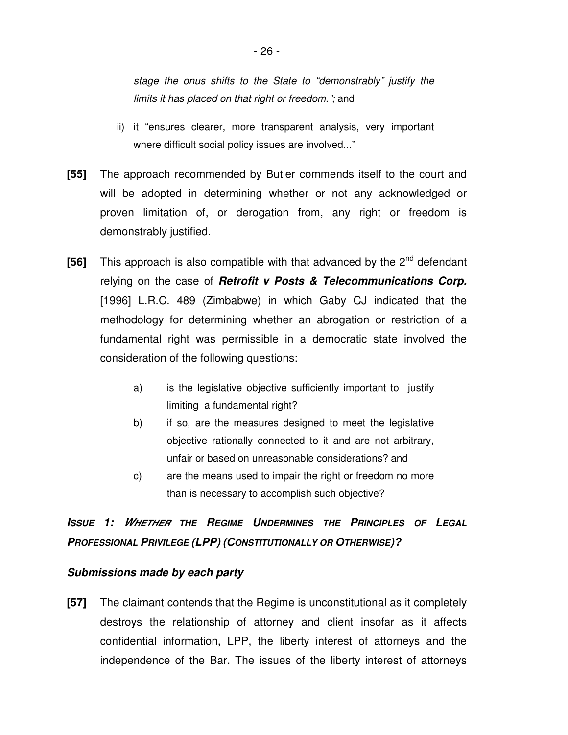stage the onus shifts to the State to "demonstrably" justify the limits it has placed on that right or freedom."; and

- ii) it "ensures clearer, more transparent analysis, very important where difficult social policy issues are involved..."
- **[55]** The approach recommended by Butler commends itself to the court and will be adopted in determining whether or not any acknowledged or proven limitation of, or derogation from, any right or freedom is demonstrably justified.
- **[56]** This approach is also compatible with that advanced by the 2<sup>nd</sup> defendant relying on the case of **Retrofit v Posts & Telecommunications Corp.** [1996] L.R.C. 489 (Zimbabwe) in which Gaby CJ indicated that the methodology for determining whether an abrogation or restriction of a fundamental right was permissible in a democratic state involved the consideration of the following questions:
	- a) is the legislative objective sufficiently important to justify limiting a fundamental right?
	- b) if so, are the measures designed to meet the legislative objective rationally connected to it and are not arbitrary, unfair or based on unreasonable considerations? and
	- c) are the means used to impair the right or freedom no more than is necessary to accomplish such objective?

# **ISSUE 1: WHETHER THE REGIME UNDERMINES THE PRINCIPLES OF LEGAL PROFESSIONAL PRIVILEGE (LPP) (CONSTITUTIONALLY OR OTHERWISE)?**

## **Submissions made by each party**

**[57]** The claimant contends that the Regime is unconstitutional as it completely destroys the relationship of attorney and client insofar as it affects confidential information, LPP, the liberty interest of attorneys and the independence of the Bar. The issues of the liberty interest of attorneys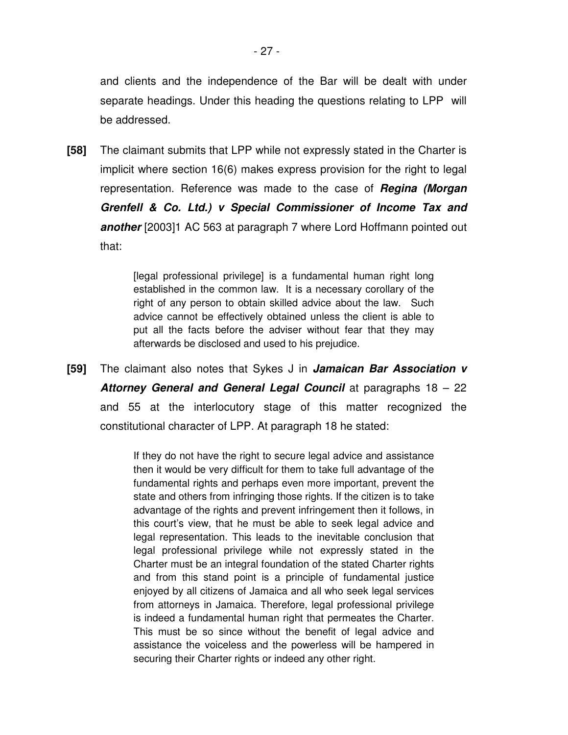and clients and the independence of the Bar will be dealt with under separate headings. Under this heading the questions relating to LPP will be addressed.

**[58]** The claimant submits that LPP while not expressly stated in the Charter is implicit where section 16(6) makes express provision for the right to legal representation. Reference was made to the case of **Regina (Morgan Grenfell & Co. Ltd.) v Special Commissioner of Income Tax and another** [2003]1 AC 563 at paragraph 7 where Lord Hoffmann pointed out that:

> [legal professional privilege] is a fundamental human right long established in the common law. It is a necessary corollary of the right of any person to obtain skilled advice about the law. Such advice cannot be effectively obtained unless the client is able to put all the facts before the adviser without fear that they may afterwards be disclosed and used to his prejudice.

**[59]** The claimant also notes that Sykes J in **Jamaican Bar Association v Attorney General and General Legal Council** at paragraphs 18 – 22 and 55 at the interlocutory stage of this matter recognized the constitutional character of LPP. At paragraph 18 he stated:

> If they do not have the right to secure legal advice and assistance then it would be very difficult for them to take full advantage of the fundamental rights and perhaps even more important, prevent the state and others from infringing those rights. If the citizen is to take advantage of the rights and prevent infringement then it follows, in this court's view, that he must be able to seek legal advice and legal representation. This leads to the inevitable conclusion that legal professional privilege while not expressly stated in the Charter must be an integral foundation of the stated Charter rights and from this stand point is a principle of fundamental justice enjoyed by all citizens of Jamaica and all who seek legal services from attorneys in Jamaica. Therefore, legal professional privilege is indeed a fundamental human right that permeates the Charter. This must be so since without the benefit of legal advice and assistance the voiceless and the powerless will be hampered in securing their Charter rights or indeed any other right.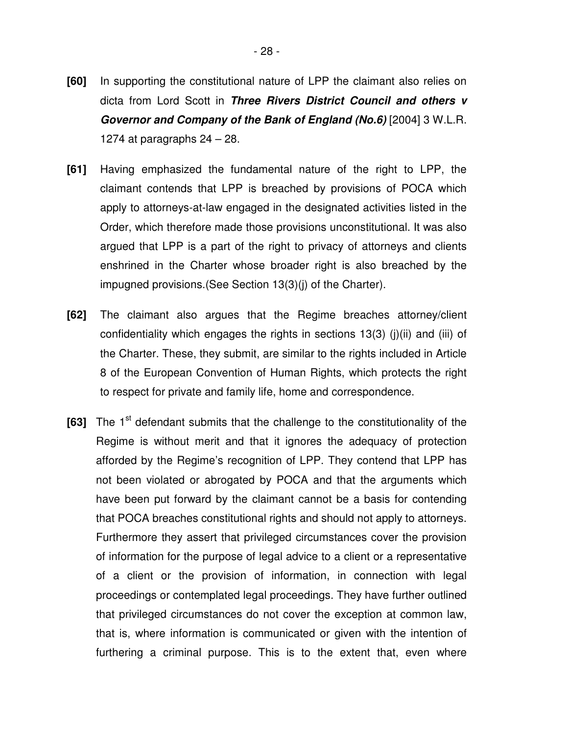- **[60]** In supporting the constitutional nature of LPP the claimant also relies on dicta from Lord Scott in **Three Rivers District Council and others v Governor and Company of the Bank of England (No.6)** [2004] 3 W.L.R. 1274 at paragraphs 24 – 28.
- **[61]** Having emphasized the fundamental nature of the right to LPP, the claimant contends that LPP is breached by provisions of POCA which apply to attorneys-at-law engaged in the designated activities listed in the Order, which therefore made those provisions unconstitutional. It was also argued that LPP is a part of the right to privacy of attorneys and clients enshrined in the Charter whose broader right is also breached by the impugned provisions.(See Section 13(3)(j) of the Charter).
- **[62]** The claimant also argues that the Regime breaches attorney/client confidentiality which engages the rights in sections 13(3) (j)(ii) and (iii) of the Charter. These, they submit, are similar to the rights included in Article 8 of the European Convention of Human Rights, which protects the right to respect for private and family life, home and correspondence.
- **[63]** The 1<sup>st</sup> defendant submits that the challenge to the constitutionality of the Regime is without merit and that it ignores the adequacy of protection afforded by the Regime's recognition of LPP. They contend that LPP has not been violated or abrogated by POCA and that the arguments which have been put forward by the claimant cannot be a basis for contending that POCA breaches constitutional rights and should not apply to attorneys. Furthermore they assert that privileged circumstances cover the provision of information for the purpose of legal advice to a client or a representative of a client or the provision of information, in connection with legal proceedings or contemplated legal proceedings. They have further outlined that privileged circumstances do not cover the exception at common law, that is, where information is communicated or given with the intention of furthering a criminal purpose. This is to the extent that, even where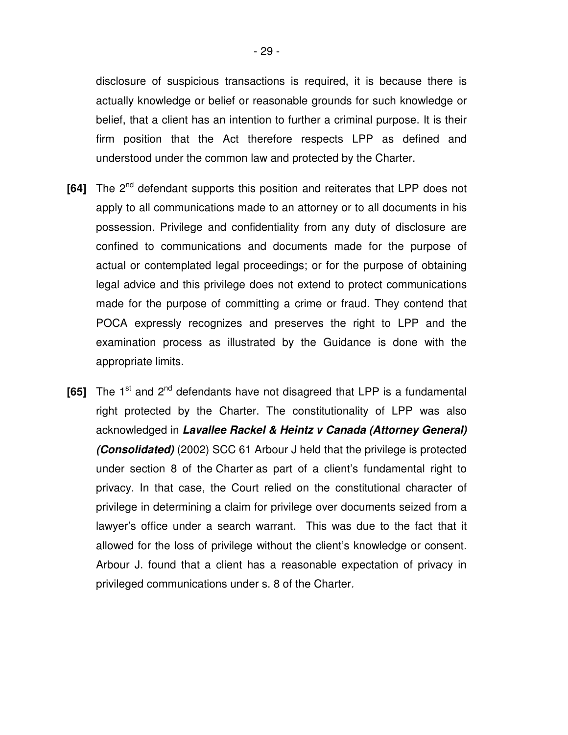disclosure of suspicious transactions is required, it is because there is actually knowledge or belief or reasonable grounds for such knowledge or belief, that a client has an intention to further a criminal purpose. It is their firm position that the Act therefore respects LPP as defined and understood under the common law and protected by the Charter.

- **[64]** The 2<sup>nd</sup> defendant supports this position and reiterates that LPP does not apply to all communications made to an attorney or to all documents in his possession. Privilege and confidentiality from any duty of disclosure are confined to communications and documents made for the purpose of actual or contemplated legal proceedings; or for the purpose of obtaining legal advice and this privilege does not extend to protect communications made for the purpose of committing a crime or fraud. They contend that POCA expressly recognizes and preserves the right to LPP and the examination process as illustrated by the Guidance is done with the appropriate limits.
- **[65]** The 1<sup>st</sup> and 2<sup>nd</sup> defendants have not disagreed that LPP is a fundamental right protected by the Charter. The constitutionality of LPP was also acknowledged in **Lavallee Rackel & Heintz v Canada (Attorney General) (Consolidated)** (2002) SCC 61 Arbour J held that the privilege is protected under section 8 of the Charter as part of a client's fundamental right to privacy. In that case, the Court relied on the constitutional character of privilege in determining a claim for privilege over documents seized from a lawyer's office under a search warrant. This was due to the fact that it allowed for the loss of privilege without the client's knowledge or consent. Arbour J. found that a client has a reasonable expectation of privacy in privileged communications under s. 8 of the Charter.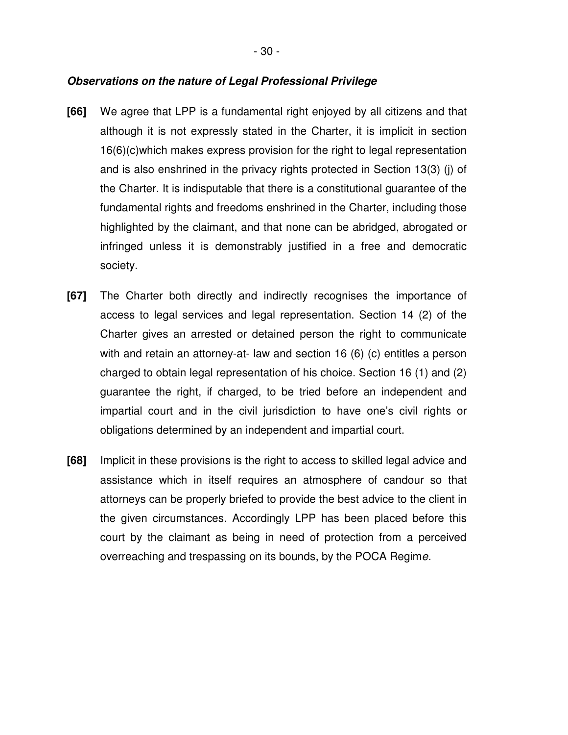## **Observations on the nature of Legal Professional Privilege**

- **[66]** We agree that LPP is a fundamental right enjoyed by all citizens and that although it is not expressly stated in the Charter, it is implicit in section 16(6)(c)which makes express provision for the right to legal representation and is also enshrined in the privacy rights protected in Section 13(3) (j) of the Charter. It is indisputable that there is a constitutional guarantee of the fundamental rights and freedoms enshrined in the Charter, including those highlighted by the claimant, and that none can be abridged, abrogated or infringed unless it is demonstrably justified in a free and democratic society.
- **[67]** The Charter both directly and indirectly recognises the importance of access to legal services and legal representation. Section 14 (2) of the Charter gives an arrested or detained person the right to communicate with and retain an attorney-at- law and section 16 (6) (c) entitles a person charged to obtain legal representation of his choice. Section 16 (1) and (2) guarantee the right, if charged, to be tried before an independent and impartial court and in the civil jurisdiction to have one's civil rights or obligations determined by an independent and impartial court.
- **[68]** Implicit in these provisions is the right to access to skilled legal advice and assistance which in itself requires an atmosphere of candour so that attorneys can be properly briefed to provide the best advice to the client in the given circumstances. Accordingly LPP has been placed before this court by the claimant as being in need of protection from a perceived overreaching and trespassing on its bounds, by the POCA Regime.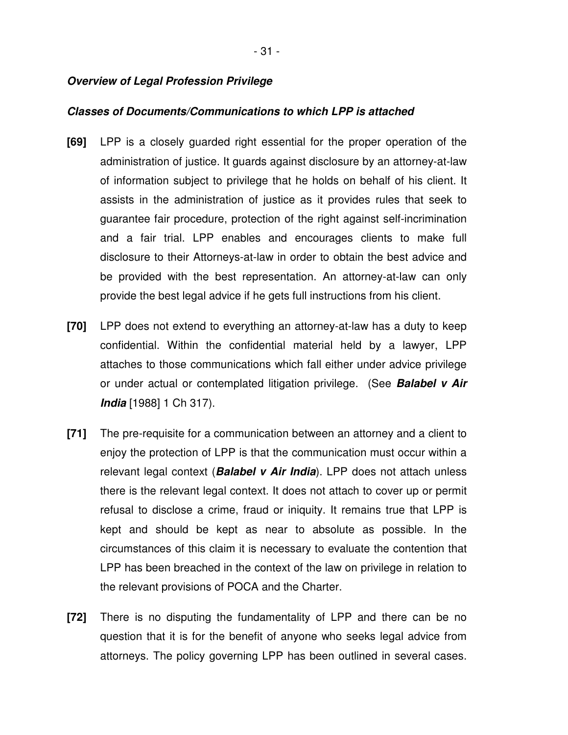## **Overview of Legal Profession Privilege**

## **Classes of Documents/Communications to which LPP is attached**

- **[69]** LPP is a closely guarded right essential for the proper operation of the administration of justice. It guards against disclosure by an attorney-at-law of information subject to privilege that he holds on behalf of his client. It assists in the administration of justice as it provides rules that seek to guarantee fair procedure, protection of the right against self-incrimination and a fair trial. LPP enables and encourages clients to make full disclosure to their Attorneys-at-law in order to obtain the best advice and be provided with the best representation. An attorney-at-law can only provide the best legal advice if he gets full instructions from his client.
- **[70]** LPP does not extend to everything an attorney-at-law has a duty to keep confidential. Within the confidential material held by a lawyer, LPP attaches to those communications which fall either under advice privilege or under actual or contemplated litigation privilege. (See **Balabel v Air India** [1988] 1 Ch 317).
- **[71]** The pre-requisite for a communication between an attorney and a client to enjoy the protection of LPP is that the communication must occur within a relevant legal context (**Balabel v Air India**). LPP does not attach unless there is the relevant legal context. It does not attach to cover up or permit refusal to disclose a crime, fraud or iniquity. It remains true that LPP is kept and should be kept as near to absolute as possible. In the circumstances of this claim it is necessary to evaluate the contention that LPP has been breached in the context of the law on privilege in relation to the relevant provisions of POCA and the Charter.
- **[72]** There is no disputing the fundamentality of LPP and there can be no question that it is for the benefit of anyone who seeks legal advice from attorneys. The policy governing LPP has been outlined in several cases.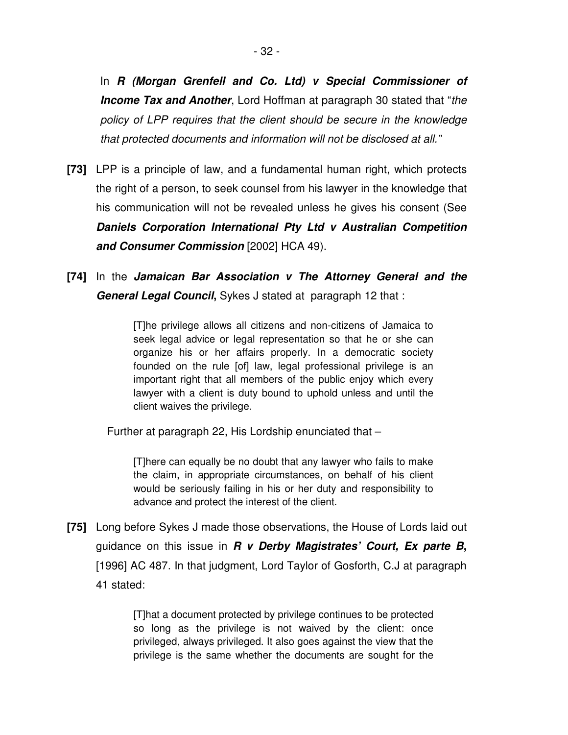In **R (Morgan Grenfell and Co. Ltd) v Special Commissioner of Income Tax and Another**, Lord Hoffman at paragraph 30 stated that "the policy of LPP requires that the client should be secure in the knowledge that protected documents and information will not be disclosed at all."

- **[73]** LPP is a principle of law, and a fundamental human right, which protects the right of a person, to seek counsel from his lawyer in the knowledge that his communication will not be revealed unless he gives his consent (See **Daniels Corporation International Pty Ltd v Australian Competition and Consumer Commission** [2002] HCA 49).
- **[74]** In the **Jamaican Bar Association v The Attorney General and the General Legal Council,** Sykes J stated at paragraph 12 that :

[T]he privilege allows all citizens and non-citizens of Jamaica to seek legal advice or legal representation so that he or she can organize his or her affairs properly. In a democratic society founded on the rule [of] law, legal professional privilege is an important right that all members of the public enjoy which every lawyer with a client is duty bound to uphold unless and until the client waives the privilege.

Further at paragraph 22, His Lordship enunciated that –

[T]here can equally be no doubt that any lawyer who fails to make the claim, in appropriate circumstances, on behalf of his client would be seriously failing in his or her duty and responsibility to advance and protect the interest of the client.

**[75]** Long before Sykes J made those observations, the House of Lords laid out guidance on this issue in **R v Derby Magistrates' Court, Ex parte B,** [1996] AC 487. In that judgment, Lord Taylor of Gosforth, C.J at paragraph 41 stated:

> [T]hat a document protected by privilege continues to be protected so long as the privilege is not waived by the client: once privileged, always privileged. It also goes against the view that the privilege is the same whether the documents are sought for the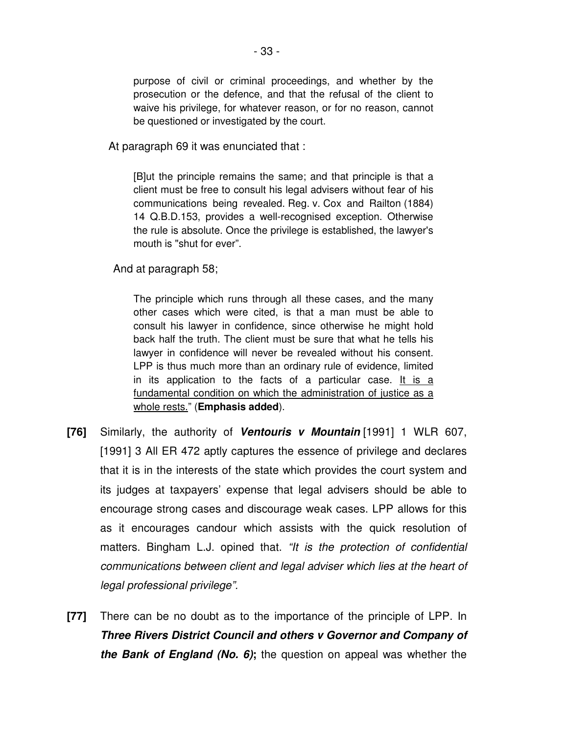purpose of civil or criminal proceedings, and whether by the prosecution or the defence, and that the refusal of the client to waive his privilege, for whatever reason, or for no reason, cannot be questioned or investigated by the court.

At paragraph 69 it was enunciated that :

[B]ut the principle remains the same; and that principle is that a client must be free to consult his legal advisers without fear of his communications being revealed. Reg. v. Cox and Railton (1884) 14 Q.B.D.153, provides a well-recognised exception. Otherwise the rule is absolute. Once the privilege is established, the lawyer's mouth is "shut for ever".

And at paragraph 58;

The principle which runs through all these cases, and the many other cases which were cited, is that a man must be able to consult his lawyer in confidence, since otherwise he might hold back half the truth. The client must be sure that what he tells his lawyer in confidence will never be revealed without his consent. LPP is thus much more than an ordinary rule of evidence, limited in its application to the facts of a particular case. It is a fundamental condition on which the administration of justice as a whole rests." (**Emphasis added**).

- **[76]** Similarly, the authority of **Ventouris v Mountain** [1991] 1 WLR 607, [1991] 3 All ER 472 aptly captures the essence of privilege and declares that it is in the interests of the state which provides the court system and its judges at taxpayers' expense that legal advisers should be able to encourage strong cases and discourage weak cases. LPP allows for this as it encourages candour which assists with the quick resolution of matters. Bingham L.J. opined that. "It is the protection of confidential communications between client and legal adviser which lies at the heart of legal professional privilege".
- **[77]** There can be no doubt as to the importance of the principle of LPP. In **Three Rivers District Council and others v Governor and Company of the Bank of England (No. 6);** the question on appeal was whether the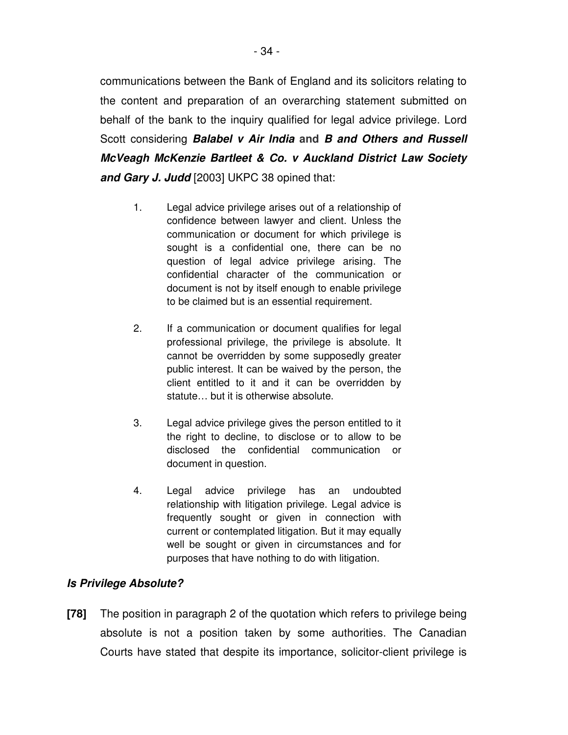communications between the Bank of England and its solicitors relating to the content and preparation of an overarching statement submitted on behalf of the bank to the inquiry qualified for legal advice privilege. Lord Scott considering **Balabel v Air India and B and Others and Russell McVeagh McKenzie Bartleet & Co. v Auckland District Law Society and Gary J. Judd** [2003] UKPC 38 opined that:

- 1. Legal advice privilege arises out of a relationship of confidence between lawyer and client. Unless the communication or document for which privilege is sought is a confidential one, there can be no question of legal advice privilege arising. The confidential character of the communication or document is not by itself enough to enable privilege to be claimed but is an essential requirement.
- 2. If a communication or document qualifies for legal professional privilege, the privilege is absolute. It cannot be overridden by some supposedly greater public interest. It can be waived by the person, the client entitled to it and it can be overridden by statute… but it is otherwise absolute.
- 3. Legal advice privilege gives the person entitled to it the right to decline, to disclose or to allow to be disclosed the confidential communication or document in question.
- 4. Legal advice privilege has an undoubted relationship with litigation privilege. Legal advice is frequently sought or given in connection with current or contemplated litigation. But it may equally well be sought or given in circumstances and for purposes that have nothing to do with litigation.

## **Is Privilege Absolute?**

**[78]** The position in paragraph 2 of the quotation which refers to privilege being absolute is not a position taken by some authorities. The Canadian Courts have stated that despite its importance, solicitor-client privilege is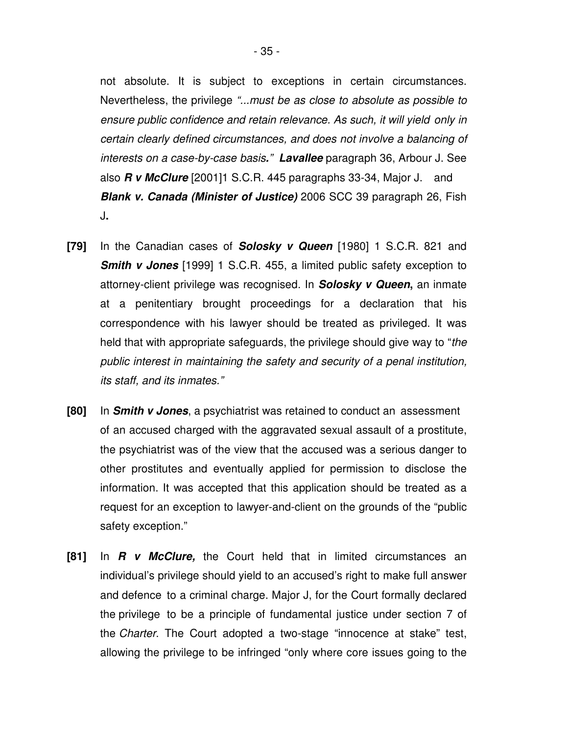not absolute. It is subject to exceptions in certain circumstances. Nevertheless, the privilege "...must be as close to absolute as possible to ensure public confidence and retain relevance. As such, it will yield only in certain clearly defined circumstances, and does not involve a balancing of interests on a case-by-case basis**.**" **Lavallee** paragraph 36, Arbour J. See also **R v McClure** [2001]1 S.C.R. 445 paragraphs 33-34, Major J.and **Blank v. Canada (Minister of Justice)** 2006 SCC 39 paragraph 26, Fish J**.**

- **[79]** In the Canadian cases of **Solosky v Queen** [1980] 1 S.C.R. 821 and **Smith v Jones** [1999] 1 S.C.R. 455, a limited public safety exception to attorney-client privilege was recognised. In **Solosky v Queen,** an inmate at a penitentiary brought proceedings for a declaration that his correspondence with his lawyer should be treated as privileged. It was held that with appropriate safeguards, the privilege should give way to "the public interest in maintaining the safety and security of a penal institution, its staff, and its inmates."
- **[80]** In **Smith v Jones**, a psychiatrist was retained to conduct an assessment of an accused charged with the aggravated sexual assault of a prostitute, the psychiatrist was of the view that the accused was a serious danger to other prostitutes and eventually applied for permission to disclose the information. It was accepted that this application should be treated as a request for an exception to lawyer-and-client on the grounds of the "public safety exception."
- **[81]** In **R v McClure,** the Court held that in limited circumstances an individual's privilege should yield to an accused's right to make full answer and defence to a criminal charge. Major J, for the Court formally declared the privilege to be a principle of fundamental justice under section 7 of the Charter. The Court adopted a two-stage "innocence at stake" test, allowing the privilege to be infringed "only where core issues going to the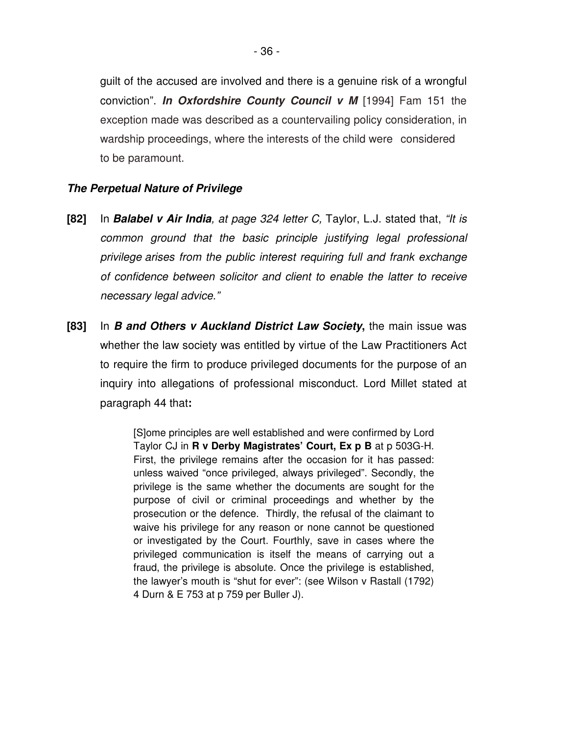guilt of the accused are involved and there is a genuine risk of a wrongful conviction". **In Oxfordshire County Council v M** [1994] Fam 151 the exception made was described as a countervailing policy consideration, in wardship proceedings, where the interests of the child were considered to be paramount.

# **The Perpetual Nature of Privilege**

- **[82]** In **Balabel v Air India**, at page 324 letter C, Taylor, L.J. stated that, "It is common ground that the basic principle justifying legal professional privilege arises from the public interest requiring full and frank exchange of confidence between solicitor and client to enable the latter to receive necessary legal advice."
- **[83]** In **B and Others v Auckland District Law Society,** the main issue was whether the law society was entitled by virtue of the Law Practitioners Act to require the firm to produce privileged documents for the purpose of an inquiry into allegations of professional misconduct. Lord Millet stated at paragraph 44 that**:**

[S]ome principles are well established and were confirmed by Lord Taylor CJ in **R v Derby Magistrates' Court, Ex p B** at p 503G-H. First, the privilege remains after the occasion for it has passed: unless waived "once privileged, always privileged". Secondly, the privilege is the same whether the documents are sought for the purpose of civil or criminal proceedings and whether by the prosecution or the defence. Thirdly, the refusal of the claimant to waive his privilege for any reason or none cannot be questioned or investigated by the Court. Fourthly, save in cases where the privileged communication is itself the means of carrying out a fraud, the privilege is absolute. Once the privilege is established, the lawyer's mouth is "shut for ever": (see Wilson v Rastall (1792) 4 Durn & E 753 at p 759 per Buller J).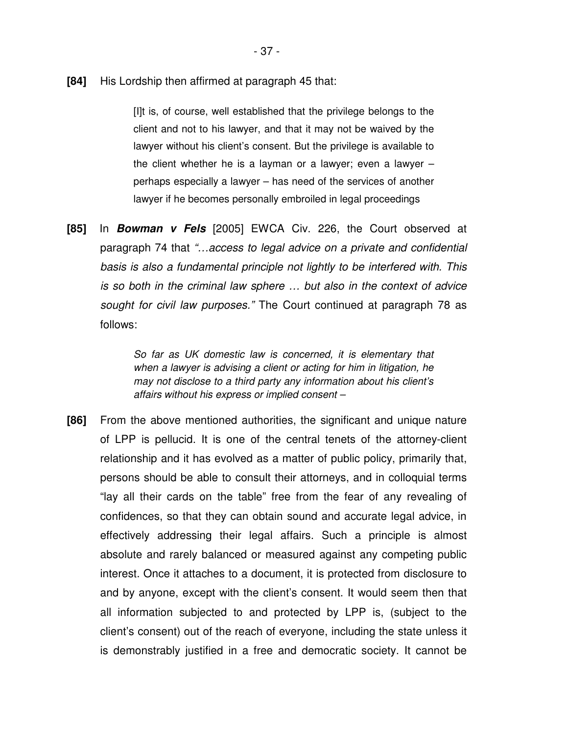**[84]** His Lordship then affirmed at paragraph 45 that:

[I]t is, of course, well established that the privilege belongs to the client and not to his lawyer, and that it may not be waived by the lawyer without his client's consent. But the privilege is available to the client whether he is a layman or a lawyer; even a lawyer – perhaps especially a lawyer – has need of the services of another lawyer if he becomes personally embroiled in legal proceedings

**[85]** In **Bowman v Fels** [2005] EWCA Civ. 226, the Court observed at paragraph 74 that "…access to legal advice on a private and confidential basis is also a fundamental principle not lightly to be interfered with. This is so both in the criminal law sphere … but also in the context of advice sought for civil law purposes." The Court continued at paragraph 78 as follows:

> So far as UK domestic law is concerned, it is elementary that when a lawyer is advising a client or acting for him in litigation, he may not disclose to a third party any information about his client's affairs without his express or implied consent –

**[86]** From the above mentioned authorities, the significant and unique nature of LPP is pellucid. It is one of the central tenets of the attorney-client relationship and it has evolved as a matter of public policy, primarily that, persons should be able to consult their attorneys, and in colloquial terms "lay all their cards on the table" free from the fear of any revealing of confidences, so that they can obtain sound and accurate legal advice, in effectively addressing their legal affairs. Such a principle is almost absolute and rarely balanced or measured against any competing public interest. Once it attaches to a document, it is protected from disclosure to and by anyone, except with the client's consent. It would seem then that all information subjected to and protected by LPP is, (subject to the client's consent) out of the reach of everyone, including the state unless it is demonstrably justified in a free and democratic society. It cannot be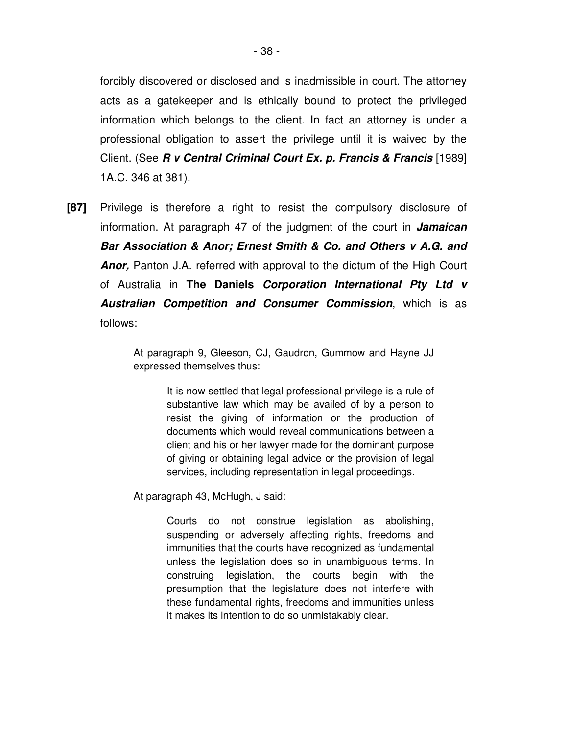forcibly discovered or disclosed and is inadmissible in court. The attorney acts as a gatekeeper and is ethically bound to protect the privileged information which belongs to the client. In fact an attorney is under a professional obligation to assert the privilege until it is waived by the Client. (See **R v Central Criminal Court Ex. p. Francis & Francis** [1989] 1A.C. 346 at 381).

**[87]** Privilege is therefore a right to resist the compulsory disclosure of information. At paragraph 47 of the judgment of the court in **Jamaican Bar Association & Anor; Ernest Smith & Co. and Others v A.G. and Anor,** Panton J.A. referred with approval to the dictum of the High Court of Australia in **The Daniels Corporation International Pty Ltd v Australian Competition and Consumer Commission**, which is as follows:

> At paragraph 9, Gleeson, CJ, Gaudron, Gummow and Hayne JJ expressed themselves thus:

> > It is now settled that legal professional privilege is a rule of substantive law which may be availed of by a person to resist the giving of information or the production of documents which would reveal communications between a client and his or her lawyer made for the dominant purpose of giving or obtaining legal advice or the provision of legal services, including representation in legal proceedings.

At paragraph 43, McHugh, J said:

Courts do not construe legislation as abolishing, suspending or adversely affecting rights, freedoms and immunities that the courts have recognized as fundamental unless the legislation does so in unambiguous terms. In construing legislation, the courts begin with the presumption that the legislature does not interfere with these fundamental rights, freedoms and immunities unless it makes its intention to do so unmistakably clear.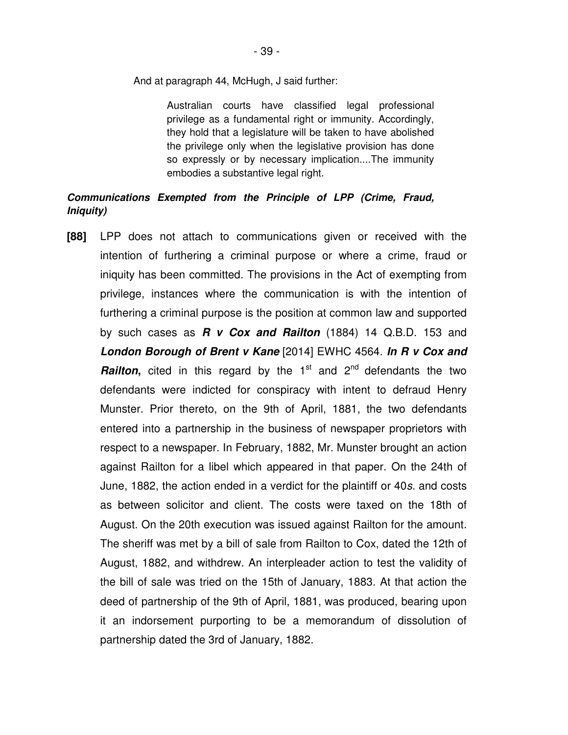And at paragraph 44, McHugh, J said further:

Australian courts have classified legal professional privilege as a fundamental right or immunity. Accordingly, they hold that a legislature will be taken to have abolished the privilege only when the legislative provision has done so expressly or by necessary implication....The immunity embodies a substantive legal right.

# **Communications Exempted from the Principle of LPP (Crime, Fraud, Iniquity)**

**[88]** LPP does not attach to communications given or received with the intention of furthering a criminal purpose or where a crime, fraud or iniquity has been committed. The provisions in the Act of exempting from privilege, instances where the communication is with the intention of furthering a criminal purpose is the position at common law and supported by such cases as **R v Cox and Railton** (1884) 14 Q.B.D. 153 and **London Borough of Brent v Kane** [2014] EWHC 4564. **In R v Cox and Railton,** cited in this regard by the 1<sup>st</sup> and 2<sup>nd</sup> defendants the two defendants were indicted for conspiracy with intent to defraud Henry Munster. Prior thereto, on the 9th of April, 1881, the two defendants entered into a partnership in the business of newspaper proprietors with respect to a newspaper. In February, 1882, Mr. Munster brought an action against Railton for a libel which appeared in that paper. On the 24th of June, 1882, the action ended in a verdict for the plaintiff or 40s. and costs as between solicitor and client. The costs were taxed on the 18th of August. On the 20th execution was issued against Railton for the amount. The sheriff was met by a bill of sale from Railton to Cox, dated the 12th of August, 1882, and withdrew. An interpleader action to test the validity of the bill of sale was tried on the 15th of January, 1883. At that action the deed of partnership of the 9th of April, 1881, was produced, bearing upon it an indorsement purporting to be a memorandum of dissolution of partnership dated the 3rd of January, 1882.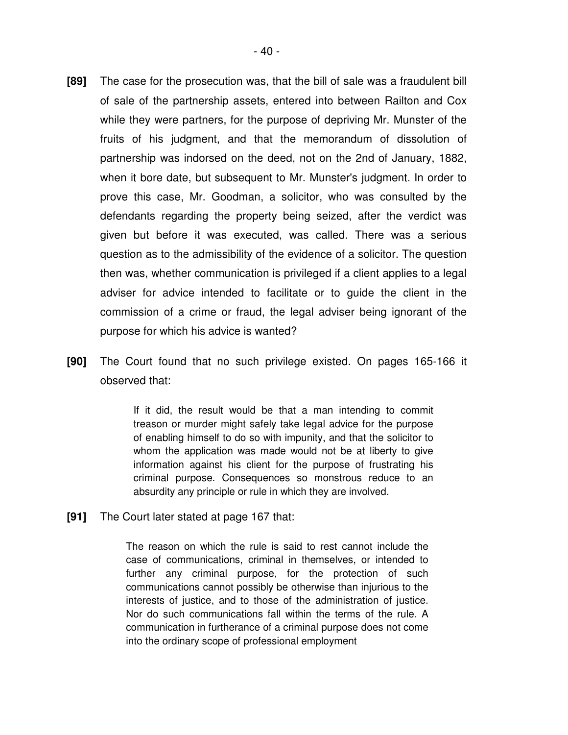- **[89]** The case for the prosecution was, that the bill of sale was a fraudulent bill of sale of the partnership assets, entered into between Railton and Cox while they were partners, for the purpose of depriving Mr. Munster of the fruits of his judgment, and that the memorandum of dissolution of partnership was indorsed on the deed, not on the 2nd of January, 1882, when it bore date, but subsequent to Mr. Munster's judgment. In order to prove this case, Mr. Goodman, a solicitor, who was consulted by the
	- defendants regarding the property being seized, after the verdict was given but before it was executed, was called. There was a serious question as to the admissibility of the evidence of a solicitor. The question then was, whether communication is privileged if a client applies to a legal adviser for advice intended to facilitate or to guide the client in the commission of a crime or fraud, the legal adviser being ignorant of the purpose for which his advice is wanted?
- **[90]** The Court found that no such privilege existed. On pages 165-166 it observed that:

If it did, the result would be that a man intending to commit treason or murder might safely take legal advice for the purpose of enabling himself to do so with impunity, and that the solicitor to whom the application was made would not be at liberty to give information against his client for the purpose of frustrating his criminal purpose. Consequences so monstrous reduce to an absurdity any principle or rule in which they are involved.

**[91]** The Court later stated at page 167 that:

 The reason on which the rule is said to rest cannot include the case of communications, criminal in themselves, or intended to further any criminal purpose, for the protection of such communications cannot possibly be otherwise than injurious to the interests of justice, and to those of the administration of justice. Nor do such communications fall within the terms of the rule. A communication in furtherance of a criminal purpose does not come into the ordinary scope of professional employment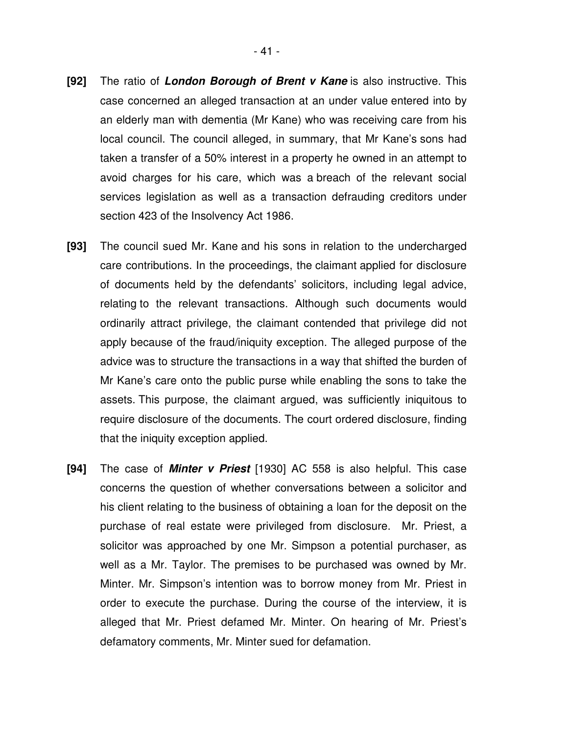- **[92]** The ratio of **London Borough of Brent v Kane** is also instructive. This case concerned an alleged transaction at an under value entered into by an elderly man with dementia (Mr Kane) who was receiving care from his local council. The council alleged, in summary, that Mr Kane's sons had taken a transfer of a 50% interest in a property he owned in an attempt to avoid charges for his care, which was a breach of the relevant social services legislation as well as a transaction defrauding creditors under section 423 of the Insolvency Act 1986.
- **[93]** The council sued Mr. Kane and his sons in relation to the undercharged care contributions. In the proceedings, the claimant applied for disclosure of documents held by the defendants' solicitors, including legal advice, relating to the relevant transactions. Although such documents would ordinarily attract privilege, the claimant contended that privilege did not apply because of the fraud/iniquity exception. The alleged purpose of the advice was to structure the transactions in a way that shifted the burden of Mr Kane's care onto the public purse while enabling the sons to take the assets. This purpose, the claimant argued, was sufficiently iniquitous to require disclosure of the documents. The court ordered disclosure, finding that the iniquity exception applied.
- **[94]** The case of **Minter v Priest** [1930] AC 558 is also helpful. This case concerns the question of whether conversations between a solicitor and his client relating to the business of obtaining a loan for the deposit on the purchase of real estate were privileged from disclosure. Mr. Priest, a solicitor was approached by one Mr. Simpson a potential purchaser, as well as a Mr. Taylor. The premises to be purchased was owned by Mr. Minter. Mr. Simpson's intention was to borrow money from Mr. Priest in order to execute the purchase. During the course of the interview, it is alleged that Mr. Priest defamed Mr. Minter. On hearing of Mr. Priest's defamatory comments, Mr. Minter sued for defamation.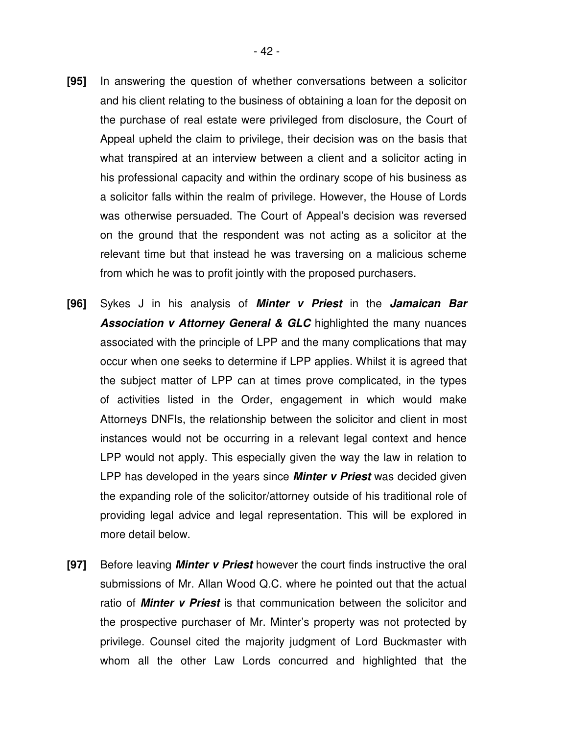- **[95]** In answering the question of whether conversations between a solicitor and his client relating to the business of obtaining a loan for the deposit on the purchase of real estate were privileged from disclosure, the Court of Appeal upheld the claim to privilege, their decision was on the basis that what transpired at an interview between a client and a solicitor acting in his professional capacity and within the ordinary scope of his business as a solicitor falls within the realm of privilege. However, the House of Lords was otherwise persuaded. The Court of Appeal's decision was reversed on the ground that the respondent was not acting as a solicitor at the relevant time but that instead he was traversing on a malicious scheme from which he was to profit jointly with the proposed purchasers.
- **[96]** Sykes J in his analysis of **Minter v Priest** in the **Jamaican Bar Association v Attorney General & GLC** highlighted the many nuances associated with the principle of LPP and the many complications that may occur when one seeks to determine if LPP applies. Whilst it is agreed that the subject matter of LPP can at times prove complicated, in the types of activities listed in the Order, engagement in which would make Attorneys DNFIs, the relationship between the solicitor and client in most instances would not be occurring in a relevant legal context and hence LPP would not apply. This especially given the way the law in relation to LPP has developed in the years since **Minter v Priest** was decided given the expanding role of the solicitor/attorney outside of his traditional role of providing legal advice and legal representation. This will be explored in more detail below.
- **[97]** Before leaving **Minter v Priest** however the court finds instructive the oral submissions of Mr. Allan Wood Q.C. where he pointed out that the actual ratio of **Minter v Priest** is that communication between the solicitor and the prospective purchaser of Mr. Minter's property was not protected by privilege. Counsel cited the majority judgment of Lord Buckmaster with whom all the other Law Lords concurred and highlighted that the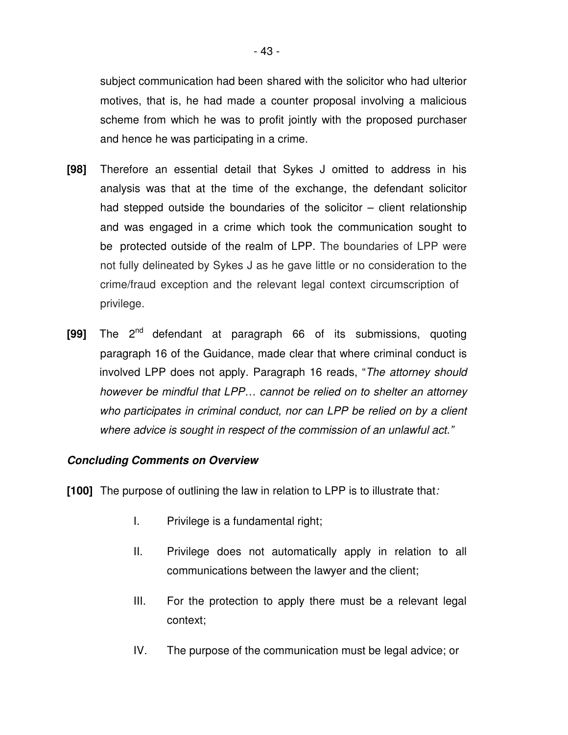subject communication had been shared with the solicitor who had ulterior motives, that is, he had made a counter proposal involving a malicious scheme from which he was to profit jointly with the proposed purchaser and hence he was participating in a crime.

- **[98]** Therefore an essential detail that Sykes J omitted to address in his analysis was that at the time of the exchange, the defendant solicitor had stepped outside the boundaries of the solicitor – client relationship and was engaged in a crime which took the communication sought to be protected outside of the realm of LPP. The boundaries of LPP were not fully delineated by Sykes J as he gave little or no consideration to the crime/fraud exception and the relevant legal context circumscription of privilege.
- **[99]** The 2nd defendant at paragraph 66 of its submissions, quoting paragraph 16 of the Guidance, made clear that where criminal conduct is involved LPP does not apply. Paragraph 16 reads, "The attorney should however be mindful that LPP… cannot be relied on to shelter an attorney who participates in criminal conduct, nor can LPP be relied on by a client where advice is sought in respect of the commission of an unlawful act."

## **Concluding Comments on Overview**

**[100]** The purpose of outlining the law in relation to LPP is to illustrate that:

- I. Privilege is a fundamental right;
- II. Privilege does not automatically apply in relation to all communications between the lawyer and the client;
- III. For the protection to apply there must be a relevant legal context;
- IV. The purpose of the communication must be legal advice; or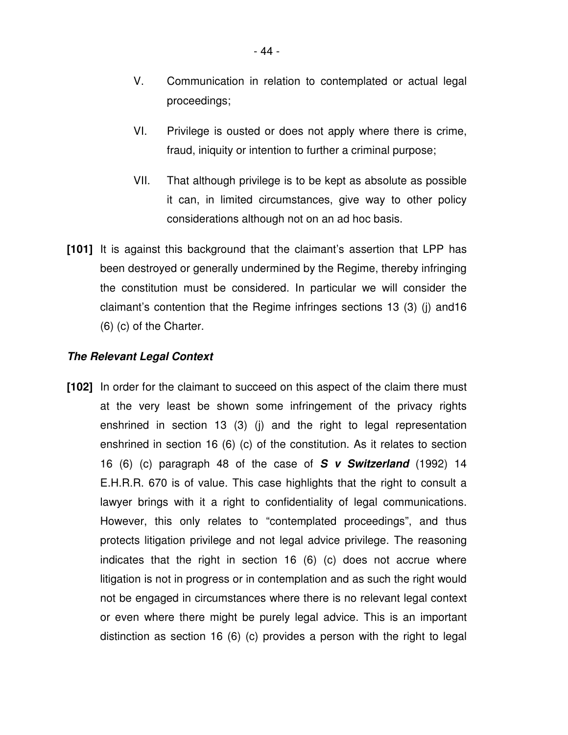- V. Communication in relation to contemplated or actual legal proceedings;
- VI. Privilege is ousted or does not apply where there is crime, fraud, iniquity or intention to further a criminal purpose;
- VII. That although privilege is to be kept as absolute as possible it can, in limited circumstances, give way to other policy considerations although not on an ad hoc basis.
- **[101]** It is against this background that the claimant's assertion that LPP has been destroyed or generally undermined by the Regime, thereby infringing the constitution must be considered. In particular we will consider the claimant's contention that the Regime infringes sections 13 (3) (j) and16 (6) (c) of the Charter.

# **The Relevant Legal Context**

**[102]** In order for the claimant to succeed on this aspect of the claim there must at the very least be shown some infringement of the privacy rights enshrined in section 13 (3) (j) and the right to legal representation enshrined in section 16 (6) (c) of the constitution. As it relates to section 16 (6) (c) paragraph 48 of the case of **S v Switzerland** (1992) 14 E.H.R.R. 670 is of value. This case highlights that the right to consult a lawyer brings with it a right to confidentiality of legal communications. However, this only relates to "contemplated proceedings", and thus protects litigation privilege and not legal advice privilege. The reasoning indicates that the right in section 16 (6) (c) does not accrue where litigation is not in progress or in contemplation and as such the right would not be engaged in circumstances where there is no relevant legal context or even where there might be purely legal advice. This is an important distinction as section 16 (6) (c) provides a person with the right to legal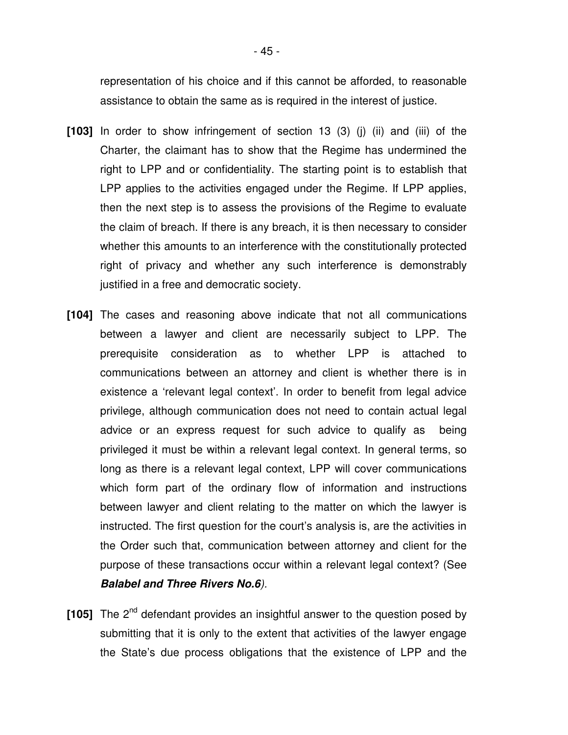representation of his choice and if this cannot be afforded, to reasonable assistance to obtain the same as is required in the interest of justice.

- **[103]** In order to show infringement of section 13 (3) (j) (ii) and (iii) of the Charter, the claimant has to show that the Regime has undermined the right to LPP and or confidentiality. The starting point is to establish that LPP applies to the activities engaged under the Regime. If LPP applies, then the next step is to assess the provisions of the Regime to evaluate the claim of breach. If there is any breach, it is then necessary to consider whether this amounts to an interference with the constitutionally protected right of privacy and whether any such interference is demonstrably justified in a free and democratic society.
- **[104]** The cases and reasoning above indicate that not all communications between a lawyer and client are necessarily subject to LPP. The prerequisite consideration as to whether LPP is attached to communications between an attorney and client is whether there is in existence a 'relevant legal context'. In order to benefit from legal advice privilege, although communication does not need to contain actual legal advice or an express request for such advice to qualify as being privileged it must be within a relevant legal context. In general terms, so long as there is a relevant legal context, LPP will cover communications which form part of the ordinary flow of information and instructions between lawyer and client relating to the matter on which the lawyer is instructed. The first question for the court's analysis is, are the activities in the Order such that, communication between attorney and client for the purpose of these transactions occur within a relevant legal context? (See **Balabel and Three Rivers No.6**).
- **[105]** The 2<sup>nd</sup> defendant provides an insightful answer to the question posed by submitting that it is only to the extent that activities of the lawyer engage the State's due process obligations that the existence of LPP and the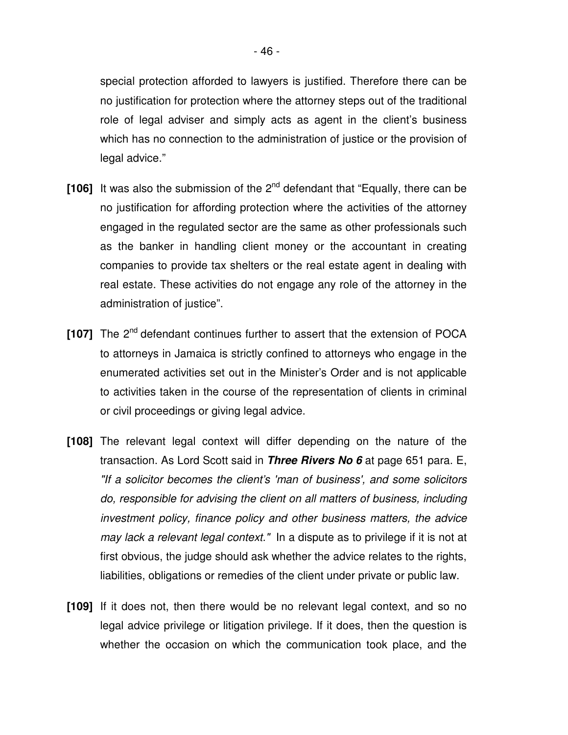special protection afforded to lawyers is justified. Therefore there can be no justification for protection where the attorney steps out of the traditional role of legal adviser and simply acts as agent in the client's business which has no connection to the administration of justice or the provision of legal advice."

- **[106]** It was also the submission of the 2<sup>nd</sup> defendant that "Equally, there can be no justification for affording protection where the activities of the attorney engaged in the regulated sector are the same as other professionals such as the banker in handling client money or the accountant in creating companies to provide tax shelters or the real estate agent in dealing with real estate. These activities do not engage any role of the attorney in the administration of justice".
- **[107]** The 2<sup>nd</sup> defendant continues further to assert that the extension of POCA to attorneys in Jamaica is strictly confined to attorneys who engage in the enumerated activities set out in the Minister's Order and is not applicable to activities taken in the course of the representation of clients in criminal or civil proceedings or giving legal advice.
- **[108]** The relevant legal context will differ depending on the nature of the transaction. As Lord Scott said in **Three Rivers No 6** at page 651 para. E, "If a solicitor becomes the client's 'man of business', and some solicitors do, responsible for advising the client on all matters of business, including investment policy, finance policy and other business matters, the advice may lack a relevant legal context." In a dispute as to privilege if it is not at first obvious, the judge should ask whether the advice relates to the rights, liabilities, obligations or remedies of the client under private or public law.
- **[109]** If it does not, then there would be no relevant legal context, and so no legal advice privilege or litigation privilege. If it does, then the question is whether the occasion on which the communication took place, and the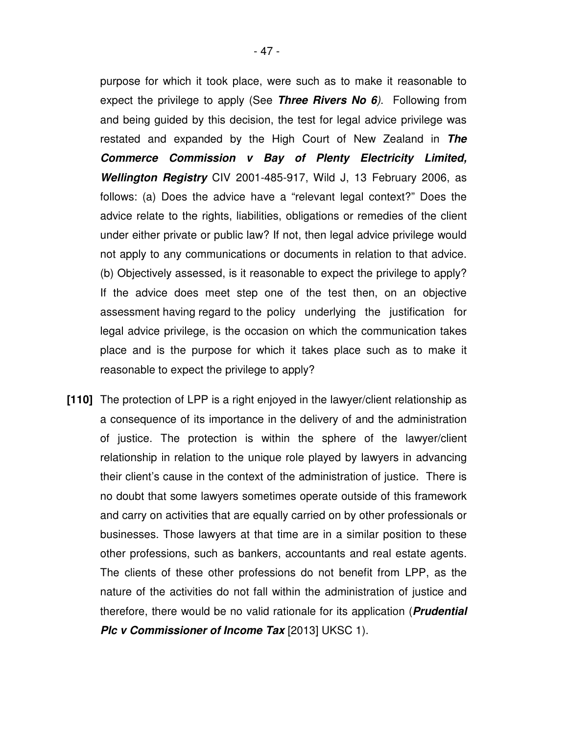purpose for which it took place, were such as to make it reasonable to expect the privilege to apply (See **Three Rivers No 6**). Following from and being guided by this decision, the test for legal advice privilege was restated and expanded by the High Court of New Zealand in **The Commerce Commission v Bay of Plenty Electricity Limited, Wellington Registry** CIV 2001-485-917, Wild J, 13 February 2006, as follows: (a) Does the advice have a "relevant legal context?" Does the advice relate to the rights, liabilities, obligations or remedies of the client under either private or public law? If not, then legal advice privilege would not apply to any communications or documents in relation to that advice. (b) Objectively assessed, is it reasonable to expect the privilege to apply? If the advice does meet step one of the test then, on an objective assessment having regard to the policy underlying the justification for legal advice privilege, is the occasion on which the communication takes place and is the purpose for which it takes place such as to make it reasonable to expect the privilege to apply?

**[110]** The protection of LPP is a right enjoyed in the lawyer/client relationship as a consequence of its importance in the delivery of and the administration of justice. The protection is within the sphere of the lawyer/client relationship in relation to the unique role played by lawyers in advancing their client's cause in the context of the administration of justice. There is no doubt that some lawyers sometimes operate outside of this framework and carry on activities that are equally carried on by other professionals or businesses. Those lawyers at that time are in a similar position to these other professions, such as bankers, accountants and real estate agents. The clients of these other professions do not benefit from LPP, as the nature of the activities do not fall within the administration of justice and therefore, there would be no valid rationale for its application (**Prudential Plc v Commissioner of Income Tax** [2013] UKSC 1).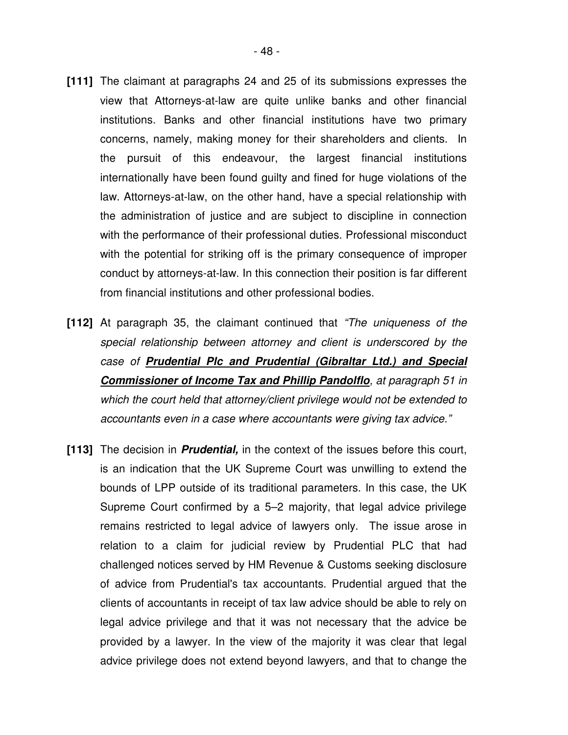- **[111]** The claimant at paragraphs 24 and 25 of its submissions expresses the view that Attorneys-at-law are quite unlike banks and other financial institutions. Banks and other financial institutions have two primary concerns, namely, making money for their shareholders and clients. In the pursuit of this endeavour, the largest financial institutions internationally have been found guilty and fined for huge violations of the law. Attorneys-at-law, on the other hand, have a special relationship with the administration of justice and are subject to discipline in connection with the performance of their professional duties. Professional misconduct with the potential for striking off is the primary consequence of improper conduct by attorneys-at-law. In this connection their position is far different from financial institutions and other professional bodies.
- **[112]** At paragraph 35, the claimant continued that "The uniqueness of the special relationship between attorney and client is underscored by the case of **Prudential Plc and Prudential (Gibraltar Ltd.) and Special Commissioner of Income Tax and Phillip Pandolflo**, at paragraph 51 in which the court held that attorney/client privilege would not be extended to accountants even in a case where accountants were giving tax advice."
- **[113]** The decision in **Prudential,** in the context of the issues before this court, is an indication that the UK Supreme Court was unwilling to extend the bounds of LPP outside of its traditional parameters. In this case, the UK Supreme Court confirmed by a 5–2 majority, that legal advice privilege remains restricted to legal advice of lawyers only. The issue arose in relation to a claim for judicial review by Prudential PLC that had challenged notices served by HM Revenue & Customs seeking disclosure of advice from Prudential's tax accountants. Prudential argued that the clients of accountants in receipt of tax law advice should be able to rely on legal advice privilege and that it was not necessary that the advice be provided by a lawyer. In the view of the majority it was clear that legal advice privilege does not extend beyond lawyers, and that to change the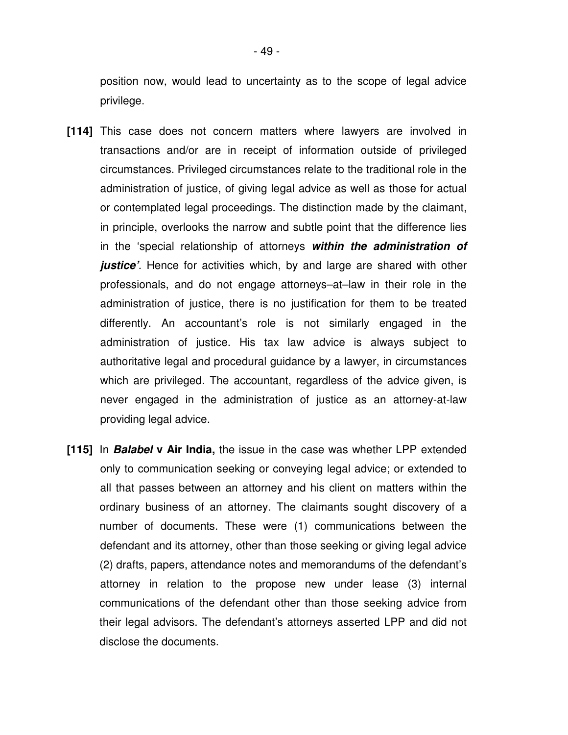position now, would lead to uncertainty as to the scope of legal advice privilege.

- **[114]** This case does not concern matters where lawyers are involved in transactions and/or are in receipt of information outside of privileged circumstances. Privileged circumstances relate to the traditional role in the administration of justice, of giving legal advice as well as those for actual or contemplated legal proceedings. The distinction made by the claimant, in principle, overlooks the narrow and subtle point that the difference lies in the 'special relationship of attorneys **within the administration of justice**'. Hence for activities which, by and large are shared with other professionals, and do not engage attorneys–at–law in their role in the administration of justice, there is no justification for them to be treated differently. An accountant's role is not similarly engaged in the administration of justice. His tax law advice is always subject to authoritative legal and procedural guidance by a lawyer, in circumstances which are privileged. The accountant, regardless of the advice given, is never engaged in the administration of justice as an attorney-at-law providing legal advice.
- **[115]** In **Balabel v Air India,** the issue in the case was whether LPP extended only to communication seeking or conveying legal advice; or extended to all that passes between an attorney and his client on matters within the ordinary business of an attorney. The claimants sought discovery of a number of documents. These were (1) communications between the defendant and its attorney, other than those seeking or giving legal advice (2) drafts, papers, attendance notes and memorandums of the defendant's attorney in relation to the propose new under lease (3) internal communications of the defendant other than those seeking advice from their legal advisors. The defendant's attorneys asserted LPP and did not disclose the documents.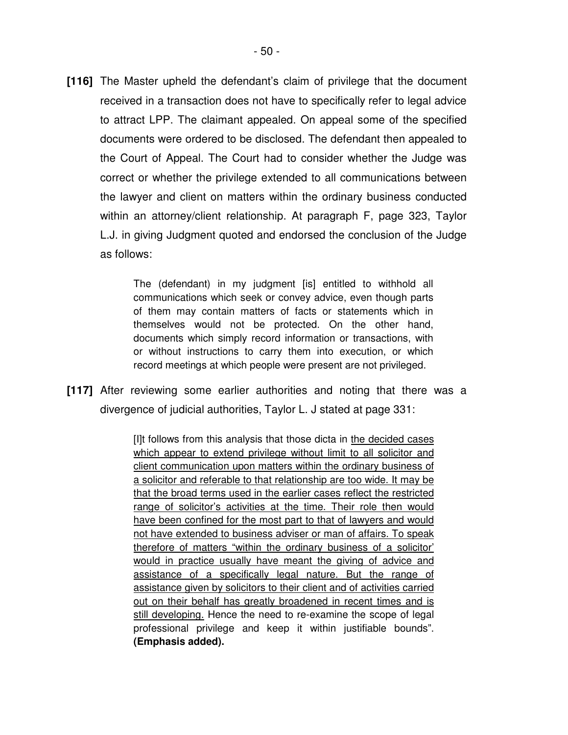**[116]** The Master upheld the defendant's claim of privilege that the document received in a transaction does not have to specifically refer to legal advice to attract LPP. The claimant appealed. On appeal some of the specified documents were ordered to be disclosed. The defendant then appealed to the Court of Appeal. The Court had to consider whether the Judge was correct or whether the privilege extended to all communications between the lawyer and client on matters within the ordinary business conducted within an attorney/client relationship. At paragraph F, page 323, Taylor L.J. in giving Judgment quoted and endorsed the conclusion of the Judge as follows:

> The (defendant) in my judgment [is] entitled to withhold all communications which seek or convey advice, even though parts of them may contain matters of facts or statements which in themselves would not be protected. On the other hand, documents which simply record information or transactions, with or without instructions to carry them into execution, or which record meetings at which people were present are not privileged.

**[117]** After reviewing some earlier authorities and noting that there was a divergence of judicial authorities, Taylor L. J stated at page 331:

> [I]t follows from this analysis that those dicta in the decided cases which appear to extend privilege without limit to all solicitor and client communication upon matters within the ordinary business of a solicitor and referable to that relationship are too wide. It may be that the broad terms used in the earlier cases reflect the restricted range of solicitor's activities at the time. Their role then would have been confined for the most part to that of lawyers and would not have extended to business adviser or man of affairs. To speak therefore of matters "within the ordinary business of a solicitor' would in practice usually have meant the giving of advice and assistance of a specifically legal nature. But the range of assistance given by solicitors to their client and of activities carried out on their behalf has greatly broadened in recent times and is still developing. Hence the need to re-examine the scope of legal professional privilege and keep it within justifiable bounds". **(Emphasis added).**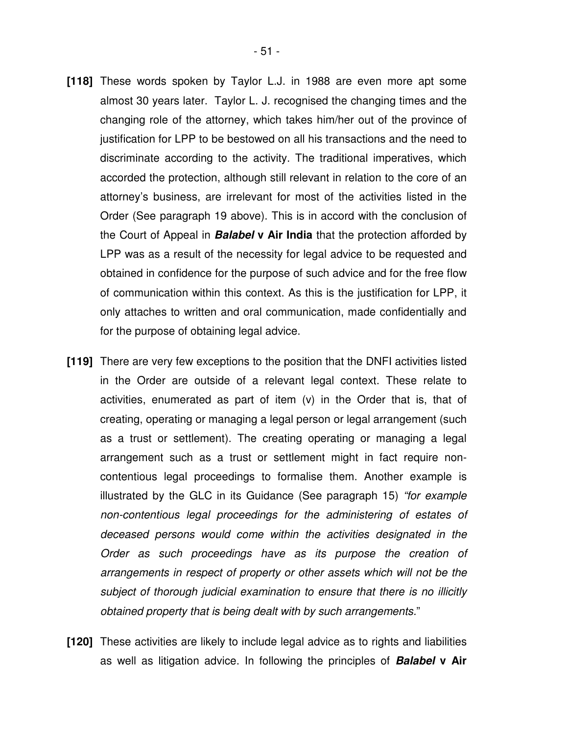- **[118]** These words spoken by Taylor L.J. in 1988 are even more apt some almost 30 years later. Taylor L. J. recognised the changing times and the changing role of the attorney, which takes him/her out of the province of justification for LPP to be bestowed on all his transactions and the need to discriminate according to the activity. The traditional imperatives, which accorded the protection, although still relevant in relation to the core of an attorney's business, are irrelevant for most of the activities listed in the Order (See paragraph 19 above). This is in accord with the conclusion of the Court of Appeal in **Balabel v Air India** that the protection afforded by LPP was as a result of the necessity for legal advice to be requested and obtained in confidence for the purpose of such advice and for the free flow of communication within this context. As this is the justification for LPP, it only attaches to written and oral communication, made confidentially and for the purpose of obtaining legal advice.
- **[119]** There are very few exceptions to the position that the DNFI activities listed in the Order are outside of a relevant legal context. These relate to activities, enumerated as part of item (v) in the Order that is, that of creating, operating or managing a legal person or legal arrangement (such as a trust or settlement). The creating operating or managing a legal arrangement such as a trust or settlement might in fact require noncontentious legal proceedings to formalise them. Another example is illustrated by the GLC in its Guidance (See paragraph 15) "for example non-contentious legal proceedings for the administering of estates of deceased persons would come within the activities designated in the Order as such proceedings have as its purpose the creation of arrangements in respect of property or other assets which will not be the subject of thorough judicial examination to ensure that there is no illicitly obtained property that is being dealt with by such arrangements."
- **[120]** These activities are likely to include legal advice as to rights and liabilities as well as litigation advice. In following the principles of **Balabel v Air**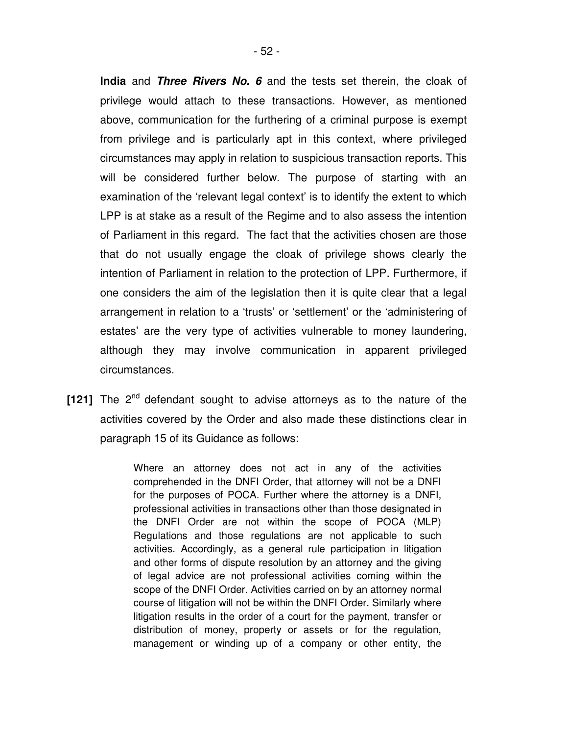**India** and **Three Rivers No. 6** and the tests set therein, the cloak of privilege would attach to these transactions. However, as mentioned above, communication for the furthering of a criminal purpose is exempt from privilege and is particularly apt in this context, where privileged circumstances may apply in relation to suspicious transaction reports. This will be considered further below. The purpose of starting with an examination of the 'relevant legal context' is to identify the extent to which LPP is at stake as a result of the Regime and to also assess the intention of Parliament in this regard. The fact that the activities chosen are those that do not usually engage the cloak of privilege shows clearly the intention of Parliament in relation to the protection of LPP. Furthermore, if one considers the aim of the legislation then it is quite clear that a legal arrangement in relation to a 'trusts' or 'settlement' or the 'administering of estates' are the very type of activities vulnerable to money laundering, although they may involve communication in apparent privileged circumstances.

**[121]** The 2<sup>nd</sup> defendant sought to advise attorneys as to the nature of the activities covered by the Order and also made these distinctions clear in paragraph 15 of its Guidance as follows:

> Where an attorney does not act in any of the activities comprehended in the DNFI Order, that attorney will not be a DNFI for the purposes of POCA. Further where the attorney is a DNFI, professional activities in transactions other than those designated in the DNFI Order are not within the scope of POCA (MLP) Regulations and those regulations are not applicable to such activities. Accordingly, as a general rule participation in litigation and other forms of dispute resolution by an attorney and the giving of legal advice are not professional activities coming within the scope of the DNFI Order. Activities carried on by an attorney normal course of litigation will not be within the DNFI Order. Similarly where litigation results in the order of a court for the payment, transfer or distribution of money, property or assets or for the regulation, management or winding up of a company or other entity, the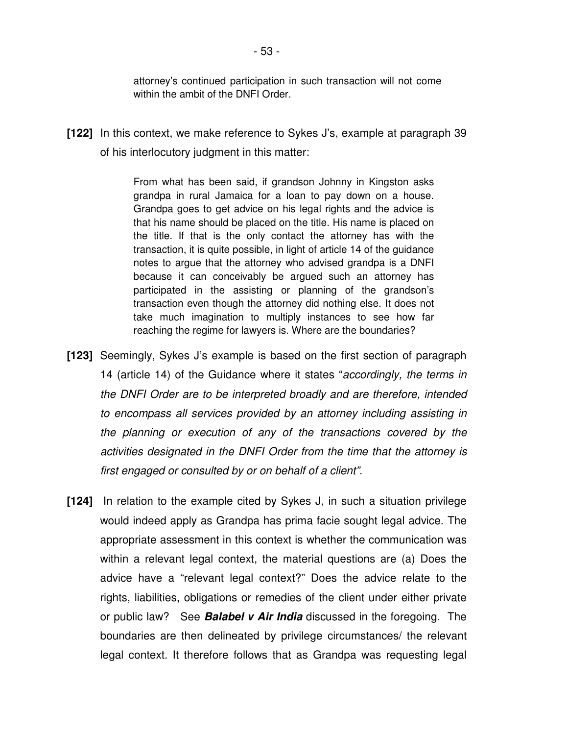attorney's continued participation in such transaction will not come within the ambit of the DNFI Order.

**[122]** In this context, we make reference to Sykes J's, example at paragraph 39 of his interlocutory judgment in this matter:

> From what has been said, if grandson Johnny in Kingston asks grandpa in rural Jamaica for a loan to pay down on a house. Grandpa goes to get advice on his legal rights and the advice is that his name should be placed on the title. His name is placed on the title. If that is the only contact the attorney has with the transaction, it is quite possible, in light of article 14 of the guidance notes to argue that the attorney who advised grandpa is a DNFI because it can conceivably be argued such an attorney has participated in the assisting or planning of the grandson's transaction even though the attorney did nothing else. It does not take much imagination to multiply instances to see how far reaching the regime for lawyers is. Where are the boundaries?

- **[123]** Seemingly, Sykes J's example is based on the first section of paragraph 14 (article 14) of the Guidance where it states "accordingly, the terms in the DNFI Order are to be interpreted broadly and are therefore, intended to encompass all services provided by an attorney including assisting in the planning or execution of any of the transactions covered by the activities designated in the DNFI Order from the time that the attorney is first engaged or consulted by or on behalf of a client".
- **[124]** In relation to the example cited by Sykes J, in such a situation privilege would indeed apply as Grandpa has prima facie sought legal advice. The appropriate assessment in this context is whether the communication was within a relevant legal context, the material questions are (a) Does the advice have a "relevant legal context?" Does the advice relate to the rights, liabilities, obligations or remedies of the client under either private or public law? See **Balabel v Air India** discussed in the foregoing. The boundaries are then delineated by privilege circumstances/ the relevant legal context. It therefore follows that as Grandpa was requesting legal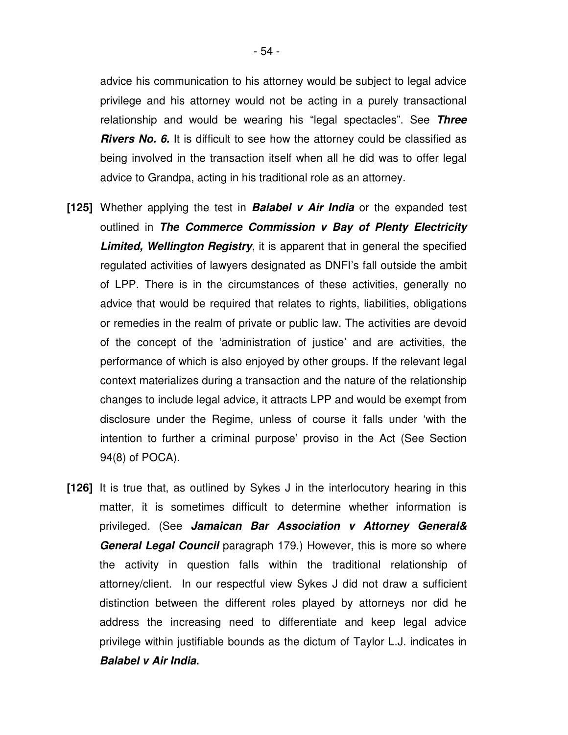advice his communication to his attorney would be subject to legal advice privilege and his attorney would not be acting in a purely transactional relationship and would be wearing his "legal spectacles". See **Three Rivers No. 6.** It is difficult to see how the attorney could be classified as being involved in the transaction itself when all he did was to offer legal advice to Grandpa, acting in his traditional role as an attorney.

- **[125]** Whether applying the test in **Balabel v Air India** or the expanded test outlined in **The Commerce Commission v Bay of Plenty Electricity Limited, Wellington Registry**, it is apparent that in general the specified regulated activities of lawyers designated as DNFI's fall outside the ambit of LPP. There is in the circumstances of these activities, generally no advice that would be required that relates to rights, liabilities, obligations or remedies in the realm of private or public law. The activities are devoid of the concept of the 'administration of justice' and are activities, the performance of which is also enjoyed by other groups. If the relevant legal context materializes during a transaction and the nature of the relationship changes to include legal advice, it attracts LPP and would be exempt from disclosure under the Regime, unless of course it falls under 'with the intention to further a criminal purpose' proviso in the Act (See Section 94(8) of POCA).
- **[126]** It is true that, as outlined by Sykes J in the interlocutory hearing in this matter, it is sometimes difficult to determine whether information is privileged. (See **Jamaican Bar Association v Attorney General& General Legal Council** paragraph 179.) However, this is more so where the activity in question falls within the traditional relationship of attorney/client. In our respectful view Sykes J did not draw a sufficient distinction between the different roles played by attorneys nor did he address the increasing need to differentiate and keep legal advice privilege within justifiable bounds as the dictum of Taylor L.J. indicates in **Balabel v Air India.**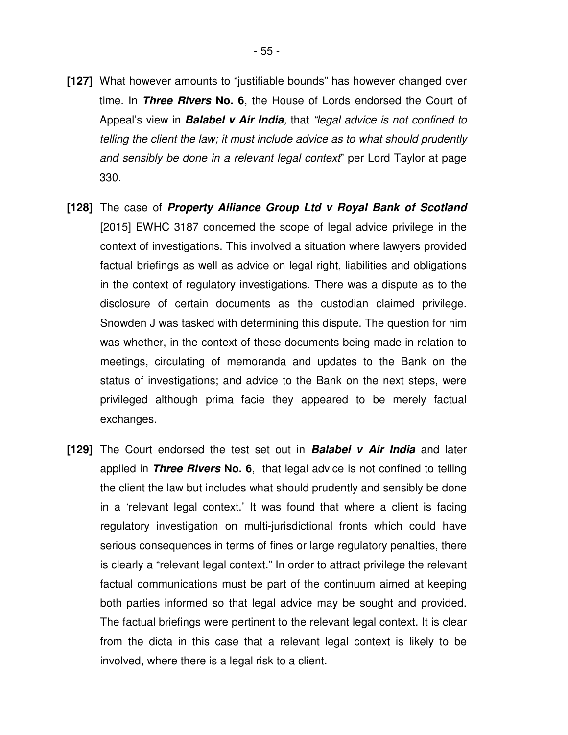- **[127]** What however amounts to "justifiable bounds" has however changed over time. In **Three Rivers No. 6**, the House of Lords endorsed the Court of Appeal's view in **Balabel v Air India**, that "legal advice is not confined to telling the client the law; it must include advice as to what should prudently and sensibly be done in a relevant legal context" per Lord Taylor at page 330.
- **[128]** The case of **Property Alliance Group Ltd v Royal Bank of Scotland** [2015] EWHC 3187 concerned the scope of legal advice privilege in the context of investigations. This involved a situation where lawyers provided factual briefings as well as advice on legal right, liabilities and obligations in the context of regulatory investigations. There was a dispute as to the disclosure of certain documents as the custodian claimed privilege. Snowden J was tasked with determining this dispute. The question for him was whether, in the context of these documents being made in relation to meetings, circulating of memoranda and updates to the Bank on the status of investigations; and advice to the Bank on the next steps, were privileged although prima facie they appeared to be merely factual exchanges.
- **[129]** The Court endorsed the test set out in **Balabel v Air India** and later applied in **Three Rivers No. 6**, that legal advice is not confined to telling the client the law but includes what should prudently and sensibly be done in a 'relevant legal context.' It was found that where a client is facing regulatory investigation on multi-jurisdictional fronts which could have serious consequences in terms of fines or large regulatory penalties, there is clearly a "relevant legal context." In order to attract privilege the relevant factual communications must be part of the continuum aimed at keeping both parties informed so that legal advice may be sought and provided. The factual briefings were pertinent to the relevant legal context. It is clear from the dicta in this case that a relevant legal context is likely to be involved, where there is a legal risk to a client.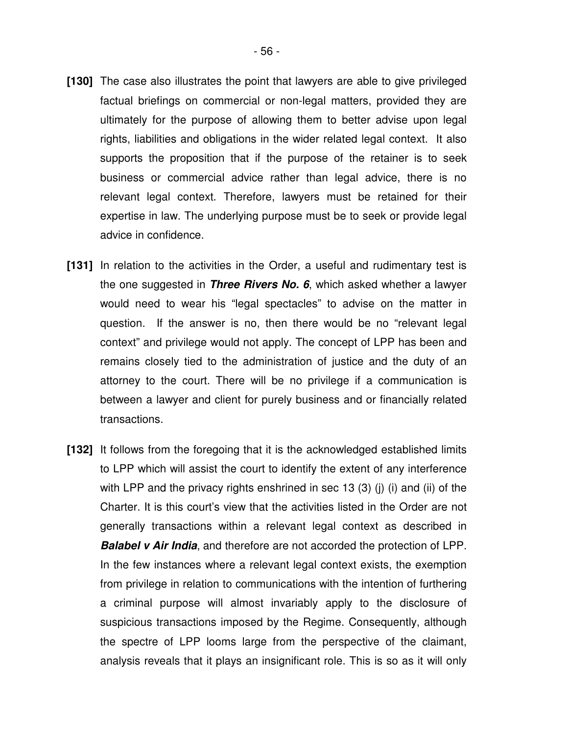- **[130]** The case also illustrates the point that lawyers are able to give privileged factual briefings on commercial or non-legal matters, provided they are ultimately for the purpose of allowing them to better advise upon legal rights, liabilities and obligations in the wider related legal context. It also supports the proposition that if the purpose of the retainer is to seek business or commercial advice rather than legal advice, there is no relevant legal context. Therefore, lawyers must be retained for their expertise in law. The underlying purpose must be to seek or provide legal advice in confidence.
- **[131]** In relation to the activities in the Order, a useful and rudimentary test is the one suggested in **Three Rivers No. 6**, which asked whether a lawyer would need to wear his "legal spectacles" to advise on the matter in question. If the answer is no, then there would be no "relevant legal context" and privilege would not apply. The concept of LPP has been and remains closely tied to the administration of justice and the duty of an attorney to the court. There will be no privilege if a communication is between a lawyer and client for purely business and or financially related transactions.
- **[132]** It follows from the foregoing that it is the acknowledged established limits to LPP which will assist the court to identify the extent of any interference with LPP and the privacy rights enshrined in sec 13 (3) (i) (i) and (ii) of the Charter. It is this court's view that the activities listed in the Order are not generally transactions within a relevant legal context as described in **Balabel v Air India**, and therefore are not accorded the protection of LPP. In the few instances where a relevant legal context exists, the exemption from privilege in relation to communications with the intention of furthering a criminal purpose will almost invariably apply to the disclosure of suspicious transactions imposed by the Regime. Consequently, although the spectre of LPP looms large from the perspective of the claimant, analysis reveals that it plays an insignificant role. This is so as it will only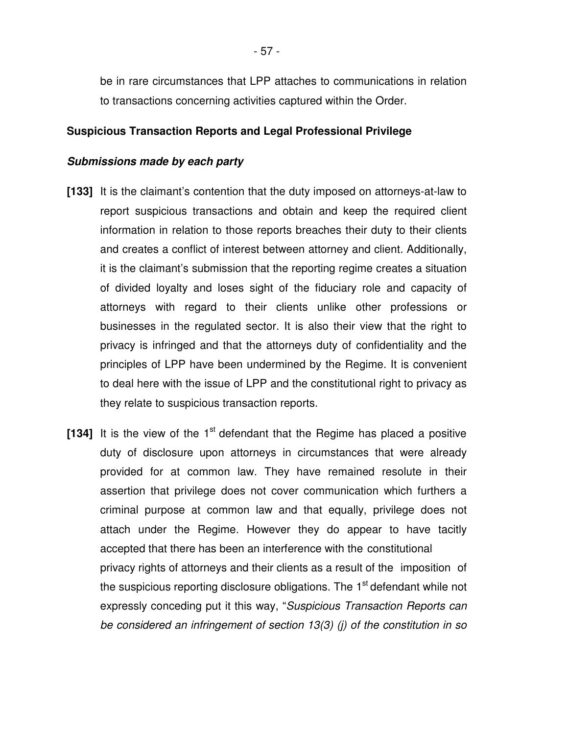be in rare circumstances that LPP attaches to communications in relation to transactions concerning activities captured within the Order.

#### **Suspicious Transaction Reports and Legal Professional Privilege**

#### **Submissions made by each party**

- **[133]** It is the claimant's contention that the duty imposed on attorneys-at-law to report suspicious transactions and obtain and keep the required client information in relation to those reports breaches their duty to their clients and creates a conflict of interest between attorney and client. Additionally, it is the claimant's submission that the reporting regime creates a situation of divided loyalty and loses sight of the fiduciary role and capacity of attorneys with regard to their clients unlike other professions or businesses in the regulated sector. It is also their view that the right to privacy is infringed and that the attorneys duty of confidentiality and the principles of LPP have been undermined by the Regime. It is convenient to deal here with the issue of LPP and the constitutional right to privacy as they relate to suspicious transaction reports.
- **[134]** It is the view of the 1<sup>st</sup> defendant that the Regime has placed a positive duty of disclosure upon attorneys in circumstances that were already provided for at common law. They have remained resolute in their assertion that privilege does not cover communication which furthers a criminal purpose at common law and that equally, privilege does not attach under the Regime. However they do appear to have tacitly accepted that there has been an interference with the constitutional privacy rights of attorneys and their clients as a result of the imposition of the suspicious reporting disclosure obligations. The  $1<sup>st</sup>$  defendant while not expressly conceding put it this way, "Suspicious Transaction Reports can be considered an infringement of section 13(3) (j) of the constitution in so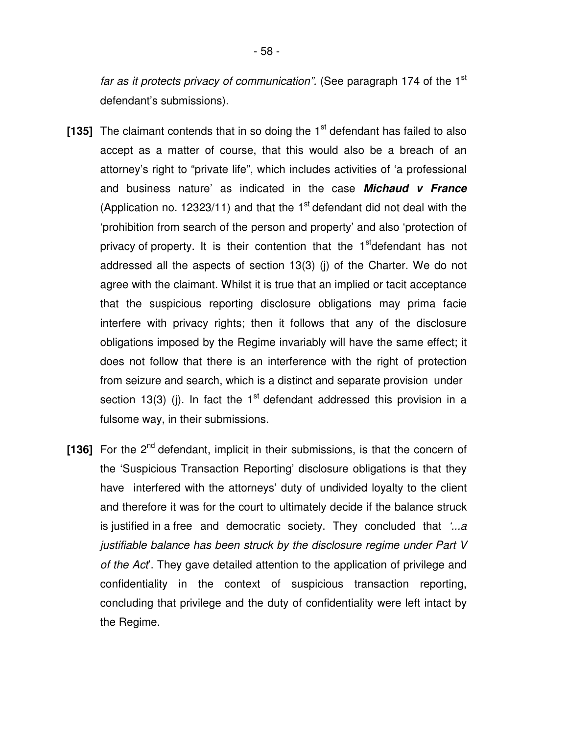far as it protects privacy of communication". (See paragraph 174 of the 1<sup>st</sup> defendant's submissions).

- [135] The claimant contends that in so doing the 1<sup>st</sup> defendant has failed to also accept as a matter of course, that this would also be a breach of an attorney's right to "private life", which includes activities of 'a professional and business nature' as indicated in the case **Michaud v France**  (Application no. 12323/11) and that the  $1<sup>st</sup>$  defendant did not deal with the 'prohibition from search of the person and property' and also 'protection of privacy of property. It is their contention that the 1<sup>st</sup>defendant has not addressed all the aspects of section 13(3) (j) of the Charter. We do not agree with the claimant. Whilst it is true that an implied or tacit acceptance that the suspicious reporting disclosure obligations may prima facie interfere with privacy rights; then it follows that any of the disclosure obligations imposed by the Regime invariably will have the same effect; it does not follow that there is an interference with the right of protection from seizure and search, which is a distinct and separate provision under section 13(3) (j). In fact the  $1<sup>st</sup>$  defendant addressed this provision in a fulsome way, in their submissions.
- [136] For the 2<sup>nd</sup> defendant, implicit in their submissions, is that the concern of the 'Suspicious Transaction Reporting' disclosure obligations is that they have interfered with the attorneys' duty of undivided loyalty to the client and therefore it was for the court to ultimately decide if the balance struck is justified in a free and democratic society. They concluded that  $\ldots a$ justifiable balance has been struck by the disclosure regime under Part V of the Act<sup>'</sup>. They gave detailed attention to the application of privilege and confidentiality in the context of suspicious transaction reporting, concluding that privilege and the duty of confidentiality were left intact by the Regime.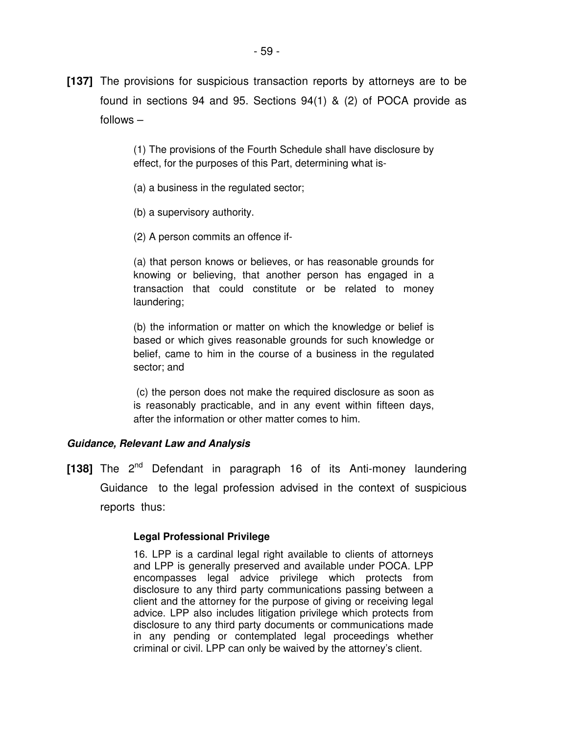**[137]** The provisions for suspicious transaction reports by attorneys are to be found in sections 94 and 95. Sections 94(1) & (2) of POCA provide as follows –

> (1) The provisions of the Fourth Schedule shall have disclosure by effect, for the purposes of this Part, determining what is-

- (a) a business in the regulated sector;
- (b) a supervisory authority.
- (2) A person commits an offence if-

(a) that person knows or believes, or has reasonable grounds for knowing or believing, that another person has engaged in a transaction that could constitute or be related to money laundering;

(b) the information or matter on which the knowledge or belief is based or which gives reasonable grounds for such knowledge or belief, came to him in the course of a business in the regulated sector; and

 (c) the person does not make the required disclosure as soon as is reasonably practicable, and in any event within fifteen days, after the information or other matter comes to him.

## **Guidance, Relevant Law and Analysis**

[138] The 2<sup>nd</sup> Defendant in paragraph 16 of its Anti-money laundering Guidance to the legal profession advised in the context of suspicious reports thus:

## **Legal Professional Privilege**

16. LPP is a cardinal legal right available to clients of attorneys and LPP is generally preserved and available under POCA. LPP encompasses legal advice privilege which protects from disclosure to any third party communications passing between a client and the attorney for the purpose of giving or receiving legal advice. LPP also includes litigation privilege which protects from disclosure to any third party documents or communications made in any pending or contemplated legal proceedings whether criminal or civil. LPP can only be waived by the attorney's client.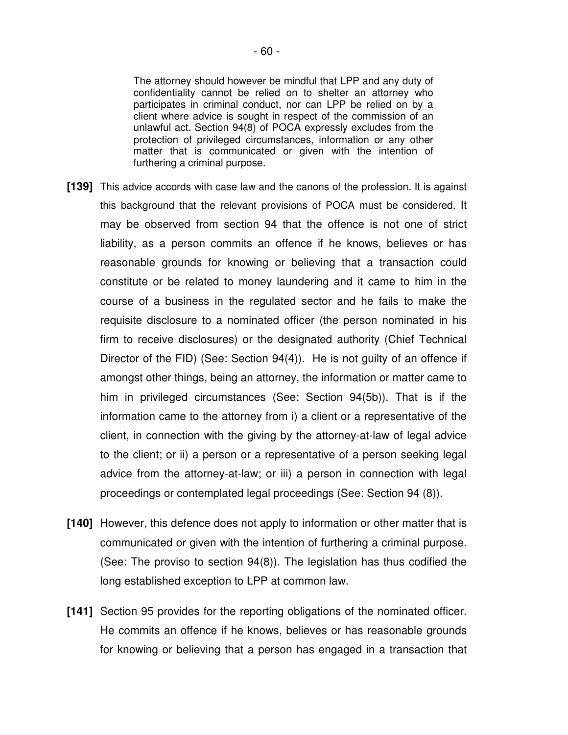The attorney should however be mindful that LPP and any duty of confidentiality cannot be relied on to shelter an attorney who participates in criminal conduct, nor can LPP be relied on by a client where advice is sought in respect of the commission of an unlawful act. Section 94(8) of POCA expressly excludes from the protection of privileged circumstances, information or any other matter that is communicated or given with the intention of furthering a criminal purpose.

- **[139]** This advice accords with case law and the canons of the profession. It is against this background that the relevant provisions of POCA must be considered. It may be observed from section 94 that the offence is not one of strict liability, as a person commits an offence if he knows, believes or has reasonable grounds for knowing or believing that a transaction could constitute or be related to money laundering and it came to him in the course of a business in the regulated sector and he fails to make the requisite disclosure to a nominated officer (the person nominated in his firm to receive disclosures) or the designated authority (Chief Technical Director of the FID) (See: Section 94(4)). He is not guilty of an offence if amongst other things, being an attorney, the information or matter came to him in privileged circumstances (See: Section 94(5b)). That is if the information came to the attorney from i) a client or a representative of the client, in connection with the giving by the attorney-at-law of legal advice to the client; or ii) a person or a representative of a person seeking legal advice from the attorney-at-law; or iii) a person in connection with legal proceedings or contemplated legal proceedings (See: Section 94 (8)).
- **[140]** However, this defence does not apply to information or other matter that is communicated or given with the intention of furthering a criminal purpose. (See: The proviso to section 94(8)). The legislation has thus codified the long established exception to LPP at common law.
- **[141]** Section 95 provides for the reporting obligations of the nominated officer. He commits an offence if he knows, believes or has reasonable grounds for knowing or believing that a person has engaged in a transaction that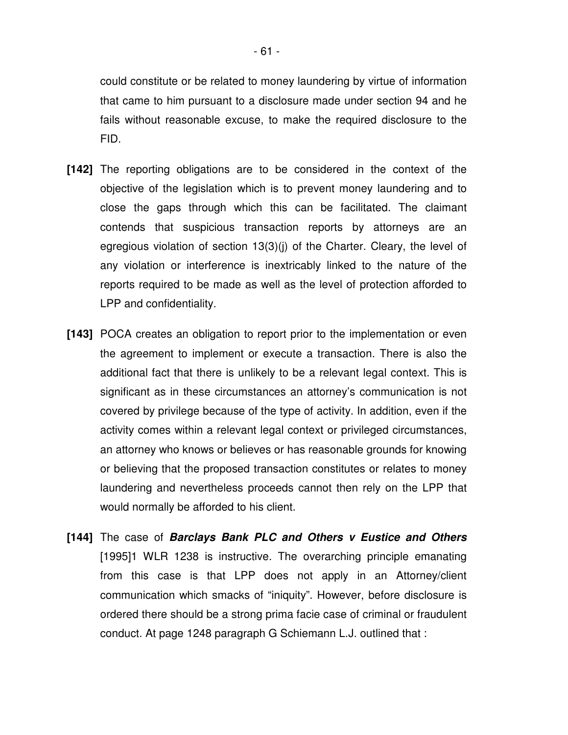could constitute or be related to money laundering by virtue of information that came to him pursuant to a disclosure made under section 94 and he fails without reasonable excuse, to make the required disclosure to the FID.

- **[142]** The reporting obligations are to be considered in the context of the objective of the legislation which is to prevent money laundering and to close the gaps through which this can be facilitated. The claimant contends that suspicious transaction reports by attorneys are an egregious violation of section 13(3)(j) of the Charter. Cleary, the level of any violation or interference is inextricably linked to the nature of the reports required to be made as well as the level of protection afforded to LPP and confidentiality.
- **[143]** POCA creates an obligation to report prior to the implementation or even the agreement to implement or execute a transaction. There is also the additional fact that there is unlikely to be a relevant legal context. This is significant as in these circumstances an attorney's communication is not covered by privilege because of the type of activity. In addition, even if the activity comes within a relevant legal context or privileged circumstances, an attorney who knows or believes or has reasonable grounds for knowing or believing that the proposed transaction constitutes or relates to money laundering and nevertheless proceeds cannot then rely on the LPP that would normally be afforded to his client.
- **[144]** The case of **Barclays Bank PLC and Others v Eustice and Others**  [1995]1 WLR 1238 is instructive. The overarching principle emanating from this case is that LPP does not apply in an Attorney/client communication which smacks of "iniquity". However, before disclosure is ordered there should be a strong prima facie case of criminal or fraudulent conduct. At page 1248 paragraph G Schiemann L.J. outlined that :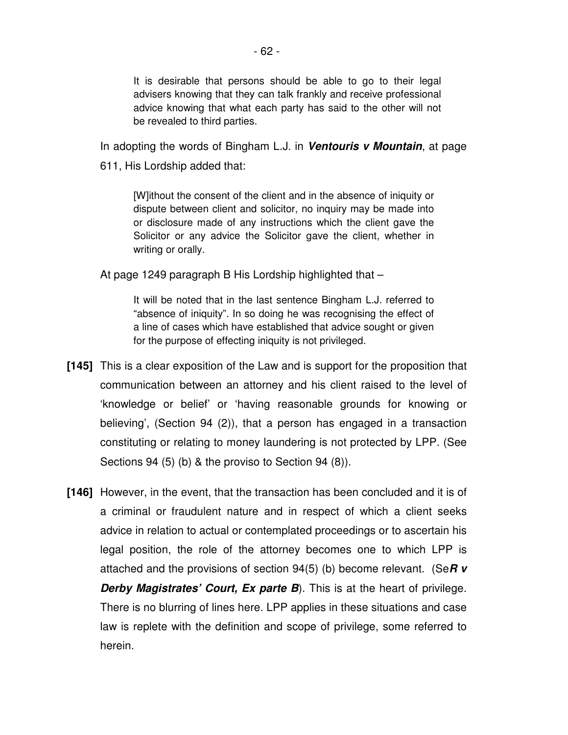It is desirable that persons should be able to go to their legal advisers knowing that they can talk frankly and receive professional advice knowing that what each party has said to the other will not be revealed to third parties.

 In adopting the words of Bingham L.J. in **Ventouris v Mountain**, at page 611, His Lordship added that:

[W]ithout the consent of the client and in the absence of iniquity or dispute between client and solicitor, no inquiry may be made into or disclosure made of any instructions which the client gave the Solicitor or any advice the Solicitor gave the client, whether in writing or orally.

At page 1249 paragraph B His Lordship highlighted that –

 It will be noted that in the last sentence Bingham L.J. referred to "absence of iniquity". In so doing he was recognising the effect of a line of cases which have established that advice sought or given for the purpose of effecting iniquity is not privileged.

- **[145]** This is a clear exposition of the Law and is support for the proposition that communication between an attorney and his client raised to the level of 'knowledge or belief' or 'having reasonable grounds for knowing or believing', (Section 94 (2)), that a person has engaged in a transaction constituting or relating to money laundering is not protected by LPP. (See Sections 94 (5) (b) & the proviso to Section 94 (8)).
- **[146]** However, in the event, that the transaction has been concluded and it is of a criminal or fraudulent nature and in respect of which a client seeks advice in relation to actual or contemplated proceedings or to ascertain his legal position, the role of the attorney becomes one to which LPP is attached and the provisions of section 94(5) (b) become relevant. (Se**R v Derby Magistrates' Court, Ex parte B**). This is at the heart of privilege. There is no blurring of lines here. LPP applies in these situations and case law is replete with the definition and scope of privilege, some referred to herein.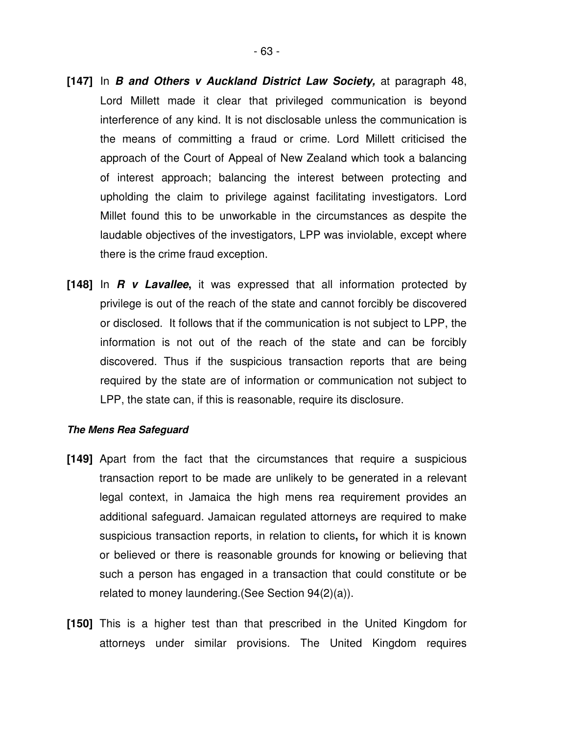- **[147]** In **B and Others v Auckland District Law Society,** at paragraph 48, Lord Millett made it clear that privileged communication is beyond interference of any kind. It is not disclosable unless the communication is the means of committing a fraud or crime. Lord Millett criticised the approach of the Court of Appeal of New Zealand which took a balancing of interest approach; balancing the interest between protecting and upholding the claim to privilege against facilitating investigators. Lord Millet found this to be unworkable in the circumstances as despite the laudable objectives of the investigators, LPP was inviolable, except where there is the crime fraud exception.
- **[148]** In **R v Lavallee,** it was expressed that all information protected by privilege is out of the reach of the state and cannot forcibly be discovered or disclosed. It follows that if the communication is not subject to LPP, the information is not out of the reach of the state and can be forcibly discovered. Thus if the suspicious transaction reports that are being required by the state are of information or communication not subject to LPP, the state can, if this is reasonable, require its disclosure.

#### **The Mens Rea Safeguard**

- **[149]** Apart from the fact that the circumstances that require a suspicious transaction report to be made are unlikely to be generated in a relevant legal context, in Jamaica the high mens rea requirement provides an additional safeguard. Jamaican regulated attorneys are required to make suspicious transaction reports, in relation to clients**,** for which it is known or believed or there is reasonable grounds for knowing or believing that such a person has engaged in a transaction that could constitute or be related to money laundering.(See Section 94(2)(a)).
- **[150]** This is a higher test than that prescribed in the United Kingdom for attorneys under similar provisions. The United Kingdom requires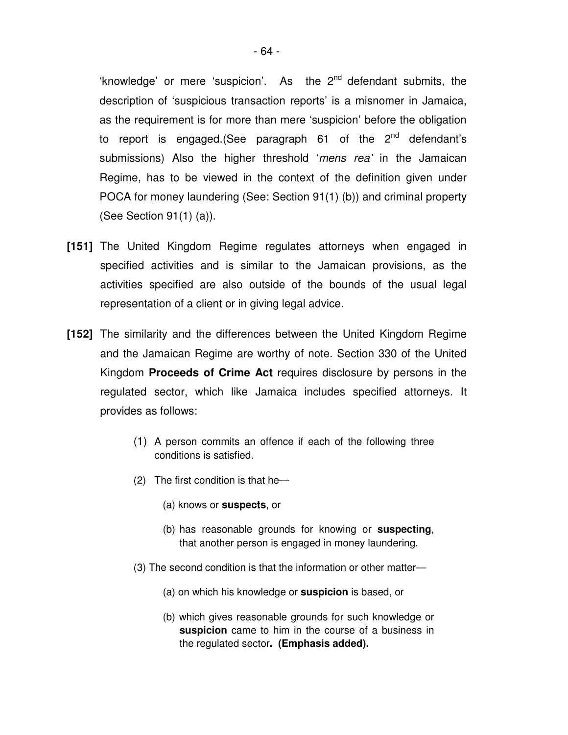'knowledge' or mere 'suspicion'. As the  $2<sup>nd</sup>$  defendant submits, the description of 'suspicious transaction reports' is a misnomer in Jamaica, as the requirement is for more than mere 'suspicion' before the obligation to report is engaged. (See paragraph  $61$  of the  $2<sup>nd</sup>$  defendant's submissions) Also the higher threshold 'mens rea' in the Jamaican Regime, has to be viewed in the context of the definition given under POCA for money laundering (See: Section 91(1) (b)) and criminal property (See Section 91(1) (a)).

- **[151]** The United Kingdom Regime regulates attorneys when engaged in specified activities and is similar to the Jamaican provisions, as the activities specified are also outside of the bounds of the usual legal representation of a client or in giving legal advice.
- **[152]** The similarity and the differences between the United Kingdom Regime and the Jamaican Regime are worthy of note. Section 330 of the United Kingdom **Proceeds of Crime Act** requires disclosure by persons in the regulated sector, which like Jamaica includes specified attorneys. It provides as follows:
	- (1) A person commits an offence if each of the following three conditions is satisfied.
	- (2) The first condition is that he—
		- (a) knows or **suspects**, or
		- (b) has reasonable grounds for knowing or **suspecting**, that another person is engaged in money laundering.
	- (3) The second condition is that the information or other matter—
		- (a) on which his knowledge or **suspicion** is based, or
		- (b) which gives reasonable grounds for such knowledge or **suspicion** came to him in the course of a business in the regulated sector**. (Emphasis added).**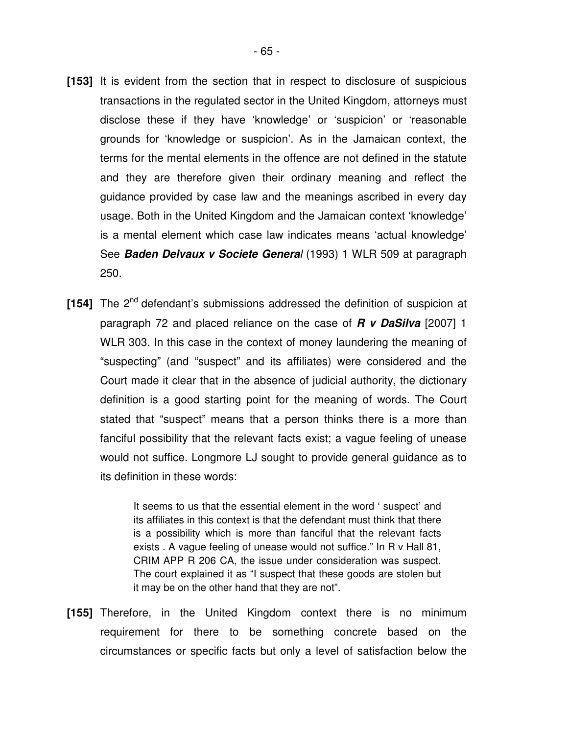- **[153]** It is evident from the section that in respect to disclosure of suspicious transactions in the regulated sector in the United Kingdom, attorneys must disclose these if they have 'knowledge' or 'suspicion' or 'reasonable grounds for 'knowledge or suspicion'. As in the Jamaican context, the terms for the mental elements in the offence are not defined in the statute and they are therefore given their ordinary meaning and reflect the guidance provided by case law and the meanings ascribed in every day usage. Both in the United Kingdom and the Jamaican context 'knowledge' is a mental element which case law indicates means 'actual knowledge' See **Baden Delvaux v Societe Genera**l (1993) 1 WLR 509 at paragraph 250.
- **[154]** The 2<sup>nd</sup> defendant's submissions addressed the definition of suspicion at paragraph 72 and placed reliance on the case of **R v DaSilva** [2007] 1 WLR 303. In this case in the context of money laundering the meaning of "suspecting" (and "suspect" and its affiliates) were considered and the Court made it clear that in the absence of judicial authority, the dictionary definition is a good starting point for the meaning of words. The Court stated that "suspect" means that a person thinks there is a more than fanciful possibility that the relevant facts exist; a vague feeling of unease would not suffice. Longmore LJ sought to provide general guidance as to its definition in these words:

It seems to us that the essential element in the word ' suspect' and its affiliates in this context is that the defendant must think that there is a possibility which is more than fanciful that the relevant facts exists . A vague feeling of unease would not suffice." In R v Hall 81, CRIM APP R 206 CA, the issue under consideration was suspect. The court explained it as "I suspect that these goods are stolen but it may be on the other hand that they are not".

**[155]** Therefore, in the United Kingdom context there is no minimum requirement for there to be something concrete based on the circumstances or specific facts but only a level of satisfaction below the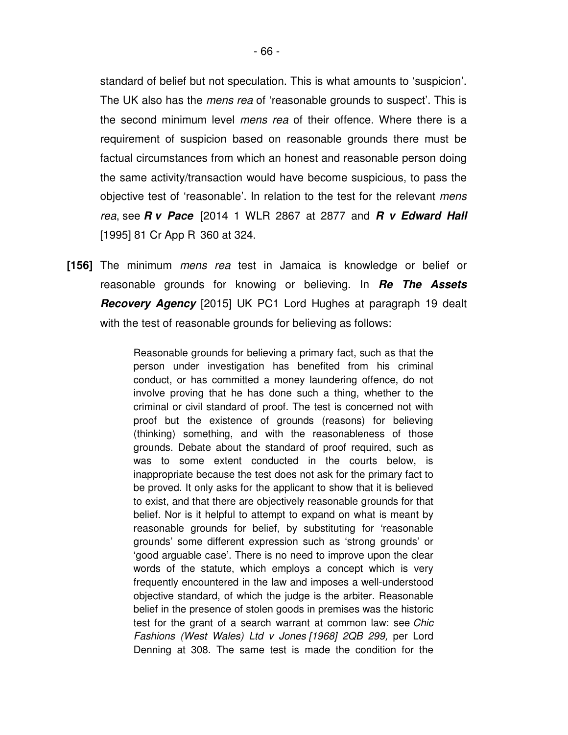standard of belief but not speculation. This is what amounts to 'suspicion'. The UK also has the *mens rea* of 'reasonable grounds to suspect'. This is the second minimum level *mens rea* of their offence. Where there is a requirement of suspicion based on reasonable grounds there must be factual circumstances from which an honest and reasonable person doing the same activity/transaction would have become suspicious, to pass the objective test of 'reasonable'. In relation to the test for the relevant mens rea, see **R v Pace** [2014 1 WLR 2867 at 2877 and **R v Edward Hall** [1995] 81 Cr App R 360 at 324.

**[156]** The minimum mens rea test in Jamaica is knowledge or belief or reasonable grounds for knowing or believing. In **Re The Assets Recovery Agency** [2015] UK PC1 Lord Hughes at paragraph 19 dealt with the test of reasonable grounds for believing as follows:

> Reasonable grounds for believing a primary fact, such as that the person under investigation has benefited from his criminal conduct, or has committed a money laundering offence, do not involve proving that he has done such a thing, whether to the criminal or civil standard of proof. The test is concerned not with proof but the existence of grounds (reasons) for believing (thinking) something, and with the reasonableness of those grounds. Debate about the standard of proof required, such as was to some extent conducted in the courts below, is inappropriate because the test does not ask for the primary fact to be proved. It only asks for the applicant to show that it is believed to exist, and that there are objectively reasonable grounds for that belief. Nor is it helpful to attempt to expand on what is meant by reasonable grounds for belief, by substituting for 'reasonable grounds' some different expression such as 'strong grounds' or 'good arguable case'. There is no need to improve upon the clear words of the statute, which employs a concept which is very frequently encountered in the law and imposes a well-understood objective standard, of which the judge is the arbiter. Reasonable belief in the presence of stolen goods in premises was the historic test for the grant of a search warrant at common law: see Chic Fashions (West Wales) Ltd v Jones [1968] 2QB 299, per Lord Denning at 308. The same test is made the condition for the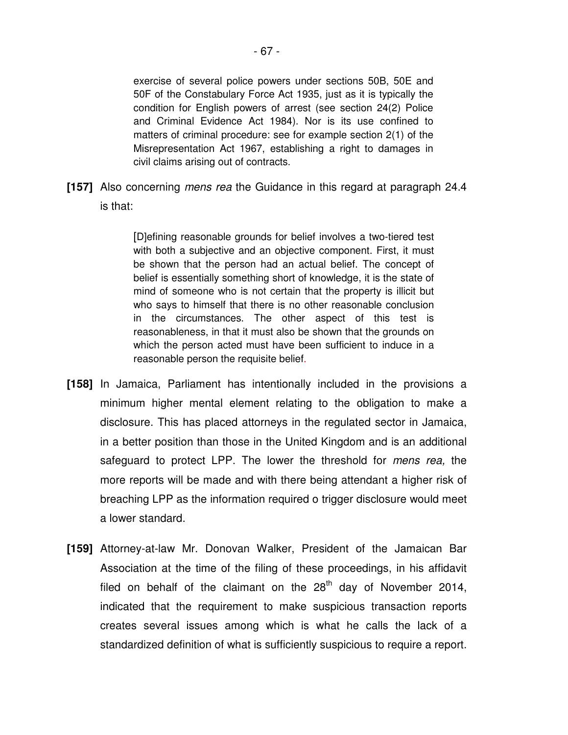exercise of several police powers under sections 50B, 50E and 50F of the Constabulary Force Act 1935, just as it is typically the condition for English powers of arrest (see section 24(2) Police and Criminal Evidence Act 1984). Nor is its use confined to matters of criminal procedure: see for example section 2(1) of the Misrepresentation Act 1967, establishing a right to damages in civil claims arising out of contracts.

**[157]** Also concerning mens rea the Guidance in this regard at paragraph 24.4 is that:

> [D]efining reasonable grounds for belief involves a two-tiered test with both a subjective and an objective component. First, it must be shown that the person had an actual belief. The concept of belief is essentially something short of knowledge, it is the state of mind of someone who is not certain that the property is illicit but who says to himself that there is no other reasonable conclusion in the circumstances. The other aspect of this test is reasonableness, in that it must also be shown that the grounds on which the person acted must have been sufficient to induce in a reasonable person the requisite belief.

- **[158]** In Jamaica, Parliament has intentionally included in the provisions a minimum higher mental element relating to the obligation to make a disclosure. This has placed attorneys in the regulated sector in Jamaica, in a better position than those in the United Kingdom and is an additional safeguard to protect LPP. The lower the threshold for *mens rea*, the more reports will be made and with there being attendant a higher risk of breaching LPP as the information required o trigger disclosure would meet a lower standard.
- **[159]** Attorney-at-law Mr. Donovan Walker, President of the Jamaican Bar Association at the time of the filing of these proceedings, in his affidavit filed on behalf of the claimant on the  $28<sup>th</sup>$  day of November 2014, indicated that the requirement to make suspicious transaction reports creates several issues among which is what he calls the lack of a standardized definition of what is sufficiently suspicious to require a report.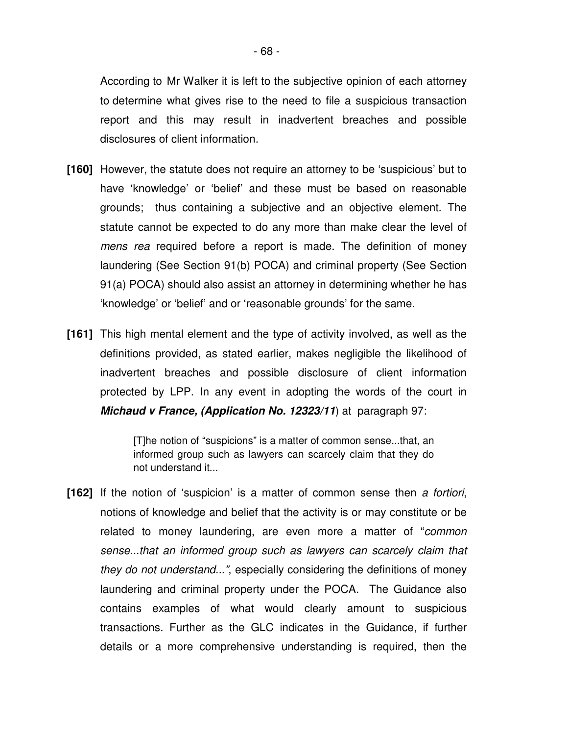According to Mr Walker it is left to the subjective opinion of each attorney to determine what gives rise to the need to file a suspicious transaction report and this may result in inadvertent breaches and possible disclosures of client information.

- **[160]** However, the statute does not require an attorney to be 'suspicious' but to have 'knowledge' or 'belief' and these must be based on reasonable grounds; thus containing a subjective and an objective element. The statute cannot be expected to do any more than make clear the level of mens rea required before a report is made. The definition of money laundering (See Section 91(b) POCA) and criminal property (See Section 91(a) POCA) should also assist an attorney in determining whether he has 'knowledge' or 'belief' and or 'reasonable grounds' for the same.
- **[161]** This high mental element and the type of activity involved, as well as the definitions provided, as stated earlier, makes negligible the likelihood of inadvertent breaches and possible disclosure of client information protected by LPP. In any event in adopting the words of the court in **Michaud v France, (Application No. 12323/11**) at paragraph 97:

[T]he notion of "suspicions" is a matter of common sense...that, an informed group such as lawyers can scarcely claim that they do not understand it...

**[162]** If the notion of 'suspicion' is a matter of common sense then a fortiori, notions of knowledge and belief that the activity is or may constitute or be related to money laundering, are even more a matter of "common sense...that an informed group such as lawyers can scarcely claim that they do not understand...", especially considering the definitions of money laundering and criminal property under the POCA. The Guidance also contains examples of what would clearly amount to suspicious transactions. Further as the GLC indicates in the Guidance, if further details or a more comprehensive understanding is required, then the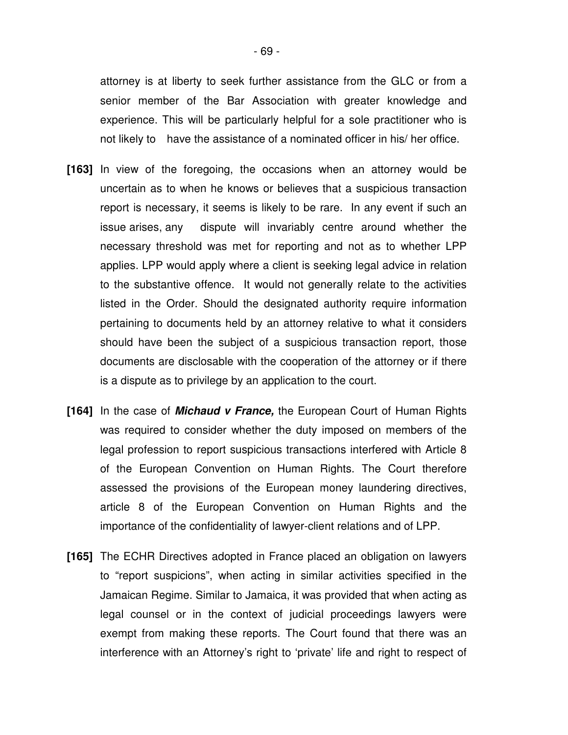attorney is at liberty to seek further assistance from the GLC or from a senior member of the Bar Association with greater knowledge and experience. This will be particularly helpful for a sole practitioner who is not likely to have the assistance of a nominated officer in his/ her office.

- **[163]** In view of the foregoing, the occasions when an attorney would be uncertain as to when he knows or believes that a suspicious transaction report is necessary, it seems is likely to be rare. In any event if such an issue arises, any dispute will invariably centre around whether the necessary threshold was met for reporting and not as to whether LPP applies. LPP would apply where a client is seeking legal advice in relation to the substantive offence. It would not generally relate to the activities listed in the Order. Should the designated authority require information pertaining to documents held by an attorney relative to what it considers should have been the subject of a suspicious transaction report, those documents are disclosable with the cooperation of the attorney or if there is a dispute as to privilege by an application to the court.
- **[164]** In the case of **Michaud v France,** the European Court of Human Rights was required to consider whether the duty imposed on members of the legal profession to report suspicious transactions interfered with Article 8 of the European Convention on Human Rights. The Court therefore assessed the provisions of the European money laundering directives, article 8 of the European Convention on Human Rights and the importance of the confidentiality of lawyer-client relations and of LPP.
- **[165]** The ECHR Directives adopted in France placed an obligation on lawyers to "report suspicions", when acting in similar activities specified in the Jamaican Regime. Similar to Jamaica, it was provided that when acting as legal counsel or in the context of judicial proceedings lawyers were exempt from making these reports. The Court found that there was an interference with an Attorney's right to 'private' life and right to respect of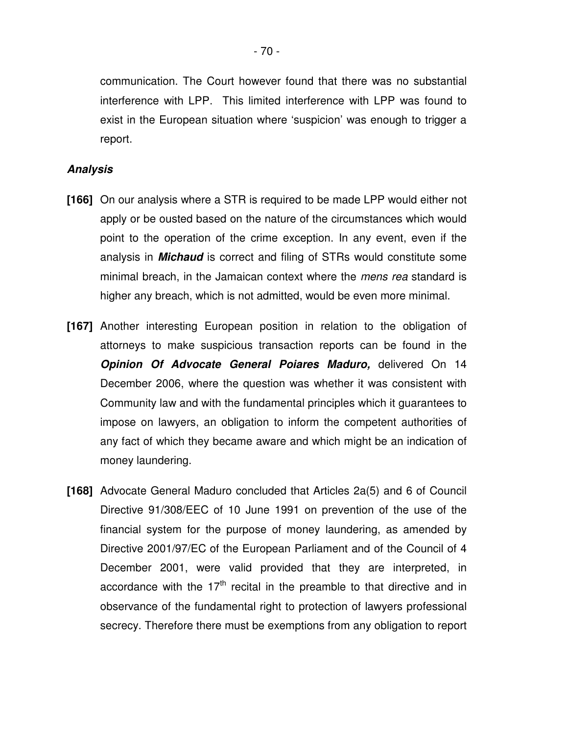communication. The Court however found that there was no substantial interference with LPP. This limited interference with LPP was found to exist in the European situation where 'suspicion' was enough to trigger a report.

## **Analysis**

- **[166]** On our analysis where a STR is required to be made LPP would either not apply or be ousted based on the nature of the circumstances which would point to the operation of the crime exception. In any event, even if the analysis in **Michaud** is correct and filing of STRs would constitute some minimal breach, in the Jamaican context where the mens rea standard is higher any breach, which is not admitted, would be even more minimal.
- **[167]** Another interesting European position in relation to the obligation of attorneys to make suspicious transaction reports can be found in the **Opinion Of Advocate General Poiares Maduro,** delivered On 14 December 2006, where the question was whether it was consistent with Community law and with the fundamental principles which it guarantees to impose on lawyers, an obligation to inform the competent authorities of any fact of which they became aware and which might be an indication of money laundering.
- **[168]** Advocate General Maduro concluded that Articles 2a(5) and 6 of Council Directive 91/308/EEC of 10 June 1991 on prevention of the use of the financial system for the purpose of money laundering, as amended by Directive 2001/97/EC of the European Parliament and of the Council of 4 December 2001, were valid provided that they are interpreted, in accordance with the  $17<sup>th</sup>$  recital in the preamble to that directive and in observance of the fundamental right to protection of lawyers professional secrecy. Therefore there must be exemptions from any obligation to report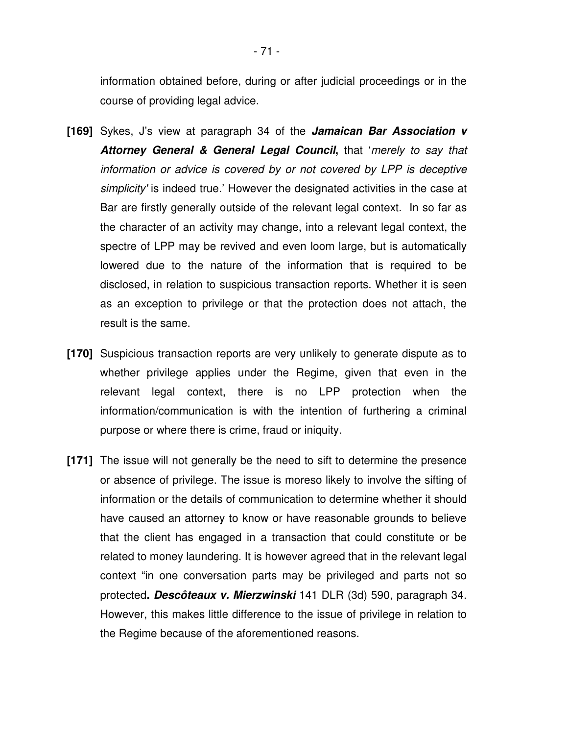information obtained before, during or after judicial proceedings or in the course of providing legal advice.

- **[169]** Sykes, J's view at paragraph 34 of the **Jamaican Bar Association v Attorney General & General Legal Council,** that 'merely to say that information or advice is covered by or not covered by LPP is deceptive simplicity' is indeed true.' However the designated activities in the case at Bar are firstly generally outside of the relevant legal context. In so far as the character of an activity may change, into a relevant legal context, the spectre of LPP may be revived and even loom large, but is automatically lowered due to the nature of the information that is required to be disclosed, in relation to suspicious transaction reports. Whether it is seen as an exception to privilege or that the protection does not attach, the result is the same.
- **[170]** Suspicious transaction reports are very unlikely to generate dispute as to whether privilege applies under the Regime, given that even in the relevant legal context, there is no LPP protection when the information/communication is with the intention of furthering a criminal purpose or where there is crime, fraud or iniquity.
- **[171]** The issue will not generally be the need to sift to determine the presence or absence of privilege. The issue is moreso likely to involve the sifting of information or the details of communication to determine whether it should have caused an attorney to know or have reasonable grounds to believe that the client has engaged in a transaction that could constitute or be related to money laundering. It is however agreed that in the relevant legal context "in one conversation parts may be privileged and parts not so protected**. Descôteaux v. Mierzwinski** 141 DLR (3d) 590, paragraph 34. However, this makes little difference to the issue of privilege in relation to the Regime because of the aforementioned reasons.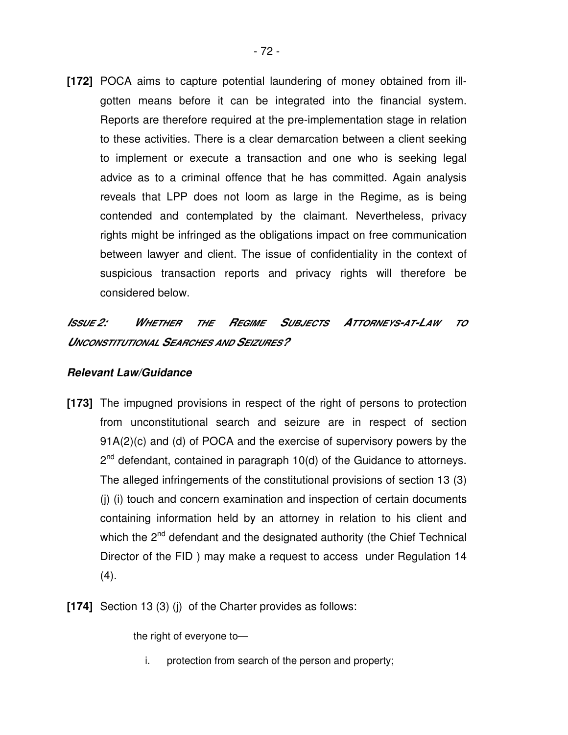**[172]** POCA aims to capture potential laundering of money obtained from ill gotten means before it can be integrated into the financial system. Reports are therefore required at the pre-implementation stage in relation to these activities. There is a clear demarcation between a client seeking to implement or execute a transaction and one who is seeking legal advice as to a criminal offence that he has committed. Again analysis reveals that LPP does not loom as large in the Regime, as is being contended and contemplated by the claimant. Nevertheless, privacy rights might be infringed as the obligations impact on free communication between lawyer and client. The issue of confidentiality in the context of suspicious transaction reports and privacy rights will therefore be considered below.

# **ISSUE 2: WHETHER THE REGIME SUBJECTS ATTORNEYS-AT-LAW TO UNCONSTITUTIONAL SEARCHES AND SEIZURES?**

# **Relevant Law/Guidance**

- **[173]** The impugned provisions in respect of the right of persons to protection from unconstitutional search and seizure are in respect of section 91A(2)(c) and (d) of POCA and the exercise of supervisory powers by the  $2^{nd}$  defendant, contained in paragraph 10(d) of the Guidance to attorneys. The alleged infringements of the constitutional provisions of section 13 (3) (j) (i) touch and concern examination and inspection of certain documents containing information held by an attorney in relation to his client and which the 2<sup>nd</sup> defendant and the designated authority (the Chief Technical Director of the FID ) may make a request to access under Regulation 14  $(4).$
- **[174]** Section 13 (3) (j) of the Charter provides as follows:

the right of everyone to—

i. protection from search of the person and property;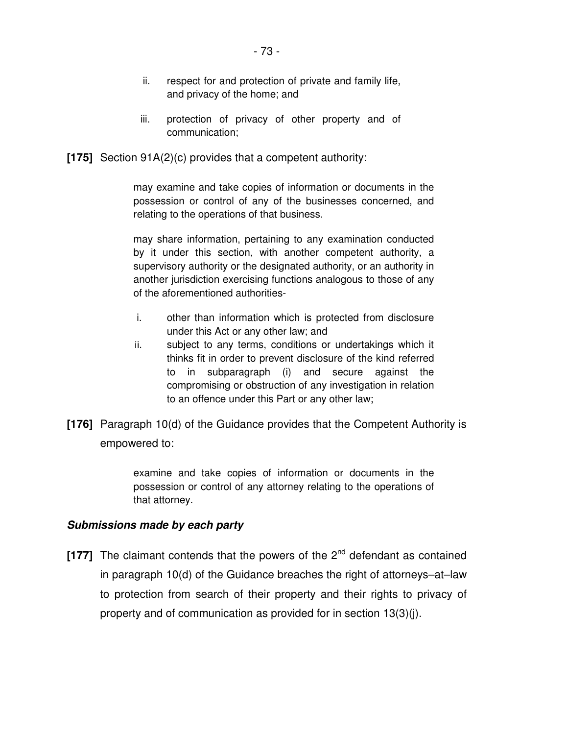- ii. respect for and protection of private and family life, and privacy of the home; and
- iii. protection of privacy of other property and of communication;

**[175]** Section 91A(2)(c) provides that a competent authority:

may examine and take copies of information or documents in the possession or control of any of the businesses concerned, and relating to the operations of that business.

may share information, pertaining to any examination conducted by it under this section, with another competent authority, a supervisory authority or the designated authority, or an authority in another jurisdiction exercising functions analogous to those of any of the aforementioned authorities-

- i. other than information which is protected from disclosure under this Act or any other law; and
- ii. subject to any terms, conditions or undertakings which it thinks fit in order to prevent disclosure of the kind referred to in subparagraph (i) and secure against the compromising or obstruction of any investigation in relation to an offence under this Part or any other law;
- **[176]** Paragraph 10(d) of the Guidance provides that the Competent Authority is empowered to:

examine and take copies of information or documents in the possession or control of any attorney relating to the operations of that attorney.

## **Submissions made by each party**

[177] The claimant contends that the powers of the 2<sup>nd</sup> defendant as contained in paragraph 10(d) of the Guidance breaches the right of attorneys–at–law to protection from search of their property and their rights to privacy of property and of communication as provided for in section 13(3)(j).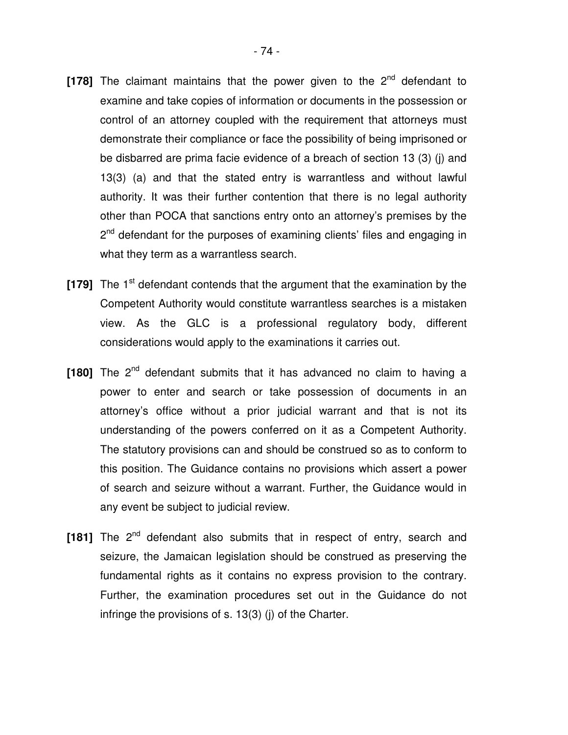- [178] The claimant maintains that the power given to the 2<sup>nd</sup> defendant to examine and take copies of information or documents in the possession or control of an attorney coupled with the requirement that attorneys must demonstrate their compliance or face the possibility of being imprisoned or be disbarred are prima facie evidence of a breach of section 13 (3) (j) and 13(3) (a) and that the stated entry is warrantless and without lawful authority. It was their further contention that there is no legal authority other than POCA that sanctions entry onto an attorney's premises by the
- **[179]** The 1<sup>st</sup> defendant contends that the argument that the examination by the Competent Authority would constitute warrantless searches is a mistaken view. As the GLC is a professional regulatory body, different considerations would apply to the examinations it carries out.

what they term as a warrantless search.

2<sup>nd</sup> defendant for the purposes of examining clients' files and engaging in

- **[180]** The 2<sup>nd</sup> defendant submits that it has advanced no claim to having a power to enter and search or take possession of documents in an attorney's office without a prior judicial warrant and that is not its understanding of the powers conferred on it as a Competent Authority. The statutory provisions can and should be construed so as to conform to this position. The Guidance contains no provisions which assert a power of search and seizure without a warrant. Further, the Guidance would in any event be subject to judicial review.
- [181] The 2<sup>nd</sup> defendant also submits that in respect of entry, search and seizure, the Jamaican legislation should be construed as preserving the fundamental rights as it contains no express provision to the contrary. Further, the examination procedures set out in the Guidance do not infringe the provisions of s. 13(3) (j) of the Charter.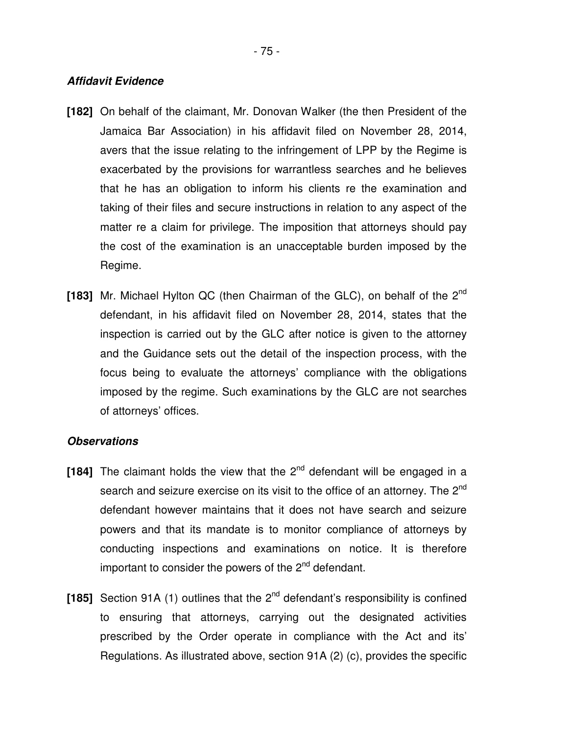#### **Affidavit Evidence**

- **[182]** On behalf of the claimant, Mr. Donovan Walker (the then President of the Jamaica Bar Association) in his affidavit filed on November 28, 2014, avers that the issue relating to the infringement of LPP by the Regime is exacerbated by the provisions for warrantless searches and he believes that he has an obligation to inform his clients re the examination and taking of their files and secure instructions in relation to any aspect of the matter re a claim for privilege. The imposition that attorneys should pay the cost of the examination is an unacceptable burden imposed by the Regime.
- [183] Mr. Michael Hylton QC (then Chairman of the GLC), on behalf of the 2<sup>nd</sup> defendant, in his affidavit filed on November 28, 2014, states that the inspection is carried out by the GLC after notice is given to the attorney and the Guidance sets out the detail of the inspection process, with the focus being to evaluate the attorneys' compliance with the obligations imposed by the regime. Such examinations by the GLC are not searches of attorneys' offices.

## **Observations**

- **[184]** The claimant holds the view that the 2<sup>nd</sup> defendant will be engaged in a search and seizure exercise on its visit to the office of an attorney. The  $2^{nd}$ defendant however maintains that it does not have search and seizure powers and that its mandate is to monitor compliance of attorneys by conducting inspections and examinations on notice. It is therefore important to consider the powers of the  $2<sup>nd</sup>$  defendant.
- **[185]** Section 91A (1) outlines that the  $2^{nd}$  defendant's responsibility is confined to ensuring that attorneys, carrying out the designated activities prescribed by the Order operate in compliance with the Act and its' Regulations. As illustrated above, section 91A (2) (c), provides the specific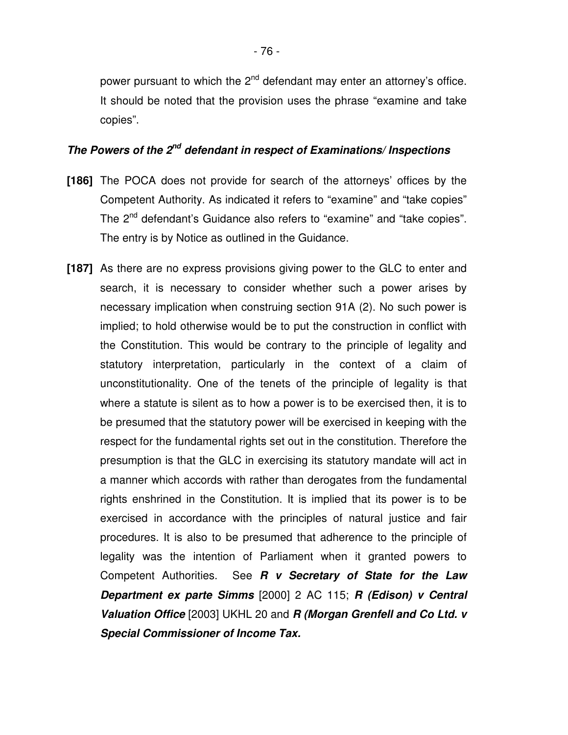power pursuant to which the  $2^{nd}$  defendant may enter an attorney's office. It should be noted that the provision uses the phrase "examine and take copies".

# **The Powers of the 2nd defendant in respect of Examinations/ Inspections**

- **[186]** The POCA does not provide for search of the attorneys' offices by the Competent Authority. As indicated it refers to "examine" and "take copies" The 2<sup>nd</sup> defendant's Guidance also refers to "examine" and "take copies". The entry is by Notice as outlined in the Guidance.
- **[187]** As there are no express provisions giving power to the GLC to enter and search, it is necessary to consider whether such a power arises by necessary implication when construing section 91A (2). No such power is implied; to hold otherwise would be to put the construction in conflict with the Constitution. This would be contrary to the principle of legality and statutory interpretation, particularly in the context of a claim of unconstitutionality. One of the tenets of the principle of legality is that where a statute is silent as to how a power is to be exercised then, it is to be presumed that the statutory power will be exercised in keeping with the respect for the fundamental rights set out in the constitution. Therefore the presumption is that the GLC in exercising its statutory mandate will act in a manner which accords with rather than derogates from the fundamental rights enshrined in the Constitution. It is implied that its power is to be exercised in accordance with the principles of natural justice and fair procedures. It is also to be presumed that adherence to the principle of legality was the intention of Parliament when it granted powers to Competent Authorities. See **R v Secretary of State for the Law Department ex parte Simms** [2000] 2 AC 115; **R (Edison) v Central Valuation Office** [2003] UKHL 20 and **R (Morgan Grenfell and Co Ltd. v Special Commissioner of Income Tax.**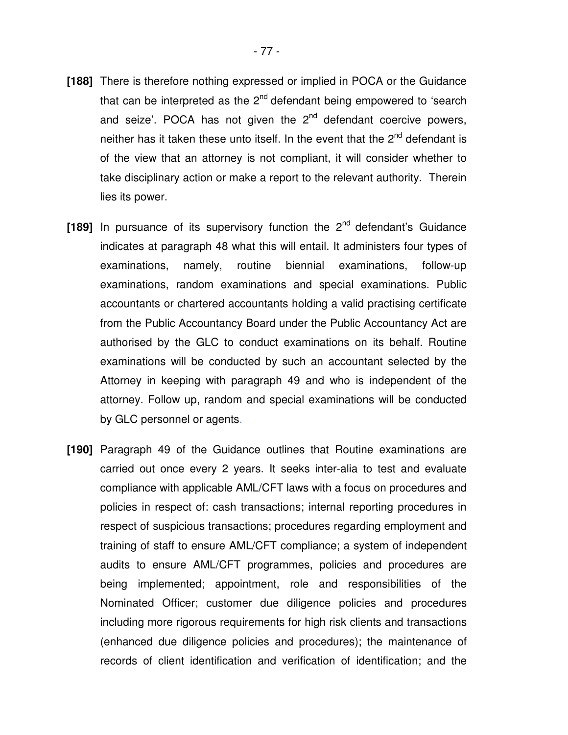- **[188]** There is therefore nothing expressed or implied in POCA or the Guidance that can be interpreted as the  $2<sup>nd</sup>$  defendant being empowered to 'search and seize'. POCA has not given the  $2^{nd}$  defendant coercive powers, neither has it taken these unto itself. In the event that the 2<sup>nd</sup> defendant is of the view that an attorney is not compliant, it will consider whether to take disciplinary action or make a report to the relevant authority. Therein lies its power.
- [189] In pursuance of its supervisory function the 2<sup>nd</sup> defendant's Guidance indicates at paragraph 48 what this will entail. It administers four types of examinations, namely, routine biennial examinations, follow-up examinations, random examinations and special examinations. Public accountants or chartered accountants holding a valid practising certificate from the Public Accountancy Board under the Public Accountancy Act are authorised by the GLC to conduct examinations on its behalf. Routine examinations will be conducted by such an accountant selected by the Attorney in keeping with paragraph 49 and who is independent of the attorney. Follow up, random and special examinations will be conducted by GLC personnel or agents.
- **[190]** Paragraph 49 of the Guidance outlines that Routine examinations are carried out once every 2 years. It seeks inter-alia to test and evaluate compliance with applicable AML/CFT laws with a focus on procedures and policies in respect of: cash transactions; internal reporting procedures in respect of suspicious transactions; procedures regarding employment and training of staff to ensure AML/CFT compliance; a system of independent audits to ensure AML/CFT programmes, policies and procedures are being implemented; appointment, role and responsibilities of the Nominated Officer; customer due diligence policies and procedures including more rigorous requirements for high risk clients and transactions (enhanced due diligence policies and procedures); the maintenance of records of client identification and verification of identification; and the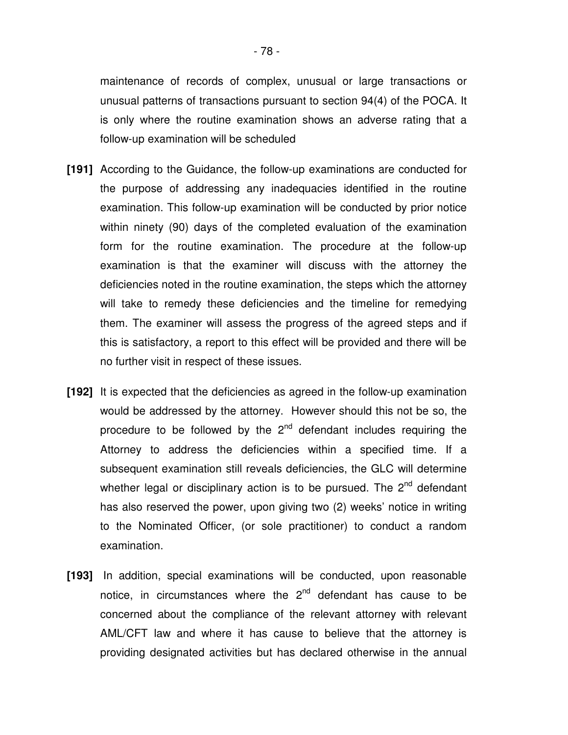maintenance of records of complex, unusual or large transactions or unusual patterns of transactions pursuant to section 94(4) of the POCA. It is only where the routine examination shows an adverse rating that a follow-up examination will be scheduled

- **[191]** According to the Guidance, the follow-up examinations are conducted for the purpose of addressing any inadequacies identified in the routine examination. This follow-up examination will be conducted by prior notice within ninety (90) days of the completed evaluation of the examination form for the routine examination. The procedure at the follow-up examination is that the examiner will discuss with the attorney the deficiencies noted in the routine examination, the steps which the attorney will take to remedy these deficiencies and the timeline for remedying them. The examiner will assess the progress of the agreed steps and if this is satisfactory, a report to this effect will be provided and there will be no further visit in respect of these issues.
- **[192]** It is expected that the deficiencies as agreed in the follow-up examination would be addressed by the attorney. However should this not be so, the procedure to be followed by the  $2^{nd}$  defendant includes requiring the Attorney to address the deficiencies within a specified time. If a subsequent examination still reveals deficiencies, the GLC will determine whether legal or disciplinary action is to be pursued. The  $2<sup>nd</sup>$  defendant has also reserved the power, upon giving two (2) weeks' notice in writing to the Nominated Officer, (or sole practitioner) to conduct a random examination.
- **[193]** In addition, special examinations will be conducted, upon reasonable notice, in circumstances where the  $2^{nd}$  defendant has cause to be concerned about the compliance of the relevant attorney with relevant AML/CFT law and where it has cause to believe that the attorney is providing designated activities but has declared otherwise in the annual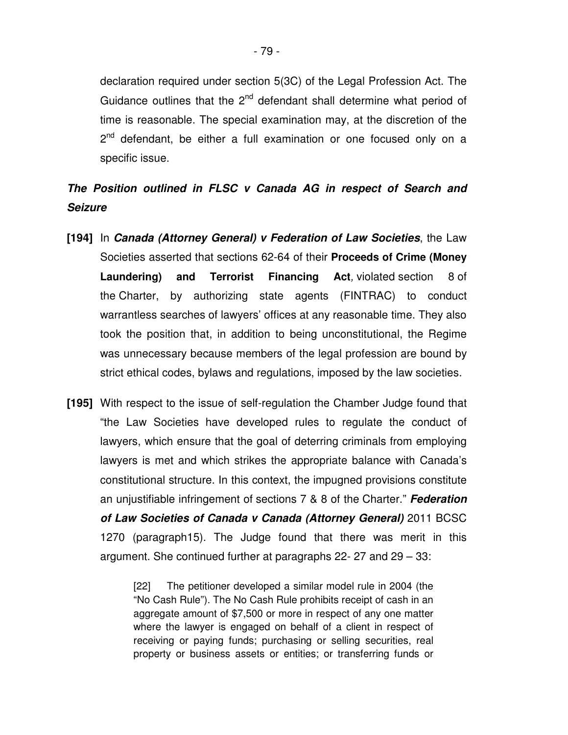declaration required under section 5(3C) of the Legal Profession Act. The Guidance outlines that the  $2^{nd}$  defendant shall determine what period of time is reasonable. The special examination may, at the discretion of the 2<sup>nd</sup> defendant, be either a full examination or one focused only on a specific issue.

# **The Position outlined in FLSC v Canada AG in respect of Search and Seizure**

- **[194]** In **Canada (Attorney General) v Federation of Law Societies**, the Law Societies asserted that sections 62-64 of their **Proceeds of Crime (Money Laundering) and Terrorist Financing Act**, violated section 8 of the Charter, by authorizing state agents (FINTRAC) to conduct warrantless searches of lawyers' offices at any reasonable time. They also took the position that, in addition to being unconstitutional, the Regime was unnecessary because members of the legal profession are bound by strict ethical codes, bylaws and regulations, imposed by the law societies.
- **[195]** With respect to the issue of self-regulation the Chamber Judge found that "the Law Societies have developed rules to regulate the conduct of lawyers, which ensure that the goal of deterring criminals from employing lawyers is met and which strikes the appropriate balance with Canada's constitutional structure. In this context, the impugned provisions constitute an unjustifiable infringement of sections 7 & 8 of the Charter." **Federation of Law Societies of Canada v Canada (Attorney General)** 2011 BCSC 1270 (paragraph15). The Judge found that there was merit in this argument. She continued further at paragraphs 22- 27 and 29 – 33:

[22] The petitioner developed a similar model rule in 2004 (the "No Cash Rule"). The No Cash Rule prohibits receipt of cash in an aggregate amount of \$7,500 or more in respect of any one matter where the lawyer is engaged on behalf of a client in respect of receiving or paying funds; purchasing or selling securities, real property or business assets or entities; or transferring funds or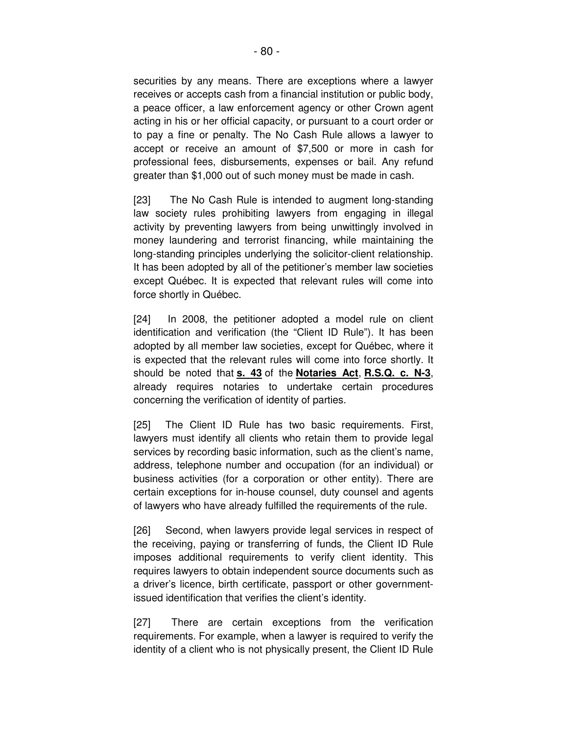securities by any means. There are exceptions where a lawyer receives or accepts cash from a financial institution or public body, a peace officer, a law enforcement agency or other Crown agent acting in his or her official capacity, or pursuant to a court order or to pay a fine or penalty. The No Cash Rule allows a lawyer to accept or receive an amount of \$7,500 or more in cash for professional fees, disbursements, expenses or bail. Any refund greater than \$1,000 out of such money must be made in cash.

[23] The No Cash Rule is intended to augment long-standing law society rules prohibiting lawyers from engaging in illegal activity by preventing lawyers from being unwittingly involved in money laundering and terrorist financing, while maintaining the long-standing principles underlying the solicitor-client relationship. It has been adopted by all of the petitioner's member law societies except Québec. It is expected that relevant rules will come into force shortly in Québec.

[24] In 2008, the petitioner adopted a model rule on client identification and verification (the "Client ID Rule"). It has been adopted by all member law societies, except for Québec, where it is expected that the relevant rules will come into force shortly. It should be noted that **s. 43** of the **Notaries Act**, **R.S.Q. c. N-3**, already requires notaries to undertake certain procedures concerning the verification of identity of parties.

[25] The Client ID Rule has two basic requirements. First, lawyers must identify all clients who retain them to provide legal services by recording basic information, such as the client's name, address, telephone number and occupation (for an individual) or business activities (for a corporation or other entity). There are certain exceptions for in-house counsel, duty counsel and agents of lawyers who have already fulfilled the requirements of the rule.

[26] Second, when lawyers provide legal services in respect of the receiving, paying or transferring of funds, the Client ID Rule imposes additional requirements to verify client identity. This requires lawyers to obtain independent source documents such as a driver's licence, birth certificate, passport or other governmentissued identification that verifies the client's identity.

[27] There are certain exceptions from the verification requirements. For example, when a lawyer is required to verify the identity of a client who is not physically present, the Client ID Rule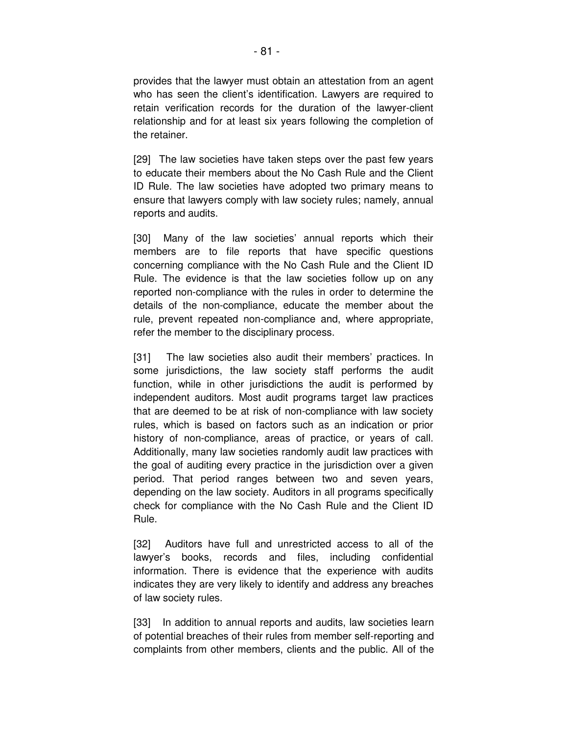provides that the lawyer must obtain an attestation from an agent who has seen the client's identification. Lawyers are required to retain verification records for the duration of the lawyer-client relationship and for at least six years following the completion of the retainer.

[29] The law societies have taken steps over the past few years to educate their members about the No Cash Rule and the Client ID Rule. The law societies have adopted two primary means to ensure that lawyers comply with law society rules; namely, annual reports and audits.

[30] Many of the law societies' annual reports which their members are to file reports that have specific questions concerning compliance with the No Cash Rule and the Client ID Rule. The evidence is that the law societies follow up on any reported non-compliance with the rules in order to determine the details of the non-compliance, educate the member about the rule, prevent repeated non-compliance and, where appropriate, refer the member to the disciplinary process.

[31] The law societies also audit their members' practices. In some jurisdictions, the law society staff performs the audit function, while in other jurisdictions the audit is performed by independent auditors. Most audit programs target law practices that are deemed to be at risk of non-compliance with law society rules, which is based on factors such as an indication or prior history of non-compliance, areas of practice, or years of call. Additionally, many law societies randomly audit law practices with the goal of auditing every practice in the jurisdiction over a given period. That period ranges between two and seven years, depending on the law society. Auditors in all programs specifically check for compliance with the No Cash Rule and the Client ID Rule.

[32] Auditors have full and unrestricted access to all of the lawyer's books, records and files, including confidential information. There is evidence that the experience with audits indicates they are very likely to identify and address any breaches of law society rules.

[33] In addition to annual reports and audits, law societies learn of potential breaches of their rules from member self-reporting and complaints from other members, clients and the public. All of the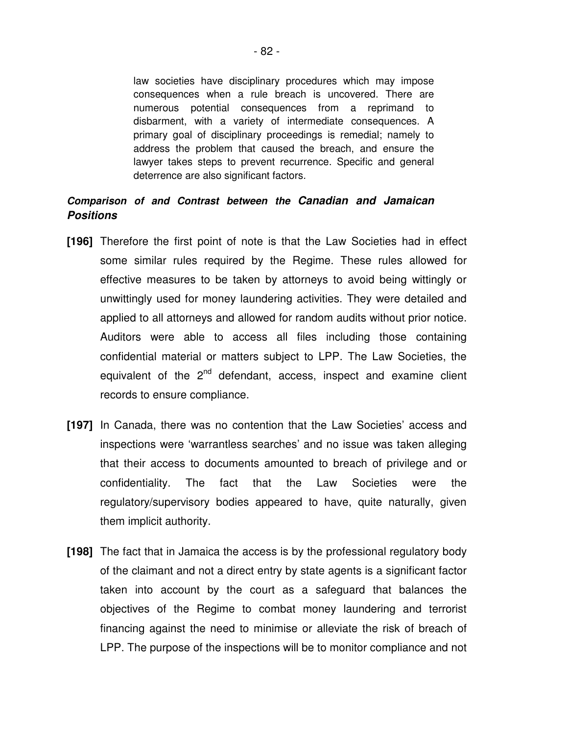law societies have disciplinary procedures which may impose consequences when a rule breach is uncovered. There are numerous potential consequences from a reprimand to disbarment, with a variety of intermediate consequences. A primary goal of disciplinary proceedings is remedial; namely to address the problem that caused the breach, and ensure the lawyer takes steps to prevent recurrence. Specific and general deterrence are also significant factors.

# **Comparison of and Contrast between the Canadian and Jamaican Positions**

- **[196]** Therefore the first point of note is that the Law Societies had in effect some similar rules required by the Regime. These rules allowed for effective measures to be taken by attorneys to avoid being wittingly or unwittingly used for money laundering activities. They were detailed and applied to all attorneys and allowed for random audits without prior notice. Auditors were able to access all files including those containing confidential material or matters subject to LPP. The Law Societies, the equivalent of the 2<sup>nd</sup> defendant, access, inspect and examine client records to ensure compliance.
- **[197]** In Canada, there was no contention that the Law Societies' access and inspections were 'warrantless searches' and no issue was taken alleging that their access to documents amounted to breach of privilege and or confidentiality. The fact that the Law Societies were the regulatory/supervisory bodies appeared to have, quite naturally, given them implicit authority.
- **[198]** The fact that in Jamaica the access is by the professional regulatory body of the claimant and not a direct entry by state agents is a significant factor taken into account by the court as a safeguard that balances the objectives of the Regime to combat money laundering and terrorist financing against the need to minimise or alleviate the risk of breach of LPP. The purpose of the inspections will be to monitor compliance and not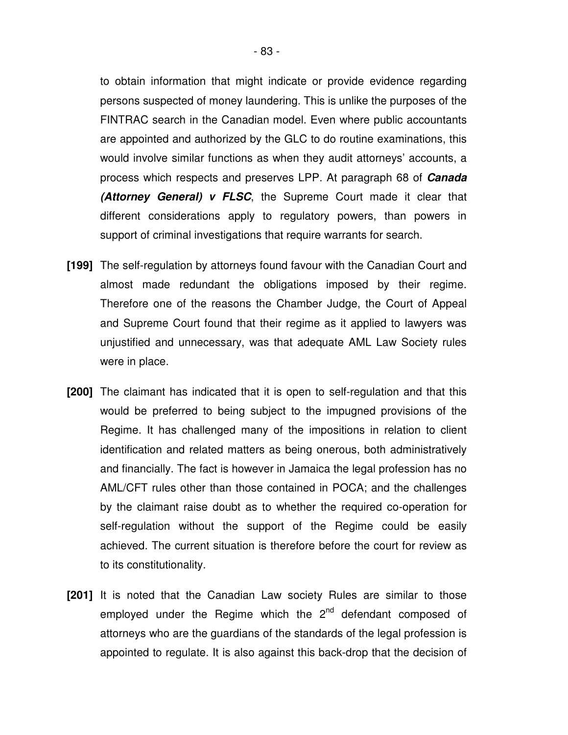to obtain information that might indicate or provide evidence regarding persons suspected of money laundering. This is unlike the purposes of the FINTRAC search in the Canadian model. Even where public accountants are appointed and authorized by the GLC to do routine examinations, this would involve similar functions as when they audit attorneys' accounts, a process which respects and preserves LPP. At paragraph 68 of **Canada (Attorney General) v FLSC**, the Supreme Court made it clear that different considerations apply to regulatory powers, than powers in support of criminal investigations that require warrants for search.

- **[199]** The self-regulation by attorneys found favour with the Canadian Court and almost made redundant the obligations imposed by their regime. Therefore one of the reasons the Chamber Judge, the Court of Appeal and Supreme Court found that their regime as it applied to lawyers was unjustified and unnecessary, was that adequate AML Law Society rules were in place.
- **[200]** The claimant has indicated that it is open to self-regulation and that this would be preferred to being subject to the impugned provisions of the Regime. It has challenged many of the impositions in relation to client identification and related matters as being onerous, both administratively and financially. The fact is however in Jamaica the legal profession has no AML/CFT rules other than those contained in POCA; and the challenges by the claimant raise doubt as to whether the required co-operation for self-regulation without the support of the Regime could be easily achieved. The current situation is therefore before the court for review as to its constitutionality.
- **[201]** It is noted that the Canadian Law society Rules are similar to those employed under the Regime which the  $2<sup>nd</sup>$  defendant composed of attorneys who are the guardians of the standards of the legal profession is appointed to regulate. It is also against this back-drop that the decision of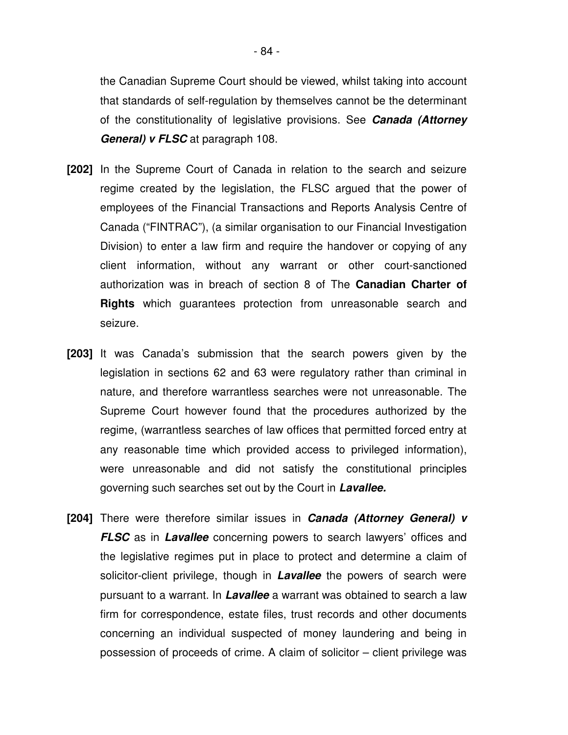the Canadian Supreme Court should be viewed, whilst taking into account that standards of self-regulation by themselves cannot be the determinant of the constitutionality of legislative provisions. See **Canada (Attorney General) v FLSC** at paragraph 108.

- **[202]** In the Supreme Court of Canada in relation to the search and seizure regime created by the legislation, the FLSC argued that the power of employees of the Financial Transactions and Reports Analysis Centre of Canada ("FINTRAC"), (a similar organisation to our Financial Investigation Division) to enter a law firm and require the handover or copying of any client information, without any warrant or other court-sanctioned authorization was in breach of section 8 of The **Canadian Charter of Rights** which guarantees protection from unreasonable search and seizure.
- **[203]** It was Canada's submission that the search powers given by the legislation in sections 62 and 63 were regulatory rather than criminal in nature, and therefore warrantless searches were not unreasonable. The Supreme Court however found that the procedures authorized by the regime, (warrantless searches of law offices that permitted forced entry at any reasonable time which provided access to privileged information), were unreasonable and did not satisfy the constitutional principles governing such searches set out by the Court in **Lavallee.**
- **[204]** There were therefore similar issues in **Canada (Attorney General) v FLSC** as in **Lavallee** concerning powers to search lawyers' offices and the legislative regimes put in place to protect and determine a claim of solicitor-client privilege, though in **Lavallee** the powers of search were pursuant to a warrant. In **Lavallee** a warrant was obtained to search a law firm for correspondence, estate files, trust records and other documents concerning an individual suspected of money laundering and being in possession of proceeds of crime. A claim of solicitor – client privilege was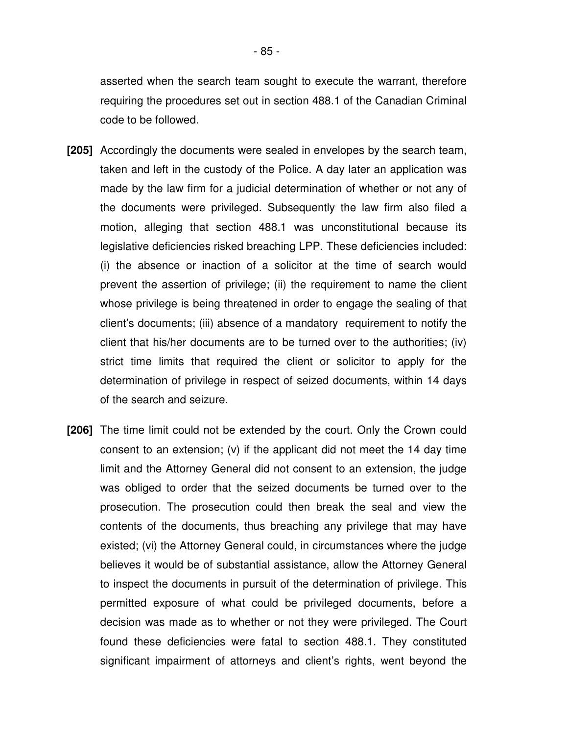asserted when the search team sought to execute the warrant, therefore requiring the procedures set out in section 488.1 of the Canadian Criminal code to be followed.

- **[205]** Accordingly the documents were sealed in envelopes by the search team, taken and left in the custody of the Police. A day later an application was made by the law firm for a judicial determination of whether or not any of the documents were privileged. Subsequently the law firm also filed a motion, alleging that section 488.1 was unconstitutional because its legislative deficiencies risked breaching LPP. These deficiencies included: (i) the absence or inaction of a solicitor at the time of search would prevent the assertion of privilege; (ii) the requirement to name the client whose privilege is being threatened in order to engage the sealing of that client's documents; (iii) absence of a mandatory requirement to notify the client that his/her documents are to be turned over to the authorities; (iv) strict time limits that required the client or solicitor to apply for the determination of privilege in respect of seized documents, within 14 days of the search and seizure.
- **[206]** The time limit could not be extended by the court. Only the Crown could consent to an extension; (v) if the applicant did not meet the 14 day time limit and the Attorney General did not consent to an extension, the judge was obliged to order that the seized documents be turned over to the prosecution. The prosecution could then break the seal and view the contents of the documents, thus breaching any privilege that may have existed; (vi) the Attorney General could, in circumstances where the judge believes it would be of substantial assistance, allow the Attorney General to inspect the documents in pursuit of the determination of privilege. This permitted exposure of what could be privileged documents, before a decision was made as to whether or not they were privileged. The Court found these deficiencies were fatal to section 488.1. They constituted significant impairment of attorneys and client's rights, went beyond the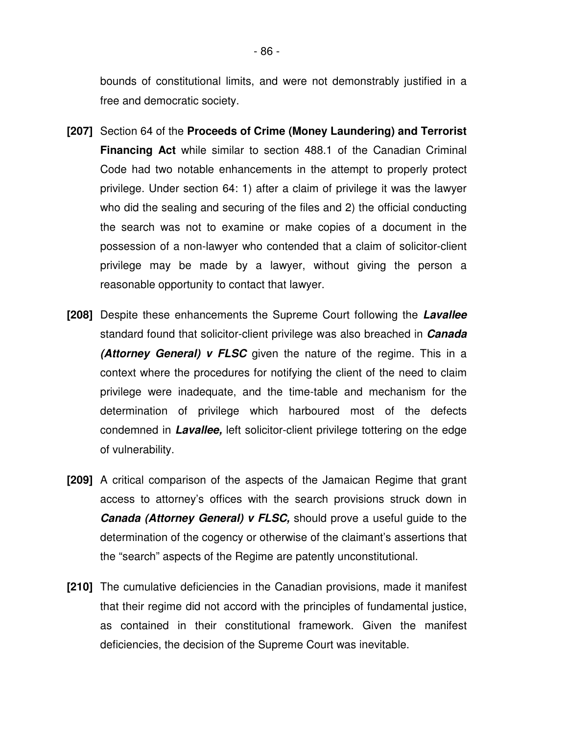bounds of constitutional limits, and were not demonstrably justified in a free and democratic society.

- **[207]** Section 64 of the **Proceeds of Crime (Money Laundering) and Terrorist Financing Act** while similar to section 488.1 of the Canadian Criminal Code had two notable enhancements in the attempt to properly protect privilege. Under section 64: 1) after a claim of privilege it was the lawyer who did the sealing and securing of the files and 2) the official conducting the search was not to examine or make copies of a document in the possession of a non-lawyer who contended that a claim of solicitor-client privilege may be made by a lawyer, without giving the person a reasonable opportunity to contact that lawyer.
- **[208]** Despite these enhancements the Supreme Court following the **Lavallee** standard found that solicitor-client privilege was also breached in **Canada (Attorney General) v FLSC** given the nature of the regime. This in a context where the procedures for notifying the client of the need to claim privilege were inadequate, and the time-table and mechanism for the determination of privilege which harboured most of the defects condemned in **Lavallee,** left solicitor-client privilege tottering on the edge of vulnerability.
- **[209]** A critical comparison of the aspects of the Jamaican Regime that grant access to attorney's offices with the search provisions struck down in **Canada (Attorney General) v FLSC,** should prove a useful guide to the determination of the cogency or otherwise of the claimant's assertions that the "search" aspects of the Regime are patently unconstitutional.
- **[210]** The cumulative deficiencies in the Canadian provisions, made it manifest that their regime did not accord with the principles of fundamental justice, as contained in their constitutional framework. Given the manifest deficiencies, the decision of the Supreme Court was inevitable.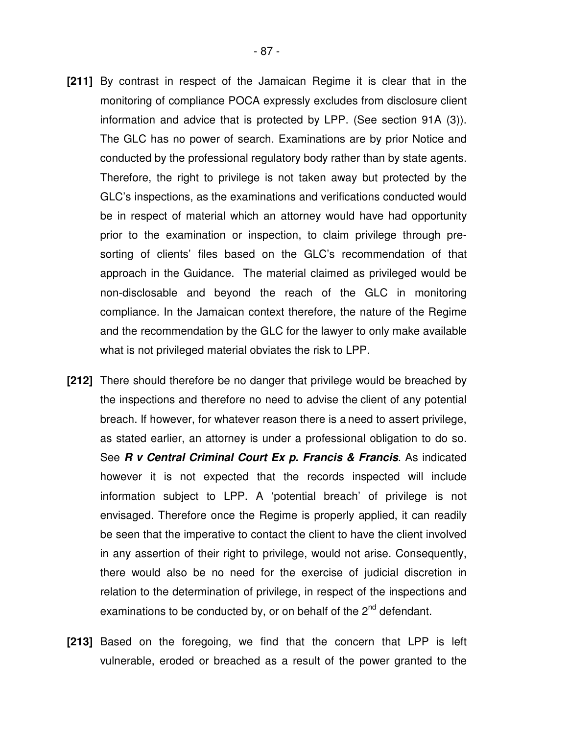- **[211]** By contrast in respect of the Jamaican Regime it is clear that in the monitoring of compliance POCA expressly excludes from disclosure client information and advice that is protected by LPP. (See section 91A (3)). The GLC has no power of search. Examinations are by prior Notice and conducted by the professional regulatory body rather than by state agents. Therefore, the right to privilege is not taken away but protected by the GLC's inspections, as the examinations and verifications conducted would be in respect of material which an attorney would have had opportunity prior to the examination or inspection, to claim privilege through presorting of clients' files based on the GLC's recommendation of that approach in the Guidance. The material claimed as privileged would be non-disclosable and beyond the reach of the GLC in monitoring compliance. In the Jamaican context therefore, the nature of the Regime and the recommendation by the GLC for the lawyer to only make available what is not privileged material obviates the risk to LPP.
- **[212]** There should therefore be no danger that privilege would be breached by the inspections and therefore no need to advise the client of any potential breach. If however, for whatever reason there is a need to assert privilege, as stated earlier, an attorney is under a professional obligation to do so. See **R v Central Criminal Court Ex p. Francis & Francis**. As indicated however it is not expected that the records inspected will include information subject to LPP. A 'potential breach' of privilege is not envisaged. Therefore once the Regime is properly applied, it can readily be seen that the imperative to contact the client to have the client involved in any assertion of their right to privilege, would not arise. Consequently, there would also be no need for the exercise of judicial discretion in relation to the determination of privilege, in respect of the inspections and examinations to be conducted by, or on behalf of the  $2<sup>nd</sup>$  defendant.
- **[213]** Based on the foregoing, we find that the concern that LPP is left vulnerable, eroded or breached as a result of the power granted to the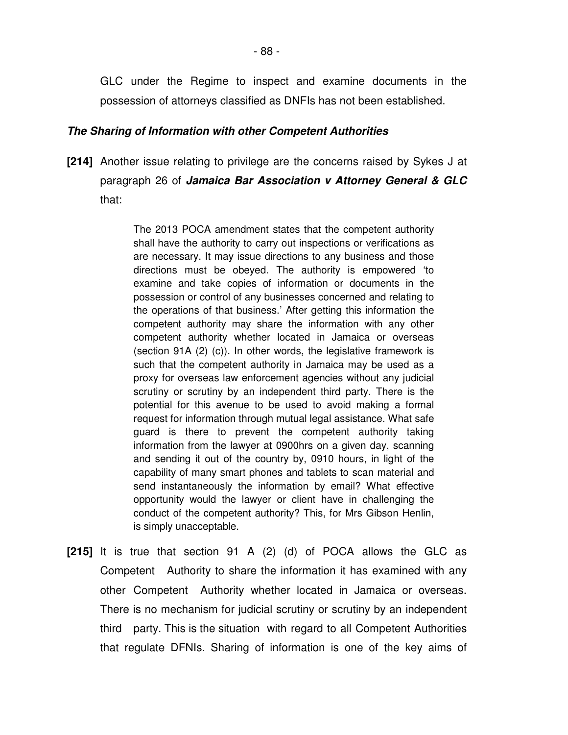GLC under the Regime to inspect and examine documents in the possession of attorneys classified as DNFIs has not been established.

#### **The Sharing of Information with other Competent Authorities**

**[214]** Another issue relating to privilege are the concerns raised by Sykes J at paragraph 26 of **Jamaica Bar Association v Attorney General & GLC**  that:

> The 2013 POCA amendment states that the competent authority shall have the authority to carry out inspections or verifications as are necessary. It may issue directions to any business and those directions must be obeyed. The authority is empowered 'to examine and take copies of information or documents in the possession or control of any businesses concerned and relating to the operations of that business.' After getting this information the competent authority may share the information with any other competent authority whether located in Jamaica or overseas (section 91A (2) (c)). In other words, the legislative framework is such that the competent authority in Jamaica may be used as a proxy for overseas law enforcement agencies without any judicial scrutiny or scrutiny by an independent third party. There is the potential for this avenue to be used to avoid making a formal request for information through mutual legal assistance. What safe guard is there to prevent the competent authority taking information from the lawyer at 0900hrs on a given day, scanning and sending it out of the country by, 0910 hours, in light of the capability of many smart phones and tablets to scan material and send instantaneously the information by email? What effective opportunity would the lawyer or client have in challenging the conduct of the competent authority? This, for Mrs Gibson Henlin, is simply unacceptable.

**[215]** It is true that section 91 A (2) (d) of POCA allows the GLC as Competent Authority to share the information it has examined with any other Competent Authority whether located in Jamaica or overseas. There is no mechanism for judicial scrutiny or scrutiny by an independent third party. This is the situation with regard to all Competent Authorities that regulate DFNIs. Sharing of information is one of the key aims of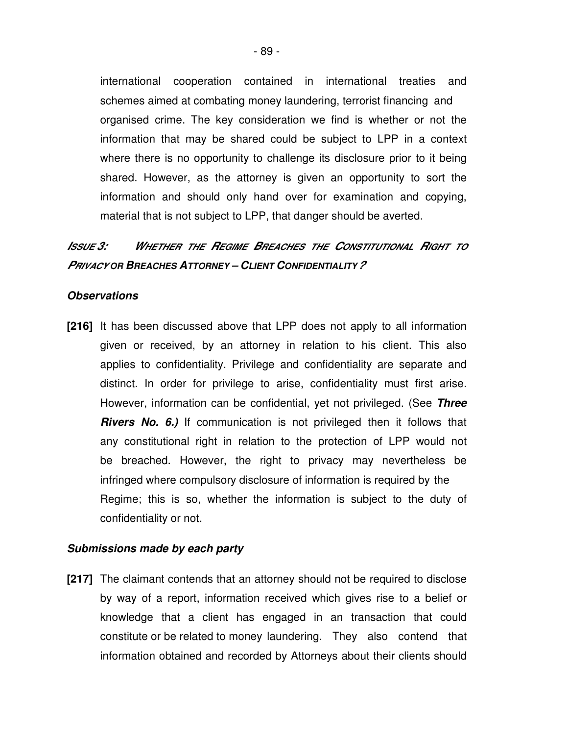international cooperation contained in international treaties and schemes aimed at combating money laundering, terrorist financing and organised crime. The key consideration we find is whether or not the information that may be shared could be subject to LPP in a context where there is no opportunity to challenge its disclosure prior to it being shared. However, as the attorney is given an opportunity to sort the information and should only hand over for examination and copying, material that is not subject to LPP, that danger should be averted.

# **ISSUE 3: WHETHER THE REGIME BREACHES THE CONSTITUTIONAL RIGHT TO PRIVACY OR BREACHES ATTORNEY – CLIENT CONFIDENTIALITY?**

#### **Observations**

**[216]** It has been discussed above that LPP does not apply to all information given or received, by an attorney in relation to his client. This also applies to confidentiality. Privilege and confidentiality are separate and distinct. In order for privilege to arise, confidentiality must first arise. However, information can be confidential, yet not privileged. (See **Three Rivers No. 6.)** If communication is not privileged then it follows that any constitutional right in relation to the protection of LPP would not be breached. However, the right to privacy may nevertheless be infringed where compulsory disclosure of information is required by the Regime; this is so, whether the information is subject to the duty of confidentiality or not.

#### **Submissions made by each party**

**[217]** The claimant contends that an attorney should not be required to disclose by way of a report, information received which gives rise to a belief or knowledge that a client has engaged in an transaction that could constitute or be related to money laundering. They also contend that information obtained and recorded by Attorneys about their clients should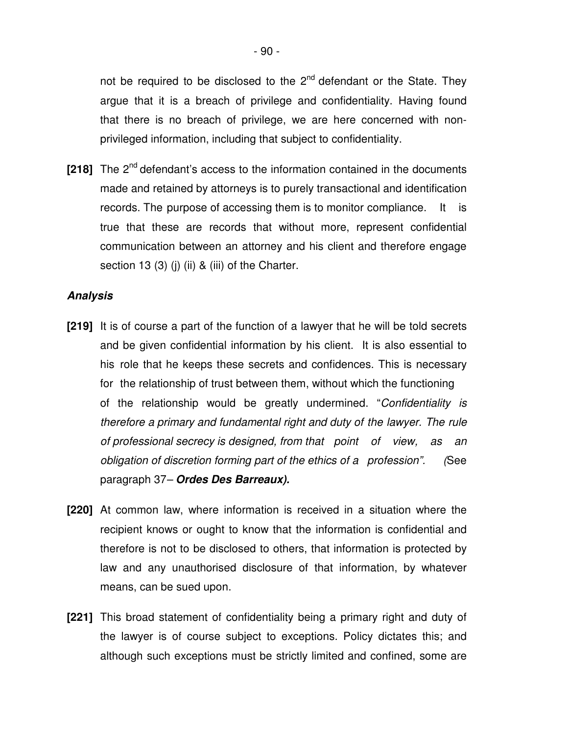not be required to be disclosed to the  $2^{nd}$  defendant or the State. They argue that it is a breach of privilege and confidentiality. Having found that there is no breach of privilege, we are here concerned with non privileged information, including that subject to confidentiality.

**[218]** The 2<sup>nd</sup> defendant's access to the information contained in the documents made and retained by attorneys is to purely transactional and identification records. The purpose of accessing them is to monitor compliance. It is true that these are records that without more, represent confidential communication between an attorney and his client and therefore engage section 13 (3) (i) (ii) & (iii) of the Charter.

#### **Analysis**

- **[219]** It is of course a part of the function of a lawyer that he will be told secrets and be given confidential information by his client. It is also essential to his role that he keeps these secrets and confidences. This is necessary for the relationship of trust between them, without which the functioning of the relationship would be greatly undermined. "Confidentiality is therefore a primary and fundamental right and duty of the lawyer. The rule of professional secrecy is designed, from that point of view, as an obligation of discretion forming part of the ethics of a profession". (See paragraph 37– **Ordes Des Barreaux).**
- **[220]** At common law, where information is received in a situation where the recipient knows or ought to know that the information is confidential and therefore is not to be disclosed to others, that information is protected by law and any unauthorised disclosure of that information, by whatever means, can be sued upon.
- **[221]** This broad statement of confidentiality being a primary right and duty of the lawyer is of course subject to exceptions. Policy dictates this; and although such exceptions must be strictly limited and confined, some are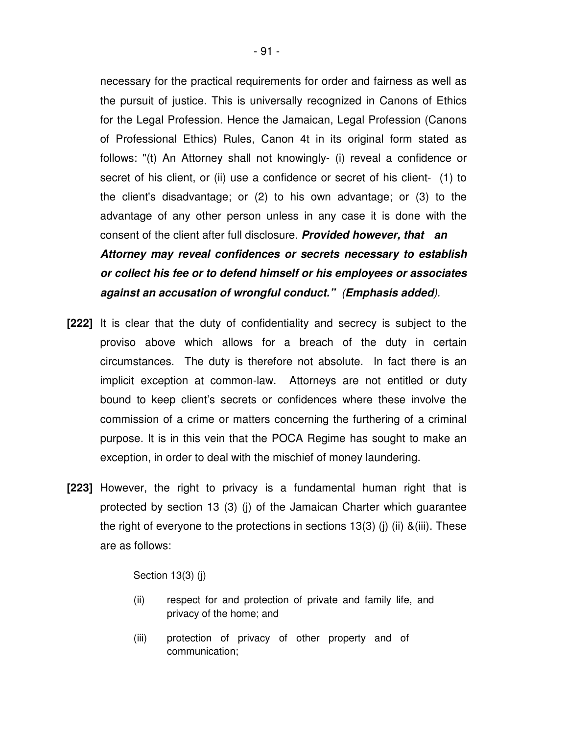necessary for the practical requirements for order and fairness as well as the pursuit of justice. This is universally recognized in Canons of Ethics for the Legal Profession. Hence the Jamaican, Legal Profession (Canons of Professional Ethics) Rules, Canon 4t in its original form stated as follows: "(t) An Attorney shall not knowingly- (i) reveal a confidence or secret of his client, or (ii) use a confidence or secret of his client- (1) to the client's disadvantage; or (2) to his own advantage; or (3) to the advantage of any other person unless in any case it is done with the consent of the client after full disclosure. **Provided however, that an Attorney may reveal confidences or secrets necessary to establish or collect his fee or to defend himself or his employees or associates against an accusation of wrongful conduct."** (**Emphasis added**).

- **[222]** It is clear that the duty of confidentiality and secrecy is subject to the proviso above which allows for a breach of the duty in certain circumstances. The duty is therefore not absolute. In fact there is an implicit exception at common-law. Attorneys are not entitled or duty bound to keep client's secrets or confidences where these involve the commission of a crime or matters concerning the furthering of a criminal purpose. It is in this vein that the POCA Regime has sought to make an exception, in order to deal with the mischief of money laundering.
- **[223]** However, the right to privacy is a fundamental human right that is protected by section 13 (3) (j) of the Jamaican Charter which guarantee the right of everyone to the protections in sections  $13(3)$  (i) (ii)  $\&$  (iii). These are as follows:

Section 13(3) (j)

- (ii) respect for and protection of private and family life, and privacy of the home; and
- (iii) protection of privacy of other property and of communication;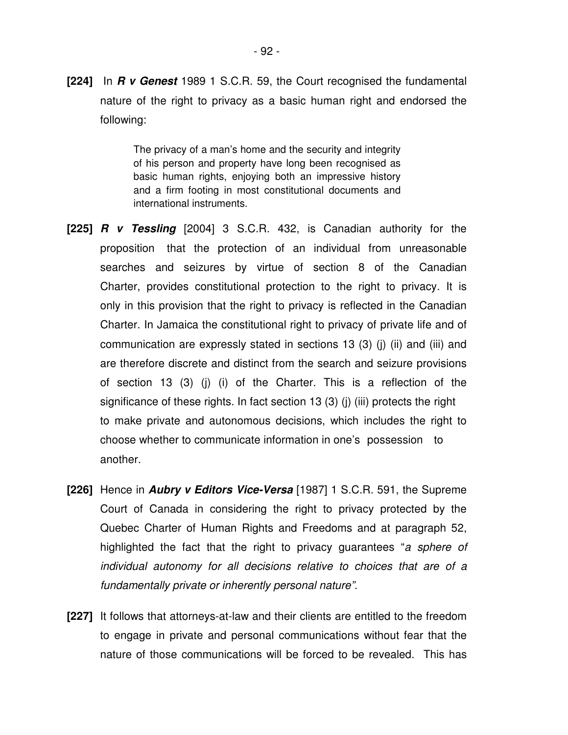**[224]** In **R v Genest** 1989 1 S.C.R. 59, the Court recognised the fundamental nature of the right to privacy as a basic human right and endorsed the following:

> The privacy of a man's home and the security and integrity of his person and property have long been recognised as basic human rights, enjoying both an impressive history and a firm footing in most constitutional documents and international instruments.

- **[225] R v Tessling** [2004] 3 S.C.R. 432, is Canadian authority for the proposition that the protection of an individual from unreasonable searches and seizures by virtue of section 8 of the Canadian Charter, provides constitutional protection to the right to privacy. It is only in this provision that the right to privacy is reflected in the Canadian Charter. In Jamaica the constitutional right to privacy of private life and of communication are expressly stated in sections 13 (3) (j) (ii) and (iii) and are therefore discrete and distinct from the search and seizure provisions of section 13 (3) (j) (i) of the Charter. This is a reflection of the significance of these rights. In fact section 13 (3) (j) (iii) protects the right to make private and autonomous decisions, which includes the right to choose whether to communicate information in one's possession to another.
- **[226]** Hence in **Aubry v Editors Vice-Versa** [1987] 1 S.C.R. 591, the Supreme Court of Canada in considering the right to privacy protected by the Quebec Charter of Human Rights and Freedoms and at paragraph 52, highlighted the fact that the right to privacy guarantees "a sphere of individual autonomy for all decisions relative to choices that are of a fundamentally private or inherently personal nature".
- **[227]** It follows that attorneys-at-law and their clients are entitled to the freedom to engage in private and personal communications without fear that the nature of those communications will be forced to be revealed. This has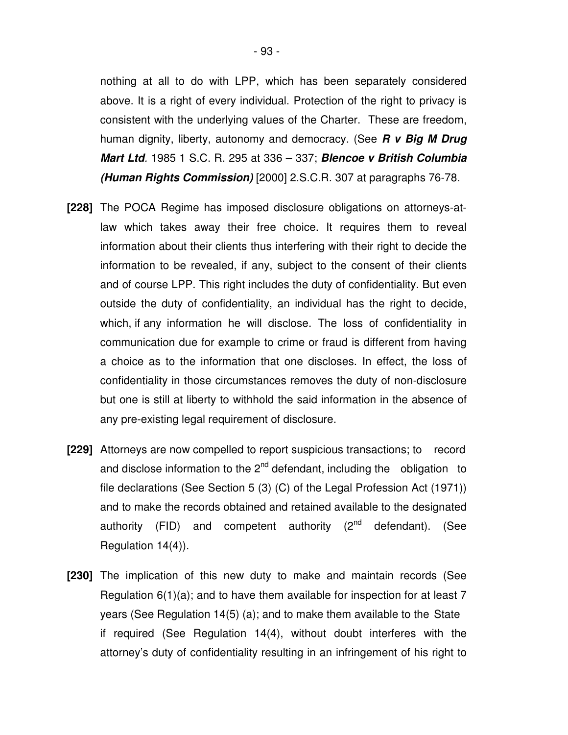nothing at all to do with LPP, which has been separately considered above. It is a right of every individual. Protection of the right to privacy is consistent with the underlying values of the Charter. These are freedom, human dignity, liberty, autonomy and democracy. (See **R v Big M Drug Mart Ltd**. 1985 1 S.C. R. 295 at 336 – 337; **Blencoe v British Columbia (Human Rights Commission)** [2000] 2.S.C.R. 307 at paragraphs 76-78.

- **[228]** The POCA Regime has imposed disclosure obligations on attorneys-at law which takes away their free choice. It requires them to reveal information about their clients thus interfering with their right to decide the information to be revealed, if any, subject to the consent of their clients and of course LPP. This right includes the duty of confidentiality. But even outside the duty of confidentiality, an individual has the right to decide, which, if any information he will disclose. The loss of confidentiality in communication due for example to crime or fraud is different from having a choice as to the information that one discloses. In effect, the loss of confidentiality in those circumstances removes the duty of non-disclosure but one is still at liberty to withhold the said information in the absence of any pre-existing legal requirement of disclosure.
- **[229]** Attorneys are now compelled to report suspicious transactions; to record and disclose information to the  $2<sup>nd</sup>$  defendant, including the obligation to file declarations (See Section 5 (3) (C) of the Legal Profession Act (1971)) and to make the records obtained and retained available to the designated authority (FID) and competent authority (2<sup>nd</sup> defendant). (See Regulation 14(4)).
- **[230]** The implication of this new duty to make and maintain records (See Regulation 6(1)(a); and to have them available for inspection for at least 7 years (See Regulation 14(5) (a); and to make them available to the State if required (See Regulation 14(4), without doubt interferes with the attorney's duty of confidentiality resulting in an infringement of his right to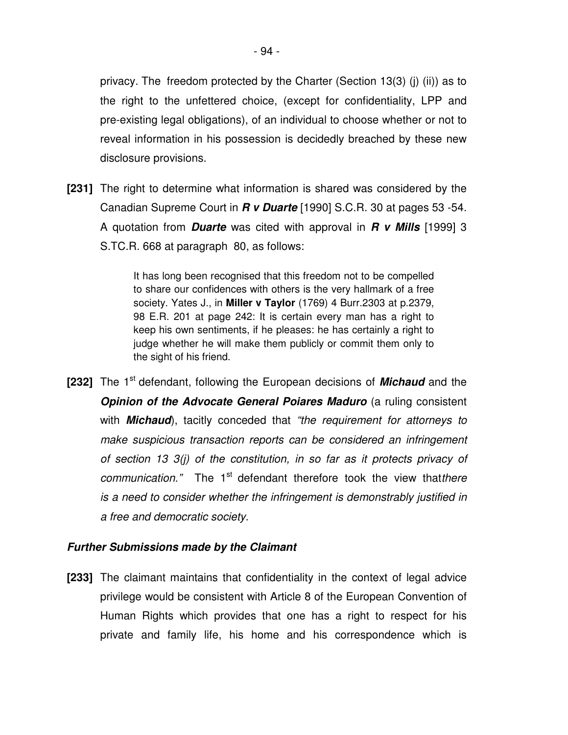privacy. The freedom protected by the Charter (Section 13(3) (j) (ii)) as to the right to the unfettered choice, (except for confidentiality, LPP and pre-existing legal obligations), of an individual to choose whether or not to reveal information in his possession is decidedly breached by these new disclosure provisions.

**[231]** The right to determine what information is shared was considered by the Canadian Supreme Court in **R v Duarte** [1990] S.C.R. 30 at pages 53 -54. A quotation from **Duarte** was cited with approval in **R v Mills** [1999] 3 S.TC.R. 668 at paragraph 80, as follows:

> It has long been recognised that this freedom not to be compelled to share our confidences with others is the very hallmark of a free society. Yates J., in **Miller v Taylor** (1769) 4 Burr.2303 at p.2379, 98 E.R. 201 at page 242: It is certain every man has a right to keep his own sentiments, if he pleases: he has certainly a right to judge whether he will make them publicly or commit them only to the sight of his friend.

**[232]** The 1<sup>st</sup> defendant, following the European decisions of **Michaud** and the **Opinion of the Advocate General Poiares Maduro** (a ruling consistent with **Michaud**), tacitly conceded that "the requirement for attorneys to make suspicious transaction reports can be considered an infringement of section 13 3(j) of the constitution, in so far as it protects privacy of  $commonization$ ." The  $1<sup>st</sup>$  defendant therefore took the view thatthere is a need to consider whether the infringement is demonstrably justified in a free and democratic society.

## **Further Submissions made by the Claimant**

**[233]** The claimant maintains that confidentiality in the context of legal advice privilege would be consistent with Article 8 of the European Convention of Human Rights which provides that one has a right to respect for his private and family life, his home and his correspondence which is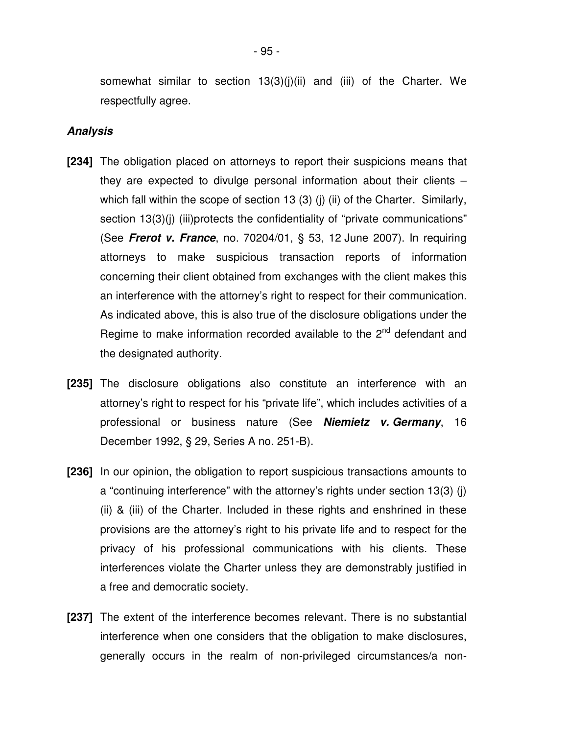somewhat similar to section 13(3)(j)(ii) and (iii) of the Charter. We respectfully agree.

#### **Analysis**

- **[234]** The obligation placed on attorneys to report their suspicions means that they are expected to divulge personal information about their clients  $$ which fall within the scope of section 13 (3) (j) (ii) of the Charter. Similarly, section 13(3)(j) (iii)protects the confidentiality of "private communications" (See **Frerot v. France**, no. 70204/01, § 53, 12 June 2007). In requiring attorneys to make suspicious transaction reports of information concerning their client obtained from exchanges with the client makes this an interference with the attorney's right to respect for their communication. As indicated above, this is also true of the disclosure obligations under the Regime to make information recorded available to the  $2<sup>nd</sup>$  defendant and the designated authority.
- **[235]** The disclosure obligations also constitute an interference with an attorney's right to respect for his "private life", which includes activities of a professional or business nature (See **Niemietz v. Germany**, 16 December 1992, § 29, Series A no. 251-B).
- **[236]** In our opinion, the obligation to report suspicious transactions amounts to a "continuing interference" with the attorney's rights under section 13(3) (j) (ii) & (iii) of the Charter. Included in these rights and enshrined in these provisions are the attorney's right to his private life and to respect for the privacy of his professional communications with his clients. These interferences violate the Charter unless they are demonstrably justified in a free and democratic society.
- **[237]** The extent of the interference becomes relevant. There is no substantial interference when one considers that the obligation to make disclosures, generally occurs in the realm of non-privileged circumstances/a non-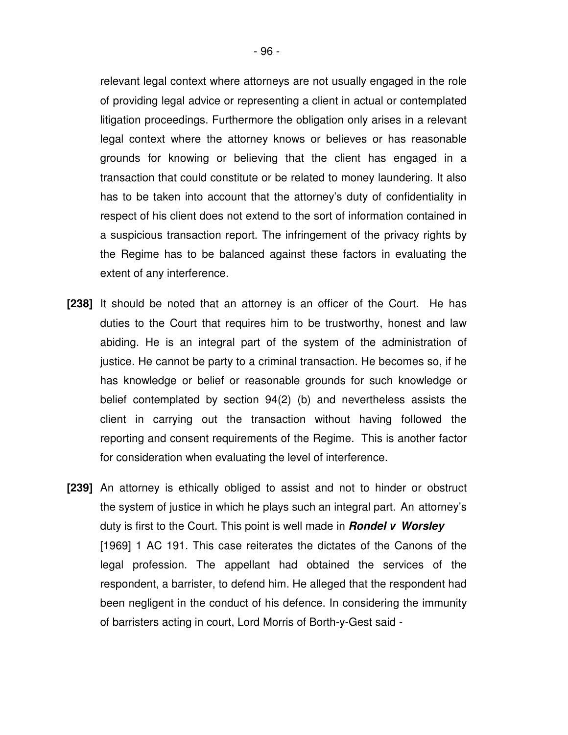relevant legal context where attorneys are not usually engaged in the role of providing legal advice or representing a client in actual or contemplated litigation proceedings. Furthermore the obligation only arises in a relevant legal context where the attorney knows or believes or has reasonable grounds for knowing or believing that the client has engaged in a transaction that could constitute or be related to money laundering. It also has to be taken into account that the attorney's duty of confidentiality in respect of his client does not extend to the sort of information contained in a suspicious transaction report. The infringement of the privacy rights by the Regime has to be balanced against these factors in evaluating the extent of any interference.

- **[238]** It should be noted that an attorney is an officer of the Court. He has duties to the Court that requires him to be trustworthy, honest and law abiding. He is an integral part of the system of the administration of justice. He cannot be party to a criminal transaction. He becomes so, if he has knowledge or belief or reasonable grounds for such knowledge or belief contemplated by section 94(2) (b) and nevertheless assists the client in carrying out the transaction without having followed the reporting and consent requirements of the Regime. This is another factor for consideration when evaluating the level of interference.
- **[239]** An attorney is ethically obliged to assist and not to hinder or obstruct the system of justice in which he plays such an integral part. An attorney's duty is first to the Court. This point is well made in **Rondel v Worsley** [1969] 1 AC 191. This case reiterates the dictates of the Canons of the legal profession. The appellant had obtained the services of the respondent, a barrister, to defend him. He alleged that the respondent had been negligent in the conduct of his defence. In considering the immunity of barristers acting in court, Lord Morris of Borth-y-Gest said -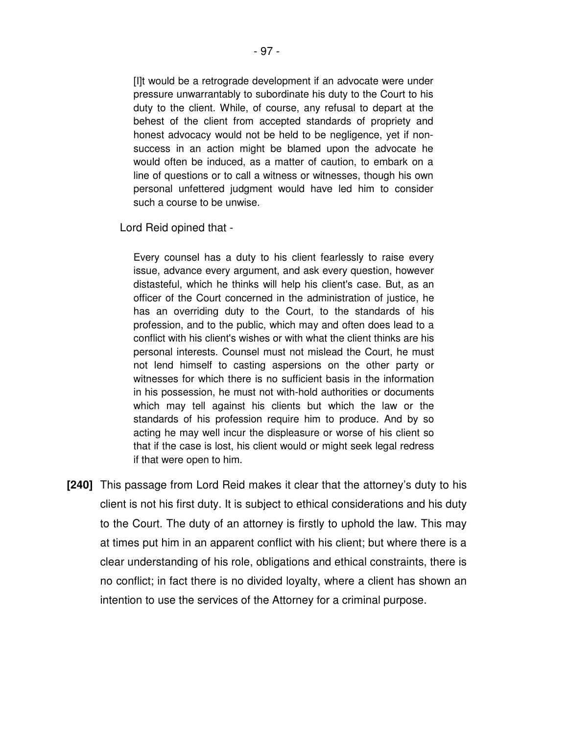[I]t would be a retrograde development if an advocate were under pressure unwarrantably to subordinate his duty to the Court to his duty to the client. While, of course, any refusal to depart at the behest of the client from accepted standards of propriety and honest advocacy would not be held to be negligence, yet if nonsuccess in an action might be blamed upon the advocate he would often be induced, as a matter of caution, to embark on a line of questions or to call a witness or witnesses, though his own personal unfettered judgment would have led him to consider such a course to be unwise.

Lord Reid opined that -

Every counsel has a duty to his client fearlessly to raise every issue, advance every argument, and ask every question, however distasteful, which he thinks will help his client's case. But, as an officer of the Court concerned in the administration of justice, he has an overriding duty to the Court, to the standards of his profession, and to the public, which may and often does lead to a conflict with his client's wishes or with what the client thinks are his personal interests. Counsel must not mislead the Court, he must not lend himself to casting aspersions on the other party or witnesses for which there is no sufficient basis in the information in his possession, he must not with-hold authorities or documents which may tell against his clients but which the law or the standards of his profession require him to produce. And by so acting he may well incur the displeasure or worse of his client so that if the case is lost, his client would or might seek legal redress if that were open to him.

**[240]** This passage from Lord Reid makes it clear that the attorney's duty to his client is not his first duty. It is subject to ethical considerations and his duty to the Court. The duty of an attorney is firstly to uphold the law. This may at times put him in an apparent conflict with his client; but where there is a clear understanding of his role, obligations and ethical constraints, there is no conflict; in fact there is no divided loyalty, where a client has shown an intention to use the services of the Attorney for a criminal purpose.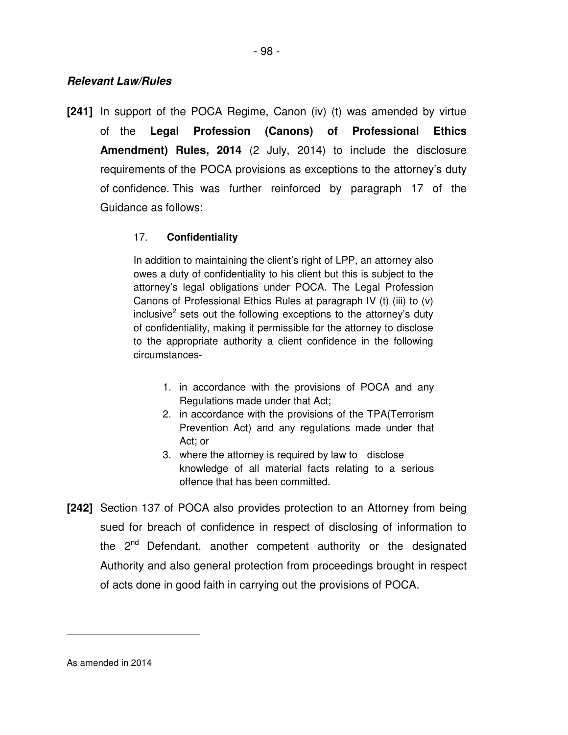## **Relevant Law/Rules**

**[241]** In support of the POCA Regime, Canon (iv) (t) was amended by virtue of the **Legal Profession (Canons) of Professional Ethics Amendment) Rules, 2014** (2 July, 2014) to include the disclosure requirements of the POCA provisions as exceptions to the attorney's duty of confidence. This was further reinforced by paragraph 17 of the Guidance as follows:

## 17. **Confidentiality**

In addition to maintaining the client's right of LPP, an attorney also owes a duty of confidentiality to his client but this is subject to the attorney's legal obligations under POCA. The Legal Profession Canons of Professional Ethics Rules at paragraph IV (t) (iii) to (v) inclusive<sup>2</sup> sets out the following exceptions to the attorney's duty of confidentiality, making it permissible for the attorney to disclose to the appropriate authority a client confidence in the following circumstances-

- 1. in accordance with the provisions of POCA and any Regulations made under that Act;
- 2. in accordance with the provisions of the TPA(Terrorism Prevention Act) and any regulations made under that Act; or
- 3. where the attorney is required by law to disclose knowledge of all material facts relating to a serious offence that has been committed.
- **[242]** Section 137 of POCA also provides protection to an Attorney from being sued for breach of confidence in respect of disclosing of information to the 2<sup>nd</sup> Defendant, another competent authority or the designated Authority and also general protection from proceedings brought in respect of acts done in good faith in carrying out the provisions of POCA.

As amended in 2014

 $\overline{a}$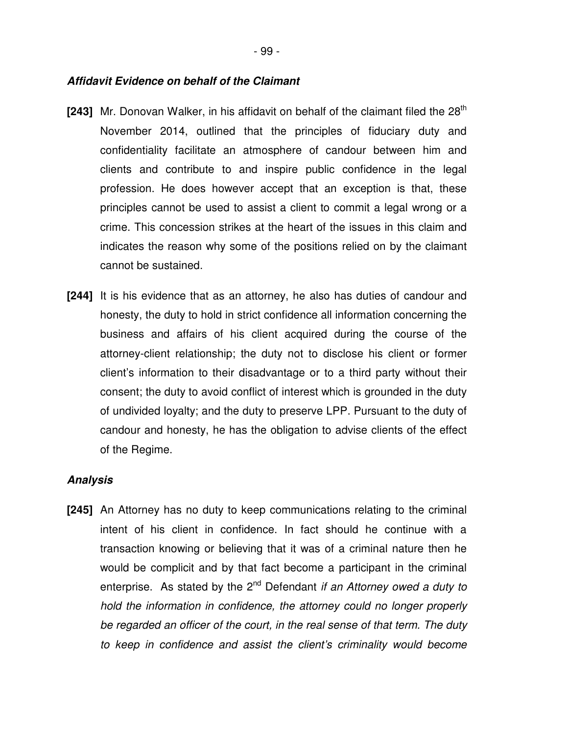## **Affidavit Evidence on behalf of the Claimant**

- **[243]** Mr. Donovan Walker, in his affidavit on behalf of the claimant filed the 28<sup>th</sup> November 2014, outlined that the principles of fiduciary duty and confidentiality facilitate an atmosphere of candour between him and clients and contribute to and inspire public confidence in the legal profession. He does however accept that an exception is that, these principles cannot be used to assist a client to commit a legal wrong or a crime. This concession strikes at the heart of the issues in this claim and indicates the reason why some of the positions relied on by the claimant cannot be sustained.
- **[244]** It is his evidence that as an attorney, he also has duties of candour and honesty, the duty to hold in strict confidence all information concerning the business and affairs of his client acquired during the course of the attorney-client relationship; the duty not to disclose his client or former client's information to their disadvantage or to a third party without their consent; the duty to avoid conflict of interest which is grounded in the duty of undivided loyalty; and the duty to preserve LPP. Pursuant to the duty of candour and honesty, he has the obligation to advise clients of the effect of the Regime.

#### **Analysis**

**[245]** An Attorney has no duty to keep communications relating to the criminal intent of his client in confidence. In fact should he continue with a transaction knowing or believing that it was of a criminal nature then he would be complicit and by that fact become a participant in the criminal enterprise. As stated by the  $2<sup>nd</sup>$  Defendant if an Attorney owed a duty to hold the information in confidence, the attorney could no longer properly be regarded an officer of the court, in the real sense of that term. The duty to keep in confidence and assist the client's criminality would become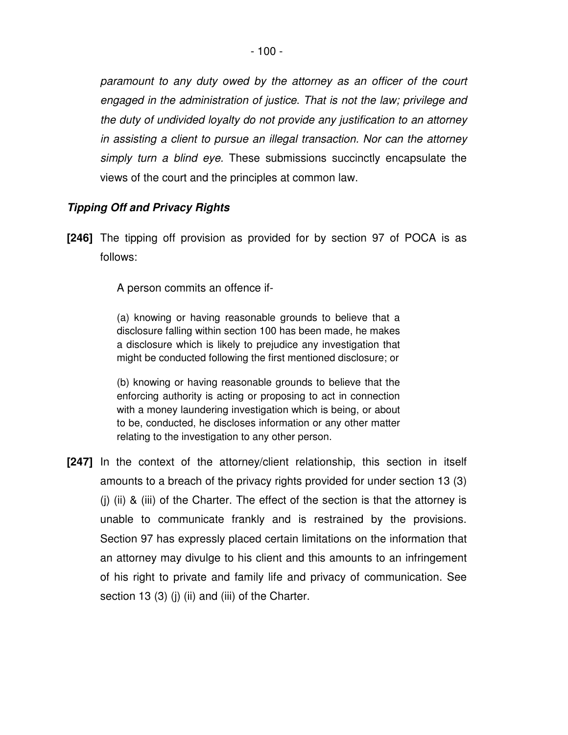paramount to any duty owed by the attorney as an officer of the court engaged in the administration of justice. That is not the law; privilege and the duty of undivided loyalty do not provide any justification to an attorney in assisting a client to pursue an illegal transaction. Nor can the attorney simply turn a blind eye. These submissions succinctly encapsulate the views of the court and the principles at common law.

## **Tipping Off and Privacy Rights**

**[246]** The tipping off provision as provided for by section 97 of POCA is as follows:

A person commits an offence if-

(a) knowing or having reasonable grounds to believe that a disclosure falling within section 100 has been made, he makes a disclosure which is likely to prejudice any investigation that might be conducted following the first mentioned disclosure; or

 (b) knowing or having reasonable grounds to believe that the enforcing authority is acting or proposing to act in connection with a money laundering investigation which is being, or about to be, conducted, he discloses information or any other matter relating to the investigation to any other person.

**[247]** In the context of the attorney/client relationship, this section in itself amounts to a breach of the privacy rights provided for under section 13 (3) (j) (ii) & (iii) of the Charter. The effect of the section is that the attorney is unable to communicate frankly and is restrained by the provisions. Section 97 has expressly placed certain limitations on the information that an attorney may divulge to his client and this amounts to an infringement of his right to private and family life and privacy of communication. See section 13 (3) (j) (ii) and (iii) of the Charter.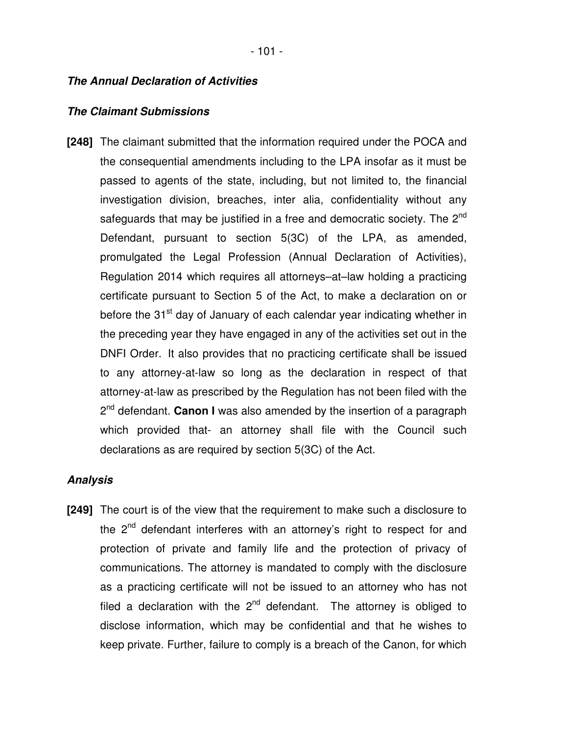#### **The Annual Declaration of Activities**

#### **The Claimant Submissions**

**[248]** The claimant submitted that the information required under the POCA and the consequential amendments including to the LPA insofar as it must be passed to agents of the state, including, but not limited to, the financial investigation division, breaches, inter alia, confidentiality without any safeguards that may be justified in a free and democratic society. The  $2^{n\alpha}$ Defendant, pursuant to section 5(3C) of the LPA, as amended, promulgated the Legal Profession (Annual Declaration of Activities), Regulation 2014 which requires all attorneys–at–law holding a practicing certificate pursuant to Section 5 of the Act, to make a declaration on or before the 31<sup>st</sup> day of January of each calendar year indicating whether in the preceding year they have engaged in any of the activities set out in the DNFI Order. It also provides that no practicing certificate shall be issued to any attorney-at-law so long as the declaration in respect of that attorney-at-law as prescribed by the Regulation has not been filed with the 2<sup>nd</sup> defendant. **Canon I** was also amended by the insertion of a paragraph which provided that- an attorney shall file with the Council such declarations as are required by section 5(3C) of the Act.

## **Analysis**

**[249]** The court is of the view that the requirement to make such a disclosure to the 2<sup>nd</sup> defendant interferes with an attorney's right to respect for and protection of private and family life and the protection of privacy of communications. The attorney is mandated to comply with the disclosure as a practicing certificate will not be issued to an attorney who has not filed a declaration with the  $2<sup>nd</sup>$  defendant. The attorney is obliged to disclose information, which may be confidential and that he wishes to keep private. Further, failure to comply is a breach of the Canon, for which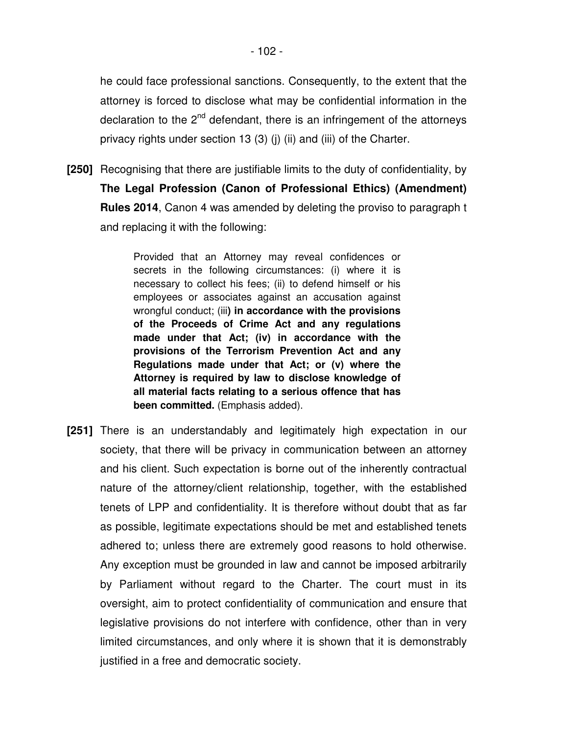he could face professional sanctions. Consequently, to the extent that the attorney is forced to disclose what may be confidential information in the declaration to the  $2^{nd}$  defendant, there is an infringement of the attorneys privacy rights under section 13 (3) (j) (ii) and (iii) of the Charter.

**[250]** Recognising that there are justifiable limits to the duty of confidentiality, by **The Legal Profession (Canon of Professional Ethics) (Amendment) Rules 2014**, Canon 4 was amended by deleting the proviso to paragraph t and replacing it with the following:

> Provided that an Attorney may reveal confidences or secrets in the following circumstances: (i) where it is necessary to collect his fees; (ii) to defend himself or his employees or associates against an accusation against wrongful conduct; (iii**) in accordance with the provisions of the Proceeds of Crime Act and any regulations made under that Act; (iv) in accordance with the provisions of the Terrorism Prevention Act and any Regulations made under that Act; or (v) where the Attorney is required by law to disclose knowledge of all material facts relating to a serious offence that has been committed.** (Emphasis added).

**[251]** There is an understandably and legitimately high expectation in our society, that there will be privacy in communication between an attorney and his client. Such expectation is borne out of the inherently contractual nature of the attorney/client relationship, together, with the established tenets of LPP and confidentiality. It is therefore without doubt that as far as possible, legitimate expectations should be met and established tenets adhered to; unless there are extremely good reasons to hold otherwise. Any exception must be grounded in law and cannot be imposed arbitrarily by Parliament without regard to the Charter. The court must in its oversight, aim to protect confidentiality of communication and ensure that legislative provisions do not interfere with confidence, other than in very limited circumstances, and only where it is shown that it is demonstrably justified in a free and democratic society.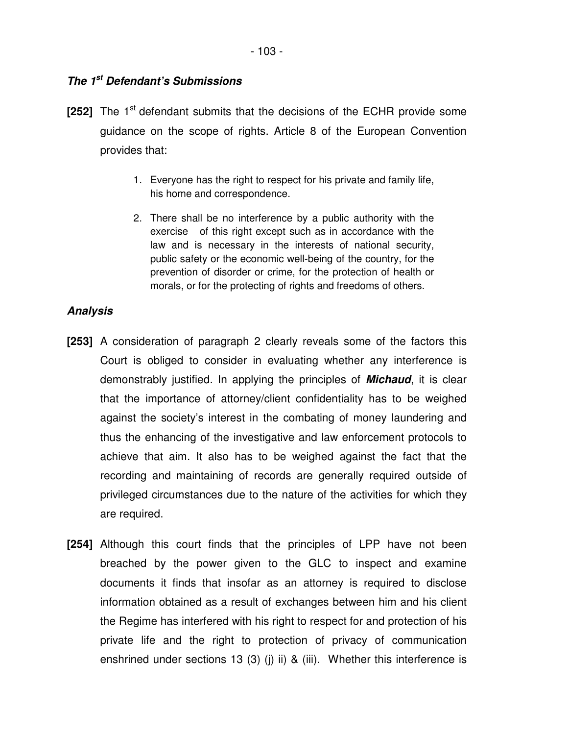## **The 1st Defendant's Submissions**

- **[252]** The 1<sup>st</sup> defendant submits that the decisions of the ECHR provide some guidance on the scope of rights. Article 8 of the European Convention provides that:
	- 1. Everyone has the right to respect for his private and family life, his home and correspondence.
	- 2. There shall be no interference by a public authority with the exercise of this right except such as in accordance with the law and is necessary in the interests of national security, public safety or the economic well-being of the country, for the prevention of disorder or crime, for the protection of health or morals, or for the protecting of rights and freedoms of others.

# **Analysis**

- **[253]** A consideration of paragraph 2 clearly reveals some of the factors this Court is obliged to consider in evaluating whether any interference is demonstrably justified. In applying the principles of **Michaud**, it is clear that the importance of attorney/client confidentiality has to be weighed against the society's interest in the combating of money laundering and thus the enhancing of the investigative and law enforcement protocols to achieve that aim. It also has to be weighed against the fact that the recording and maintaining of records are generally required outside of privileged circumstances due to the nature of the activities for which they are required.
- **[254]** Although this court finds that the principles of LPP have not been breached by the power given to the GLC to inspect and examine documents it finds that insofar as an attorney is required to disclose information obtained as a result of exchanges between him and his client the Regime has interfered with his right to respect for and protection of his private life and the right to protection of privacy of communication enshrined under sections 13 (3) (j) ii) & (iii). Whether this interference is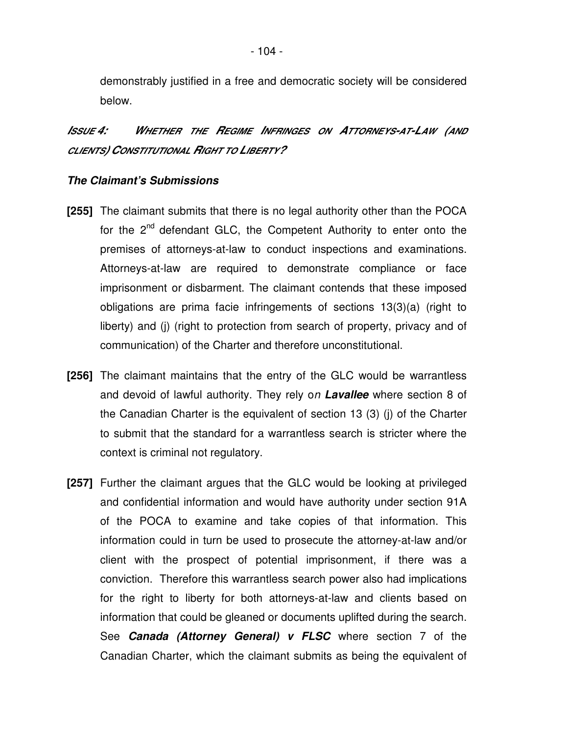demonstrably justified in a free and democratic society will be considered below.

**ISSUE 4: WHETHER THE REGIME INFRINGES ON ATTORNEYS-AT-LAW (AND CLIENTS) CONSTITUTIONAL RIGHT TO LIBERTY?** 

#### **The Claimant's Submissions**

- **[255]** The claimant submits that there is no legal authority other than the POCA for the 2<sup>nd</sup> defendant GLC, the Competent Authority to enter onto the premises of attorneys-at-law to conduct inspections and examinations. Attorneys-at-law are required to demonstrate compliance or face imprisonment or disbarment. The claimant contends that these imposed obligations are prima facie infringements of sections 13(3)(a) (right to liberty) and (j) (right to protection from search of property, privacy and of communication) of the Charter and therefore unconstitutional.
- **[256]** The claimant maintains that the entry of the GLC would be warrantless and devoid of lawful authority. They rely on **Lavallee** where section 8 of the Canadian Charter is the equivalent of section 13 (3) (j) of the Charter to submit that the standard for a warrantless search is stricter where the context is criminal not regulatory.
- **[257]** Further the claimant argues that the GLC would be looking at privileged and confidential information and would have authority under section 91A of the POCA to examine and take copies of that information. This information could in turn be used to prosecute the attorney-at-law and/or client with the prospect of potential imprisonment, if there was a conviction. Therefore this warrantless search power also had implications for the right to liberty for both attorneys-at-law and clients based on information that could be gleaned or documents uplifted during the search. See **Canada (Attorney General) v FLSC** where section 7 of the Canadian Charter, which the claimant submits as being the equivalent of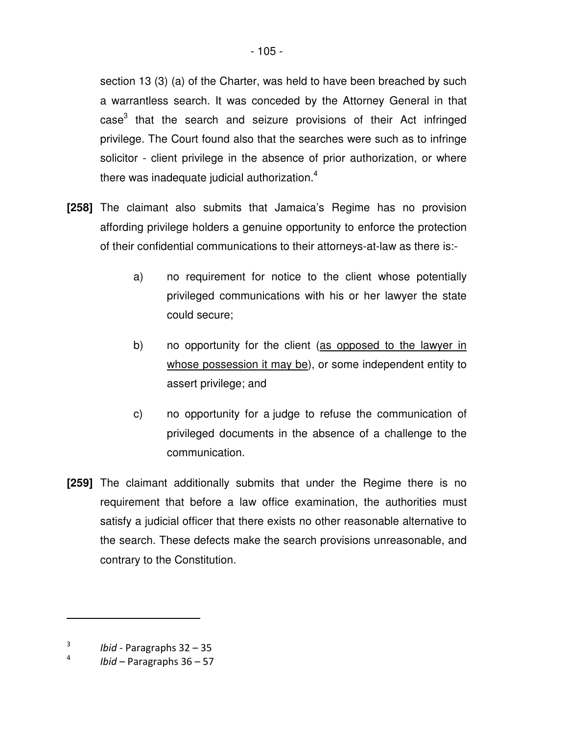section 13 (3) (a) of the Charter, was held to have been breached by such a warrantless search. It was conceded by the Attorney General in that case<sup>3</sup> that the search and seizure provisions of their Act infringed privilege. The Court found also that the searches were such as to infringe solicitor - client privilege in the absence of prior authorization, or where there was inadequate judicial authorization. $4$ 

- **[258]** The claimant also submits that Jamaica's Regime has no provision affording privilege holders a genuine opportunity to enforce the protection of their confidential communications to their attorneys-at-law as there is:
	- a) no requirement for notice to the client whose potentially privileged communications with his or her lawyer the state could secure;
	- b) no opportunity for the client (as opposed to the lawyer in whose possession it may be), or some independent entity to assert privilege; and
	- c) no opportunity for a judge to refuse the communication of privileged documents in the absence of a challenge to the communication.
- **[259]** The claimant additionally submits that under the Regime there is no requirement that before a law office examination, the authorities must satisfy a judicial officer that there exists no other reasonable alternative to the search. These defects make the search provisions unreasonable, and contrary to the Constitution.

 $\overline{a}$ 

<sup>3</sup> Ibid - Paragraphs 32 – 35

<sup>4</sup> Ibid – Paragraphs 36 – 57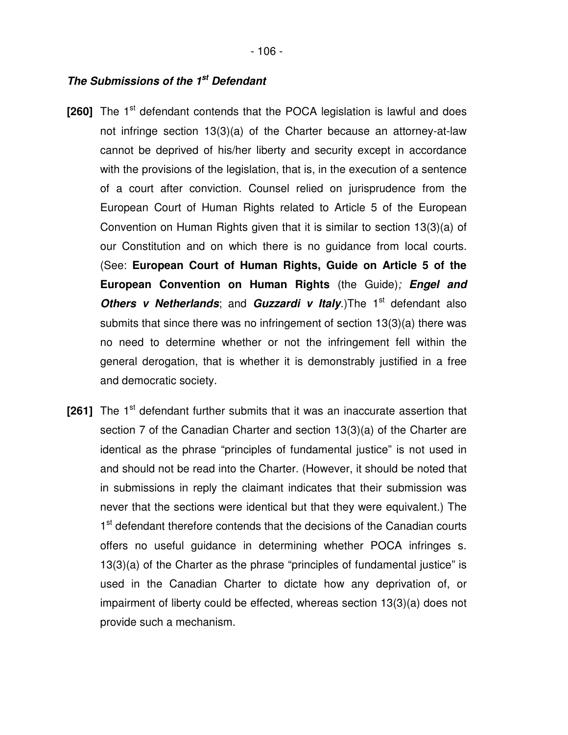## **The Submissions of the 1st Defendant**

- **[260]** The 1<sup>st</sup> defendant contends that the POCA legislation is lawful and does not infringe section 13(3)(a) of the Charter because an attorney-at-law cannot be deprived of his/her liberty and security except in accordance with the provisions of the legislation, that is, in the execution of a sentence of a court after conviction. Counsel relied on jurisprudence from the European Court of Human Rights related to Article 5 of the European Convention on Human Rights given that it is similar to section 13(3)(a) of our Constitution and on which there is no guidance from local courts. (See: **European Court of Human Rights, Guide on Article 5 of the European Convention on Human Rights** (the Guide); **Engel and Others v Netherlands**; and **Guzzardi v Italy**.)The 1<sup>st</sup> defendant also submits that since there was no infringement of section 13(3)(a) there was no need to determine whether or not the infringement fell within the general derogation, that is whether it is demonstrably justified in a free and democratic society.
- **[261]** The 1<sup>st</sup> defendant further submits that it was an inaccurate assertion that section 7 of the Canadian Charter and section 13(3)(a) of the Charter are identical as the phrase "principles of fundamental justice" is not used in and should not be read into the Charter. (However, it should be noted that in submissions in reply the claimant indicates that their submission was never that the sections were identical but that they were equivalent.) The 1<sup>st</sup> defendant therefore contends that the decisions of the Canadian courts offers no useful guidance in determining whether POCA infringes s. 13(3)(a) of the Charter as the phrase "principles of fundamental justice" is used in the Canadian Charter to dictate how any deprivation of, or impairment of liberty could be effected, whereas section 13(3)(a) does not provide such a mechanism.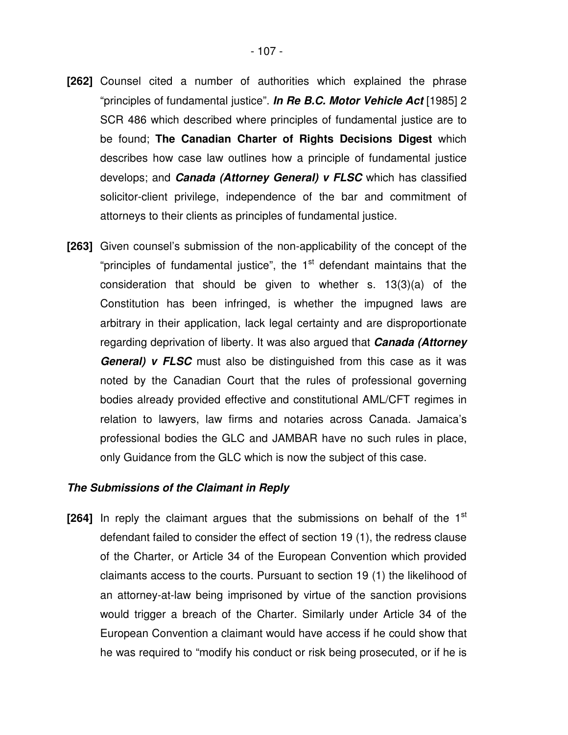- **[262]** Counsel cited a number of authorities which explained the phrase "principles of fundamental justice". **In Re B.C. Motor Vehicle Act** [1985] 2 SCR 486 which described where principles of fundamental justice are to be found; **The Canadian Charter of Rights Decisions Digest** which describes how case law outlines how a principle of fundamental justice develops; and **Canada (Attorney General) v FLSC** which has classified solicitor-client privilege, independence of the bar and commitment of attorneys to their clients as principles of fundamental justice.
- **[263]** Given counsel's submission of the non-applicability of the concept of the "principles of fundamental justice", the  $1<sup>st</sup>$  defendant maintains that the consideration that should be given to whether s. 13(3)(a) of the Constitution has been infringed, is whether the impugned laws are arbitrary in their application, lack legal certainty and are disproportionate regarding deprivation of liberty. It was also argued that **Canada (Attorney General) v FLSC** must also be distinguished from this case as it was noted by the Canadian Court that the rules of professional governing bodies already provided effective and constitutional AML/CFT regimes in relation to lawyers, law firms and notaries across Canada. Jamaica's professional bodies the GLC and JAMBAR have no such rules in place, only Guidance from the GLC which is now the subject of this case.

#### **The Submissions of the Claimant in Reply**

[264] In reply the claimant argues that the submissions on behalf of the 1<sup>st</sup> defendant failed to consider the effect of section 19 (1), the redress clause of the Charter, or Article 34 of the European Convention which provided claimants access to the courts. Pursuant to section 19 (1) the likelihood of an attorney-at-law being imprisoned by virtue of the sanction provisions would trigger a breach of the Charter. Similarly under Article 34 of the European Convention a claimant would have access if he could show that he was required to "modify his conduct or risk being prosecuted, or if he is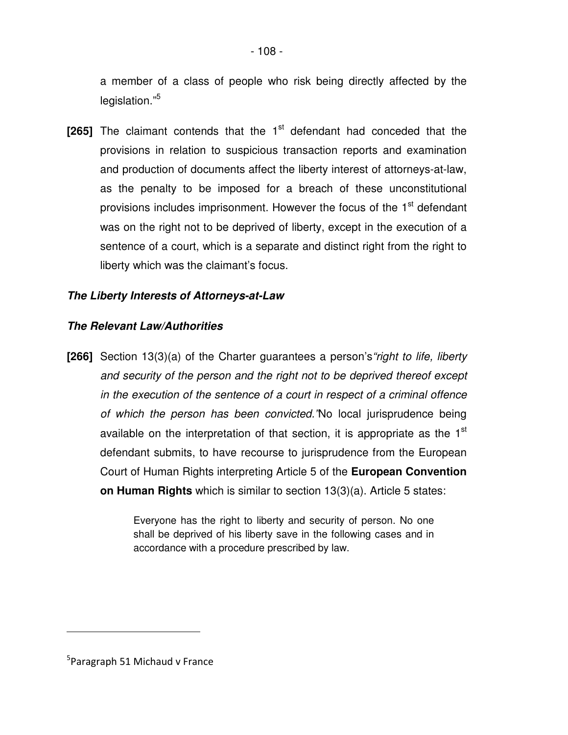a member of a class of people who risk being directly affected by the legislation."<sup>5</sup>

[265] The claimant contends that the 1<sup>st</sup> defendant had conceded that the provisions in relation to suspicious transaction reports and examination and production of documents affect the liberty interest of attorneys-at-law, as the penalty to be imposed for a breach of these unconstitutional provisions includes imprisonment. However the focus of the 1<sup>st</sup> defendant was on the right not to be deprived of liberty, except in the execution of a sentence of a court, which is a separate and distinct right from the right to liberty which was the claimant's focus.

## **The Liberty Interests of Attorneys-at-Law**

## **The Relevant Law/Authorities**

**[266]** Section 13(3)(a) of the Charter guarantees a person's"right to life, liberty and security of the person and the right not to be deprived thereof except in the execution of the sentence of a court in respect of a criminal offence of which the person has been convicted."No local jurisprudence being available on the interpretation of that section, it is appropriate as the  $1<sup>st</sup>$ defendant submits, to have recourse to jurisprudence from the European Court of Human Rights interpreting Article 5 of the **European Convention on Human Rights** which is similar to section 13(3)(a). Article 5 states:

> Everyone has the right to liberty and security of person. No one shall be deprived of his liberty save in the following cases and in accordance with a procedure prescribed by law.

 $\overline{a}$ 

<sup>&</sup>lt;sup>5</sup>Paragraph 51 Michaud v France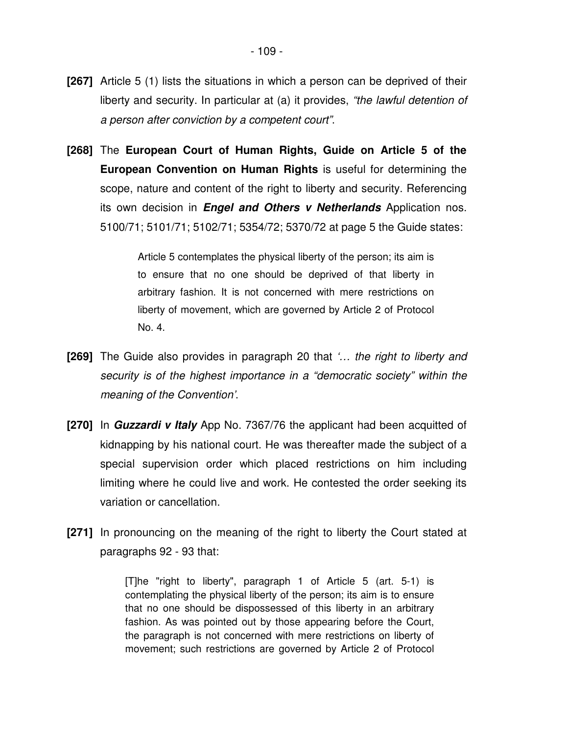- **[267]** Article 5 (1) lists the situations in which a person can be deprived of their liberty and security. In particular at (a) it provides, "the lawful detention of a person after conviction by a competent court".
- **[268]** The **European Court of Human Rights, Guide on Article 5 of the European Convention on Human Rights** is useful for determining the scope, nature and content of the right to liberty and security. Referencing its own decision in **Engel and Others v Netherlands** Application nos. 5100/71; 5101/71; 5102/71; 5354/72; 5370/72 at page 5 the Guide states:

Article 5 contemplates the physical liberty of the person; its aim is to ensure that no one should be deprived of that liberty in arbitrary fashion. It is not concerned with mere restrictions on liberty of movement, which are governed by Article 2 of Protocol No. 4.

- **[269]** The Guide also provides in paragraph 20 that '… the right to liberty and security is of the highest importance in a "democratic society" within the meaning of the Convention'.
- **[270]** In **Guzzardi v Italy** App No. 7367/76 the applicant had been acquitted of kidnapping by his national court. He was thereafter made the subject of a special supervision order which placed restrictions on him including limiting where he could live and work. He contested the order seeking its variation or cancellation.
- **[271]** In pronouncing on the meaning of the right to liberty the Court stated at paragraphs 92 - 93 that:

[T]he "right to liberty", paragraph 1 of Article 5 (art. 5-1) is contemplating the physical liberty of the person; its aim is to ensure that no one should be dispossessed of this liberty in an arbitrary fashion. As was pointed out by those appearing before the Court, the paragraph is not concerned with mere restrictions on liberty of movement; such restrictions are governed by Article 2 of Protocol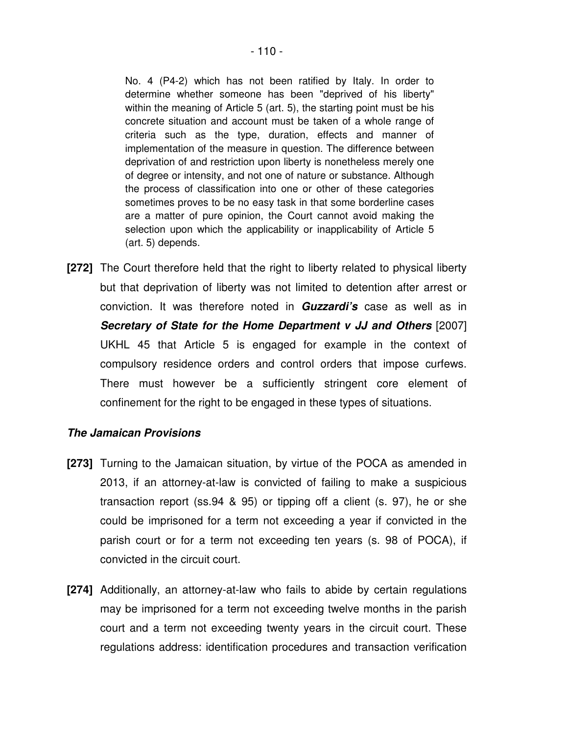No. 4 (P4-2) which has not been ratified by Italy. In order to determine whether someone has been "deprived of his liberty" within the meaning of Article 5 (art. 5), the starting point must be his concrete situation and account must be taken of a whole range of criteria such as the type, duration, effects and manner of implementation of the measure in question. The difference between deprivation of and restriction upon liberty is nonetheless merely one of degree or intensity, and not one of nature or substance. Although the process of classification into one or other of these categories sometimes proves to be no easy task in that some borderline cases are a matter of pure opinion, the Court cannot avoid making the selection upon which the applicability or inapplicability of Article 5 (art. 5) depends.

**[272]** The Court therefore held that the right to liberty related to physical liberty but that deprivation of liberty was not limited to detention after arrest or conviction. It was therefore noted in **Guzzardi's** case as well as in **Secretary of State for the Home Department v JJ and Others** [2007] UKHL 45 that Article 5 is engaged for example in the context of compulsory residence orders and control orders that impose curfews. There must however be a sufficiently stringent core element of confinement for the right to be engaged in these types of situations.

## **The Jamaican Provisions**

- **[273]** Turning to the Jamaican situation, by virtue of the POCA as amended in 2013, if an attorney-at-law is convicted of failing to make a suspicious transaction report (ss.94 & 95) or tipping off a client (s. 97), he or she could be imprisoned for a term not exceeding a year if convicted in the parish court or for a term not exceeding ten years (s. 98 of POCA), if convicted in the circuit court.
- **[274]** Additionally, an attorney-at-law who fails to abide by certain regulations may be imprisoned for a term not exceeding twelve months in the parish court and a term not exceeding twenty years in the circuit court. These regulations address: identification procedures and transaction verification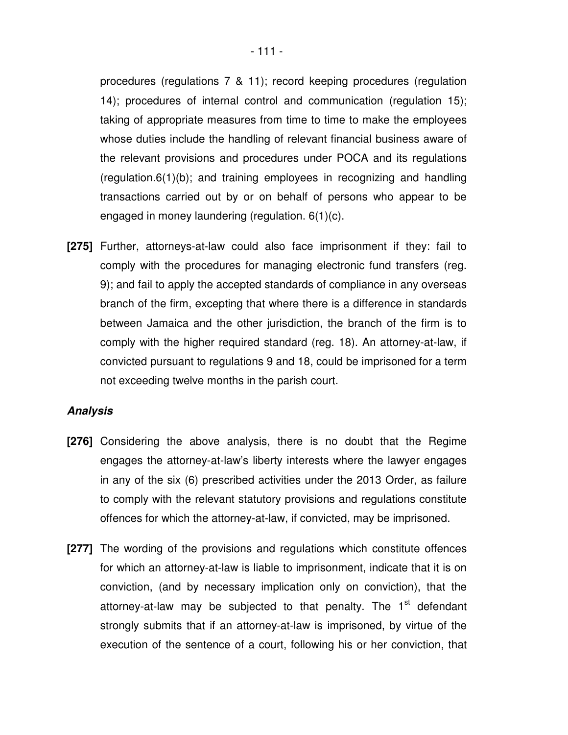procedures (regulations 7 & 11); record keeping procedures (regulation 14); procedures of internal control and communication (regulation 15); taking of appropriate measures from time to time to make the employees whose duties include the handling of relevant financial business aware of the relevant provisions and procedures under POCA and its regulations (regulation.6(1)(b); and training employees in recognizing and handling transactions carried out by or on behalf of persons who appear to be engaged in money laundering (regulation. 6(1)(c).

**[275]** Further, attorneys-at-law could also face imprisonment if they: fail to comply with the procedures for managing electronic fund transfers (reg. 9); and fail to apply the accepted standards of compliance in any overseas branch of the firm, excepting that where there is a difference in standards between Jamaica and the other jurisdiction, the branch of the firm is to comply with the higher required standard (reg. 18). An attorney-at-law, if convicted pursuant to regulations 9 and 18, could be imprisoned for a term not exceeding twelve months in the parish court.

#### **Analysis**

- **[276]** Considering the above analysis, there is no doubt that the Regime engages the attorney-at-law's liberty interests where the lawyer engages in any of the six (6) prescribed activities under the 2013 Order, as failure to comply with the relevant statutory provisions and regulations constitute offences for which the attorney-at-law, if convicted, may be imprisoned.
- **[277]** The wording of the provisions and regulations which constitute offences for which an attorney-at-law is liable to imprisonment, indicate that it is on conviction, (and by necessary implication only on conviction), that the attorney-at-law may be subjected to that penalty. The 1<sup>st</sup> defendant strongly submits that if an attorney-at-law is imprisoned, by virtue of the execution of the sentence of a court, following his or her conviction, that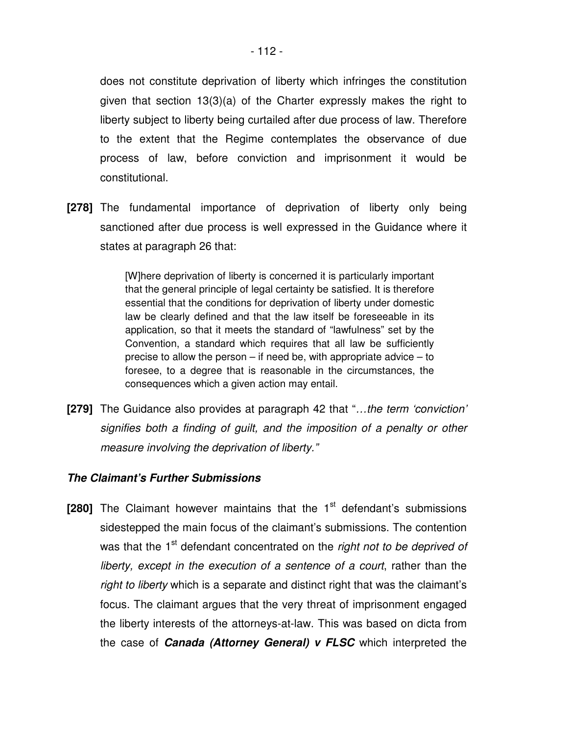does not constitute deprivation of liberty which infringes the constitution given that section 13(3)(a) of the Charter expressly makes the right to liberty subject to liberty being curtailed after due process of law. Therefore to the extent that the Regime contemplates the observance of due process of law, before conviction and imprisonment it would be constitutional.

**[278]** The fundamental importance of deprivation of liberty only being sanctioned after due process is well expressed in the Guidance where it states at paragraph 26 that:

> [W]here deprivation of liberty is concerned it is particularly important that the general principle of legal certainty be satisfied. It is therefore essential that the conditions for deprivation of liberty under domestic law be clearly defined and that the law itself be foreseeable in its application, so that it meets the standard of "lawfulness" set by the Convention, a standard which requires that all law be sufficiently precise to allow the person – if need be, with appropriate advice – to foresee, to a degree that is reasonable in the circumstances, the consequences which a given action may entail.

**[279]** The Guidance also provides at paragraph 42 that "…the term 'conviction' signifies both a finding of guilt, and the imposition of a penalty or other measure involving the deprivation of liberty."

#### **The Claimant's Further Submissions**

**[280]** The Claimant however maintains that the 1<sup>st</sup> defendant's submissions sidestepped the main focus of the claimant's submissions. The contention was that the 1<sup>st</sup> defendant concentrated on the right not to be deprived of liberty, except in the execution of a sentence of a court, rather than the right to liberty which is a separate and distinct right that was the claimant's focus. The claimant argues that the very threat of imprisonment engaged the liberty interests of the attorneys-at-law. This was based on dicta from the case of **Canada (Attorney General) v FLSC** which interpreted the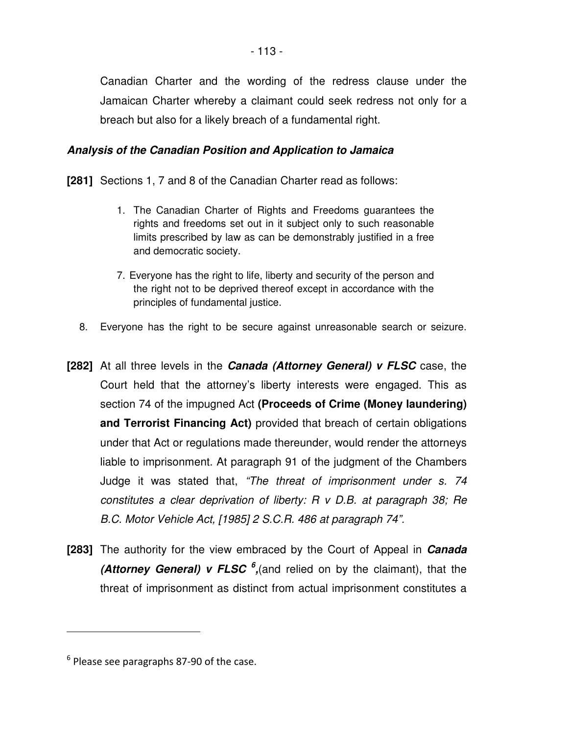Canadian Charter and the wording of the redress clause under the Jamaican Charter whereby a claimant could seek redress not only for a breach but also for a likely breach of a fundamental right.

# **Analysis of the Canadian Position and Application to Jamaica**

- **[281]** Sections 1, 7 and 8 of the Canadian Charter read as follows:
	- 1. The Canadian Charter of Rights and Freedoms guarantees the rights and freedoms set out in it subject only to such reasonable limits prescribed by law as can be demonstrably justified in a free and democratic society.
	- 7. Everyone has the right to life, liberty and security of the person and the right not to be deprived thereof except in accordance with the principles of fundamental justice.
	- 8. Everyone has the right to be secure against unreasonable search or seizure.
- **[282]** At all three levels in the **Canada (Attorney General) v FLSC** case, the Court held that the attorney's liberty interests were engaged. This as section 74 of the impugned Act **(Proceeds of Crime (Money laundering) and Terrorist Financing Act)** provided that breach of certain obligations under that Act or regulations made thereunder, would render the attorneys liable to imprisonment. At paragraph 91 of the judgment of the Chambers Judge it was stated that, "The threat of imprisonment under s. 74 constitutes a clear deprivation of liberty: R v D.B. at paragraph 38; Re B.C. Motor Vehicle Act, [1985] 2 S.C.R. 486 at paragraph 74".
- **[283]** The authority for the view embraced by the Court of Appeal in **Canada (Attorney General) v FLSC <sup>6</sup>**, (and relied on by the claimant), that the threat of imprisonment as distinct from actual imprisonment constitutes a

 $\overline{a}$ 

 $<sup>6</sup>$  Please see paragraphs 87-90 of the case.</sup>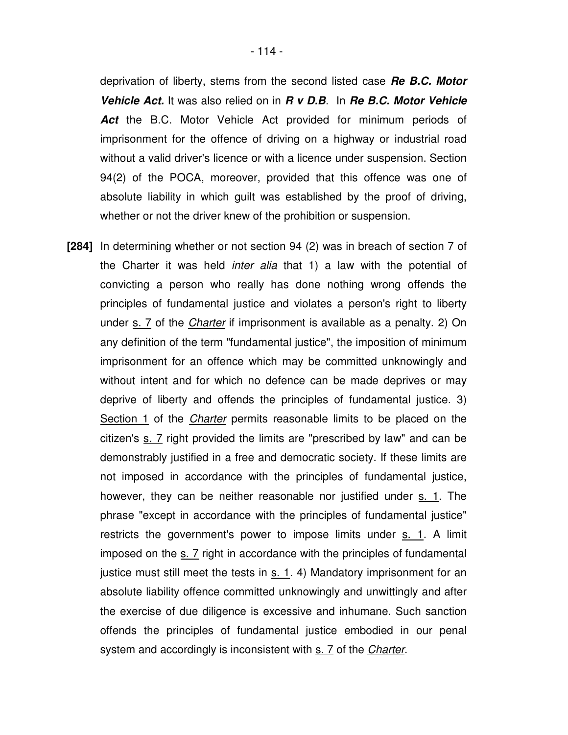deprivation of liberty, stems from the second listed case **Re B.C. Motor Vehicle Act.** It was also relied on in **R v D.B**. In **Re B.C. Motor Vehicle Act** the B.C. Motor Vehicle Act provided for minimum periods of imprisonment for the offence of driving on a highway or industrial road without a valid driver's licence or with a licence under suspension. Section 94(2) of the POCA, moreover, provided that this offence was one of absolute liability in which guilt was established by the proof of driving, whether or not the driver knew of the prohibition or suspension.

**[284]** In determining whether or not section 94 (2) was in breach of section 7 of the Charter it was held inter alia that 1) a law with the potential of convicting a person who really has done nothing wrong offends the principles of fundamental justice and violates a person's right to liberty under s. 7 of the Charter if imprisonment is available as a penalty. 2) On any definition of the term "fundamental justice", the imposition of minimum imprisonment for an offence which may be committed unknowingly and without intent and for which no defence can be made deprives or may deprive of liberty and offends the principles of fundamental justice. 3) Section 1 of the *Charter* permits reasonable limits to be placed on the citizen's s. 7 right provided the limits are "prescribed by law" and can be demonstrably justified in a free and democratic society. If these limits are not imposed in accordance with the principles of fundamental justice, however, they can be neither reasonable nor justified under s. 1. The phrase "except in accordance with the principles of fundamental justice" restricts the government's power to impose limits under s. 1. A limit imposed on the s. 7 right in accordance with the principles of fundamental justice must still meet the tests in s. 1. 4) Mandatory imprisonment for an absolute liability offence committed unknowingly and unwittingly and after the exercise of due diligence is excessive and inhumane. Such sanction offends the principles of fundamental justice embodied in our penal system and accordingly is inconsistent with s. 7 of the *Charter*.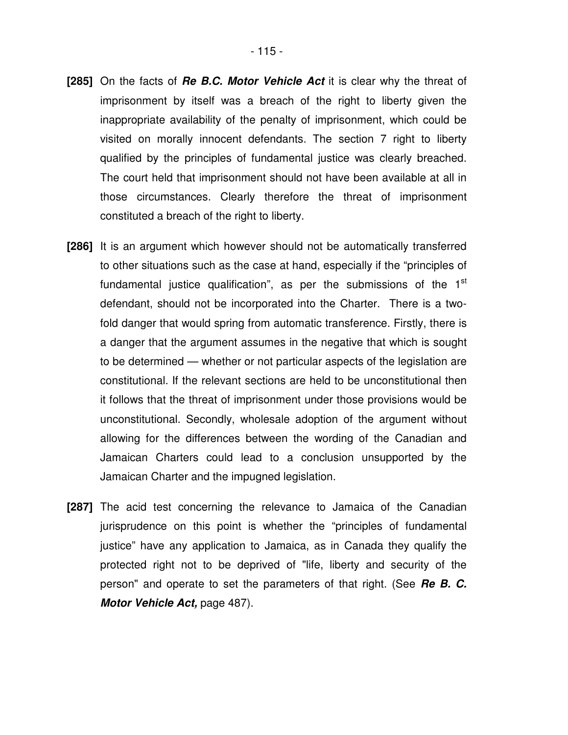- **[285]** On the facts of **Re B.C. Motor Vehicle Act** it is clear why the threat of imprisonment by itself was a breach of the right to liberty given the inappropriate availability of the penalty of imprisonment, which could be visited on morally innocent defendants. The section 7 right to liberty qualified by the principles of fundamental justice was clearly breached. The court held that imprisonment should not have been available at all in those circumstances. Clearly therefore the threat of imprisonment constituted a breach of the right to liberty.
- **[286]** It is an argument which however should not be automatically transferred to other situations such as the case at hand, especially if the "principles of fundamental justice qualification", as per the submissions of the  $1<sup>st</sup>$ defendant, should not be incorporated into the Charter. There is a twofold danger that would spring from automatic transference. Firstly, there is a danger that the argument assumes in the negative that which is sought to be determined — whether or not particular aspects of the legislation are constitutional. If the relevant sections are held to be unconstitutional then it follows that the threat of imprisonment under those provisions would be unconstitutional. Secondly, wholesale adoption of the argument without allowing for the differences between the wording of the Canadian and Jamaican Charters could lead to a conclusion unsupported by the Jamaican Charter and the impugned legislation.
- **[287]** The acid test concerning the relevance to Jamaica of the Canadian jurisprudence on this point is whether the "principles of fundamental justice" have any application to Jamaica, as in Canada they qualify the protected right not to be deprived of "life, liberty and security of the person" and operate to set the parameters of that right. (See **Re B. C. Motor Vehicle Act,** page 487).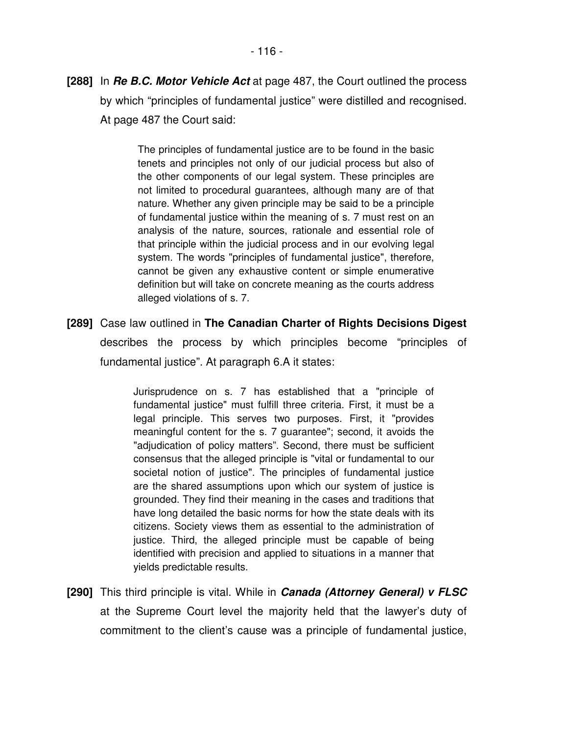**[288]** In **Re B.C. Motor Vehicle Act** at page 487, the Court outlined the process by which "principles of fundamental justice" were distilled and recognised. At page 487 the Court said:

> The principles of fundamental justice are to be found in the basic tenets and principles not only of our judicial process but also of the other components of our legal system. These principles are not limited to procedural guarantees, although many are of that nature. Whether any given principle may be said to be a principle of fundamental justice within the meaning of s. 7 must rest on an analysis of the nature, sources, rationale and essential role of that principle within the judicial process and in our evolving legal system. The words "principles of fundamental justice", therefore, cannot be given any exhaustive content or simple enumerative definition but will take on concrete meaning as the courts address alleged violations of s. 7.

**[289]** Case law outlined in **The Canadian Charter of Rights Decisions Digest**  describes the process by which principles become "principles of fundamental justice". At paragraph 6.A it states:

> Jurisprudence on s. 7 has established that a "principle of fundamental justice" must fulfill three criteria. First, it must be a legal principle. This serves two purposes. First, it "provides meaningful content for the s. 7 guarantee"; second, it avoids the "adjudication of policy matters". Second, there must be sufficient consensus that the alleged principle is "vital or fundamental to our societal notion of justice". The principles of fundamental justice are the shared assumptions upon which our system of justice is grounded. They find their meaning in the cases and traditions that have long detailed the basic norms for how the state deals with its citizens. Society views them as essential to the administration of justice. Third, the alleged principle must be capable of being identified with precision and applied to situations in a manner that yields predictable results.

**[290]** This third principle is vital. While in **Canada (Attorney General) v FLSC** at the Supreme Court level the majority held that the lawyer's duty of commitment to the client's cause was a principle of fundamental justice,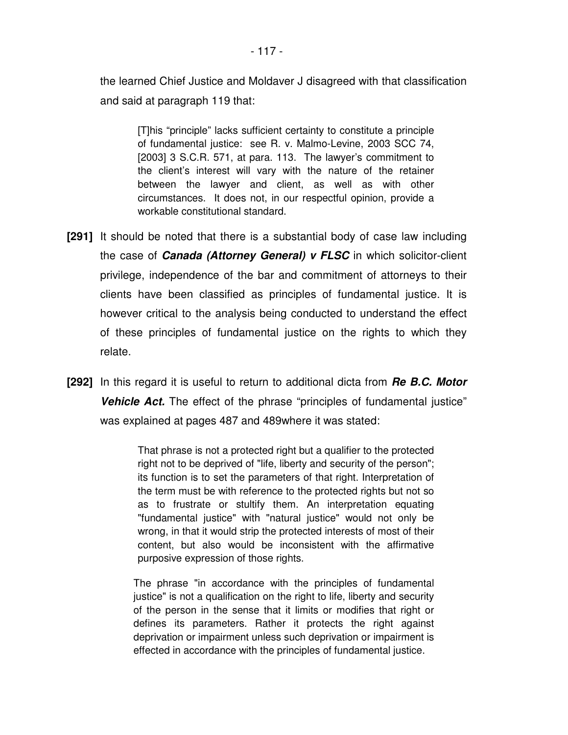the learned Chief Justice and Moldaver J disagreed with that classification and said at paragraph 119 that:

> [T]his "principle" lacks sufficient certainty to constitute a principle of fundamental justice: see R. v. Malmo-Levine, 2003 SCC 74, [2003] 3 S.C.R. 571, at para. 113. The lawyer's commitment to the client's interest will vary with the nature of the retainer between the lawyer and client, as well as with other circumstances. It does not, in our respectful opinion, provide a workable constitutional standard.

- **[291]** It should be noted that there is a substantial body of case law including the case of **Canada (Attorney General) v FLSC** in which solicitor-client privilege, independence of the bar and commitment of attorneys to their clients have been classified as principles of fundamental justice. It is however critical to the analysis being conducted to understand the effect of these principles of fundamental justice on the rights to which they relate.
- **[292]** In this regard it is useful to return to additional dicta from **Re B.C. Motor Vehicle Act.** The effect of the phrase "principles of fundamental justice" was explained at pages 487 and 489where it was stated:

That phrase is not a protected right but a qualifier to the protected right not to be deprived of "life, liberty and security of the person"; its function is to set the parameters of that right. Interpretation of the term must be with reference to the protected rights but not so as to frustrate or stultify them. An interpretation equating "fundamental justice" with "natural justice" would not only be wrong, in that it would strip the protected interests of most of their content, but also would be inconsistent with the affirmative purposive expression of those rights.

The phrase "in accordance with the principles of fundamental justice" is not a qualification on the right to life, liberty and security of the person in the sense that it limits or modifies that right or defines its parameters. Rather it protects the right against deprivation or impairment unless such deprivation or impairment is effected in accordance with the principles of fundamental justice.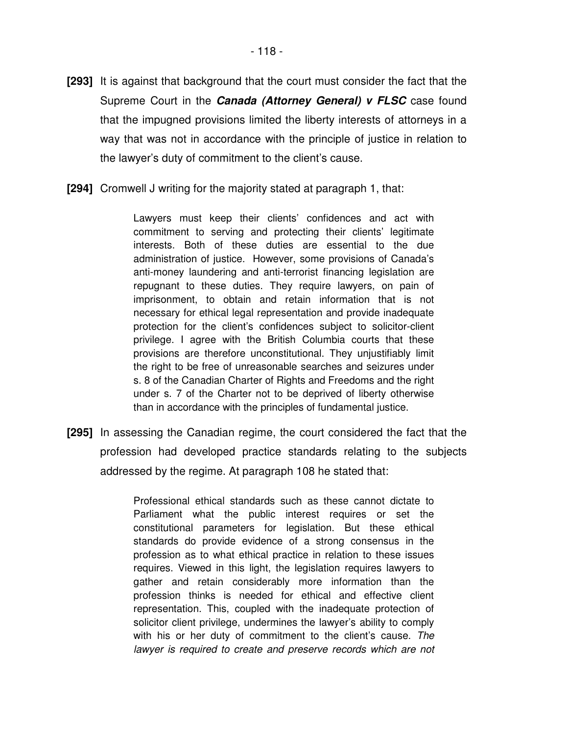- **[293]** It is against that background that the court must consider the fact that the Supreme Court in the **Canada (Attorney General) v FLSC** case found that the impugned provisions limited the liberty interests of attorneys in a way that was not in accordance with the principle of justice in relation to the lawyer's duty of commitment to the client's cause.
- **[294]** Cromwell J writing for the majority stated at paragraph 1, that:

Lawyers must keep their clients' confidences and act with commitment to serving and protecting their clients' legitimate interests. Both of these duties are essential to the due administration of justice. However, some provisions of Canada's anti-money laundering and anti-terrorist financing legislation are repugnant to these duties. They require lawyers, on pain of imprisonment, to obtain and retain information that is not necessary for ethical legal representation and provide inadequate protection for the client's confidences subject to solicitor-client privilege. I agree with the British Columbia courts that these provisions are therefore unconstitutional. They unjustifiably limit the right to be free of unreasonable searches and seizures under s. 8 of the Canadian Charter of Rights and Freedoms and the right under s. 7 of the Charter not to be deprived of liberty otherwise than in accordance with the principles of fundamental justice.

**[295]** In assessing the Canadian regime, the court considered the fact that the profession had developed practice standards relating to the subjects addressed by the regime. At paragraph 108 he stated that:

> Professional ethical standards such as these cannot dictate to Parliament what the public interest requires or set the constitutional parameters for legislation. But these ethical standards do provide evidence of a strong consensus in the profession as to what ethical practice in relation to these issues requires. Viewed in this light, the legislation requires lawyers to gather and retain considerably more information than the profession thinks is needed for ethical and effective client representation. This, coupled with the inadequate protection of solicitor client privilege, undermines the lawyer's ability to comply with his or her duty of commitment to the client's cause. The lawyer is required to create and preserve records which are not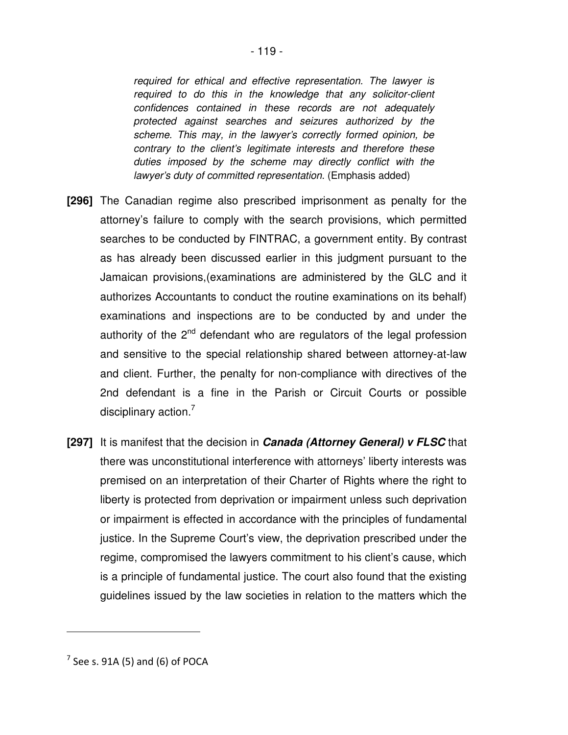required for ethical and effective representation. The lawyer is required to do this in the knowledge that any solicitor-client confidences contained in these records are not adequately protected against searches and seizures authorized by the scheme. This may, in the lawyer's correctly formed opinion, be contrary to the client's legitimate interests and therefore these duties imposed by the scheme may directly conflict with the lawyer's duty of committed representation. (Emphasis added)

- **[296]** The Canadian regime also prescribed imprisonment as penalty for the attorney's failure to comply with the search provisions, which permitted searches to be conducted by FINTRAC, a government entity. By contrast as has already been discussed earlier in this judgment pursuant to the Jamaican provisions,(examinations are administered by the GLC and it authorizes Accountants to conduct the routine examinations on its behalf) examinations and inspections are to be conducted by and under the authority of the  $2<sup>nd</sup>$  defendant who are regulators of the legal profession and sensitive to the special relationship shared between attorney-at-law and client. Further, the penalty for non-compliance with directives of the 2nd defendant is a fine in the Parish or Circuit Courts or possible disciplinary action.<sup>7</sup>
- **[297]** It is manifest that the decision in **Canada (Attorney General) v FLSC** that there was unconstitutional interference with attorneys' liberty interests was premised on an interpretation of their Charter of Rights where the right to liberty is protected from deprivation or impairment unless such deprivation or impairment is effected in accordance with the principles of fundamental justice. In the Supreme Court's view, the deprivation prescribed under the regime, compromised the lawyers commitment to his client's cause, which is a principle of fundamental justice. The court also found that the existing guidelines issued by the law societies in relation to the matters which the

 $\overline{a}$ 

 $<sup>7</sup>$  See s. 91A (5) and (6) of POCA</sup>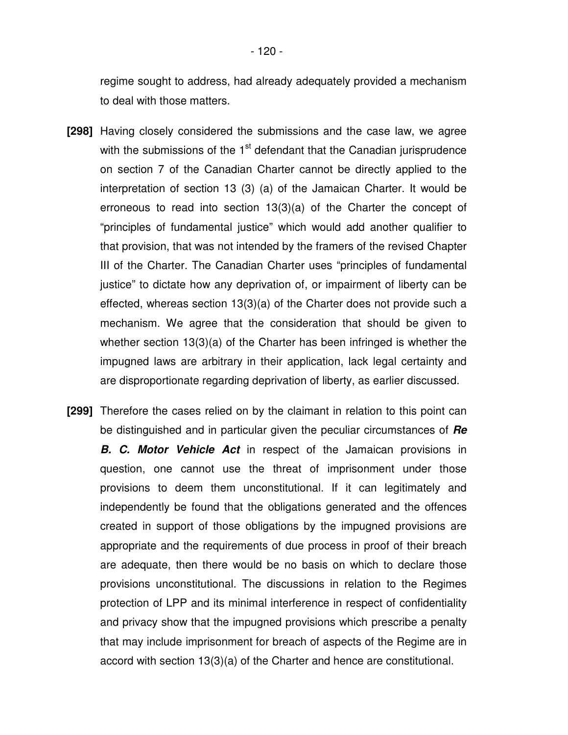regime sought to address, had already adequately provided a mechanism to deal with those matters.

- **[298]** Having closely considered the submissions and the case law, we agree with the submissions of the  $1<sup>st</sup>$  defendant that the Canadian jurisprudence on section 7 of the Canadian Charter cannot be directly applied to the interpretation of section 13 (3) (a) of the Jamaican Charter. It would be erroneous to read into section 13(3)(a) of the Charter the concept of "principles of fundamental justice" which would add another qualifier to that provision, that was not intended by the framers of the revised Chapter III of the Charter. The Canadian Charter uses "principles of fundamental justice" to dictate how any deprivation of, or impairment of liberty can be effected, whereas section 13(3)(a) of the Charter does not provide such a mechanism. We agree that the consideration that should be given to whether section 13(3)(a) of the Charter has been infringed is whether the impugned laws are arbitrary in their application, lack legal certainty and are disproportionate regarding deprivation of liberty, as earlier discussed.
- **[299]** Therefore the cases relied on by the claimant in relation to this point can be distinguished and in particular given the peculiar circumstances of **Re B. C. Motor Vehicle Act** in respect of the Jamaican provisions in question, one cannot use the threat of imprisonment under those provisions to deem them unconstitutional. If it can legitimately and independently be found that the obligations generated and the offences created in support of those obligations by the impugned provisions are appropriate and the requirements of due process in proof of their breach are adequate, then there would be no basis on which to declare those provisions unconstitutional. The discussions in relation to the Regimes protection of LPP and its minimal interference in respect of confidentiality and privacy show that the impugned provisions which prescribe a penalty that may include imprisonment for breach of aspects of the Regime are in accord with section 13(3)(a) of the Charter and hence are constitutional.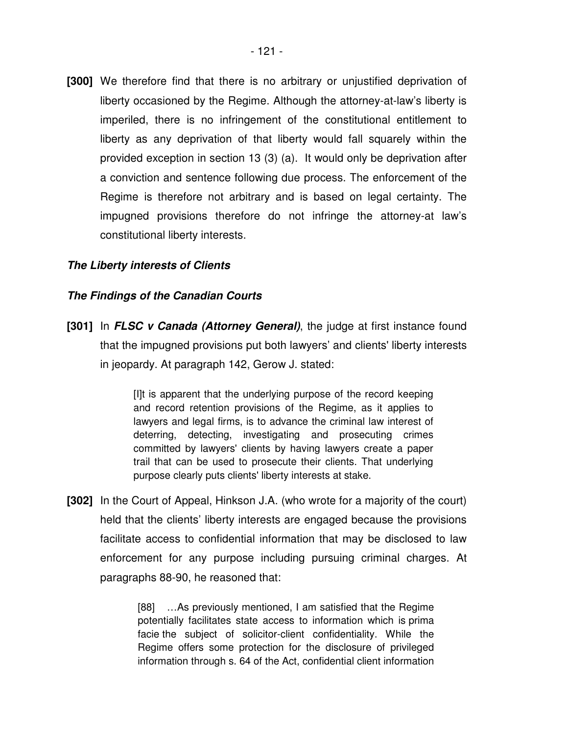**[300]** We therefore find that there is no arbitrary or unjustified deprivation of liberty occasioned by the Regime. Although the attorney-at-law's liberty is imperiled, there is no infringement of the constitutional entitlement to liberty as any deprivation of that liberty would fall squarely within the provided exception in section 13 (3) (a). It would only be deprivation after a conviction and sentence following due process. The enforcement of the Regime is therefore not arbitrary and is based on legal certainty. The impugned provisions therefore do not infringe the attorney-at law's constitutional liberty interests.

# **The Liberty interests of Clients**

### **The Findings of the Canadian Courts**

**[301]** In **FLSC v Canada (Attorney General)**, the judge at first instance found that the impugned provisions put both lawyers' and clients' liberty interests in jeopardy. At paragraph 142, Gerow J. stated:

> [I]t is apparent that the underlying purpose of the record keeping and record retention provisions of the Regime, as it applies to lawyers and legal firms, is to advance the criminal law interest of deterring, detecting, investigating and prosecuting crimes committed by lawyers' clients by having lawyers create a paper trail that can be used to prosecute their clients. That underlying purpose clearly puts clients' liberty interests at stake.

**[302]** In the Court of Appeal, Hinkson J.A. (who wrote for a majority of the court) held that the clients' liberty interests are engaged because the provisions facilitate access to confidential information that may be disclosed to law enforcement for any purpose including pursuing criminal charges. At paragraphs 88-90, he reasoned that:

> [88] …As previously mentioned, I am satisfied that the Regime potentially facilitates state access to information which is prima facie the subject of solicitor-client confidentiality. While the Regime offers some protection for the disclosure of privileged information through s. 64 of the Act, confidential client information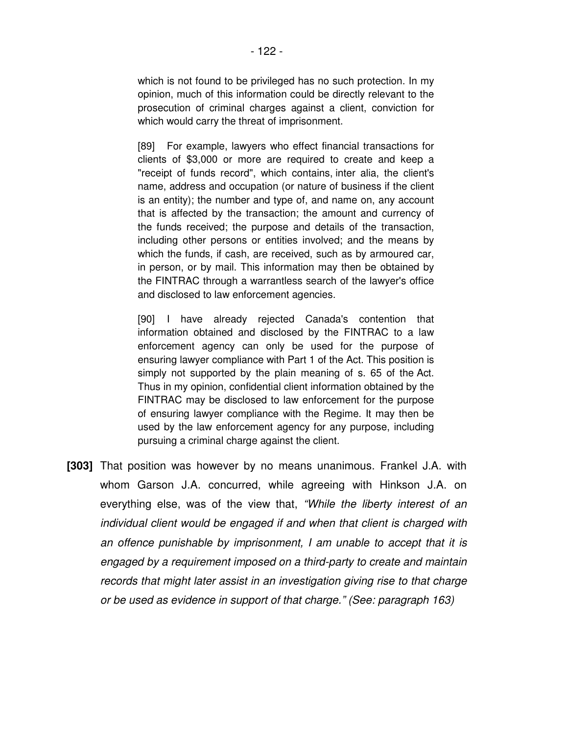which is not found to be privileged has no such protection. In my opinion, much of this information could be directly relevant to the prosecution of criminal charges against a client, conviction for which would carry the threat of imprisonment.

[89] For example, lawyers who effect financial transactions for clients of \$3,000 or more are required to create and keep a "receipt of funds record", which contains, inter alia, the client's name, address and occupation (or nature of business if the client is an entity); the number and type of, and name on, any account that is affected by the transaction; the amount and currency of the funds received; the purpose and details of the transaction, including other persons or entities involved; and the means by which the funds, if cash, are received, such as by armoured car, in person, or by mail. This information may then be obtained by the FINTRAC through a warrantless search of the lawyer's office and disclosed to law enforcement agencies.

[90] I have already rejected Canada's contention that information obtained and disclosed by the FINTRAC to a law enforcement agency can only be used for the purpose of ensuring lawyer compliance with Part 1 of the Act. This position is simply not supported by the plain meaning of s. 65 of the Act. Thus in my opinion, confidential client information obtained by the FINTRAC may be disclosed to law enforcement for the purpose of ensuring lawyer compliance with the Regime. It may then be used by the law enforcement agency for any purpose, including pursuing a criminal charge against the client.

**[303]** That position was however by no means unanimous. Frankel J.A. with whom Garson J.A. concurred, while agreeing with Hinkson J.A. on everything else, was of the view that, "While the liberty interest of an individual client would be engaged if and when that client is charged with an offence punishable by imprisonment, I am unable to accept that it is engaged by a requirement imposed on a third-party to create and maintain records that might later assist in an investigation giving rise to that charge or be used as evidence in support of that charge." (See: paragraph 163)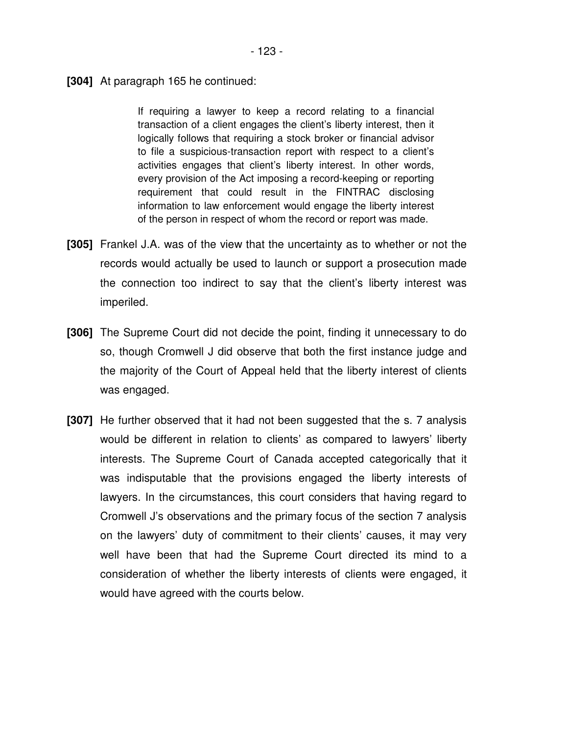#### **[304]** At paragraph 165 he continued:

If requiring a lawyer to keep a record relating to a financial transaction of a client engages the client's liberty interest, then it logically follows that requiring a stock broker or financial advisor to file a suspicious-transaction report with respect to a client's activities engages that client's liberty interest. In other words, every provision of the Act imposing a record-keeping or reporting requirement that could result in the FINTRAC disclosing information to law enforcement would engage the liberty interest of the person in respect of whom the record or report was made.

- **[305]** Frankel J.A. was of the view that the uncertainty as to whether or not the records would actually be used to launch or support a prosecution made the connection too indirect to say that the client's liberty interest was imperiled.
- **[306]** The Supreme Court did not decide the point, finding it unnecessary to do so, though Cromwell J did observe that both the first instance judge and the majority of the Court of Appeal held that the liberty interest of clients was engaged.
- **[307]** He further observed that it had not been suggested that the s. 7 analysis would be different in relation to clients' as compared to lawyers' liberty interests. The Supreme Court of Canada accepted categorically that it was indisputable that the provisions engaged the liberty interests of lawyers. In the circumstances, this court considers that having regard to Cromwell J's observations and the primary focus of the section 7 analysis on the lawyers' duty of commitment to their clients' causes, it may very well have been that had the Supreme Court directed its mind to a consideration of whether the liberty interests of clients were engaged, it would have agreed with the courts below.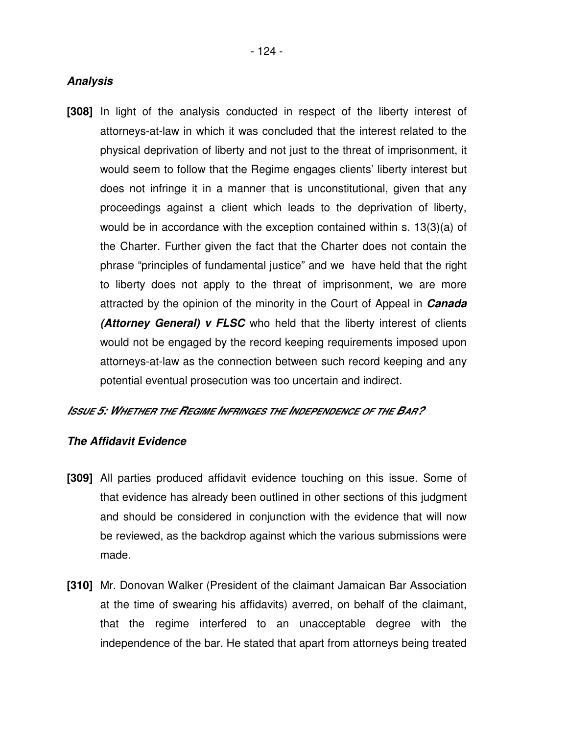# **Analysis**

**[308]** In light of the analysis conducted in respect of the liberty interest of attorneys-at-law in which it was concluded that the interest related to the physical deprivation of liberty and not just to the threat of imprisonment, it would seem to follow that the Regime engages clients' liberty interest but does not infringe it in a manner that is unconstitutional, given that any proceedings against a client which leads to the deprivation of liberty, would be in accordance with the exception contained within s. 13(3)(a) of the Charter. Further given the fact that the Charter does not contain the phrase "principles of fundamental justice" and we have held that the right to liberty does not apply to the threat of imprisonment, we are more attracted by the opinion of the minority in the Court of Appeal in **Canada (Attorney General) v FLSC** who held that the liberty interest of clients would not be engaged by the record keeping requirements imposed upon attorneys-at-law as the connection between such record keeping and any potential eventual prosecution was too uncertain and indirect.

## **ISSUE 5: WHETHER THE REGIME INFRINGES THE INDEPENDENCE OF THE BAR?**

## **The Affidavit Evidence**

- **[309]** All parties produced affidavit evidence touching on this issue. Some of that evidence has already been outlined in other sections of this judgment and should be considered in conjunction with the evidence that will now be reviewed, as the backdrop against which the various submissions were made.
- **[310]** Mr. Donovan Walker (President of the claimant Jamaican Bar Association at the time of swearing his affidavits) averred, on behalf of the claimant, that the regime interfered to an unacceptable degree with the independence of the bar. He stated that apart from attorneys being treated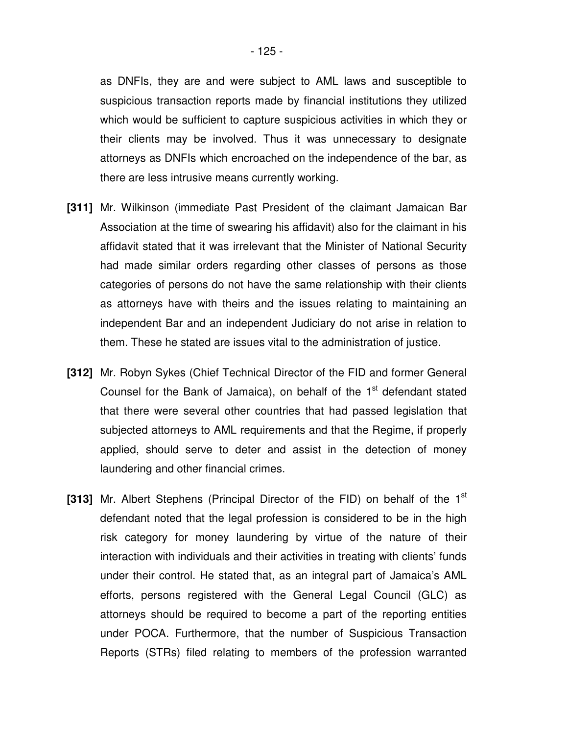as DNFIs, they are and were subject to AML laws and susceptible to suspicious transaction reports made by financial institutions they utilized which would be sufficient to capture suspicious activities in which they or their clients may be involved. Thus it was unnecessary to designate attorneys as DNFIs which encroached on the independence of the bar, as there are less intrusive means currently working.

- **[311]** Mr. Wilkinson (immediate Past President of the claimant Jamaican Bar Association at the time of swearing his affidavit) also for the claimant in his affidavit stated that it was irrelevant that the Minister of National Security had made similar orders regarding other classes of persons as those categories of persons do not have the same relationship with their clients as attorneys have with theirs and the issues relating to maintaining an independent Bar and an independent Judiciary do not arise in relation to them. These he stated are issues vital to the administration of justice.
- **[312]** Mr. Robyn Sykes (Chief Technical Director of the FID and former General Counsel for the Bank of Jamaica), on behalf of the 1<sup>st</sup> defendant stated that there were several other countries that had passed legislation that subjected attorneys to AML requirements and that the Regime, if properly applied, should serve to deter and assist in the detection of money laundering and other financial crimes.
- **[313]** Mr. Albert Stephens (Principal Director of the FID) on behalf of the 1<sup>st</sup> defendant noted that the legal profession is considered to be in the high risk category for money laundering by virtue of the nature of their interaction with individuals and their activities in treating with clients' funds under their control. He stated that, as an integral part of Jamaica's AML efforts, persons registered with the General Legal Council (GLC) as attorneys should be required to become a part of the reporting entities under POCA. Furthermore, that the number of Suspicious Transaction Reports (STRs) filed relating to members of the profession warranted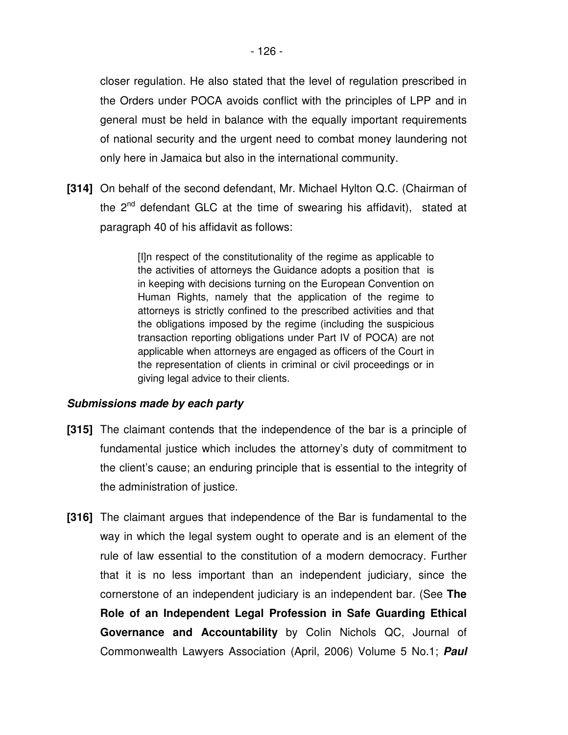**[314]** On behalf of the second defendant, Mr. Michael Hylton Q.C. (Chairman of the 2<sup>nd</sup> defendant GLC at the time of swearing his affidavit), stated at paragraph 40 of his affidavit as follows:

only here in Jamaica but also in the international community.

[I]n respect of the constitutionality of the regime as applicable to the activities of attorneys the Guidance adopts a position that is in keeping with decisions turning on the European Convention on Human Rights, namely that the application of the regime to attorneys is strictly confined to the prescribed activities and that the obligations imposed by the regime (including the suspicious transaction reporting obligations under Part IV of POCA) are not applicable when attorneys are engaged as officers of the Court in the representation of clients in criminal or civil proceedings or in giving legal advice to their clients.

## **Submissions made by each party**

- **[315]** The claimant contends that the independence of the bar is a principle of fundamental justice which includes the attorney's duty of commitment to the client's cause; an enduring principle that is essential to the integrity of the administration of justice.
- **[316]** The claimant argues that independence of the Bar is fundamental to the way in which the legal system ought to operate and is an element of the rule of law essential to the constitution of a modern democracy. Further that it is no less important than an independent judiciary, since the cornerstone of an independent judiciary is an independent bar. (See **The Role of an Independent Legal Profession in Safe Guarding Ethical Governance and Accountability** by Colin Nichols QC, Journal of Commonwealth Lawyers Association (April, 2006) Volume 5 No.1; **Paul**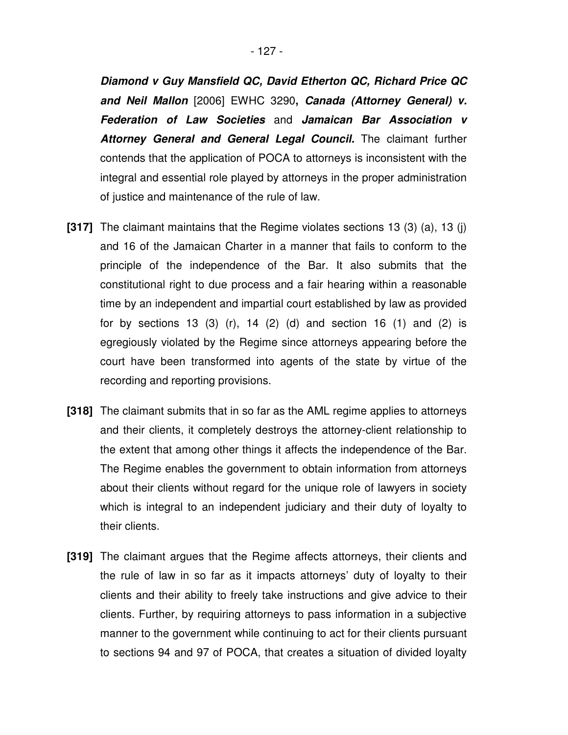**Diamond v Guy Mansfield QC, David Etherton QC, Richard Price QC and Neil Mallon** [2006] EWHC 3290**, Canada (Attorney General) v. Federation of Law Societies** and **Jamaican Bar Association v Attorney General and General Legal Council.** The claimant further contends that the application of POCA to attorneys is inconsistent with the integral and essential role played by attorneys in the proper administration of justice and maintenance of the rule of law.

- **[317]** The claimant maintains that the Regime violates sections 13 (3) (a), 13 (j) and 16 of the Jamaican Charter in a manner that fails to conform to the principle of the independence of the Bar. It also submits that the constitutional right to due process and a fair hearing within a reasonable time by an independent and impartial court established by law as provided for by sections 13 (3) (r), 14 (2) (d) and section 16 (1) and (2) is egregiously violated by the Regime since attorneys appearing before the court have been transformed into agents of the state by virtue of the recording and reporting provisions.
- **[318]** The claimant submits that in so far as the AML regime applies to attorneys and their clients, it completely destroys the attorney-client relationship to the extent that among other things it affects the independence of the Bar. The Regime enables the government to obtain information from attorneys about their clients without regard for the unique role of lawyers in society which is integral to an independent judiciary and their duty of loyalty to their clients.
- **[319]** The claimant argues that the Regime affects attorneys, their clients and the rule of law in so far as it impacts attorneys' duty of loyalty to their clients and their ability to freely take instructions and give advice to their clients. Further, by requiring attorneys to pass information in a subjective manner to the government while continuing to act for their clients pursuant to sections 94 and 97 of POCA, that creates a situation of divided loyalty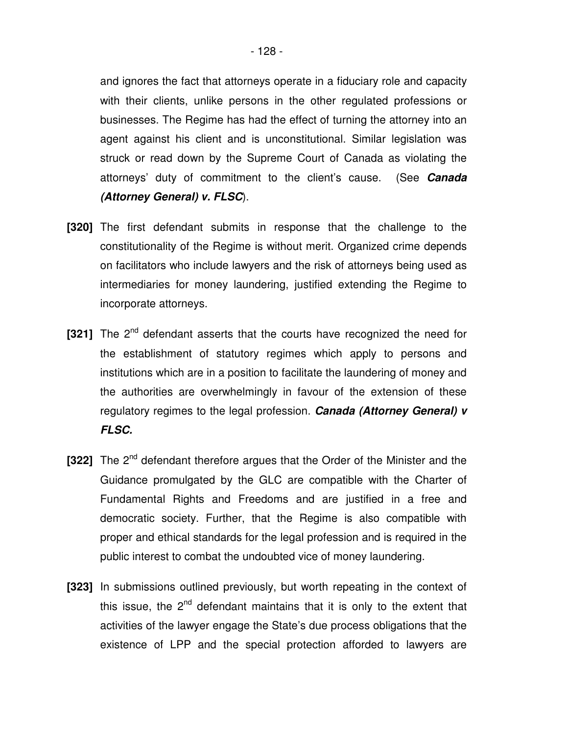and ignores the fact that attorneys operate in a fiduciary role and capacity with their clients, unlike persons in the other regulated professions or businesses. The Regime has had the effect of turning the attorney into an agent against his client and is unconstitutional. Similar legislation was struck or read down by the Supreme Court of Canada as violating the attorneys' duty of commitment to the client's cause. (See **Canada (Attorney General) v. FLSC**).

- **[320]** The first defendant submits in response that the challenge to the constitutionality of the Regime is without merit. Organized crime depends on facilitators who include lawyers and the risk of attorneys being used as intermediaries for money laundering, justified extending the Regime to incorporate attorneys.
- **[321]** The 2<sup>nd</sup> defendant asserts that the courts have recognized the need for the establishment of statutory regimes which apply to persons and institutions which are in a position to facilitate the laundering of money and the authorities are overwhelmingly in favour of the extension of these regulatory regimes to the legal profession. **Canada (Attorney General) v FLSC.**
- **[322]** The 2<sup>nd</sup> defendant therefore argues that the Order of the Minister and the Guidance promulgated by the GLC are compatible with the Charter of Fundamental Rights and Freedoms and are justified in a free and democratic society. Further, that the Regime is also compatible with proper and ethical standards for the legal profession and is required in the public interest to combat the undoubted vice of money laundering.
- **[323]** In submissions outlined previously, but worth repeating in the context of this issue, the  $2<sup>nd</sup>$  defendant maintains that it is only to the extent that activities of the lawyer engage the State's due process obligations that the existence of LPP and the special protection afforded to lawyers are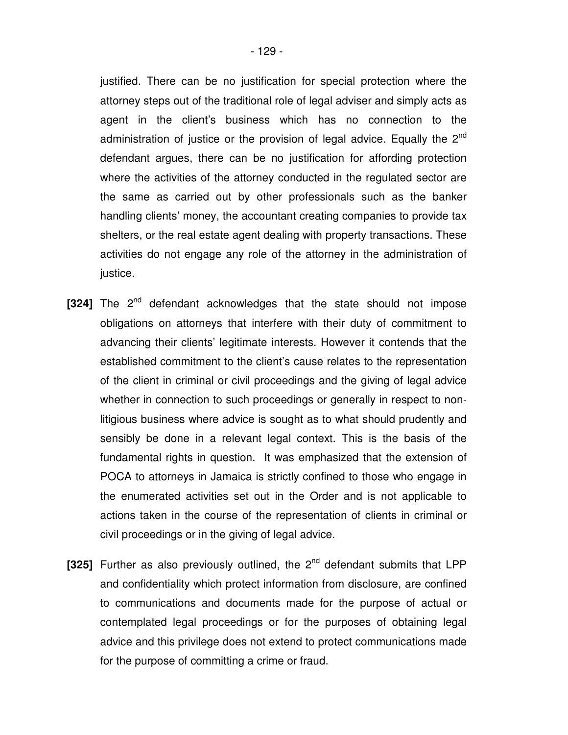justified. There can be no justification for special protection where the attorney steps out of the traditional role of legal adviser and simply acts as agent in the client's business which has no connection to the administration of justice or the provision of legal advice. Equally the  $2^{nd}$ defendant argues, there can be no justification for affording protection where the activities of the attorney conducted in the regulated sector are the same as carried out by other professionals such as the banker handling clients' money, the accountant creating companies to provide tax shelters, or the real estate agent dealing with property transactions. These activities do not engage any role of the attorney in the administration of justice.

- **[324]** The 2<sup>nd</sup> defendant acknowledges that the state should not impose obligations on attorneys that interfere with their duty of commitment to advancing their clients' legitimate interests. However it contends that the established commitment to the client's cause relates to the representation of the client in criminal or civil proceedings and the giving of legal advice whether in connection to such proceedings or generally in respect to nonlitigious business where advice is sought as to what should prudently and sensibly be done in a relevant legal context. This is the basis of the fundamental rights in question. It was emphasized that the extension of POCA to attorneys in Jamaica is strictly confined to those who engage in the enumerated activities set out in the Order and is not applicable to actions taken in the course of the representation of clients in criminal or civil proceedings or in the giving of legal advice.
- **[325]** Further as also previously outlined, the 2<sup>nd</sup> defendant submits that LPP and confidentiality which protect information from disclosure, are confined to communications and documents made for the purpose of actual or contemplated legal proceedings or for the purposes of obtaining legal advice and this privilege does not extend to protect communications made for the purpose of committing a crime or fraud.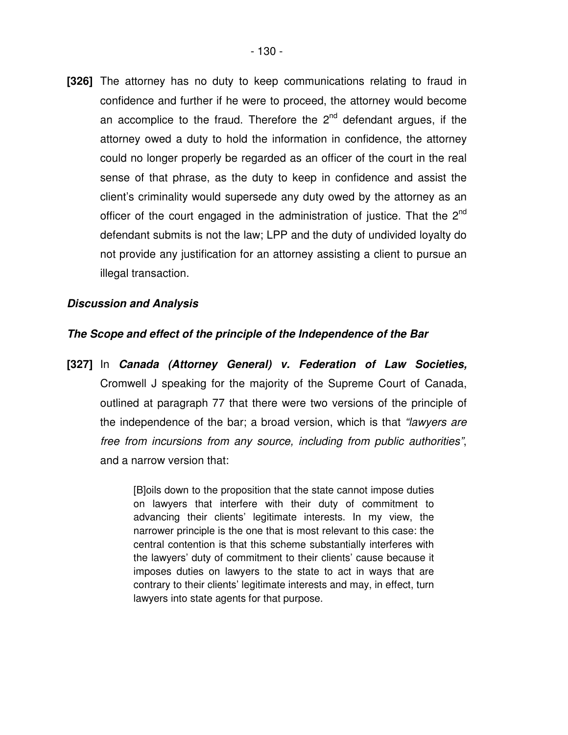**[326]** The attorney has no duty to keep communications relating to fraud in confidence and further if he were to proceed, the attorney would become an accomplice to the fraud. Therefore the  $2<sup>nd</sup>$  defendant argues, if the attorney owed a duty to hold the information in confidence, the attorney could no longer properly be regarded as an officer of the court in the real sense of that phrase, as the duty to keep in confidence and assist the client's criminality would supersede any duty owed by the attorney as an officer of the court engaged in the administration of justice. That the 2<sup>nd</sup> defendant submits is not the law; LPP and the duty of undivided loyalty do not provide any justification for an attorney assisting a client to pursue an illegal transaction.

### **Discussion and Analysis**

#### **The Scope and effect of the principle of the Independence of the Bar**

**[327]** In **Canada (Attorney General) v. Federation of Law Societies,** Cromwell J speaking for the majority of the Supreme Court of Canada, outlined at paragraph 77 that there were two versions of the principle of the independence of the bar; a broad version, which is that "lawyers are free from incursions from any source, including from public authorities", and a narrow version that:

> [B]oils down to the proposition that the state cannot impose duties on lawyers that interfere with their duty of commitment to advancing their clients' legitimate interests. In my view, the narrower principle is the one that is most relevant to this case: the central contention is that this scheme substantially interferes with the lawyers' duty of commitment to their clients' cause because it imposes duties on lawyers to the state to act in ways that are contrary to their clients' legitimate interests and may, in effect, turn lawyers into state agents for that purpose.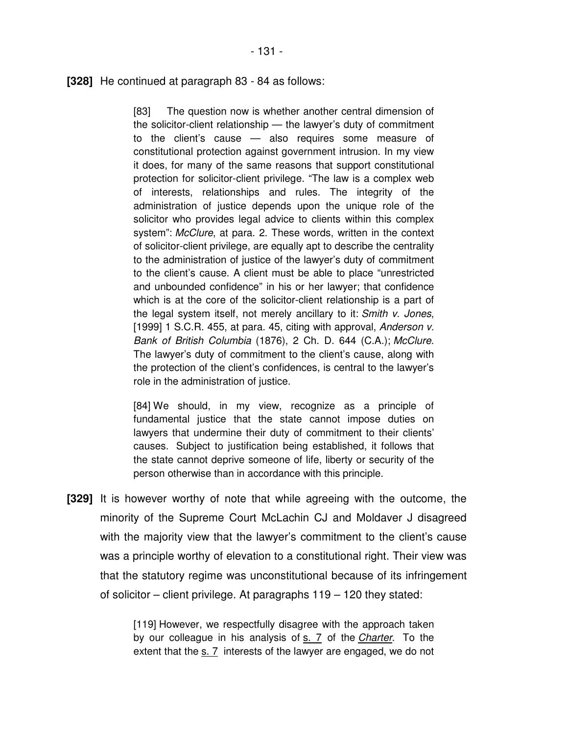**[328]** He continued at paragraph 83 - 84 as follows:

[83] The question now is whether another central dimension of the solicitor-client relationship — the lawyer's duty of commitment to the client's cause — also requires some measure of constitutional protection against government intrusion. In my view it does, for many of the same reasons that support constitutional protection for solicitor-client privilege. "The law is a complex web of interests, relationships and rules. The integrity of the administration of justice depends upon the unique role of the solicitor who provides legal advice to clients within this complex system": McClure, at para. 2. These words, written in the context of solicitor-client privilege, are equally apt to describe the centrality to the administration of justice of the lawyer's duty of commitment to the client's cause. A client must be able to place "unrestricted and unbounded confidence" in his or her lawyer; that confidence which is at the core of the solicitor-client relationship is a part of the legal system itself, not merely ancillary to it: Smith v. Jones, [1999] 1 S.C.R. 455, at para. 45, citing with approval, Anderson v. Bank of British Columbia (1876), 2 Ch. D. 644 (C.A.); McClure. The lawyer's duty of commitment to the client's cause, along with the protection of the client's confidences, is central to the lawyer's role in the administration of justice.

[84] We should, in my view, recognize as a principle of fundamental justice that the state cannot impose duties on lawyers that undermine their duty of commitment to their clients' causes. Subject to justification being established, it follows that the state cannot deprive someone of life, liberty or security of the person otherwise than in accordance with this principle.

**[329]** It is however worthy of note that while agreeing with the outcome, the minority of the Supreme Court McLachin CJ and Moldaver J disagreed with the majority view that the lawyer's commitment to the client's cause was a principle worthy of elevation to a constitutional right. Their view was that the statutory regime was unconstitutional because of its infringement of solicitor – client privilege. At paragraphs 119 – 120 they stated:

> [119] However, we respectfully disagree with the approach taken by our colleague in his analysis of s. 7 of the Charter. To the extent that the s. 7 interests of the lawyer are engaged, we do not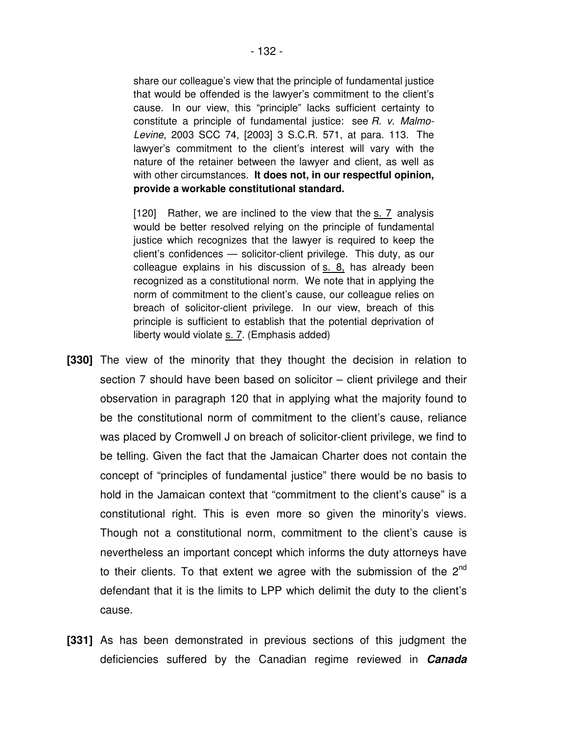share our colleague's view that the principle of fundamental justice that would be offended is the lawyer's commitment to the client's cause. In our view, this "principle" lacks sufficient certainty to constitute a principle of fundamental justice: see R. v. Malmo-Levine, 2003 SCC 74, [2003] 3 S.C.R. 571, at para. 113. The lawyer's commitment to the client's interest will vary with the nature of the retainer between the lawyer and client, as well as with other circumstances. **It does not, in our respectful opinion, provide a workable constitutional standard.**

[120] Rather, we are inclined to the view that the s. 7 analysis would be better resolved relying on the principle of fundamental justice which recognizes that the lawyer is required to keep the client's confidences — solicitor-client privilege. This duty, as our colleague explains in his discussion of  $s$ .  $8$ , has already been recognized as a constitutional norm. We note that in applying the norm of commitment to the client's cause, our colleague relies on breach of solicitor-client privilege. In our view, breach of this principle is sufficient to establish that the potential deprivation of liberty would violate s. 7. (Emphasis added)

- **[330]** The view of the minority that they thought the decision in relation to section 7 should have been based on solicitor – client privilege and their observation in paragraph 120 that in applying what the majority found to be the constitutional norm of commitment to the client's cause, reliance was placed by Cromwell J on breach of solicitor-client privilege, we find to be telling. Given the fact that the Jamaican Charter does not contain the concept of "principles of fundamental justice" there would be no basis to hold in the Jamaican context that "commitment to the client's cause" is a constitutional right. This is even more so given the minority's views. Though not a constitutional norm, commitment to the client's cause is nevertheless an important concept which informs the duty attorneys have to their clients. To that extent we agree with the submission of the  $2^{nd}$ defendant that it is the limits to LPP which delimit the duty to the client's cause.
- **[331]** As has been demonstrated in previous sections of this judgment the deficiencies suffered by the Canadian regime reviewed in **Canada**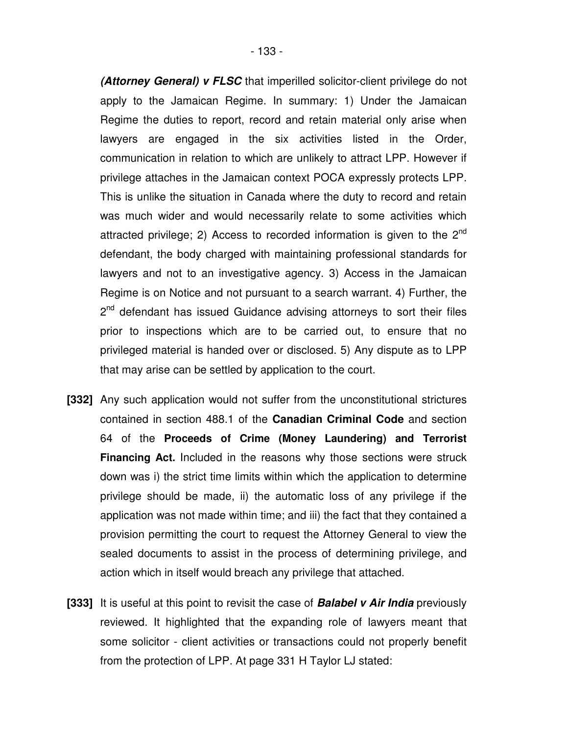**(Attorney General) v FLSC** that imperilled solicitor-client privilege do not apply to the Jamaican Regime. In summary: 1) Under the Jamaican Regime the duties to report, record and retain material only arise when lawyers are engaged in the six activities listed in the Order, communication in relation to which are unlikely to attract LPP. However if privilege attaches in the Jamaican context POCA expressly protects LPP. This is unlike the situation in Canada where the duty to record and retain was much wider and would necessarily relate to some activities which attracted privilege; 2) Access to recorded information is given to the  $2^{nd}$ defendant, the body charged with maintaining professional standards for lawyers and not to an investigative agency. 3) Access in the Jamaican Regime is on Notice and not pursuant to a search warrant. 4) Further, the 2<sup>nd</sup> defendant has issued Guidance advising attorneys to sort their files prior to inspections which are to be carried out, to ensure that no privileged material is handed over or disclosed. 5) Any dispute as to LPP that may arise can be settled by application to the court.

- **[332]** Any such application would not suffer from the unconstitutional strictures contained in section 488.1 of the **Canadian Criminal Code** and section 64 of the **Proceeds of Crime (Money Laundering) and Terrorist Financing Act.** Included in the reasons why those sections were struck down was i) the strict time limits within which the application to determine privilege should be made, ii) the automatic loss of any privilege if the application was not made within time; and iii) the fact that they contained a provision permitting the court to request the Attorney General to view the sealed documents to assist in the process of determining privilege, and action which in itself would breach any privilege that attached.
- **[333]** It is useful at this point to revisit the case of **Balabel v Air India** previously reviewed. It highlighted that the expanding role of lawyers meant that some solicitor - client activities or transactions could not properly benefit from the protection of LPP. At page 331 H Taylor LJ stated: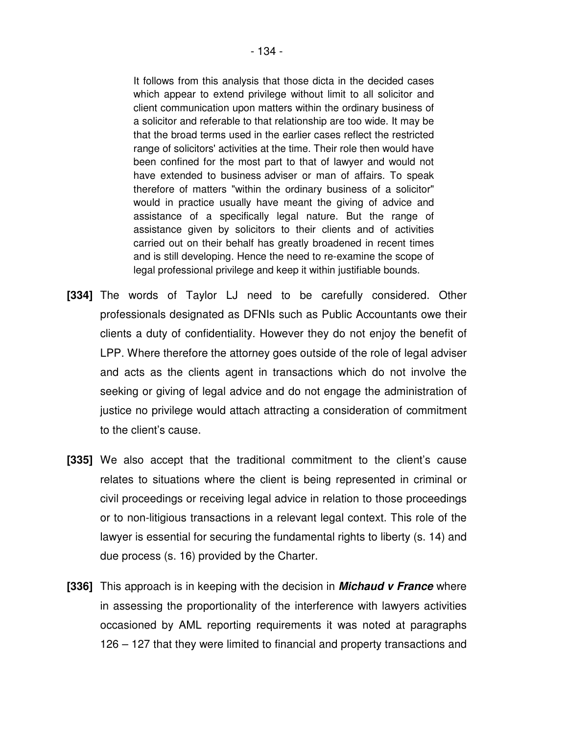It follows from this analysis that those dicta in the decided cases which appear to extend privilege without limit to all solicitor and client communication upon matters within the ordinary business of a solicitor and referable to that relationship are too wide. It may be that the broad terms used in the earlier cases reflect the restricted range of solicitors' activities at the time. Their role then would have been confined for the most part to that of lawyer and would not have extended to business adviser or man of affairs. To speak therefore of matters "within the ordinary business of a solicitor" would in practice usually have meant the giving of advice and assistance of a specifically legal nature. But the range of assistance given by solicitors to their clients and of activities carried out on their behalf has greatly broadened in recent times and is still developing. Hence the need to re-examine the scope of legal professional privilege and keep it within justifiable bounds.

- **[334]** The words of Taylor LJ need to be carefully considered. Other professionals designated as DFNIs such as Public Accountants owe their clients a duty of confidentiality. However they do not enjoy the benefit of LPP. Where therefore the attorney goes outside of the role of legal adviser and acts as the clients agent in transactions which do not involve the seeking or giving of legal advice and do not engage the administration of justice no privilege would attach attracting a consideration of commitment to the client's cause.
- **[335]** We also accept that the traditional commitment to the client's cause relates to situations where the client is being represented in criminal or civil proceedings or receiving legal advice in relation to those proceedings or to non-litigious transactions in a relevant legal context. This role of the lawyer is essential for securing the fundamental rights to liberty (s. 14) and due process (s. 16) provided by the Charter.
- **[336]** This approach is in keeping with the decision in **Michaud v France** where in assessing the proportionality of the interference with lawyers activities occasioned by AML reporting requirements it was noted at paragraphs 126 – 127 that they were limited to financial and property transactions and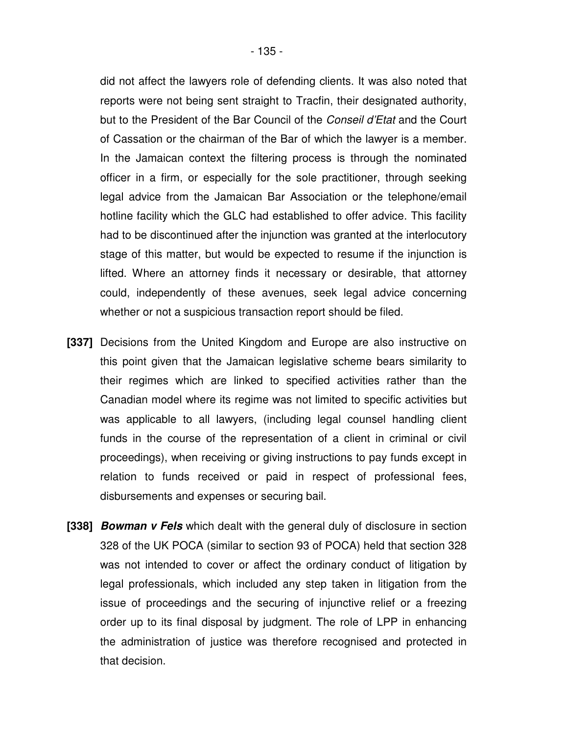did not affect the lawyers role of defending clients. It was also noted that reports were not being sent straight to Tracfin, their designated authority, but to the President of the Bar Council of the Conseil d'Etat and the Court of Cassation or the chairman of the Bar of which the lawyer is a member. In the Jamaican context the filtering process is through the nominated officer in a firm, or especially for the sole practitioner, through seeking legal advice from the Jamaican Bar Association or the telephone/email hotline facility which the GLC had established to offer advice. This facility had to be discontinued after the injunction was granted at the interlocutory stage of this matter, but would be expected to resume if the injunction is lifted. Where an attorney finds it necessary or desirable, that attorney could, independently of these avenues, seek legal advice concerning whether or not a suspicious transaction report should be filed.

- **[337]** Decisions from the United Kingdom and Europe are also instructive on this point given that the Jamaican legislative scheme bears similarity to their regimes which are linked to specified activities rather than the Canadian model where its regime was not limited to specific activities but was applicable to all lawyers, (including legal counsel handling client funds in the course of the representation of a client in criminal or civil proceedings), when receiving or giving instructions to pay funds except in relation to funds received or paid in respect of professional fees, disbursements and expenses or securing bail.
- **[338] Bowman v Fels** which dealt with the general duly of disclosure in section 328 of the UK POCA (similar to section 93 of POCA) held that section 328 was not intended to cover or affect the ordinary conduct of litigation by legal professionals, which included any step taken in litigation from the issue of proceedings and the securing of injunctive relief or a freezing order up to its final disposal by judgment. The role of LPP in enhancing the administration of justice was therefore recognised and protected in that decision.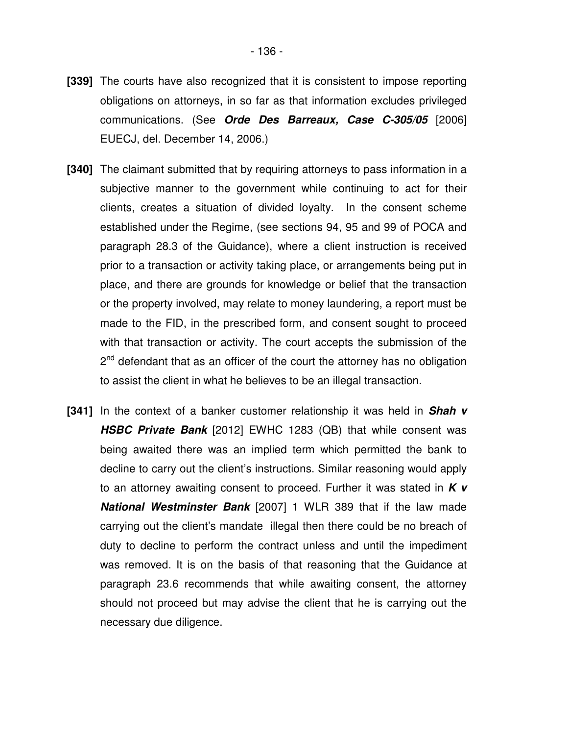- **[339]** The courts have also recognized that it is consistent to impose reporting obligations on attorneys, in so far as that information excludes privileged communications. (See **Orde Des Barreaux, Case C-305/05** [2006] EUECJ, del. December 14, 2006.)
- **[340]** The claimant submitted that by requiring attorneys to pass information in a subjective manner to the government while continuing to act for their clients, creates a situation of divided loyalty. In the consent scheme established under the Regime, (see sections 94, 95 and 99 of POCA and paragraph 28.3 of the Guidance), where a client instruction is received prior to a transaction or activity taking place, or arrangements being put in place, and there are grounds for knowledge or belief that the transaction or the property involved, may relate to money laundering, a report must be made to the FID, in the prescribed form, and consent sought to proceed with that transaction or activity. The court accepts the submission of the 2<sup>nd</sup> defendant that as an officer of the court the attorney has no obligation to assist the client in what he believes to be an illegal transaction.
- **[341]** In the context of a banker customer relationship it was held in **Shah v HSBC Private Bank** [2012] EWHC 1283 (QB) that while consent was being awaited there was an implied term which permitted the bank to decline to carry out the client's instructions. Similar reasoning would apply to an attorney awaiting consent to proceed. Further it was stated in **K v National Westminster Bank** [2007] 1 WLR 389 that if the law made carrying out the client's mandate illegal then there could be no breach of duty to decline to perform the contract unless and until the impediment was removed. It is on the basis of that reasoning that the Guidance at paragraph 23.6 recommends that while awaiting consent, the attorney should not proceed but may advise the client that he is carrying out the necessary due diligence.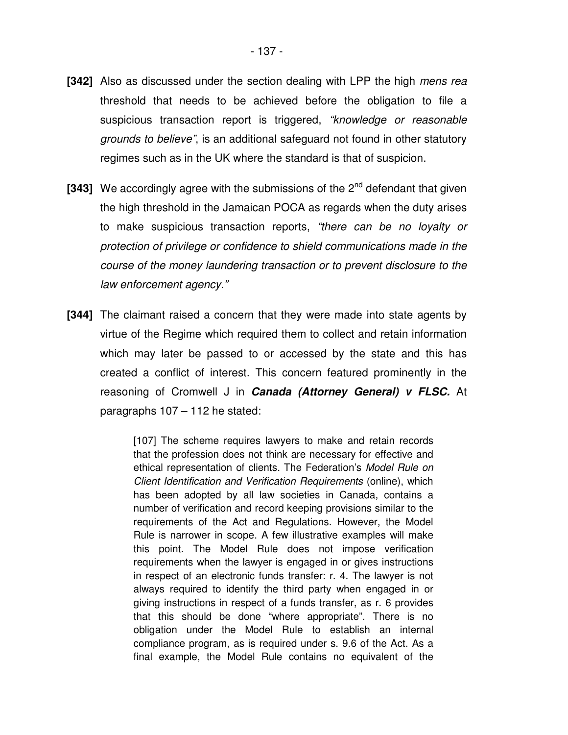- **[342]** Also as discussed under the section dealing with LPP the high mens rea threshold that needs to be achieved before the obligation to file a suspicious transaction report is triggered, "knowledge or reasonable grounds to believe", is an additional safeguard not found in other statutory regimes such as in the UK where the standard is that of suspicion.
- **[343]** We accordingly agree with the submissions of the 2<sup>nd</sup> defendant that given the high threshold in the Jamaican POCA as regards when the duty arises to make suspicious transaction reports, "there can be no loyalty or protection of privilege or confidence to shield communications made in the course of the money laundering transaction or to prevent disclosure to the law enforcement agency."
- **[344]** The claimant raised a concern that they were made into state agents by virtue of the Regime which required them to collect and retain information which may later be passed to or accessed by the state and this has created a conflict of interest. This concern featured prominently in the reasoning of Cromwell J in **Canada (Attorney General) v FLSC.** At paragraphs 107 – 112 he stated:

[107] The scheme requires lawyers to make and retain records that the profession does not think are necessary for effective and ethical representation of clients. The Federation's Model Rule on Client Identification and Verification Requirements (online), which has been adopted by all law societies in Canada, contains a number of verification and record keeping provisions similar to the requirements of the Act and Regulations. However, the Model Rule is narrower in scope. A few illustrative examples will make this point. The Model Rule does not impose verification requirements when the lawyer is engaged in or gives instructions in respect of an electronic funds transfer: r. 4. The lawyer is not always required to identify the third party when engaged in or giving instructions in respect of a funds transfer, as r. 6 provides that this should be done "where appropriate". There is no obligation under the Model Rule to establish an internal compliance program, as is required under s. 9.6 of the Act. As a final example, the Model Rule contains no equivalent of the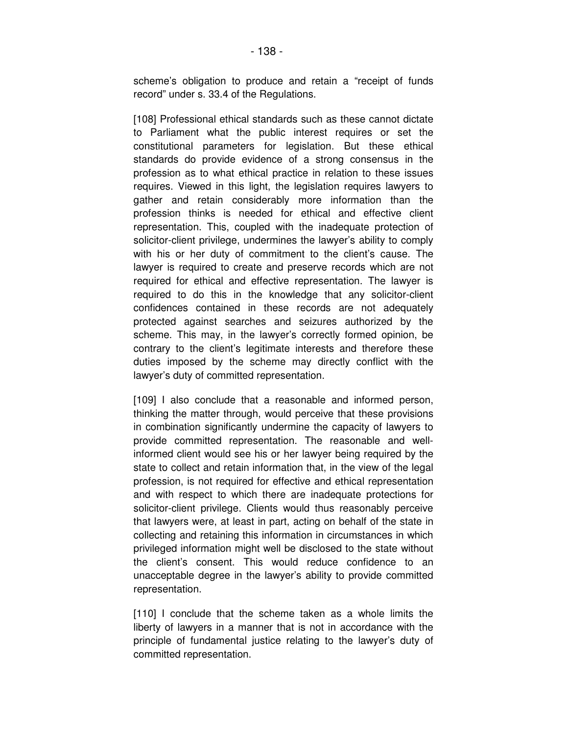scheme's obligation to produce and retain a "receipt of funds record" under s. 33.4 of the Regulations.

[108] Professional ethical standards such as these cannot dictate to Parliament what the public interest requires or set the constitutional parameters for legislation. But these ethical standards do provide evidence of a strong consensus in the profession as to what ethical practice in relation to these issues requires. Viewed in this light, the legislation requires lawyers to gather and retain considerably more information than the profession thinks is needed for ethical and effective client representation. This, coupled with the inadequate protection of solicitor-client privilege, undermines the lawyer's ability to comply with his or her duty of commitment to the client's cause. The lawyer is required to create and preserve records which are not required for ethical and effective representation. The lawyer is required to do this in the knowledge that any solicitor-client confidences contained in these records are not adequately protected against searches and seizures authorized by the scheme. This may, in the lawyer's correctly formed opinion, be contrary to the client's legitimate interests and therefore these duties imposed by the scheme may directly conflict with the lawyer's duty of committed representation.

[109] I also conclude that a reasonable and informed person, thinking the matter through, would perceive that these provisions in combination significantly undermine the capacity of lawyers to provide committed representation. The reasonable and wellinformed client would see his or her lawyer being required by the state to collect and retain information that, in the view of the legal profession, is not required for effective and ethical representation and with respect to which there are inadequate protections for solicitor-client privilege. Clients would thus reasonably perceive that lawyers were, at least in part, acting on behalf of the state in collecting and retaining this information in circumstances in which privileged information might well be disclosed to the state without the client's consent. This would reduce confidence to an unacceptable degree in the lawyer's ability to provide committed representation.

[110] I conclude that the scheme taken as a whole limits the liberty of lawyers in a manner that is not in accordance with the principle of fundamental justice relating to the lawyer's duty of committed representation.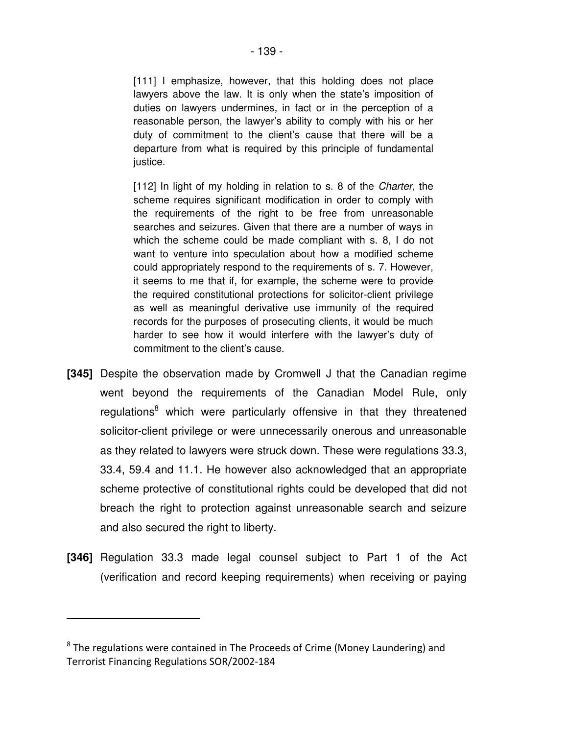[111] I emphasize, however, that this holding does not place lawyers above the law. It is only when the state's imposition of duties on lawyers undermines, in fact or in the perception of a reasonable person, the lawyer's ability to comply with his or her duty of commitment to the client's cause that there will be a departure from what is required by this principle of fundamental justice.

[112] In light of my holding in relation to s. 8 of the *Charter*, the scheme requires significant modification in order to comply with the requirements of the right to be free from unreasonable searches and seizures. Given that there are a number of ways in which the scheme could be made compliant with s. 8, I do not want to venture into speculation about how a modified scheme could appropriately respond to the requirements of s. 7. However, it seems to me that if, for example, the scheme were to provide the required constitutional protections for solicitor-client privilege as well as meaningful derivative use immunity of the required records for the purposes of prosecuting clients, it would be much harder to see how it would interfere with the lawyer's duty of commitment to the client's cause.

- **[345]** Despite the observation made by Cromwell J that the Canadian regime went beyond the requirements of the Canadian Model Rule, only regulations<sup>8</sup> which were particularly offensive in that they threatened solicitor-client privilege or were unnecessarily onerous and unreasonable as they related to lawyers were struck down. These were regulations 33.3, 33.4, 59.4 and 11.1. He however also acknowledged that an appropriate scheme protective of constitutional rights could be developed that did not breach the right to protection against unreasonable search and seizure and also secured the right to liberty.
- **[346]** Regulation 33.3 made legal counsel subject to Part 1 of the Act (verification and record keeping requirements) when receiving or paying

 $\overline{a}$ 

<sup>&</sup>lt;sup>8</sup> The regulations were contained in The Proceeds of Crime (Money Laundering) and Terrorist Financing Regulations SOR/2002-184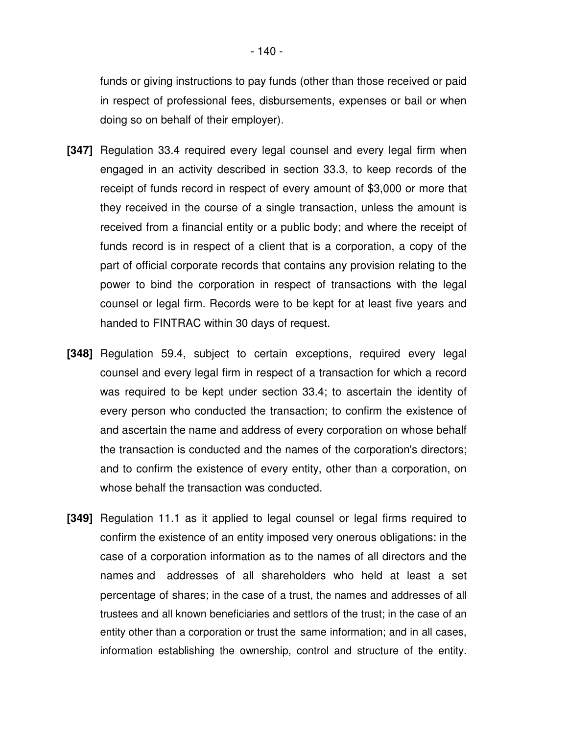funds or giving instructions to pay funds (other than those received or paid in respect of professional fees, disbursements, expenses or bail or when doing so on behalf of their employer).

- **[347]** Regulation 33.4 required every legal counsel and every legal firm when engaged in an activity described in section 33.3, to keep records of the receipt of funds record in respect of every amount of \$3,000 or more that they received in the course of a single transaction, unless the amount is received from a financial entity or a public body; and where the receipt of funds record is in respect of a client that is a corporation, a copy of the part of official corporate records that contains any provision relating to the power to bind the corporation in respect of transactions with the legal counsel or legal firm. Records were to be kept for at least five years and handed to FINTRAC within 30 days of request.
- **[348]** Regulation 59.4, subject to certain exceptions, required every legal counsel and every legal firm in respect of a transaction for which a record was required to be kept under section 33.4; to ascertain the identity of every person who conducted the transaction; to confirm the existence of and ascertain the name and address of every corporation on whose behalf the transaction is conducted and the names of the corporation's directors; and to confirm the existence of every entity, other than a corporation, on whose behalf the transaction was conducted.
- **[349]** Regulation 11.1 as it applied to legal counsel or legal firms required to confirm the existence of an entity imposed very onerous obligations: in the case of a corporation information as to the names of all directors and the names and addresses of all shareholders who held at least a set percentage of shares; in the case of a trust, the names and addresses of all trustees and all known beneficiaries and settlors of the trust; in the case of an entity other than a corporation or trust the same information; and in all cases, information establishing the ownership, control and structure of the entity.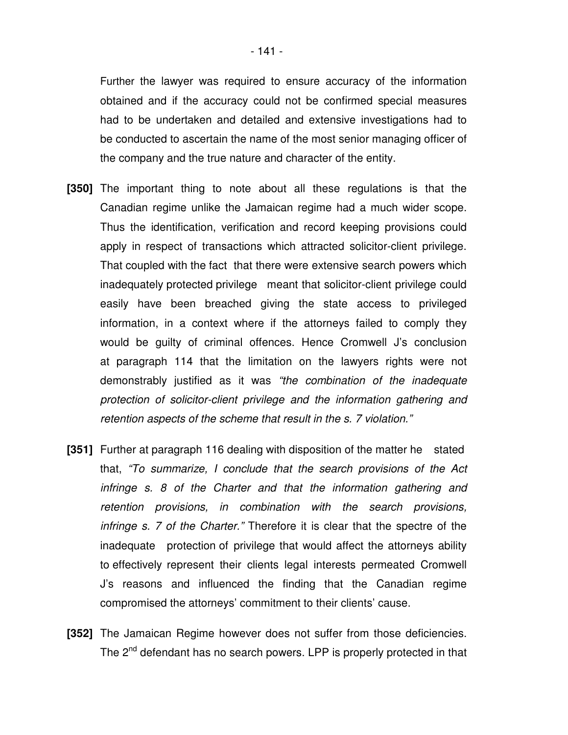Further the lawyer was required to ensure accuracy of the information obtained and if the accuracy could not be confirmed special measures had to be undertaken and detailed and extensive investigations had to be conducted to ascertain the name of the most senior managing officer of the company and the true nature and character of the entity.

- **[350]** The important thing to note about all these regulations is that the Canadian regime unlike the Jamaican regime had a much wider scope. Thus the identification, verification and record keeping provisions could apply in respect of transactions which attracted solicitor-client privilege. That coupled with the fact that there were extensive search powers which inadequately protected privilege meant that solicitor-client privilege could easily have been breached giving the state access to privileged information, in a context where if the attorneys failed to comply they would be guilty of criminal offences. Hence Cromwell J's conclusion at paragraph 114 that the limitation on the lawyers rights were not demonstrably justified as it was "the combination of the inadequate protection of solicitor-client privilege and the information gathering and retention aspects of the scheme that result in the s. 7 violation."
- **[351]** Further at paragraph 116 dealing with disposition of the matter he stated that, "To summarize, I conclude that the search provisions of the Act infringe s. 8 of the Charter and that the information gathering and retention provisions, in combination with the search provisions, infringe s. 7 of the Charter." Therefore it is clear that the spectre of the inadequate protection of privilege that would affect the attorneys ability to effectively represent their clients legal interests permeated Cromwell J's reasons and influenced the finding that the Canadian regime compromised the attorneys' commitment to their clients' cause.
- **[352]** The Jamaican Regime however does not suffer from those deficiencies. The 2<sup>nd</sup> defendant has no search powers. LPP is properly protected in that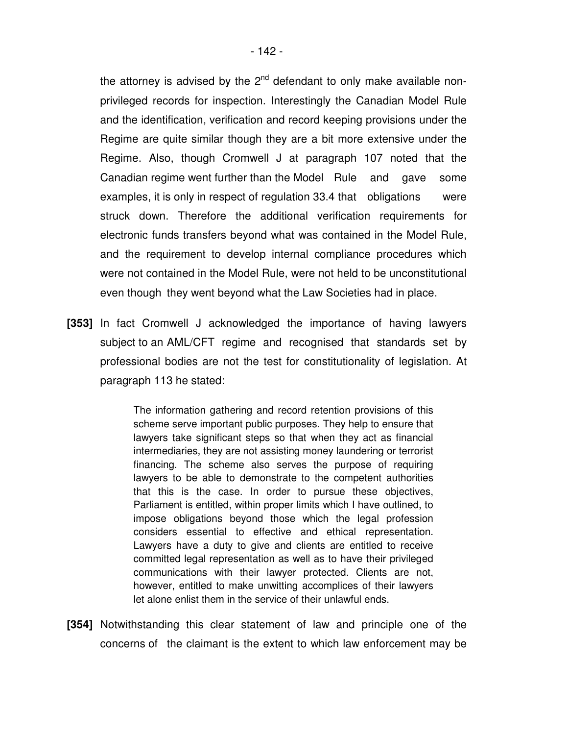the attorney is advised by the  $2^{nd}$  defendant to only make available non privileged records for inspection. Interestingly the Canadian Model Rule and the identification, verification and record keeping provisions under the Regime are quite similar though they are a bit more extensive under the Regime. Also, though Cromwell J at paragraph 107 noted that the Canadian regime went further than the Model Rule and gave some examples, it is only in respect of regulation 33.4 that obligations were struck down. Therefore the additional verification requirements for electronic funds transfers beyond what was contained in the Model Rule, and the requirement to develop internal compliance procedures which were not contained in the Model Rule, were not held to be unconstitutional even though they went beyond what the Law Societies had in place.

**[353]** In fact Cromwell J acknowledged the importance of having lawyers subject to an AML/CFT regime and recognised that standards set by professional bodies are not the test for constitutionality of legislation. At paragraph 113 he stated:

> The information gathering and record retention provisions of this scheme serve important public purposes. They help to ensure that lawyers take significant steps so that when they act as financial intermediaries, they are not assisting money laundering or terrorist financing. The scheme also serves the purpose of requiring lawyers to be able to demonstrate to the competent authorities that this is the case. In order to pursue these objectives, Parliament is entitled, within proper limits which I have outlined, to impose obligations beyond those which the legal profession considers essential to effective and ethical representation. Lawyers have a duty to give and clients are entitled to receive committed legal representation as well as to have their privileged communications with their lawyer protected. Clients are not, however, entitled to make unwitting accomplices of their lawyers let alone enlist them in the service of their unlawful ends.

**[354]** Notwithstanding this clear statement of law and principle one of the concerns of the claimant is the extent to which law enforcement may be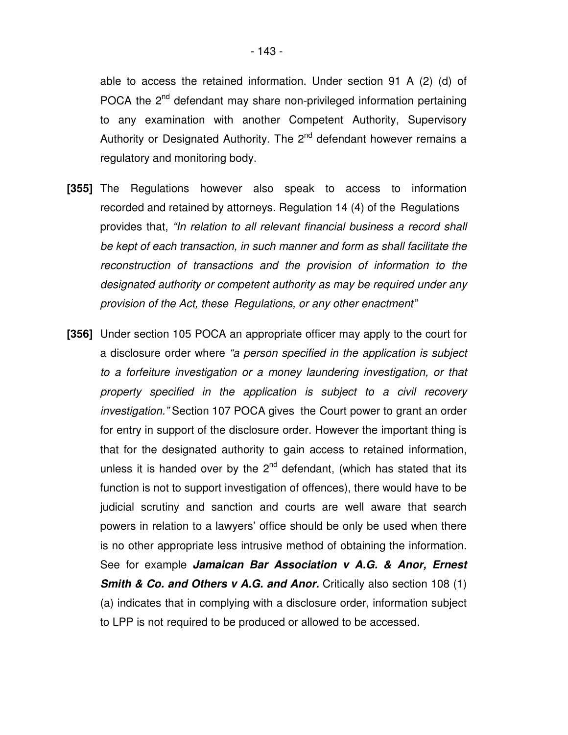able to access the retained information. Under section 91 A (2) (d) of POCA the 2<sup>nd</sup> defendant may share non-privileged information pertaining to any examination with another Competent Authority, Supervisory Authority or Designated Authority. The  $2^{nd}$  defendant however remains a regulatory and monitoring body.

- **[355]** The Regulations however also speak to access to information recorded and retained by attorneys. Regulation 14 (4) of the Regulations provides that, "In relation to all relevant financial business a record shall be kept of each transaction, in such manner and form as shall facilitate the reconstruction of transactions and the provision of information to the designated authority or competent authority as may be required under any provision of the Act, these Regulations, or any other enactment"
- **[356]** Under section 105 POCA an appropriate officer may apply to the court for a disclosure order where "a person specified in the application is subject to a forfeiture investigation or a money laundering investigation, or that property specified in the application is subject to a civil recovery investigation." Section 107 POCA gives the Court power to grant an order for entry in support of the disclosure order. However the important thing is that for the designated authority to gain access to retained information, unless it is handed over by the  $2<sup>nd</sup>$  defendant, (which has stated that its function is not to support investigation of offences), there would have to be judicial scrutiny and sanction and courts are well aware that search powers in relation to a lawyers' office should be only be used when there is no other appropriate less intrusive method of obtaining the information. See for example **Jamaican Bar Association v A.G. & Anor, Ernest Smith & Co. and Others v A.G. and Anor.** Critically also section 108 (1) (a) indicates that in complying with a disclosure order, information subject to LPP is not required to be produced or allowed to be accessed.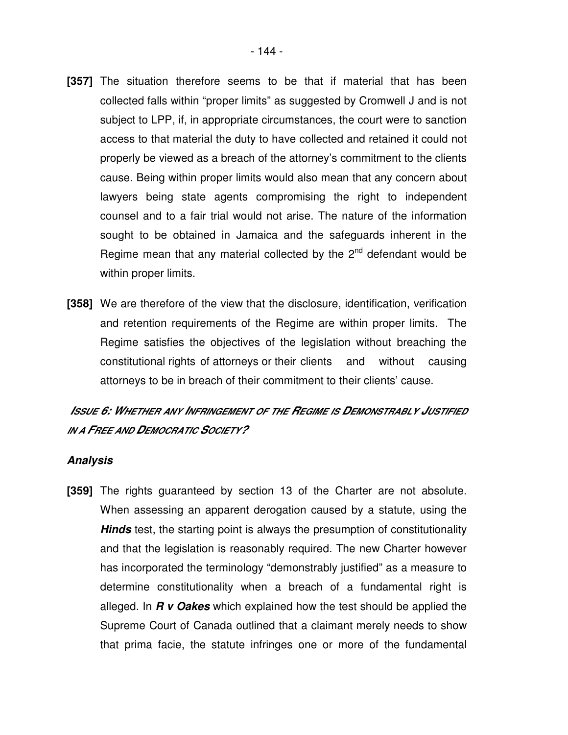- **[357]** The situation therefore seems to be that if material that has been collected falls within "proper limits" as suggested by Cromwell J and is not subject to LPP, if, in appropriate circumstances, the court were to sanction access to that material the duty to have collected and retained it could not properly be viewed as a breach of the attorney's commitment to the clients cause. Being within proper limits would also mean that any concern about lawyers being state agents compromising the right to independent counsel and to a fair trial would not arise. The nature of the information sought to be obtained in Jamaica and the safeguards inherent in the Regime mean that any material collected by the  $2<sup>nd</sup>$  defendant would be within proper limits.
- **[358]** We are therefore of the view that the disclosure, identification, verification and retention requirements of the Regime are within proper limits. The Regime satisfies the objectives of the legislation without breaching the constitutional rights of attorneys or their clients and without causing attorneys to be in breach of their commitment to their clients' cause.

# **ISSUE 6: WHETHER ANY INFRINGEMENT OF THE REGIME IS DEMONSTRABLY JUSTIFIED IN A FREE AND DEMOCRATIC SOCIETY?**

#### **Analysis**

**[359]** The rights guaranteed by section 13 of the Charter are not absolute. When assessing an apparent derogation caused by a statute, using the **Hinds** test, the starting point is always the presumption of constitutionality and that the legislation is reasonably required. The new Charter however has incorporated the terminology "demonstrably justified" as a measure to determine constitutionality when a breach of a fundamental right is alleged. In **R v Oakes** which explained how the test should be applied the Supreme Court of Canada outlined that a claimant merely needs to show that prima facie, the statute infringes one or more of the fundamental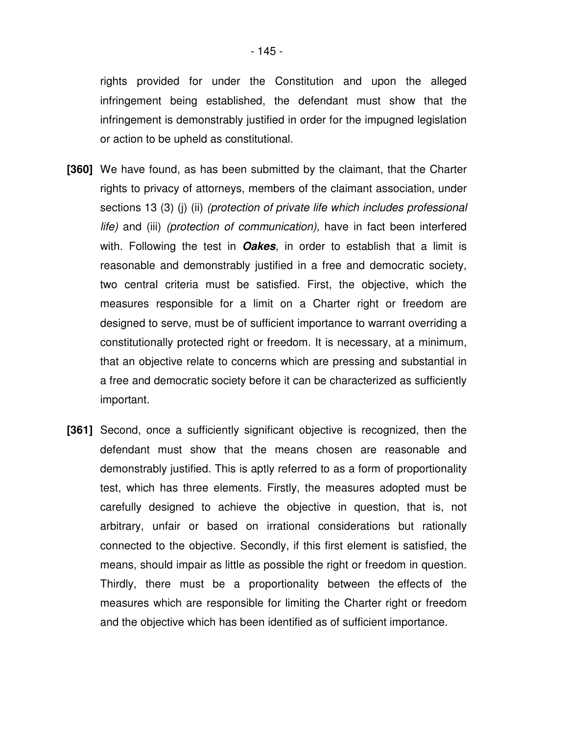rights provided for under the Constitution and upon the alleged infringement being established, the defendant must show that the infringement is demonstrably justified in order for the impugned legislation or action to be upheld as constitutional.

- **[360]** We have found, as has been submitted by the claimant, that the Charter rights to privacy of attorneys, members of the claimant association, under sections 13 (3) (j) (ii) (protection of private life which includes professional life) and (iii) (protection of communication), have in fact been interfered with. Following the test in **Oakes**, in order to establish that a limit is reasonable and demonstrably justified in a free and democratic society, two central criteria must be satisfied. First, the objective, which the measures responsible for a limit on a Charter right or freedom are designed to serve, must be of sufficient importance to warrant overriding a constitutionally protected right or freedom. It is necessary, at a minimum, that an objective relate to concerns which are pressing and substantial in a free and democratic society before it can be characterized as sufficiently important.
- **[361]** Second, once a sufficiently significant objective is recognized, then the defendant must show that the means chosen are reasonable and demonstrably justified. This is aptly referred to as a form of proportionality test, which has three elements. Firstly, the measures adopted must be carefully designed to achieve the objective in question, that is, not arbitrary, unfair or based on irrational considerations but rationally connected to the objective. Secondly, if this first element is satisfied, the means, should impair as little as possible the right or freedom in question. Thirdly, there must be a proportionality between the effects of the measures which are responsible for limiting the Charter right or freedom and the objective which has been identified as of sufficient importance.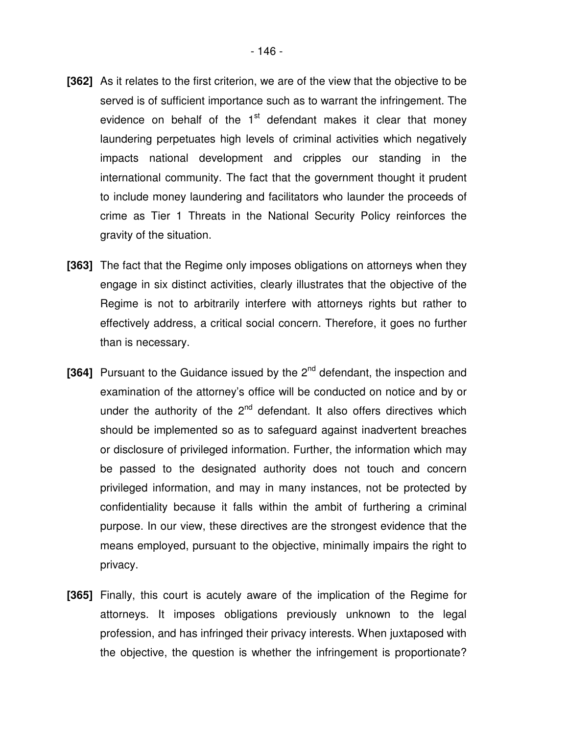- **[362]** As it relates to the first criterion, we are of the view that the objective to be served is of sufficient importance such as to warrant the infringement. The evidence on behalf of the  $1<sup>st</sup>$  defendant makes it clear that money laundering perpetuates high levels of criminal activities which negatively impacts national development and cripples our standing in the international community. The fact that the government thought it prudent to include money laundering and facilitators who launder the proceeds of crime as Tier 1 Threats in the National Security Policy reinforces the gravity of the situation.
- **[363]** The fact that the Regime only imposes obligations on attorneys when they engage in six distinct activities, clearly illustrates that the objective of the Regime is not to arbitrarily interfere with attorneys rights but rather to effectively address, a critical social concern. Therefore, it goes no further than is necessary.
- **[364]** Pursuant to the Guidance issued by the 2<sup>nd</sup> defendant, the inspection and examination of the attorney's office will be conducted on notice and by or under the authority of the  $2<sup>nd</sup>$  defendant. It also offers directives which should be implemented so as to safeguard against inadvertent breaches or disclosure of privileged information. Further, the information which may be passed to the designated authority does not touch and concern privileged information, and may in many instances, not be protected by confidentiality because it falls within the ambit of furthering a criminal purpose. In our view, these directives are the strongest evidence that the means employed, pursuant to the objective, minimally impairs the right to privacy.
- **[365]** Finally, this court is acutely aware of the implication of the Regime for attorneys. It imposes obligations previously unknown to the legal profession, and has infringed their privacy interests. When juxtaposed with the objective, the question is whether the infringement is proportionate?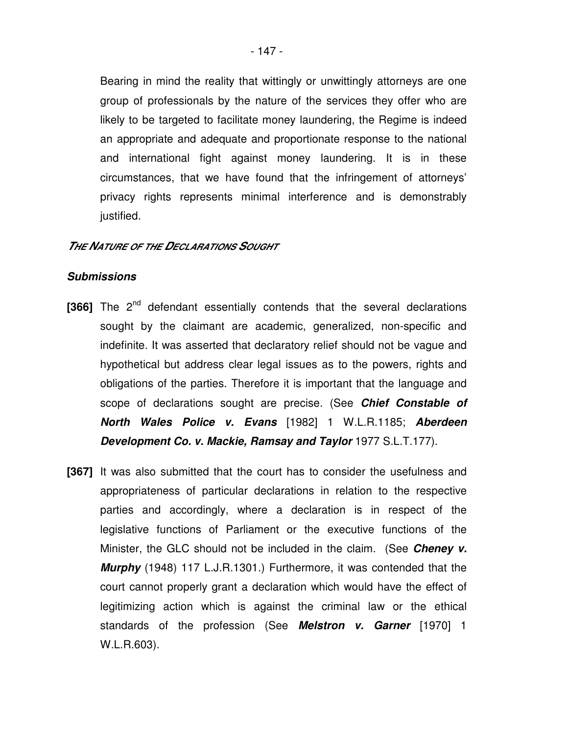Bearing in mind the reality that wittingly or unwittingly attorneys are one group of professionals by the nature of the services they offer who are likely to be targeted to facilitate money laundering, the Regime is indeed an appropriate and adequate and proportionate response to the national and international fight against money laundering. It is in these circumstances, that we have found that the infringement of attorneys' privacy rights represents minimal interference and is demonstrably justified.

#### **THE NATURE OF THE DECLARATIONS SOUGHT**

#### **Submissions**

- **[366]** The 2<sup>nd</sup> defendant essentially contends that the several declarations sought by the claimant are academic, generalized, non-specific and indefinite. It was asserted that declaratory relief should not be vague and hypothetical but address clear legal issues as to the powers, rights and obligations of the parties. Therefore it is important that the language and scope of declarations sought are precise. (See **Chief Constable of North Wales Police v. Evans** [1982] 1 W.L.R.1185; **Aberdeen Development Co. v. Mackie, Ramsay and Taylor** 1977 S.L.T.177).
- **[367]** It was also submitted that the court has to consider the usefulness and appropriateness of particular declarations in relation to the respective parties and accordingly, where a declaration is in respect of the legislative functions of Parliament or the executive functions of the Minister, the GLC should not be included in the claim. (See **Cheney v. Murphy** (1948) 117 L.J.R.1301.) Furthermore, it was contended that the court cannot properly grant a declaration which would have the effect of legitimizing action which is against the criminal law or the ethical standards of the profession (See **Melstron v. Garner** [1970] 1 W.L.R.603).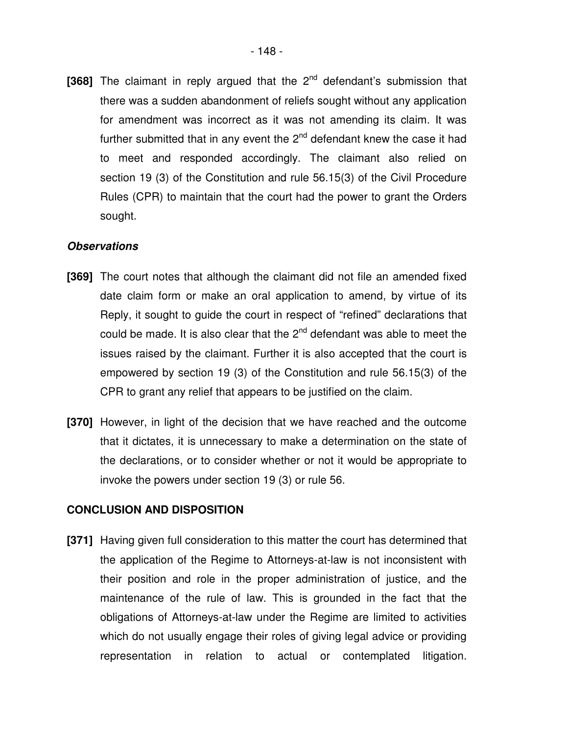**[368]** The claimant in reply argued that the 2<sup>nd</sup> defendant's submission that there was a sudden abandonment of reliefs sought without any application for amendment was incorrect as it was not amending its claim. It was further submitted that in any event the  $2<sup>nd</sup>$  defendant knew the case it had to meet and responded accordingly. The claimant also relied on section 19 (3) of the Constitution and rule 56.15(3) of the Civil Procedure Rules (CPR) to maintain that the court had the power to grant the Orders sought.

### **Observations**

- **[369]** The court notes that although the claimant did not file an amended fixed date claim form or make an oral application to amend, by virtue of its Reply, it sought to guide the court in respect of "refined" declarations that could be made. It is also clear that the  $2<sup>nd</sup>$  defendant was able to meet the issues raised by the claimant. Further it is also accepted that the court is empowered by section 19 (3) of the Constitution and rule 56.15(3) of the CPR to grant any relief that appears to be justified on the claim.
- **[370]** However, in light of the decision that we have reached and the outcome that it dictates, it is unnecessary to make a determination on the state of the declarations, or to consider whether or not it would be appropriate to invoke the powers under section 19 (3) or rule 56.

### **CONCLUSION AND DISPOSITION**

**[371]** Having given full consideration to this matter the court has determined that the application of the Regime to Attorneys-at-law is not inconsistent with their position and role in the proper administration of justice, and the maintenance of the rule of law. This is grounded in the fact that the obligations of Attorneys-at-law under the Regime are limited to activities which do not usually engage their roles of giving legal advice or providing representation in relation to actual or contemplated litigation.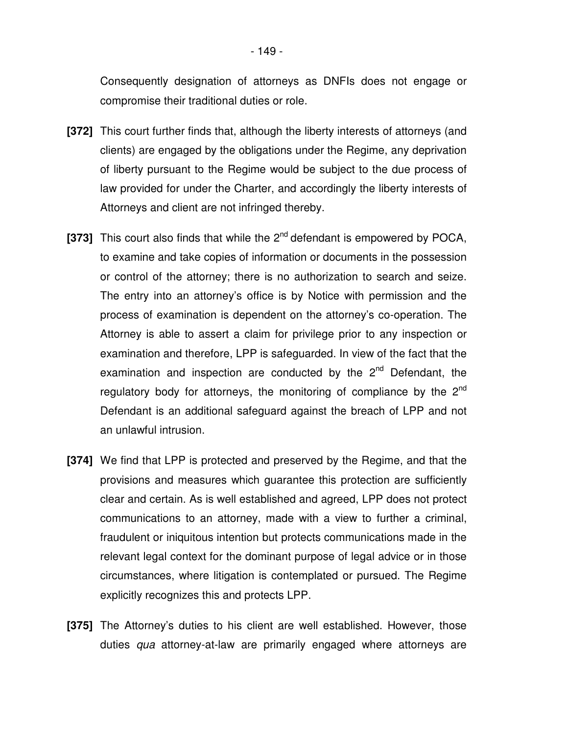Consequently designation of attorneys as DNFIs does not engage or compromise their traditional duties or role.

- **[372]** This court further finds that, although the liberty interests of attorneys (and clients) are engaged by the obligations under the Regime, any deprivation of liberty pursuant to the Regime would be subject to the due process of law provided for under the Charter, and accordingly the liberty interests of Attorneys and client are not infringed thereby.
- **[373]** This court also finds that while the 2<sup>nd</sup> defendant is empowered by POCA, to examine and take copies of information or documents in the possession or control of the attorney; there is no authorization to search and seize. The entry into an attorney's office is by Notice with permission and the process of examination is dependent on the attorney's co-operation. The Attorney is able to assert a claim for privilege prior to any inspection or examination and therefore, LPP is safeguarded. In view of the fact that the examination and inspection are conducted by the  $2<sup>nd</sup>$  Defendant, the regulatory body for attorneys, the monitoring of compliance by the  $2<sup>nd</sup>$ Defendant is an additional safeguard against the breach of LPP and not an unlawful intrusion.
- **[374]** We find that LPP is protected and preserved by the Regime, and that the provisions and measures which guarantee this protection are sufficiently clear and certain. As is well established and agreed, LPP does not protect communications to an attorney, made with a view to further a criminal, fraudulent or iniquitous intention but protects communications made in the relevant legal context for the dominant purpose of legal advice or in those circumstances, where litigation is contemplated or pursued. The Regime explicitly recognizes this and protects LPP.
- **[375]** The Attorney's duties to his client are well established. However, those duties qua attorney-at-law are primarily engaged where attorneys are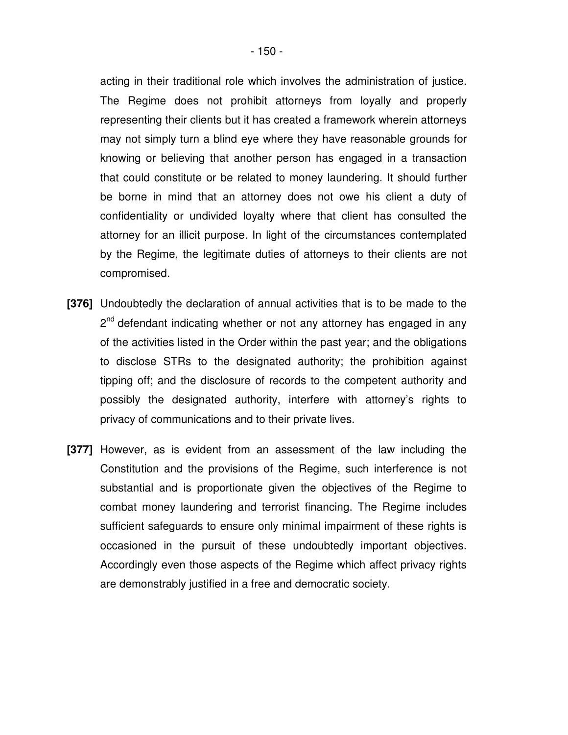acting in their traditional role which involves the administration of justice. The Regime does not prohibit attorneys from loyally and properly representing their clients but it has created a framework wherein attorneys may not simply turn a blind eye where they have reasonable grounds for knowing or believing that another person has engaged in a transaction that could constitute or be related to money laundering. It should further be borne in mind that an attorney does not owe his client a duty of confidentiality or undivided loyalty where that client has consulted the attorney for an illicit purpose. In light of the circumstances contemplated by the Regime, the legitimate duties of attorneys to their clients are not compromised.

- **[376]** Undoubtedly the declaration of annual activities that is to be made to the  $2<sup>nd</sup>$  defendant indicating whether or not any attorney has engaged in any of the activities listed in the Order within the past year; and the obligations to disclose STRs to the designated authority; the prohibition against tipping off; and the disclosure of records to the competent authority and possibly the designated authority, interfere with attorney's rights to privacy of communications and to their private lives.
- **[377]** However, as is evident from an assessment of the law including the Constitution and the provisions of the Regime, such interference is not substantial and is proportionate given the objectives of the Regime to combat money laundering and terrorist financing. The Regime includes sufficient safeguards to ensure only minimal impairment of these rights is occasioned in the pursuit of these undoubtedly important objectives. Accordingly even those aspects of the Regime which affect privacy rights are demonstrably justified in a free and democratic society.